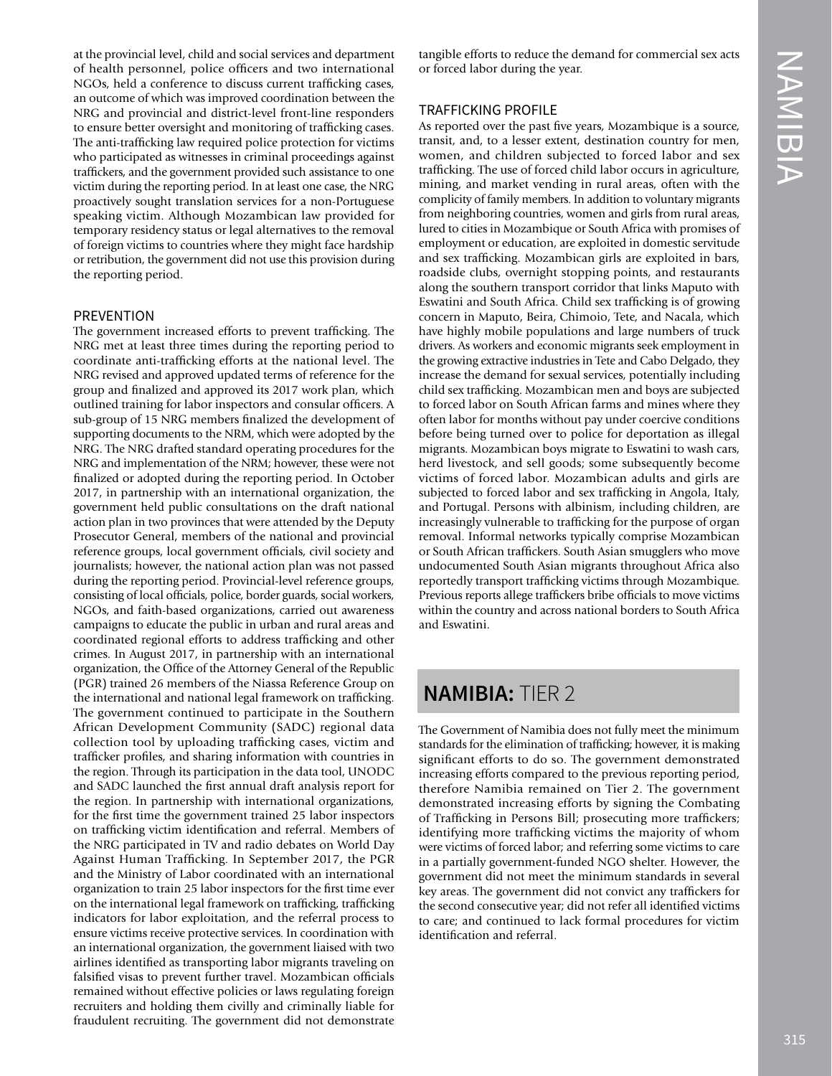at the provincial level, child and social services and department of health personnel, police officers and two international NGOs, held a conference to discuss current trafficking cases, an outcome of which was improved coordination between the NRG and provincial and district-level front-line responders to ensure better oversight and monitoring of trafficking cases. The anti-trafficking law required police protection for victims who participated as witnesses in criminal proceedings against traffickers, and the government provided such assistance to one victim during the reporting period. In at least one case, the NRG proactively sought translation services for a non-Portuguese speaking victim. Although Mozambican law provided for temporary residency status or legal alternatives to the removal of foreign victims to countries where they might face hardship or retribution, the government did not use this provision during the reporting period.

### PREVENTION

The government increased efforts to prevent trafficking. The NRG met at least three times during the reporting period to coordinate anti-trafficking efforts at the national level. The NRG revised and approved updated terms of reference for the group and finalized and approved its 2017 work plan, which outlined training for labor inspectors and consular officers. A sub-group of 15 NRG members finalized the development of supporting documents to the NRM, which were adopted by the NRG. The NRG drafted standard operating procedures for the NRG and implementation of the NRM; however, these were not finalized or adopted during the reporting period. In October 2017, in partnership with an international organization, the government held public consultations on the draft national action plan in two provinces that were attended by the Deputy Prosecutor General, members of the national and provincial reference groups, local government officials, civil society and journalists; however, the national action plan was not passed during the reporting period. Provincial-level reference groups, consisting of local officials, police, border guards, social workers, NGOs, and faith-based organizations, carried out awareness campaigns to educate the public in urban and rural areas and coordinated regional efforts to address trafficking and other crimes. In August 2017, in partnership with an international organization, the Office of the Attorney General of the Republic (PGR) trained 26 members of the Niassa Reference Group on the international and national legal framework on trafficking. The government continued to participate in the Southern African Development Community (SADC) regional data collection tool by uploading trafficking cases, victim and trafficker profiles, and sharing information with countries in the region. Through its participation in the data tool, UNODC and SADC launched the first annual draft analysis report for the region. In partnership with international organizations, for the first time the government trained 25 labor inspectors on trafficking victim identification and referral. Members of the NRG participated in TV and radio debates on World Day Against Human Trafficking. In September 2017, the PGR and the Ministry of Labor coordinated with an international organization to train 25 labor inspectors for the first time ever on the international legal framework on trafficking, trafficking indicators for labor exploitation, and the referral process to ensure victims receive protective services. In coordination with an international organization, the government liaised with two airlines identified as transporting labor migrants traveling on falsified visas to prevent further travel. Mozambican officials remained without effective policies or laws regulating foreign recruiters and holding them civilly and criminally liable for fraudulent recruiting. The government did not demonstrate tangible efforts to reduce the demand for commercial sex acts or forced labor during the year.

### TRAFFICKING PROFILE

As reported over the past five years, Mozambique is a source, transit, and, to a lesser extent, destination country for men, women, and children subjected to forced labor and sex trafficking. The use of forced child labor occurs in agriculture, mining, and market vending in rural areas, often with the complicity of family members. In addition to voluntary migrants from neighboring countries, women and girls from rural areas, lured to cities in Mozambique or South Africa with promises of employment or education, are exploited in domestic servitude and sex trafficking. Mozambican girls are exploited in bars, roadside clubs, overnight stopping points, and restaurants along the southern transport corridor that links Maputo with Eswatini and South Africa. Child sex trafficking is of growing concern in Maputo, Beira, Chimoio, Tete, and Nacala, which have highly mobile populations and large numbers of truck drivers. As workers and economic migrants seek employment in the growing extractive industries in Tete and Cabo Delgado, they increase the demand for sexual services, potentially including child sex trafficking. Mozambican men and boys are subjected to forced labor on South African farms and mines where they often labor for months without pay under coercive conditions before being turned over to police for deportation as illegal migrants. Mozambican boys migrate to Eswatini to wash cars, herd livestock, and sell goods; some subsequently become victims of forced labor. Mozambican adults and girls are subjected to forced labor and sex trafficking in Angola, Italy, and Portugal. Persons with albinism, including children, are increasingly vulnerable to trafficking for the purpose of organ removal. Informal networks typically comprise Mozambican or South African traffickers. South Asian smugglers who move undocumented South Asian migrants throughout Africa also reportedly transport trafficking victims through Mozambique. Previous reports allege traffickers bribe officials to move victims within the country and across national borders to South Africa and Eswatini.

# **NAMIBIA:** TIER 2

The Government of Namibia does not fully meet the minimum standards for the elimination of trafficking; however, it is making significant efforts to do so. The government demonstrated increasing efforts compared to the previous reporting period, therefore Namibia remained on Tier 2. The government demonstrated increasing efforts by signing the Combating of Trafficking in Persons Bill; prosecuting more traffickers; identifying more trafficking victims the majority of whom were victims of forced labor; and referring some victims to care in a partially government-funded NGO shelter. However, the government did not meet the minimum standards in several key areas. The government did not convict any traffickers for the second consecutive year; did not refer all identified victims to care; and continued to lack formal procedures for victim identification and referral.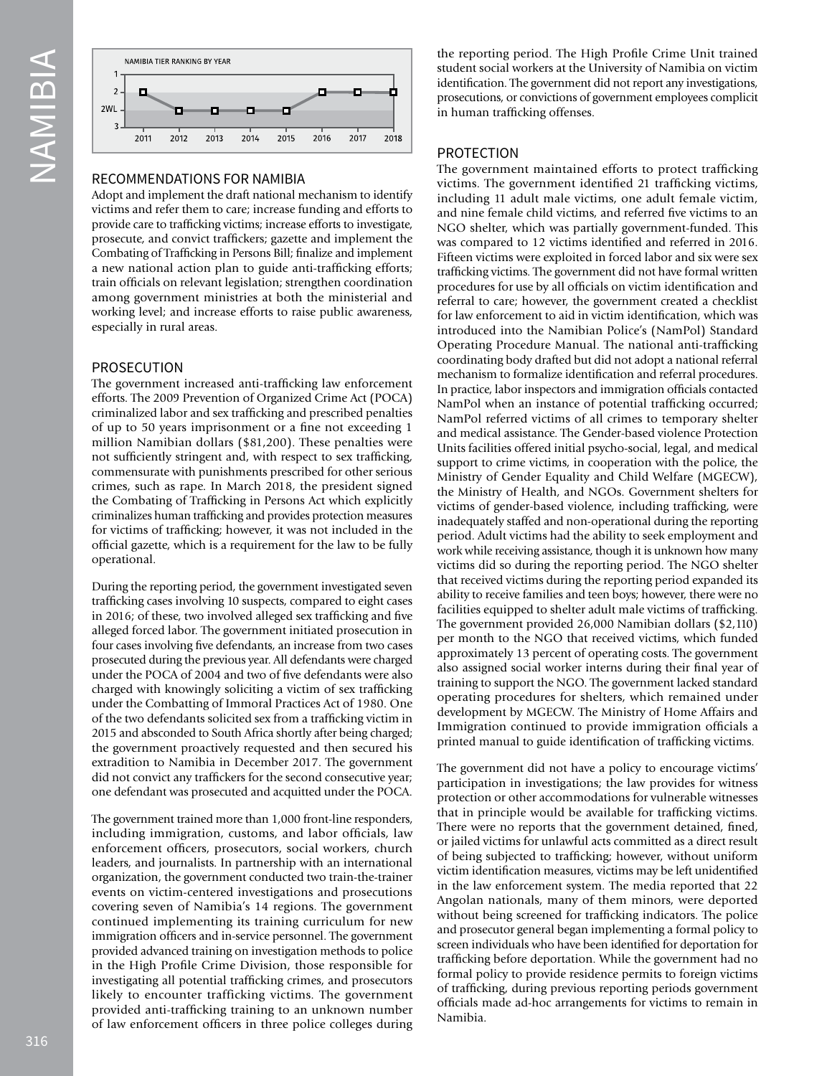

### RECOMMENDATIONS FOR NAMIBIA

Adopt and implement the draft national mechanism to identify victims and refer them to care; increase funding and efforts to provide care to trafficking victims; increase efforts to investigate, prosecute, and convict traffickers; gazette and implement the Combating of Trafficking in Persons Bill; finalize and implement a new national action plan to guide anti-trafficking efforts; train officials on relevant legislation; strengthen coordination among government ministries at both the ministerial and working level; and increase efforts to raise public awareness, especially in rural areas.

### PROSECUTION

The government increased anti-trafficking law enforcement efforts. The 2009 Prevention of Organized Crime Act (POCA) criminalized labor and sex trafficking and prescribed penalties of up to 50 years imprisonment or a fine not exceeding 1 million Namibian dollars (\$81,200). These penalties were not sufficiently stringent and, with respect to sex trafficking, commensurate with punishments prescribed for other serious crimes, such as rape. In March 2018, the president signed the Combating of Trafficking in Persons Act which explicitly criminalizes human trafficking and provides protection measures for victims of trafficking; however, it was not included in the official gazette, which is a requirement for the law to be fully operational.

During the reporting period, the government investigated seven trafficking cases involving 10 suspects, compared to eight cases in 2016; of these, two involved alleged sex trafficking and five alleged forced labor. The government initiated prosecution in four cases involving five defendants, an increase from two cases prosecuted during the previous year. All defendants were charged under the POCA of 2004 and two of five defendants were also charged with knowingly soliciting a victim of sex trafficking under the Combatting of Immoral Practices Act of 1980. One of the two defendants solicited sex from a trafficking victim in 2015 and absconded to South Africa shortly after being charged; the government proactively requested and then secured his extradition to Namibia in December 2017. The government did not convict any traffickers for the second consecutive year; one defendant was prosecuted and acquitted under the POCA.

The government trained more than 1,000 front-line responders, including immigration, customs, and labor officials, law enforcement officers, prosecutors, social workers, church leaders, and journalists. In partnership with an international organization, the government conducted two train-the-trainer events on victim-centered investigations and prosecutions covering seven of Namibia's 14 regions. The government continued implementing its training curriculum for new immigration officers and in-service personnel. The government provided advanced training on investigation methods to police in the High Profile Crime Division, those responsible for investigating all potential trafficking crimes, and prosecutors likely to encounter trafficking victims. The government provided anti-trafficking training to an unknown number of law enforcement officers in three police colleges during

the reporting period. The High Profile Crime Unit trained student social workers at the University of Namibia on victim identification. The government did not report any investigations, prosecutions, or convictions of government employees complicit in human trafficking offenses.

### PROTECTION

The government maintained efforts to protect trafficking victims. The government identified 21 trafficking victims, including 11 adult male victims, one adult female victim, and nine female child victims, and referred five victims to an NGO shelter, which was partially government-funded. This was compared to 12 victims identified and referred in 2016. Fifteen victims were exploited in forced labor and six were sex trafficking victims. The government did not have formal written procedures for use by all officials on victim identification and referral to care; however, the government created a checklist for law enforcement to aid in victim identification, which was introduced into the Namibian Police's (NamPol) Standard Operating Procedure Manual. The national anti-trafficking coordinating body drafted but did not adopt a national referral mechanism to formalize identification and referral procedures. In practice, labor inspectors and immigration officials contacted NamPol when an instance of potential trafficking occurred; NamPol referred victims of all crimes to temporary shelter and medical assistance. The Gender-based violence Protection Units facilities offered initial psycho-social, legal, and medical support to crime victims, in cooperation with the police, the Ministry of Gender Equality and Child Welfare (MGECW), the Ministry of Health, and NGOs. Government shelters for victims of gender-based violence, including trafficking, were inadequately staffed and non-operational during the reporting period. Adult victims had the ability to seek employment and work while receiving assistance, though it is unknown how many victims did so during the reporting period. The NGO shelter that received victims during the reporting period expanded its ability to receive families and teen boys; however, there were no facilities equipped to shelter adult male victims of trafficking. The government provided 26,000 Namibian dollars (\$2,110) per month to the NGO that received victims, which funded approximately 13 percent of operating costs. The government also assigned social worker interns during their final year of training to support the NGO. The government lacked standard operating procedures for shelters, which remained under development by MGECW. The Ministry of Home Affairs and Immigration continued to provide immigration officials a printed manual to guide identification of trafficking victims.

The government did not have a policy to encourage victims' participation in investigations; the law provides for witness protection or other accommodations for vulnerable witnesses that in principle would be available for trafficking victims. There were no reports that the government detained, fined, or jailed victims for unlawful acts committed as a direct result of being subjected to trafficking; however, without uniform victim identification measures, victims may be left unidentified in the law enforcement system. The media reported that 22 Angolan nationals, many of them minors, were deported without being screened for trafficking indicators. The police and prosecutor general began implementing a formal policy to screen individuals who have been identified for deportation for trafficking before deportation. While the government had no formal policy to provide residence permits to foreign victims of trafficking, during previous reporting periods government officials made ad-hoc arrangements for victims to remain in Namibia.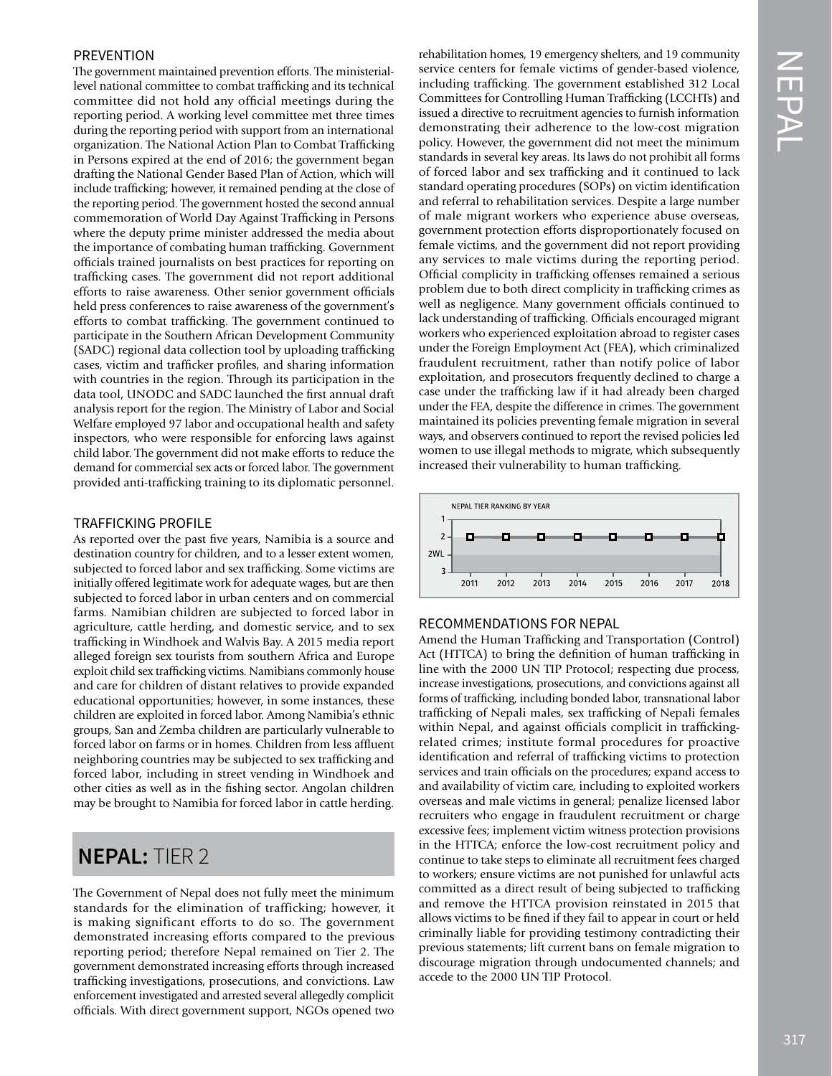### PREVENTION

The government maintained prevention efforts. The ministeriallevel national committee to combat trafficking and its technical committee did not hold any official meetings during the reporting period. A working level committee met three times during the reporting period with support from an international organization. The National Action Plan to Combat Trafficking in Persons expired at the end of 2016; the government began drafting the National Gender Based Plan of Action, which will include trafficking; however, it remained pending at the close of the reporting period. The government hosted the second annual commemoration of World Day Against Trafficking in Persons where the deputy prime minister addressed the media about the importance of combating human trafficking. Government officials trained journalists on best practices for reporting on trafficking cases. The government did not report additional efforts to raise awareness. Other senior government officials held press conferences to raise awareness of the government's efforts to combat trafficking. The government continued to participate in the Southern African Development Community (SADC) regional data collection tool by uploading trafficking cases, victim and trafficker profiles, and sharing information with countries in the region. Through its participation in the data tool, UNODC and SADC launched the first annual draft analysis report for the region. The Ministry of Labor and Social Welfare employed 97 labor and occupational health and safety inspectors, who were responsible for enforcing laws against child labor. The government did not make efforts to reduce the demand for commercial sex acts or forced labor. The government provided anti-trafficking training to its diplomatic personnel.

### TRAFFICKING PROFILE

As reported over the past five years, Namibia is a source and destination country for children, and to a lesser extent women, subjected to forced labor and sex trafficking. Some victims are initially offered legitimate work for adequate wages, but are then subjected to forced labor in urban centers and on commercial farms. Namibian children are subjected to forced labor in agriculture, cattle herding, and domestic service, and to sex trafficking in Windhoek and Walvis Bay. A 2015 media report alleged foreign sex tourists from southern Africa and Europe exploit child sex trafficking victims. Namibians commonly house and care for children of distant relatives to provide expanded educational opportunities; however, in some instances, these children are exploited in forced labor. Among Namibia's ethnic groups, San and Zemba children are particularly vulnerable to forced labor on farms or in homes. Children from less affluent neighboring countries may be subjected to sex trafficking and forced labor, including in street vending in Windhoek and other cities as well as in the fishing sector. Angolan children may be brought to Namibia for forced labor in cattle herding.

# **NEPAL:** TIER 2

The Government of Nepal does not fully meet the minimum standards for the elimination of trafficking; however, it is making significant efforts to do so. The government demonstrated increasing efforts compared to the previous reporting period; therefore Nepal remained on Tier 2. The government demonstrated increasing efforts through increased trafficking investigations, prosecutions, and convictions. Law enforcement investigated and arrested several allegedly complicit officials. With direct government support, NGOs opened two rehabilitation homes, 19 emergency shelters, and 19 community service centers for female victims of gender-based violence, including trafficking. The government established 312 Local Committees for Controlling Human Trafficking (LCCHTs) and issued a directive to recruitment agencies to furnish information demonstrating their adherence to the low-cost migration policy. However, the government did not meet the minimum standards in several key areas. Its laws do not prohibit all forms of forced labor and sex trafficking and it continued to lack standard operating procedures (SOPs) on victim identification and referral to rehabilitation services. Despite a large number of male migrant workers who experience abuse overseas, government protection efforts disproportionately focused on female victims, and the government did not report providing any services to male victims during the reporting period. Official complicity in trafficking offenses remained a serious problem due to both direct complicity in trafficking crimes as well as negligence. Many government officials continued to lack understanding of trafficking. Officials encouraged migrant workers who experienced exploitation abroad to register cases under the Foreign Employment Act (FEA), which criminalized fraudulent recruitment, rather than notify police of labor exploitation, and prosecutors frequently declined to charge a case under the trafficking law if it had already been charged under the FEA, despite the difference in crimes. The government maintained its policies preventing female migration in several ways, and observers continued to report the revised policies led women to use illegal methods to migrate, which subsequently increased their vulnerability to human trafficking.



### RECOMMENDATIONS FOR NEPAL

Amend the Human Trafficking and Transportation (Control) Act (HTTCA) to bring the definition of human trafficking in line with the 2000 UN TIP Protocol; respecting due process, increase investigations, prosecutions, and convictions against all forms of trafficking, including bonded labor, transnational labor trafficking of Nepali males, sex trafficking of Nepali females within Nepal, and against officials complicit in traffickingrelated crimes; institute formal procedures for proactive identification and referral of trafficking victims to protection services and train officials on the procedures; expand access to and availability of victim care, including to exploited workers overseas and male victims in general; penalize licensed labor recruiters who engage in fraudulent recruitment or charge excessive fees; implement victim witness protection provisions in the HTTCA; enforce the low-cost recruitment policy and continue to take steps to eliminate all recruitment fees charged to workers; ensure victims are not punished for unlawful acts committed as a direct result of being subjected to trafficking and remove the HTTCA provision reinstated in 2015 that allows victims to be fined if they fail to appear in court or held criminally liable for providing testimony contradicting their previous statements; lift current bans on female migration to discourage migration through undocumented channels; and accede to the 2000 UN TIP Protocol.

NEPAI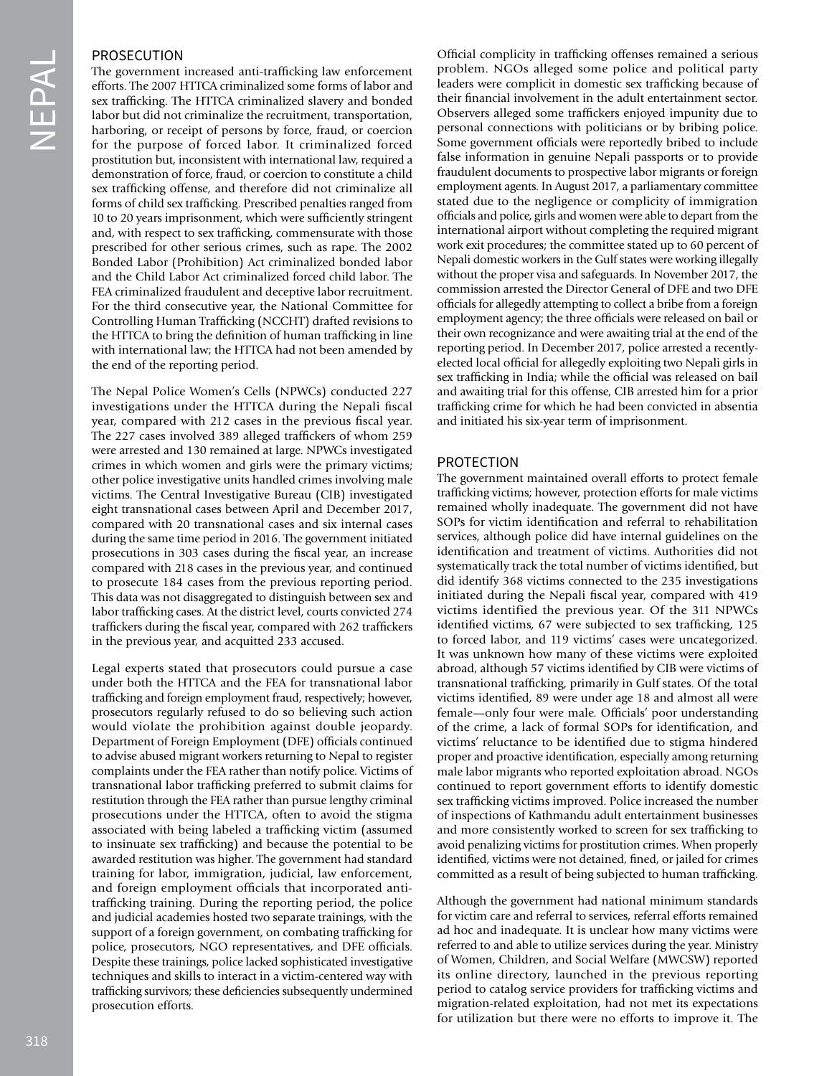### PROSECUTION

NEPAL

The government increased anti-trafficking law enforcement efforts. The 2007 HTTCA criminalized some forms of labor and sex trafficking. The HTTCA criminalized slavery and bonded labor but did not criminalize the recruitment, transportation, harboring, or receipt of persons by force, fraud, or coercion for the purpose of forced labor. It criminalized forced prostitution but, inconsistent with international law, required a demonstration of force, fraud, or coercion to constitute a child sex trafficking offense, and therefore did not criminalize all forms of child sex trafficking. Prescribed penalties ranged from 10 to 20 years imprisonment, which were sufficiently stringent and, with respect to sex trafficking, commensurate with those prescribed for other serious crimes, such as rape. The 2002 Bonded Labor (Prohibition) Act criminalized bonded labor and the Child Labor Act criminalized forced child labor. The FEA criminalized fraudulent and deceptive labor recruitment. For the third consecutive year, the National Committee for Controlling Human Trafficking (NCCHT) drafted revisions to the HTTCA to bring the definition of human trafficking in line with international law; the HTTCA had not been amended by the end of the reporting period.

The Nepal Police Women's Cells (NPWCs) conducted 227 investigations under the HTTCA during the Nepali fiscal year, compared with 212 cases in the previous fiscal year. The 227 cases involved 389 alleged traffickers of whom 259 were arrested and 130 remained at large. NPWCs investigated crimes in which women and girls were the primary victims; other police investigative units handled crimes involving male victims. The Central Investigative Bureau (CIB) investigated eight transnational cases between April and December 2017, compared with 20 transnational cases and six internal cases during the same time period in 2016. The government initiated prosecutions in 303 cases during the fiscal year, an increase compared with 218 cases in the previous year, and continued to prosecute 184 cases from the previous reporting period. This data was not disaggregated to distinguish between sex and labor trafficking cases. At the district level, courts convicted 274 traffickers during the fiscal year, compared with 262 traffickers in the previous year, and acquitted 233 accused.

**Example 18**<br>
The government to a distriction and the results associated with the propose prosiduation but identically a reception of sex trafficking of forms of child sext trafficking of forms of child sext preservised fo Legal experts stated that prosecutors could pursue a case under both the HTTCA and the FEA for transnational labor trafficking and foreign employment fraud, respectively; however, prosecutors regularly refused to do so believing such action would violate the prohibition against double jeopardy. Department of Foreign Employment (DFE) officials continued to advise abused migrant workers returning to Nepal to register complaints under the FEA rather than notify police. Victims of transnational labor trafficking preferred to submit claims for restitution through the FEA rather than pursue lengthy criminal prosecutions under the HTTCA, often to avoid the stigma associated with being labeled a trafficking victim (assumed to insinuate sex trafficking) and because the potential to be awarded restitution was higher. The government had standard training for labor, immigration, judicial, law enforcement, and foreign employment officials that incorporated antitrafficking training. During the reporting period, the police and judicial academies hosted two separate trainings, with the support of a foreign government, on combating trafficking for police, prosecutors, NGO representatives, and DFE officials. Despite these trainings, police lacked sophisticated investigative techniques and skills to interact in a victim-centered way with trafficking survivors; these deficiencies subsequently undermined prosecution efforts.

Official complicity in trafficking offenses remained a serious problem. NGOs alleged some police and political party leaders were complicit in domestic sex trafficking because of their financial involvement in the adult entertainment sector. Observers alleged some traffickers enjoyed impunity due to personal connections with politicians or by bribing police. Some government officials were reportedly bribed to include false information in genuine Nepali passports or to provide fraudulent documents to prospective labor migrants or foreign employment agents. In August 2017, a parliamentary committee stated due to the negligence or complicity of immigration officials and police, girls and women were able to depart from the international airport without completing the required migrant work exit procedures; the committee stated up to 60 percent of Nepali domestic workers in the Gulf states were working illegally without the proper visa and safeguards. In November 2017, the commission arrested the Director General of DFE and two DFE officials for allegedly attempting to collect a bribe from a foreign employment agency; the three officials were released on bail or their own recognizance and were awaiting trial at the end of the reporting period. In December 2017, police arrested a recentlyelected local official for allegedly exploiting two Nepali girls in sex trafficking in India; while the official was released on bail and awaiting trial for this offense, CIB arrested him for a prior trafficking crime for which he had been convicted in absentia and initiated his six-year term of imprisonment.

### PROTECTION

The government maintained overall efforts to protect female trafficking victims; however, protection efforts for male victims remained wholly inadequate. The government did not have SOPs for victim identification and referral to rehabilitation services, although police did have internal guidelines on the identification and treatment of victims. Authorities did not systematically track the total number of victims identified, but did identify 368 victims connected to the 235 investigations initiated during the Nepali fiscal year, compared with 419 victims identified the previous year. Of the 311 NPWCs identified victims, 67 were subjected to sex trafficking, 125 to forced labor, and 119 victims' cases were uncategorized. It was unknown how many of these victims were exploited abroad, although 57 victims identified by CIB were victims of transnational trafficking, primarily in Gulf states. Of the total victims identified, 89 were under age 18 and almost all were female—only four were male. Officials' poor understanding of the crime, a lack of formal SOPs for identification, and victims' reluctance to be identified due to stigma hindered proper and proactive identification, especially among returning male labor migrants who reported exploitation abroad. NGOs continued to report government efforts to identify domestic sex trafficking victims improved. Police increased the number of inspections of Kathmandu adult entertainment businesses and more consistently worked to screen for sex trafficking to avoid penalizing victims for prostitution crimes. When properly identified, victims were not detained, fined, or jailed for crimes committed as a result of being subjected to human trafficking.

Although the government had national minimum standards for victim care and referral to services, referral efforts remained ad hoc and inadequate. It is unclear how many victims were referred to and able to utilize services during the year. Ministry of Women, Children, and Social Welfare (MWCSW) reported its online directory, launched in the previous reporting period to catalog service providers for trafficking victims and migration-related exploitation, had not met its expectations for utilization but there were no efforts to improve it. The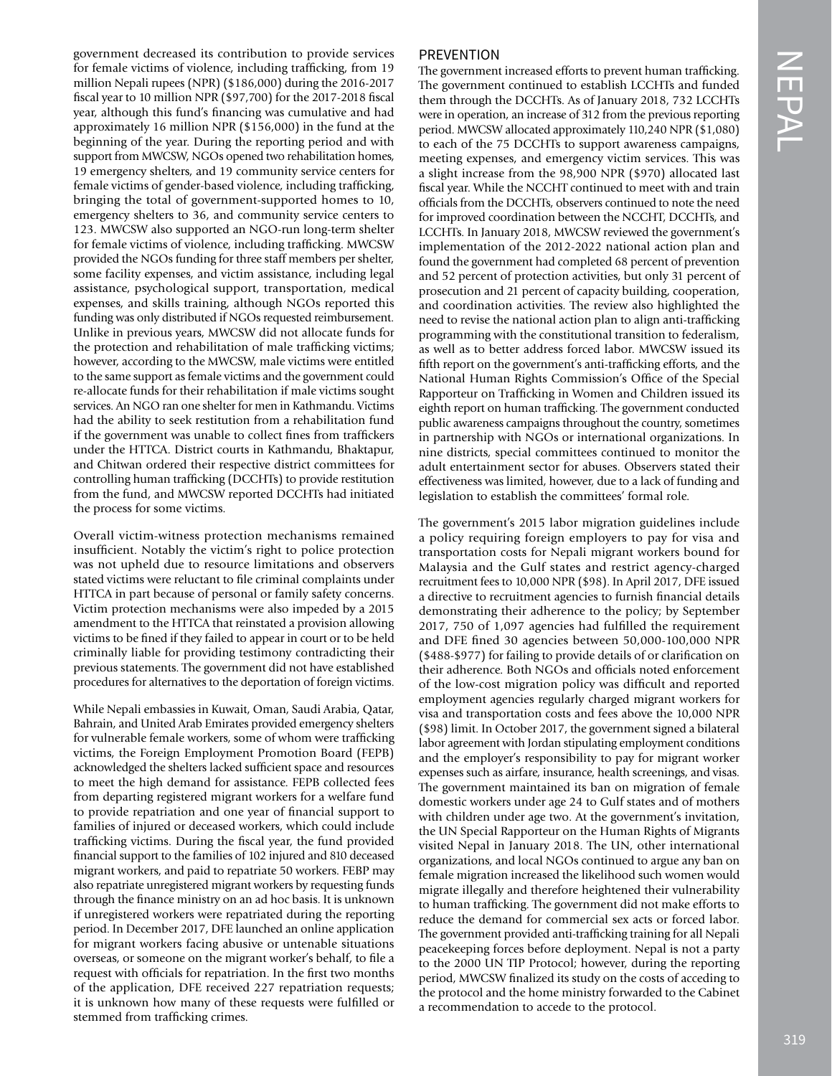government decreased its contribution to provide services for female victims of violence, including trafficking, from 19 million Nepali rupees (NPR) (\$186,000) during the 2016-2017 fiscal year to 10 million NPR (\$97,700) for the 2017-2018 fiscal year, although this fund's financing was cumulative and had approximately 16 million NPR (\$156,000) in the fund at the beginning of the year. During the reporting period and with support from MWCSW, NGOs opened two rehabilitation homes, 19 emergency shelters, and 19 community service centers for female victims of gender-based violence, including trafficking, bringing the total of government-supported homes to 10, emergency shelters to 36, and community service centers to 123. MWCSW also supported an NGO-run long-term shelter for female victims of violence, including trafficking. MWCSW provided the NGOs funding for three staff members per shelter, some facility expenses, and victim assistance, including legal assistance, psychological support, transportation, medical expenses, and skills training, although NGOs reported this funding was only distributed if NGOs requested reimbursement. Unlike in previous years, MWCSW did not allocate funds for the protection and rehabilitation of male trafficking victims; however, according to the MWCSW, male victims were entitled to the same support as female victims and the government could re-allocate funds for their rehabilitation if male victims sought services. An NGO ran one shelter for men in Kathmandu. Victims had the ability to seek restitution from a rehabilitation fund if the government was unable to collect fines from traffickers under the HTTCA. District courts in Kathmandu, Bhaktapur, and Chitwan ordered their respective district committees for controlling human trafficking (DCCHTs) to provide restitution from the fund, and MWCSW reported DCCHTs had initiated the process for some victims.

Overall victim-witness protection mechanisms remained insufficient. Notably the victim's right to police protection was not upheld due to resource limitations and observers stated victims were reluctant to file criminal complaints under HTTCA in part because of personal or family safety concerns. Victim protection mechanisms were also impeded by a 2015 amendment to the HTTCA that reinstated a provision allowing victims to be fined if they failed to appear in court or to be held criminally liable for providing testimony contradicting their previous statements. The government did not have established procedures for alternatives to the deportation of foreign victims.

While Nepali embassies in Kuwait, Oman, Saudi Arabia, Qatar, Bahrain, and United Arab Emirates provided emergency shelters for vulnerable female workers, some of whom were trafficking victims, the Foreign Employment Promotion Board (FEPB) acknowledged the shelters lacked sufficient space and resources to meet the high demand for assistance. FEPB collected fees from departing registered migrant workers for a welfare fund to provide repatriation and one year of financial support to families of injured or deceased workers, which could include trafficking victims. During the fiscal year, the fund provided financial support to the families of 102 injured and 810 deceased migrant workers, and paid to repatriate 50 workers. FEBP may also repatriate unregistered migrant workers by requesting funds through the finance ministry on an ad hoc basis. It is unknown if unregistered workers were repatriated during the reporting period. In December 2017, DFE launched an online application for migrant workers facing abusive or untenable situations overseas, or someone on the migrant worker's behalf, to file a request with officials for repatriation. In the first two months of the application, DFE received 227 repatriation requests; it is unknown how many of these requests were fulfilled or stemmed from trafficking crimes.

### PREVENTION

The government increased efforts to prevent human trafficking. The government continued to establish LCCHTs and funded them through the DCCHTs. As of January 2018, 732 LCCHTs were in operation, an increase of 312 from the previous reporting period. MWCSW allocated approximately 110,240 NPR (\$1,080) to each of the 75 DCCHTs to support awareness campaigns, meeting expenses, and emergency victim services. This was a slight increase from the 98,900 NPR (\$970) allocated last fiscal year. While the NCCHT continued to meet with and train officials from the DCCHTs, observers continued to note the need for improved coordination between the NCCHT, DCCHTs, and LCCHTs. In January 2018, MWCSW reviewed the government's implementation of the 2012-2022 national action plan and found the government had completed 68 percent of prevention and 52 percent of protection activities, but only 31 percent of prosecution and 21 percent of capacity building, cooperation, and coordination activities. The review also highlighted the need to revise the national action plan to align anti-trafficking programming with the constitutional transition to federalism, as well as to better address forced labor. MWCSW issued its fifth report on the government's anti-trafficking efforts, and the National Human Rights Commission's Office of the Special Rapporteur on Trafficking in Women and Children issued its eighth report on human trafficking. The government conducted public awareness campaigns throughout the country, sometimes in partnership with NGOs or international organizations. In nine districts, special committees continued to monitor the adult entertainment sector for abuses. Observers stated their effectiveness was limited, however, due to a lack of funding and legislation to establish the committees' formal role.

The government's 2015 labor migration guidelines include a policy requiring foreign employers to pay for visa and transportation costs for Nepali migrant workers bound for Malaysia and the Gulf states and restrict agency-charged recruitment fees to 10,000 NPR (\$98). In April 2017, DFE issued a directive to recruitment agencies to furnish financial details demonstrating their adherence to the policy; by September 2017, 750 of 1,097 agencies had fulfilled the requirement and DFE fined 30 agencies between 50,000-100,000 NPR (\$488-\$977) for failing to provide details of or clarification on their adherence. Both NGOs and officials noted enforcement of the low-cost migration policy was difficult and reported employment agencies regularly charged migrant workers for visa and transportation costs and fees above the 10,000 NPR (\$98) limit. In October 2017, the government signed a bilateral labor agreement with Jordan stipulating employment conditions and the employer's responsibility to pay for migrant worker expenses such as airfare, insurance, health screenings, and visas. The government maintained its ban on migration of female domestic workers under age 24 to Gulf states and of mothers with children under age two. At the government's invitation, the UN Special Rapporteur on the Human Rights of Migrants visited Nepal in January 2018. The UN, other international organizations, and local NGOs continued to argue any ban on female migration increased the likelihood such women would migrate illegally and therefore heightened their vulnerability to human trafficking. The government did not make efforts to reduce the demand for commercial sex acts or forced labor. The government provided anti-trafficking training for all Nepali peacekeeping forces before deployment. Nepal is not a party to the 2000 UN TIP Protocol; however, during the reporting period, MWCSW finalized its study on the costs of acceding to the protocol and the home ministry forwarded to the Cabinet a recommendation to accede to the protocol.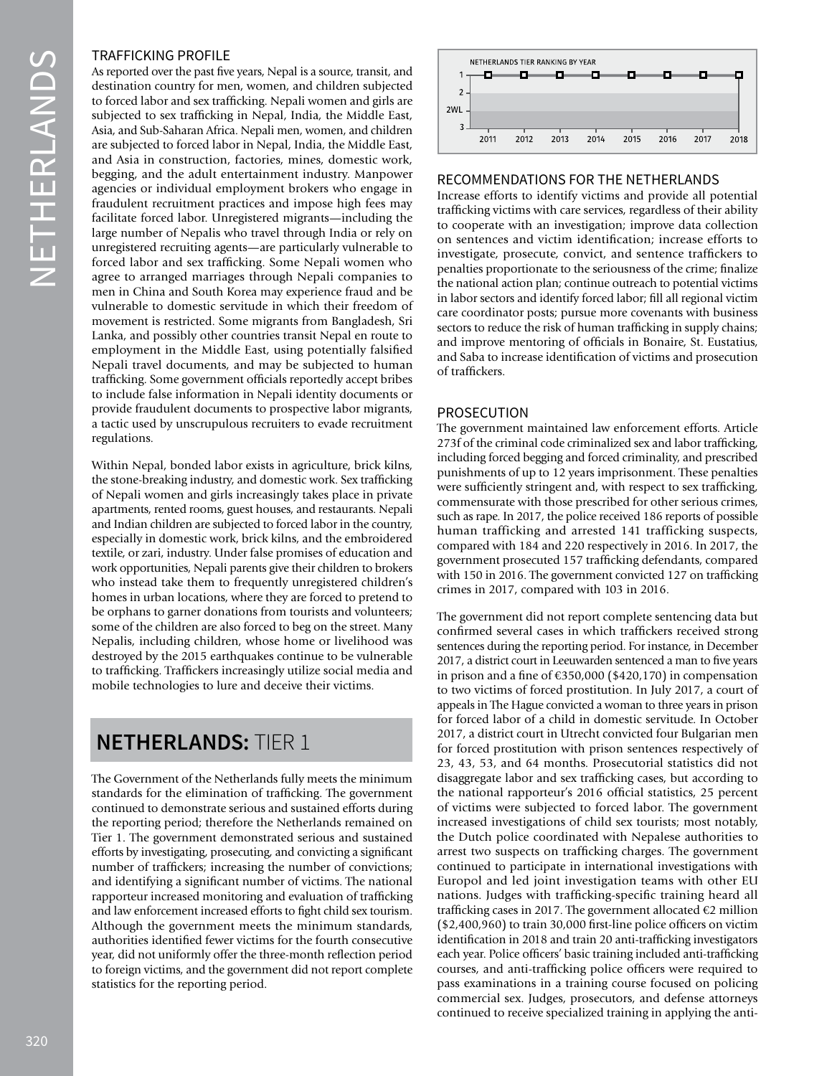FRAFFICKING PROFILE<br>
As reported over the past five dust rank of the stat for the destination country for me<br>
destination country for me<br>
uship edd to sex trafficking<br>
Asia, and Stub-Saharan Africa<br>
and Stai, and Stub-Saha As reported over the past five years, Nepal is a source, transit, and destination country for men, women, and children subjected to forced labor and sex trafficking. Nepali women and girls are subjected to sex trafficking in Nepal, India, the Middle East, Asia, and Sub-Saharan Africa. Nepali men, women, and children are subjected to forced labor in Nepal, India, the Middle East, and Asia in construction, factories, mines, domestic work, begging, and the adult entertainment industry. Manpower agencies or individual employment brokers who engage in fraudulent recruitment practices and impose high fees may facilitate forced labor. Unregistered migrants—including the large number of Nepalis who travel through India or rely on unregistered recruiting agents—are particularly vulnerable to forced labor and sex trafficking. Some Nepali women who agree to arranged marriages through Nepali companies to men in China and South Korea may experience fraud and be vulnerable to domestic servitude in which their freedom of movement is restricted. Some migrants from Bangladesh, Sri Lanka, and possibly other countries transit Nepal en route to employment in the Middle East, using potentially falsified Nepali travel documents, and may be subjected to human trafficking. Some government officials reportedly accept bribes to include false information in Nepali identity documents or provide fraudulent documents to prospective labor migrants, a tactic used by unscrupulous recruiters to evade recruitment regulations.

Within Nepal, bonded labor exists in agriculture, brick kilns, the stone-breaking industry, and domestic work. Sex trafficking of Nepali women and girls increasingly takes place in private apartments, rented rooms, guest houses, and restaurants. Nepali and Indian children are subjected to forced labor in the country, especially in domestic work, brick kilns, and the embroidered textile, or zari, industry. Under false promises of education and work opportunities, Nepali parents give their children to brokers who instead take them to frequently unregistered children's homes in urban locations, where they are forced to pretend to be orphans to garner donations from tourists and volunteers; some of the children are also forced to beg on the street. Many Nepalis, including children, whose home or livelihood was destroyed by the 2015 earthquakes continue to be vulnerable to trafficking. Traffickers increasingly utilize social media and mobile technologies to lure and deceive their victims.

# **NETHERLANDS:** TIER 1

The Government of the Netherlands fully meets the minimum standards for the elimination of trafficking. The government continued to demonstrate serious and sustained efforts during the reporting period; therefore the Netherlands remained on Tier 1. The government demonstrated serious and sustained efforts by investigating, prosecuting, and convicting a significant number of traffickers; increasing the number of convictions; and identifying a significant number of victims. The national rapporteur increased monitoring and evaluation of trafficking and law enforcement increased efforts to fight child sex tourism. Although the government meets the minimum standards, authorities identified fewer victims for the fourth consecutive year, did not uniformly offer the three-month reflection period to foreign victims, and the government did not report complete statistics for the reporting period.



### RECOMMENDATIONS FOR THE NETHERLANDS

Increase efforts to identify victims and provide all potential trafficking victims with care services, regardless of their ability to cooperate with an investigation; improve data collection on sentences and victim identification; increase efforts to investigate, prosecute, convict, and sentence traffickers to penalties proportionate to the seriousness of the crime; finalize the national action plan; continue outreach to potential victims in labor sectors and identify forced labor; fill all regional victim care coordinator posts; pursue more covenants with business sectors to reduce the risk of human trafficking in supply chains; and improve mentoring of officials in Bonaire, St. Eustatius, and Saba to increase identification of victims and prosecution of traffickers.

### PROSECUTION

The government maintained law enforcement efforts. Article 273f of the criminal code criminalized sex and labor trafficking, including forced begging and forced criminality, and prescribed punishments of up to 12 years imprisonment. These penalties were sufficiently stringent and, with respect to sex trafficking, commensurate with those prescribed for other serious crimes, such as rape. In 2017, the police received 186 reports of possible human trafficking and arrested 141 trafficking suspects, compared with 184 and 220 respectively in 2016. In 2017, the government prosecuted 157 trafficking defendants, compared with 150 in 2016. The government convicted 127 on trafficking crimes in 2017, compared with 103 in 2016.

The government did not report complete sentencing data but confirmed several cases in which traffickers received strong sentences during the reporting period. For instance, in December 2017, a district court in Leeuwarden sentenced a man to five years in prison and a fine of €350,000 (\$420,170) in compensation to two victims of forced prostitution. In July 2017, a court of appeals in The Hague convicted a woman to three years in prison for forced labor of a child in domestic servitude. In October 2017, a district court in Utrecht convicted four Bulgarian men for forced prostitution with prison sentences respectively of 23, 43, 53, and 64 months. Prosecutorial statistics did not disaggregate labor and sex trafficking cases, but according to the national rapporteur's 2016 official statistics, 25 percent of victims were subjected to forced labor. The government increased investigations of child sex tourists; most notably, the Dutch police coordinated with Nepalese authorities to arrest two suspects on trafficking charges. The government continued to participate in international investigations with Europol and led joint investigation teams with other EU nations. Judges with trafficking-specific training heard all trafficking cases in 2017. The government allocated €2 million (\$2,400,960) to train 30,000 first-line police officers on victim identification in 2018 and train 20 anti-trafficking investigators each year. Police officers' basic training included anti-trafficking courses, and anti-trafficking police officers were required to pass examinations in a training course focused on policing commercial sex. Judges, prosecutors, and defense attorneys continued to receive specialized training in applying the anti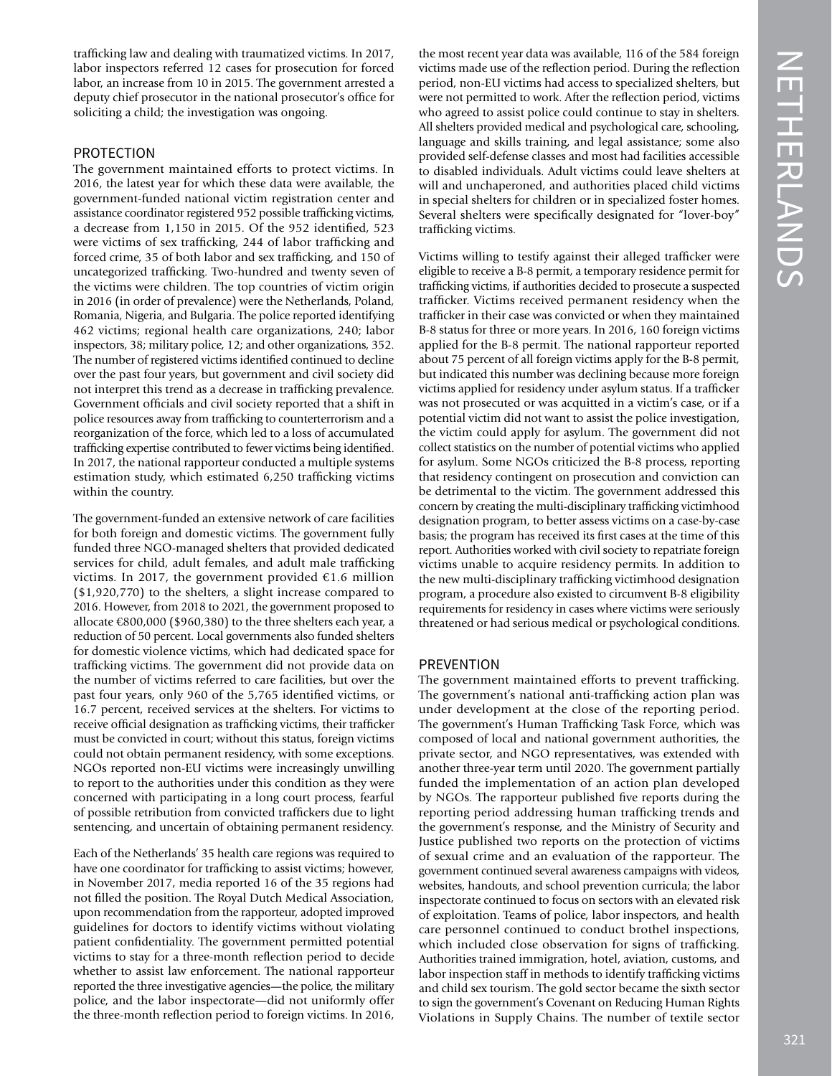trafficking law and dealing with traumatized victims. In 2017, labor inspectors referred 12 cases for prosecution for forced labor, an increase from 10 in 2015. The government arrested a deputy chief prosecutor in the national prosecutor's office for soliciting a child; the investigation was ongoing.

### PROTECTION

The government maintained efforts to protect victims. In 2016, the latest year for which these data were available, the government-funded national victim registration center and assistance coordinator registered 952 possible trafficking victims, a decrease from 1,150 in 2015. Of the 952 identified, 523 were victims of sex trafficking, 244 of labor trafficking and forced crime, 35 of both labor and sex trafficking, and 150 of uncategorized trafficking. Two-hundred and twenty seven of the victims were children. The top countries of victim origin in 2016 (in order of prevalence) were the Netherlands, Poland, Romania, Nigeria, and Bulgaria. The police reported identifying 462 victims; regional health care organizations, 240; labor inspectors, 38; military police, 12; and other organizations, 352. The number of registered victims identified continued to decline over the past four years, but government and civil society did not interpret this trend as a decrease in trafficking prevalence. Government officials and civil society reported that a shift in police resources away from trafficking to counterterrorism and a reorganization of the force, which led to a loss of accumulated trafficking expertise contributed to fewer victims being identified. In 2017, the national rapporteur conducted a multiple systems estimation study, which estimated 6,250 trafficking victims within the country.

The government-funded an extensive network of care facilities for both foreign and domestic victims. The government fully funded three NGO-managed shelters that provided dedicated services for child, adult females, and adult male trafficking victims. In 2017, the government provided  $€1.6$  million (\$1,920,770) to the shelters, a slight increase compared to 2016. However, from 2018 to 2021, the government proposed to allocate €800,000 (\$960,380) to the three shelters each year, a reduction of 50 percent. Local governments also funded shelters for domestic violence victims, which had dedicated space for trafficking victims. The government did not provide data on the number of victims referred to care facilities, but over the past four years, only 960 of the 5,765 identified victims, or 16.7 percent, received services at the shelters. For victims to receive official designation as trafficking victims, their trafficker must be convicted in court; without this status, foreign victims could not obtain permanent residency, with some exceptions. NGOs reported non-EU victims were increasingly unwilling to report to the authorities under this condition as they were concerned with participating in a long court process, fearful of possible retribution from convicted traffickers due to light sentencing, and uncertain of obtaining permanent residency.

Each of the Netherlands' 35 health care regions was required to have one coordinator for trafficking to assist victims; however, in November 2017, media reported 16 of the 35 regions had not filled the position. The Royal Dutch Medical Association, upon recommendation from the rapporteur, adopted improved guidelines for doctors to identify victims without violating patient confidentiality. The government permitted potential victims to stay for a three-month reflection period to decide whether to assist law enforcement. The national rapporteur reported the three investigative agencies—the police, the military police, and the labor inspectorate—did not uniformly offer the three-month reflection period to foreign victims. In 2016, the most recent year data was available, 116 of the 584 foreign victims made use of the reflection period. During the reflection period, non-EU victims had access to specialized shelters, but were not permitted to work. After the reflection period, victims who agreed to assist police could continue to stay in shelters. All shelters provided medical and psychological care, schooling, language and skills training, and legal assistance; some also provided self-defense classes and most had facilities accessible to disabled individuals. Adult victims could leave shelters at will and unchaperoned, and authorities placed child victims in special shelters for children or in specialized foster homes. Several shelters were specifically designated for "lover-boy" trafficking victims.

Victims willing to testify against their alleged trafficker were eligible to receive a B-8 permit, a temporary residence permit for trafficking victims, if authorities decided to prosecute a suspected trafficker. Victims received permanent residency when the trafficker in their case was convicted or when they maintained B-8 status for three or more years. In 2016, 160 foreign victims applied for the B-8 permit. The national rapporteur reported about 75 percent of all foreign victims apply for the B-8 permit, but indicated this number was declining because more foreign victims applied for residency under asylum status. If a trafficker was not prosecuted or was acquitted in a victim's case, or if a potential victim did not want to assist the police investigation, the victim could apply for asylum. The government did not collect statistics on the number of potential victims who applied for asylum. Some NGOs criticized the B-8 process, reporting that residency contingent on prosecution and conviction can be detrimental to the victim. The government addressed this concern by creating the multi-disciplinary trafficking victimhood designation program, to better assess victims on a case-by-case basis; the program has received its first cases at the time of this report. Authorities worked with civil society to repatriate foreign victims unable to acquire residency permits. In addition to the new multi-disciplinary trafficking victimhood designation program, a procedure also existed to circumvent B-8 eligibility requirements for residency in cases where victims were seriously threatened or had serious medical or psychological conditions.

### PREVENTION

The government maintained efforts to prevent trafficking. The government's national anti-trafficking action plan was under development at the close of the reporting period. The government's Human Trafficking Task Force, which was composed of local and national government authorities, the private sector, and NGO representatives, was extended with another three-year term until 2020. The government partially funded the implementation of an action plan developed by NGOs. The rapporteur published five reports during the reporting period addressing human trafficking trends and the government's response, and the Ministry of Security and Justice published two reports on the protection of victims of sexual crime and an evaluation of the rapporteur. The government continued several awareness campaigns with videos, websites, handouts, and school prevention curricula; the labor inspectorate continued to focus on sectors with an elevated risk of exploitation. Teams of police, labor inspectors, and health care personnel continued to conduct brothel inspections, which included close observation for signs of trafficking. Authorities trained immigration, hotel, aviation, customs, and labor inspection staff in methods to identify trafficking victims and child sex tourism. The gold sector became the sixth sector to sign the government's Covenant on Reducing Human Rights Violations in Supply Chains. The number of textile sector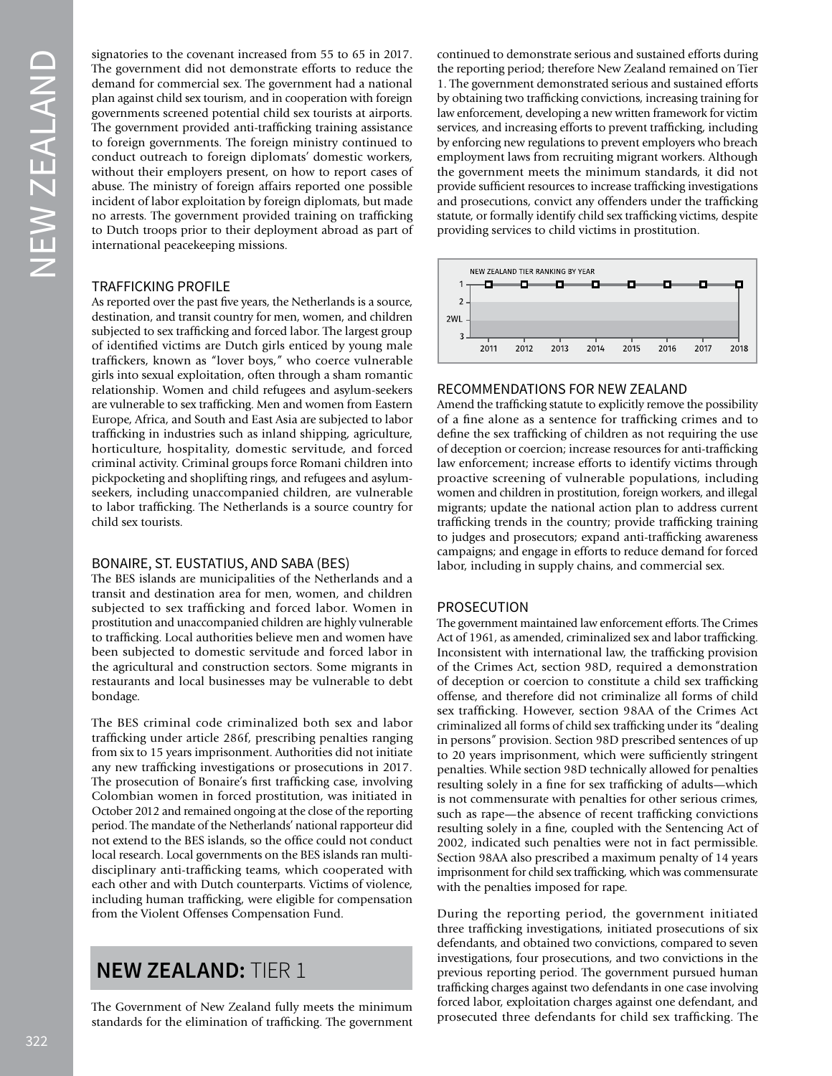The government did not demonstrate efforts to reduce the demand for commercial sex. The government had a national plan against child sex tourism, and in cooperation with foreign governments screened potential child sex tourists at airports. The government provided anti-trafficking training assistance to foreign governments. The foreign ministry continued to conduct outreach to foreign diplomats' domestic workers, without their employers present, on how to report cases of abuse. The ministry of foreign affairs reported one possible incident of labor exploitation by foreign diplomats, but made no arrests. The government provided training on trafficking to Dutch troops prior to their deployment abroad as part of international peacekeeping missions.

### TRAFFICKING PROFILE

Sigmatories to the coverant increased from 55 it 66 in 2017.<br>
The general dot of emocratic effects to reduce the definal dot contains and the comparison that a strong plus agains dild see column and his co-perture correla As reported over the past five years, the Netherlands is a source, destination, and transit country for men, women, and children subjected to sex trafficking and forced labor. The largest group of identified victims are Dutch girls enticed by young male traffickers, known as "lover boys," who coerce vulnerable girls into sexual exploitation, often through a sham romantic relationship. Women and child refugees and asylum-seekers are vulnerable to sex trafficking. Men and women from Eastern Europe, Africa, and South and East Asia are subjected to labor trafficking in industries such as inland shipping, agriculture, horticulture, hospitality, domestic servitude, and forced criminal activity. Criminal groups force Romani children into pickpocketing and shoplifting rings, and refugees and asylumseekers, including unaccompanied children, are vulnerable to labor trafficking. The Netherlands is a source country for child sex tourists.

### BONAIRE, ST. EUSTATIUS, AND SABA (BES)

The BES islands are municipalities of the Netherlands and a transit and destination area for men, women, and children subjected to sex trafficking and forced labor. Women in prostitution and unaccompanied children are highly vulnerable to trafficking. Local authorities believe men and women have been subjected to domestic servitude and forced labor in the agricultural and construction sectors. Some migrants in restaurants and local businesses may be vulnerable to debt bondage.

The BES criminal code criminalized both sex and labor trafficking under article 286f, prescribing penalties ranging from six to 15 years imprisonment. Authorities did not initiate any new trafficking investigations or prosecutions in 2017. The prosecution of Bonaire's first trafficking case, involving Colombian women in forced prostitution, was initiated in October 2012 and remained ongoing at the close of the reporting period. The mandate of the Netherlands' national rapporteur did not extend to the BES islands, so the office could not conduct local research. Local governments on the BES islands ran multidisciplinary anti-trafficking teams, which cooperated with each other and with Dutch counterparts. Victims of violence, including human trafficking, were eligible for compensation from the Violent Offenses Compensation Fund.

# **NEW ZEALAND:** TIER 1

The Government of New Zealand fully meets the minimum standards for the elimination of trafficking. The government continued to demonstrate serious and sustained efforts during the reporting period; therefore New Zealand remained on Tier 1. The government demonstrated serious and sustained efforts by obtaining two trafficking convictions, increasing training for law enforcement, developing a new written framework for victim services, and increasing efforts to prevent trafficking, including by enforcing new regulations to prevent employers who breach employment laws from recruiting migrant workers. Although the government meets the minimum standards, it did not provide sufficient resources to increase trafficking investigations and prosecutions, convict any offenders under the trafficking statute, or formally identify child sex trafficking victims, despite providing services to child victims in prostitution.



### RECOMMENDATIONS FOR NEW ZEALAND

Amend the trafficking statute to explicitly remove the possibility of a fine alone as a sentence for trafficking crimes and to define the sex trafficking of children as not requiring the use of deception or coercion; increase resources for anti-trafficking law enforcement; increase efforts to identify victims through proactive screening of vulnerable populations, including women and children in prostitution, foreign workers, and illegal migrants; update the national action plan to address current trafficking trends in the country; provide trafficking training to judges and prosecutors; expand anti-trafficking awareness campaigns; and engage in efforts to reduce demand for forced labor, including in supply chains, and commercial sex.

### PROSECUTION

The government maintained law enforcement efforts. The Crimes Act of 1961, as amended, criminalized sex and labor trafficking. Inconsistent with international law, the trafficking provision of the Crimes Act, section 98D, required a demonstration of deception or coercion to constitute a child sex trafficking offense, and therefore did not criminalize all forms of child sex trafficking. However, section 98AA of the Crimes Act criminalized all forms of child sex trafficking under its "dealing in persons" provision. Section 98D prescribed sentences of up to 20 years imprisonment, which were sufficiently stringent penalties. While section 98D technically allowed for penalties resulting solely in a fine for sex trafficking of adults—which is not commensurate with penalties for other serious crimes, such as rape—the absence of recent trafficking convictions resulting solely in a fine, coupled with the Sentencing Act of 2002, indicated such penalties were not in fact permissible. Section 98AA also prescribed a maximum penalty of 14 years imprisonment for child sex trafficking, which was commensurate with the penalties imposed for rape.

During the reporting period, the government initiated three trafficking investigations, initiated prosecutions of six defendants, and obtained two convictions, compared to seven investigations, four prosecutions, and two convictions in the previous reporting period. The government pursued human trafficking charges against two defendants in one case involving forced labor, exploitation charges against one defendant, and prosecuted three defendants for child sex trafficking. The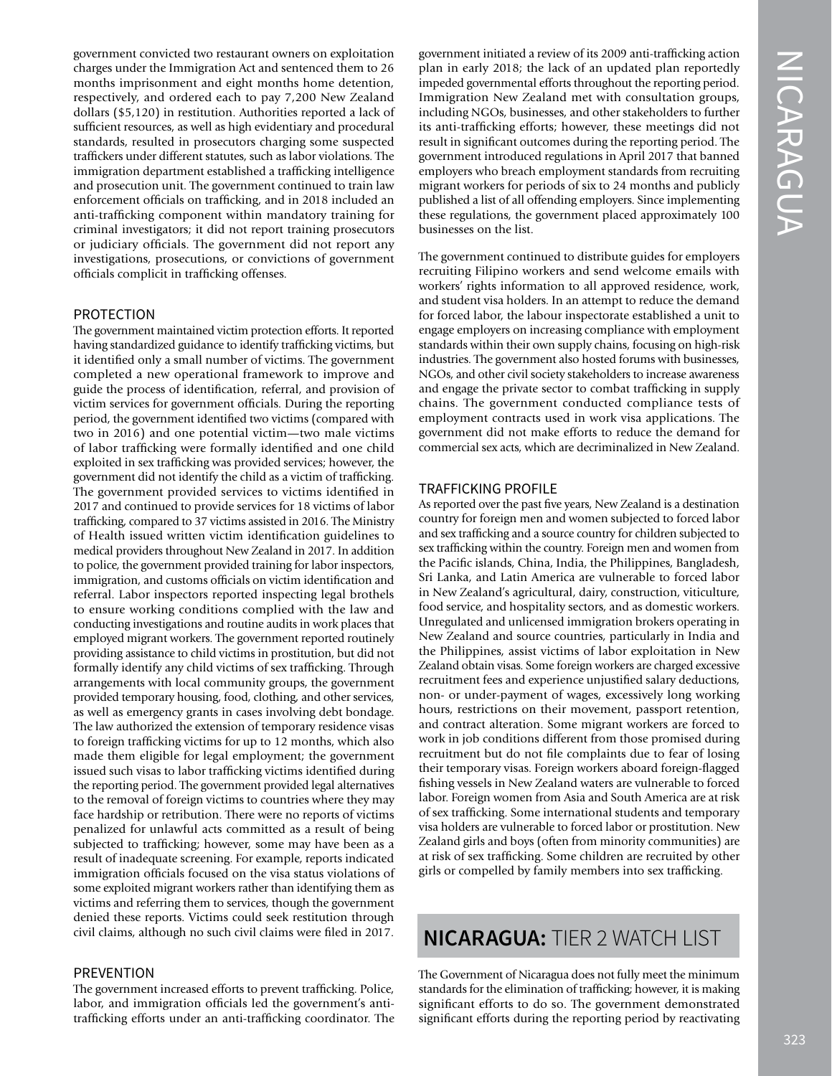government convicted two restaurant owners on exploitation charges under the Immigration Act and sentenced them to 26 months imprisonment and eight months home detention, respectively, and ordered each to pay 7,200 New Zealand dollars (\$5,120) in restitution. Authorities reported a lack of sufficient resources, as well as high evidentiary and procedural standards, resulted in prosecutors charging some suspected traffickers under different statutes, such as labor violations. The immigration department established a trafficking intelligence and prosecution unit. The government continued to train law enforcement officials on trafficking, and in 2018 included an anti-trafficking component within mandatory training for criminal investigators; it did not report training prosecutors or judiciary officials. The government did not report any investigations, prosecutions, or convictions of government officials complicit in trafficking offenses.

### PROTECTION

The government maintained victim protection efforts. It reported having standardized guidance to identify trafficking victims, but it identified only a small number of victims. The government completed a new operational framework to improve and guide the process of identification, referral, and provision of victim services for government officials. During the reporting period, the government identified two victims (compared with two in 2016) and one potential victim—two male victims of labor trafficking were formally identified and one child exploited in sex trafficking was provided services; however, the government did not identify the child as a victim of trafficking. The government provided services to victims identified in 2017 and continued to provide services for 18 victims of labor trafficking, compared to 37 victims assisted in 2016. The Ministry of Health issued written victim identification guidelines to medical providers throughout New Zealand in 2017. In addition to police, the government provided training for labor inspectors, immigration, and customs officials on victim identification and referral. Labor inspectors reported inspecting legal brothels to ensure working conditions complied with the law and conducting investigations and routine audits in work places that employed migrant workers. The government reported routinely providing assistance to child victims in prostitution, but did not formally identify any child victims of sex trafficking. Through arrangements with local community groups, the government provided temporary housing, food, clothing, and other services, as well as emergency grants in cases involving debt bondage. The law authorized the extension of temporary residence visas to foreign trafficking victims for up to 12 months, which also made them eligible for legal employment; the government issued such visas to labor trafficking victims identified during the reporting period. The government provided legal alternatives to the removal of foreign victims to countries where they may face hardship or retribution. There were no reports of victims penalized for unlawful acts committed as a result of being subjected to trafficking; however, some may have been as a result of inadequate screening. For example, reports indicated immigration officials focused on the visa status violations of some exploited migrant workers rather than identifying them as victims and referring them to services, though the government denied these reports. Victims could seek restitution through civil claims, although no such civil claims were filed in 2017.

### PREVENTION

The government increased efforts to prevent trafficking. Police, labor, and immigration officials led the government's antitrafficking efforts under an anti-trafficking coordinator. The government initiated a review of its 2009 anti-trafficking action plan in early 2018; the lack of an updated plan reportedly impeded governmental efforts throughout the reporting period. Immigration New Zealand met with consultation groups, including NGOs, businesses, and other stakeholders to further its anti-trafficking efforts; however, these meetings did not result in significant outcomes during the reporting period. The government introduced regulations in April 2017 that banned employers who breach employment standards from recruiting migrant workers for periods of six to 24 months and publicly published a list of all offending employers. Since implementing these regulations, the government placed approximately 100 businesses on the list.

The government continued to distribute guides for employers recruiting Filipino workers and send welcome emails with workers' rights information to all approved residence, work, and student visa holders. In an attempt to reduce the demand for forced labor, the labour inspectorate established a unit to engage employers on increasing compliance with employment standards within their own supply chains, focusing on high-risk industries. The government also hosted forums with businesses, NGOs, and other civil society stakeholders to increase awareness and engage the private sector to combat trafficking in supply chains. The government conducted compliance tests of employment contracts used in work visa applications. The government did not make efforts to reduce the demand for commercial sex acts, which are decriminalized in New Zealand.

### TRAFFICKING PROFILE

As reported over the past five years, New Zealand is a destination country for foreign men and women subjected to forced labor and sex trafficking and a source country for children subjected to sex trafficking within the country. Foreign men and women from the Pacific islands, China, India, the Philippines, Bangladesh, Sri Lanka, and Latin America are vulnerable to forced labor in New Zealand's agricultural, dairy, construction, viticulture, food service, and hospitality sectors, and as domestic workers. Unregulated and unlicensed immigration brokers operating in New Zealand and source countries, particularly in India and the Philippines, assist victims of labor exploitation in New Zealand obtain visas. Some foreign workers are charged excessive recruitment fees and experience unjustified salary deductions, non- or under-payment of wages, excessively long working hours, restrictions on their movement, passport retention, and contract alteration. Some migrant workers are forced to work in job conditions different from those promised during recruitment but do not file complaints due to fear of losing their temporary visas. Foreign workers aboard foreign-flagged fishing vessels in New Zealand waters are vulnerable to forced labor. Foreign women from Asia and South America are at risk of sex trafficking. Some international students and temporary visa holders are vulnerable to forced labor or prostitution. New Zealand girls and boys (often from minority communities) are at risk of sex trafficking. Some children are recruited by other girls or compelled by family members into sex trafficking.

# **NICARAGUA:** TIER 2 WATCH LIST

The Government of Nicaragua does not fully meet the minimum standards for the elimination of trafficking; however, it is making significant efforts to do so. The government demonstrated significant efforts during the reporting period by reactivating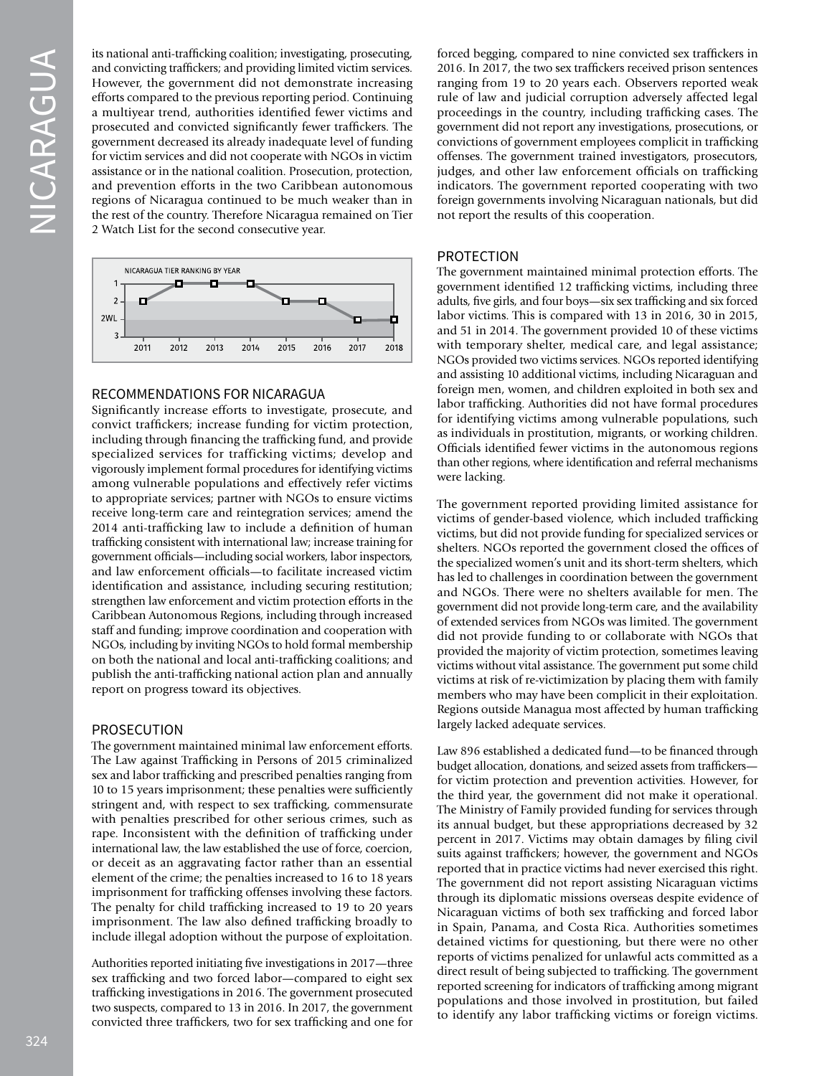and convicting traffickers; and providing limited victim services. However, the government did not demonstrate increasing efforts compared to the previous reporting period. Continuing a multiyear trend, authorities identified fewer victims and prosecuted and convicted significantly fewer traffickers. The government decreased its already inadequate level of funding for victim services and did not cooperate with NGOs in victim assistance or in the national coalition. Prosecution, protection, and prevention efforts in the two Caribbean autonomous regions of Nicaragua continued to be much weaker than in the rest of the country. Therefore Nicaragua remained on Tier 2 Watch List for the second consecutive year.



### RECOMMENDATIONS FOR NICARAGUA

324 Is instained more than the controllation coalities of the determinant data of the more than the controllation in the controllation in the controllation in the controllation of the controllation in the controllation of Significantly increase efforts to investigate, prosecute, and convict traffickers; increase funding for victim protection, including through financing the trafficking fund, and provide specialized services for trafficking victims; develop and vigorously implement formal procedures for identifying victims among vulnerable populations and effectively refer victims to appropriate services; partner with NGOs to ensure victims receive long-term care and reintegration services; amend the 2014 anti-trafficking law to include a definition of human trafficking consistent with international law; increase training for government officials—including social workers, labor inspectors, and law enforcement officials—to facilitate increased victim identification and assistance, including securing restitution; strengthen law enforcement and victim protection efforts in the Caribbean Autonomous Regions, including through increased staff and funding; improve coordination and cooperation with NGOs, including by inviting NGOs to hold formal membership on both the national and local anti-trafficking coalitions; and publish the anti-trafficking national action plan and annually report on progress toward its objectives.

### PROSECUTION

The government maintained minimal law enforcement efforts. The Law against Trafficking in Persons of 2015 criminalized sex and labor trafficking and prescribed penalties ranging from 10 to 15 years imprisonment; these penalties were sufficiently stringent and, with respect to sex trafficking, commensurate with penalties prescribed for other serious crimes, such as rape. Inconsistent with the definition of trafficking under international law, the law established the use of force, coercion, or deceit as an aggravating factor rather than an essential element of the crime; the penalties increased to 16 to 18 years imprisonment for trafficking offenses involving these factors. The penalty for child trafficking increased to 19 to 20 years imprisonment. The law also defined trafficking broadly to include illegal adoption without the purpose of exploitation.

Authorities reported initiating five investigations in 2017—three sex trafficking and two forced labor—compared to eight sex trafficking investigations in 2016. The government prosecuted two suspects, compared to 13 in 2016. In 2017, the government convicted three traffickers, two for sex trafficking and one for

forced begging, compared to nine convicted sex traffickers in 2016. In 2017, the two sex traffickers received prison sentences ranging from 19 to 20 years each. Observers reported weak rule of law and judicial corruption adversely affected legal proceedings in the country, including trafficking cases. The government did not report any investigations, prosecutions, or convictions of government employees complicit in trafficking offenses. The government trained investigators, prosecutors, judges, and other law enforcement officials on trafficking indicators. The government reported cooperating with two foreign governments involving Nicaraguan nationals, but did not report the results of this cooperation.

### PROTECTION

The government maintained minimal protection efforts. The government identified 12 trafficking victims, including three adults, five girls, and four boys—six sex trafficking and six forced labor victims. This is compared with 13 in 2016, 30 in 2015, and 51 in 2014. The government provided 10 of these victims with temporary shelter, medical care, and legal assistance; NGOs provided two victims services. NGOs reported identifying and assisting 10 additional victims, including Nicaraguan and foreign men, women, and children exploited in both sex and labor trafficking. Authorities did not have formal procedures for identifying victims among vulnerable populations, such as individuals in prostitution, migrants, or working children. Officials identified fewer victims in the autonomous regions than other regions, where identification and referral mechanisms were lacking.

The government reported providing limited assistance for victims of gender-based violence, which included trafficking victims, but did not provide funding for specialized services or shelters. NGOs reported the government closed the offices of the specialized women's unit and its short-term shelters, which has led to challenges in coordination between the government and NGOs. There were no shelters available for men. The government did not provide long-term care, and the availability of extended services from NGOs was limited. The government did not provide funding to or collaborate with NGOs that provided the majority of victim protection, sometimes leaving victims without vital assistance. The government put some child victims at risk of re-victimization by placing them with family members who may have been complicit in their exploitation. Regions outside Managua most affected by human trafficking largely lacked adequate services.

Law 896 established a dedicated fund—to be financed through budget allocation, donations, and seized assets from traffickers for victim protection and prevention activities. However, for the third year, the government did not make it operational. The Ministry of Family provided funding for services through its annual budget, but these appropriations decreased by 32 percent in 2017. Victims may obtain damages by filing civil suits against traffickers; however, the government and NGOs reported that in practice victims had never exercised this right. The government did not report assisting Nicaraguan victims through its diplomatic missions overseas despite evidence of Nicaraguan victims of both sex trafficking and forced labor in Spain, Panama, and Costa Rica. Authorities sometimes detained victims for questioning, but there were no other reports of victims penalized for unlawful acts committed as a direct result of being subjected to trafficking. The government reported screening for indicators of trafficking among migrant populations and those involved in prostitution, but failed to identify any labor trafficking victims or foreign victims.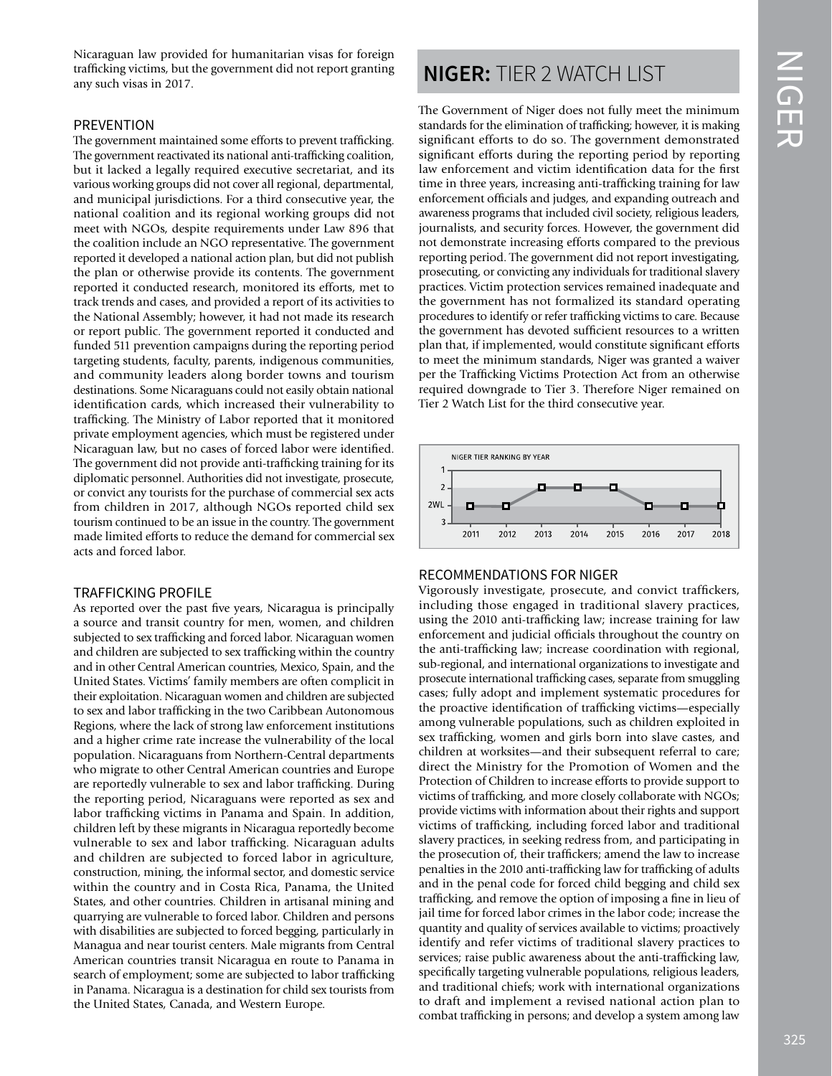Nicaraguan law provided for humanitarian visas for foreign trafficking victims, but the government did not report granting any such visas in 2017.

### PREVENTION

The government maintained some efforts to prevent trafficking. The government reactivated its national anti-trafficking coalition, but it lacked a legally required executive secretariat, and its various working groups did not cover all regional, departmental, and municipal jurisdictions. For a third consecutive year, the national coalition and its regional working groups did not meet with NGOs, despite requirements under Law 896 that the coalition include an NGO representative. The government reported it developed a national action plan, but did not publish the plan or otherwise provide its contents. The government reported it conducted research, monitored its efforts, met to track trends and cases, and provided a report of its activities to the National Assembly; however, it had not made its research or report public. The government reported it conducted and funded 511 prevention campaigns during the reporting period targeting students, faculty, parents, indigenous communities, and community leaders along border towns and tourism destinations. Some Nicaraguans could not easily obtain national identification cards, which increased their vulnerability to trafficking. The Ministry of Labor reported that it monitored private employment agencies, which must be registered under Nicaraguan law, but no cases of forced labor were identified. The government did not provide anti-trafficking training for its diplomatic personnel. Authorities did not investigate, prosecute, or convict any tourists for the purchase of commercial sex acts from children in 2017, although NGOs reported child sex tourism continued to be an issue in the country. The government made limited efforts to reduce the demand for commercial sex acts and forced labor.

### TRAFFICKING PROFILE

As reported over the past five years, Nicaragua is principally a source and transit country for men, women, and children subjected to sex trafficking and forced labor. Nicaraguan women and children are subjected to sex trafficking within the country and in other Central American countries, Mexico, Spain, and the United States. Victims' family members are often complicit in their exploitation. Nicaraguan women and children are subjected to sex and labor trafficking in the two Caribbean Autonomous Regions, where the lack of strong law enforcement institutions and a higher crime rate increase the vulnerability of the local population. Nicaraguans from Northern-Central departments who migrate to other Central American countries and Europe are reportedly vulnerable to sex and labor trafficking. During the reporting period, Nicaraguans were reported as sex and labor trafficking victims in Panama and Spain. In addition, children left by these migrants in Nicaragua reportedly become vulnerable to sex and labor trafficking. Nicaraguan adults and children are subjected to forced labor in agriculture, construction, mining, the informal sector, and domestic service within the country and in Costa Rica, Panama, the United States, and other countries. Children in artisanal mining and quarrying are vulnerable to forced labor. Children and persons with disabilities are subjected to forced begging, particularly in Managua and near tourist centers. Male migrants from Central American countries transit Nicaragua en route to Panama in search of employment; some are subjected to labor trafficking in Panama. Nicaragua is a destination for child sex tourists from the United States, Canada, and Western Europe.

# **NIGER:** TIER 2 WATCH LIST

The Government of Niger does not fully meet the minimum standards for the elimination of trafficking; however, it is making significant efforts to do so. The government demonstrated significant efforts during the reporting period by reporting law enforcement and victim identification data for the first time in three years, increasing anti-trafficking training for law enforcement officials and judges, and expanding outreach and awareness programs that included civil society, religious leaders, journalists, and security forces. However, the government did not demonstrate increasing efforts compared to the previous reporting period. The government did not report investigating, prosecuting, or convicting any individuals for traditional slavery practices. Victim protection services remained inadequate and the government has not formalized its standard operating procedures to identify or refer trafficking victims to care. Because the government has devoted sufficient resources to a written plan that, if implemented, would constitute significant efforts to meet the minimum standards, Niger was granted a waiver per the Trafficking Victims Protection Act from an otherwise required downgrade to Tier 3. Therefore Niger remained on Tier 2 Watch List for the third consecutive year.



### RECOMMENDATIONS FOR NIGER

Vigorously investigate, prosecute, and convict traffickers, including those engaged in traditional slavery practices, using the 2010 anti-trafficking law; increase training for law enforcement and judicial officials throughout the country on the anti-trafficking law; increase coordination with regional, sub-regional, and international organizations to investigate and prosecute international trafficking cases, separate from smuggling cases; fully adopt and implement systematic procedures for the proactive identification of trafficking victims—especially among vulnerable populations, such as children exploited in sex trafficking, women and girls born into slave castes, and children at worksites—and their subsequent referral to care; direct the Ministry for the Promotion of Women and the Protection of Children to increase efforts to provide support to victims of trafficking, and more closely collaborate with NGOs; provide victims with information about their rights and support victims of trafficking, including forced labor and traditional slavery practices, in seeking redress from, and participating in the prosecution of, their traffickers; amend the law to increase penalties in the 2010 anti-trafficking law for trafficking of adults and in the penal code for forced child begging and child sex trafficking, and remove the option of imposing a fine in lieu of jail time for forced labor crimes in the labor code; increase the quantity and quality of services available to victims; proactively identify and refer victims of traditional slavery practices to services; raise public awareness about the anti-trafficking law, specifically targeting vulnerable populations, religious leaders, and traditional chiefs; work with international organizations to draft and implement a revised national action plan to combat trafficking in persons; and develop a system among law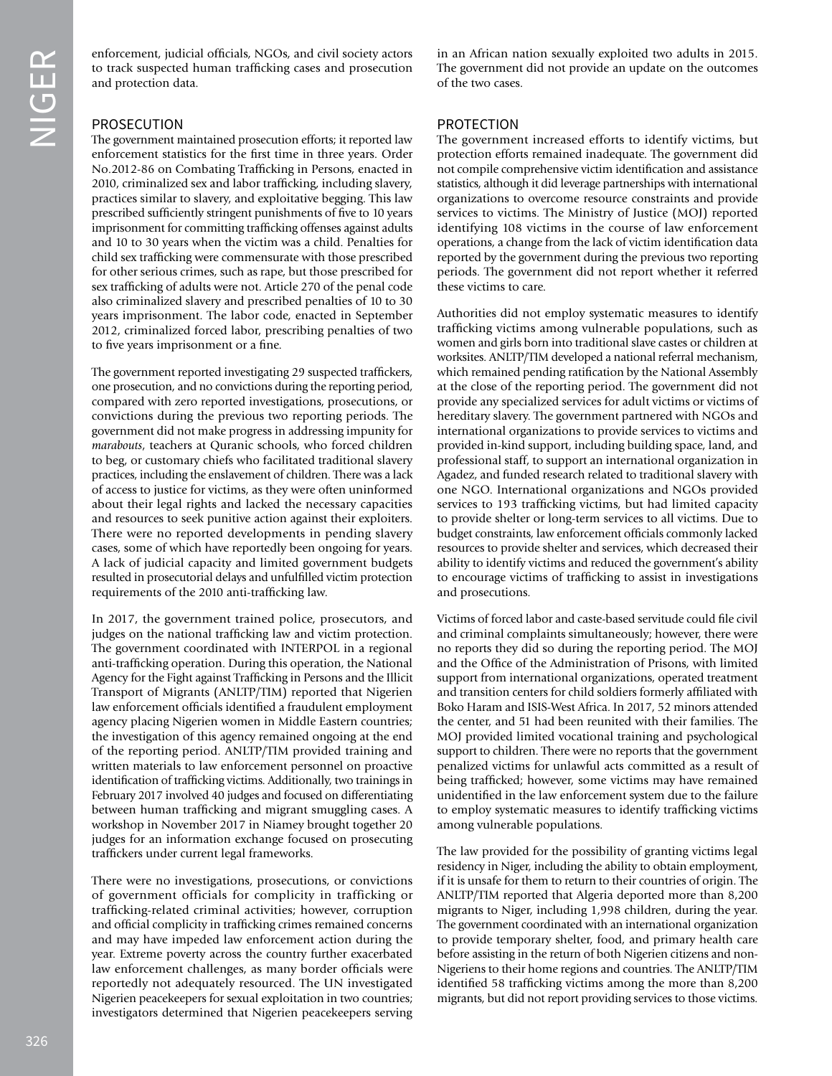to track suspected human trafficking cases and prosecution and protection data.

### PROSECUTION

The government maintained prosecution efforts; it reported law enforcement statistics for the first time in three years. Order No.2012-86 on Combating Trafficking in Persons, enacted in 2010, criminalized sex and labor trafficking, including slavery, practices similar to slavery, and exploitative begging. This law prescribed sufficiently stringent punishments of five to 10 years imprisonment for committing trafficking offenses against adults and 10 to 30 years when the victim was a child. Penalties for child sex trafficking were commensurate with those prescribed for other serious crimes, such as rape, but those prescribed for sex trafficking of adults were not. Article 270 of the penal code also criminalized slavery and prescribed penalties of 10 to 30 years imprisonment. The labor code, enacted in September 2012, criminalized forced labor, prescribing penalties of two to five years imprisonment or a fine.

The government reported investigating 29 suspected traffickers, one prosecution, and no convictions during the reporting period, compared with zero reported investigations, prosecutions, or convictions during the previous two reporting periods. The government did not make progress in addressing impunity for *marabouts*, teachers at Quranic schools, who forced children to beg, or customary chiefs who facilitated traditional slavery practices, including the enslavement of children. There was a lack of access to justice for victims, as they were often uninformed about their legal rights and lacked the necessary capacities and resources to seek punitive action against their exploiters. There were no reported developments in pending slavery cases, some of which have reportedly been ongoing for years. A lack of judicial capacity and limited government budgets resulted in prosecutorial delays and unfulfilled victim protection requirements of the 2010 anti-trafficking law.

**EV ALCON CON ACCON ACCON CONSERVATION** In the mail and the society actors and the main matricial of the fitst interaction of the system simulation of the fitst interaction of the system of the system of the system of the In 2017, the government trained police, prosecutors, and judges on the national trafficking law and victim protection. The government coordinated with INTERPOL in a regional anti-trafficking operation. During this operation, the National Agency for the Fight against Trafficking in Persons and the Illicit Transport of Migrants (ANLTP/TIM) reported that Nigerien law enforcement officials identified a fraudulent employment agency placing Nigerien women in Middle Eastern countries; the investigation of this agency remained ongoing at the end of the reporting period. ANLTP/TIM provided training and written materials to law enforcement personnel on proactive identification of trafficking victims. Additionally, two trainings in February 2017 involved 40 judges and focused on differentiating between human trafficking and migrant smuggling cases. A workshop in November 2017 in Niamey brought together 20 judges for an information exchange focused on prosecuting traffickers under current legal frameworks.

There were no investigations, prosecutions, or convictions of government officials for complicity in trafficking or trafficking-related criminal activities; however, corruption and official complicity in trafficking crimes remained concerns and may have impeded law enforcement action during the year. Extreme poverty across the country further exacerbated law enforcement challenges, as many border officials were reportedly not adequately resourced. The UN investigated Nigerien peacekeepers for sexual exploitation in two countries; investigators determined that Nigerien peacekeepers serving

in an African nation sexually exploited two adults in 2015. The government did not provide an update on the outcomes of the two cases.

### PROTECTION

The government increased efforts to identify victims, but protection efforts remained inadequate. The government did not compile comprehensive victim identification and assistance statistics, although it did leverage partnerships with international organizations to overcome resource constraints and provide services to victims. The Ministry of Justice (MOJ) reported identifying 108 victims in the course of law enforcement operations, a change from the lack of victim identification data reported by the government during the previous two reporting periods. The government did not report whether it referred these victims to care.

Authorities did not employ systematic measures to identify trafficking victims among vulnerable populations, such as women and girls born into traditional slave castes or children at worksites. ANLTP/TIM developed a national referral mechanism, which remained pending ratification by the National Assembly at the close of the reporting period. The government did not provide any specialized services for adult victims or victims of hereditary slavery. The government partnered with NGOs and international organizations to provide services to victims and provided in-kind support, including building space, land, and professional staff, to support an international organization in Agadez, and funded research related to traditional slavery with one NGO. International organizations and NGOs provided services to 193 trafficking victims, but had limited capacity to provide shelter or long-term services to all victims. Due to budget constraints, law enforcement officials commonly lacked resources to provide shelter and services, which decreased their ability to identify victims and reduced the government's ability to encourage victims of trafficking to assist in investigations and prosecutions.

Victims of forced labor and caste-based servitude could file civil and criminal complaints simultaneously; however, there were no reports they did so during the reporting period. The MOJ and the Office of the Administration of Prisons, with limited support from international organizations, operated treatment and transition centers for child soldiers formerly affiliated with Boko Haram and ISIS-West Africa. In 2017, 52 minors attended the center, and 51 had been reunited with their families. The MOJ provided limited vocational training and psychological support to children. There were no reports that the government penalized victims for unlawful acts committed as a result of being trafficked; however, some victims may have remained unidentified in the law enforcement system due to the failure to employ systematic measures to identify trafficking victims among vulnerable populations.

The law provided for the possibility of granting victims legal residency in Niger, including the ability to obtain employment, if it is unsafe for them to return to their countries of origin. The ANLTP/TIM reported that Algeria deported more than 8,200 migrants to Niger, including 1,998 children, during the year. The government coordinated with an international organization to provide temporary shelter, food, and primary health care before assisting in the return of both Nigerien citizens and non-Nigeriens to their home regions and countries. The ANLTP/TIM identified 58 trafficking victims among the more than 8,200 migrants, but did not report providing services to those victims.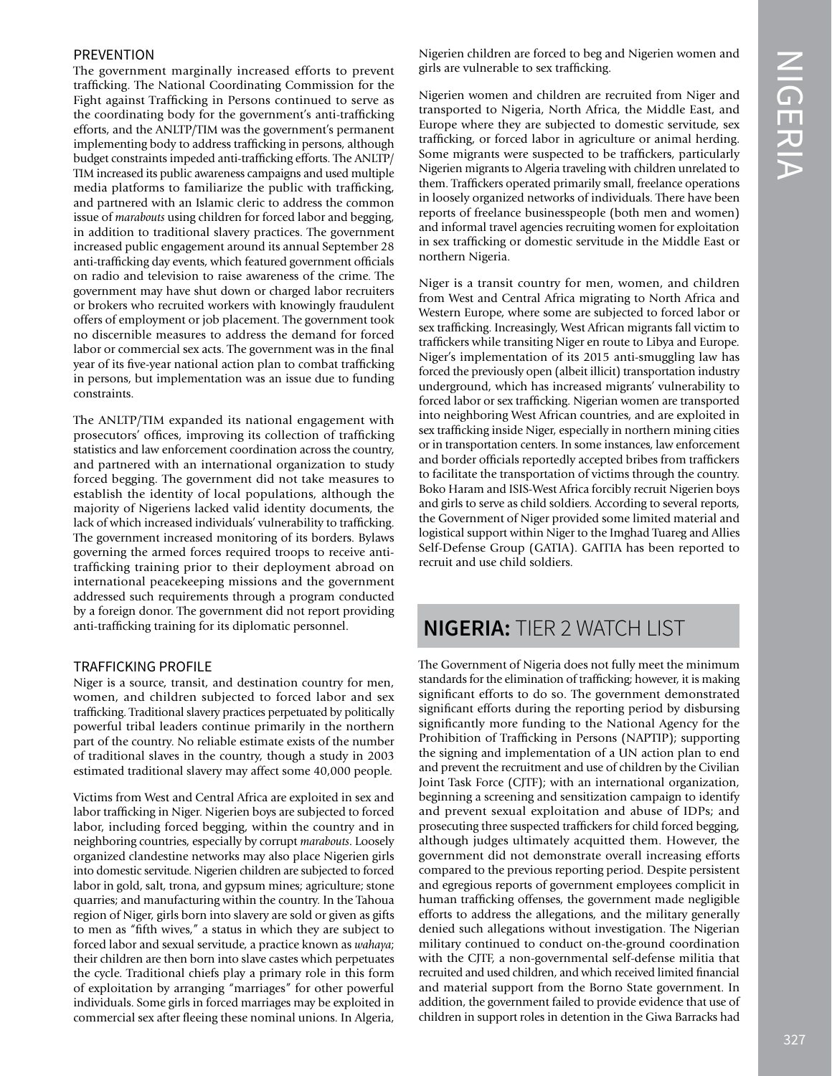### PREVENTION

The government marginally increased efforts to prevent trafficking. The National Coordinating Commission for the Fight against Trafficking in Persons continued to serve as the coordinating body for the government's anti-trafficking efforts, and the ANLTP/TIM was the government's permanent implementing body to address trafficking in persons, although budget constraints impeded anti-trafficking efforts. The ANLTP/ TIM increased its public awareness campaigns and used multiple media platforms to familiarize the public with trafficking, and partnered with an Islamic cleric to address the common issue of *marabouts* using children for forced labor and begging, in addition to traditional slavery practices. The government increased public engagement around its annual September 28 anti-trafficking day events, which featured government officials on radio and television to raise awareness of the crime. The government may have shut down or charged labor recruiters or brokers who recruited workers with knowingly fraudulent offers of employment or job placement. The government took no discernible measures to address the demand for forced labor or commercial sex acts. The government was in the final year of its five-year national action plan to combat trafficking in persons, but implementation was an issue due to funding constraints.

The ANLTP/TIM expanded its national engagement with prosecutors' offices, improving its collection of trafficking statistics and law enforcement coordination across the country, and partnered with an international organization to study forced begging. The government did not take measures to establish the identity of local populations, although the majority of Nigeriens lacked valid identity documents, the lack of which increased individuals' vulnerability to trafficking. The government increased monitoring of its borders. Bylaws governing the armed forces required troops to receive antitrafficking training prior to their deployment abroad on international peacekeeping missions and the government addressed such requirements through a program conducted by a foreign donor. The government did not report providing anti-trafficking training for its diplomatic personnel.

### TRAFFICKING PROFILE

Niger is a source, transit, and destination country for men, women, and children subjected to forced labor and sex trafficking. Traditional slavery practices perpetuated by politically powerful tribal leaders continue primarily in the northern part of the country. No reliable estimate exists of the number of traditional slaves in the country, though a study in 2003 estimated traditional slavery may affect some 40,000 people.

Victims from West and Central Africa are exploited in sex and labor trafficking in Niger. Nigerien boys are subjected to forced labor, including forced begging, within the country and in neighboring countries, especially by corrupt *marabouts*. Loosely organized clandestine networks may also place Nigerien girls into domestic servitude. Nigerien children are subjected to forced labor in gold, salt, trona, and gypsum mines; agriculture; stone quarries; and manufacturing within the country. In the Tahoua region of Niger, girls born into slavery are sold or given as gifts to men as "fifth wives," a status in which they are subject to forced labor and sexual servitude, a practice known as *wahaya*; their children are then born into slave castes which perpetuates the cycle. Traditional chiefs play a primary role in this form of exploitation by arranging "marriages" for other powerful individuals. Some girls in forced marriages may be exploited in commercial sex after fleeing these nominal unions. In Algeria, Nigerien children are forced to beg and Nigerien women and girls are vulnerable to sex trafficking.

Nigerien women and children are recruited from Niger and transported to Nigeria, North Africa, the Middle East, and Europe where they are subjected to domestic servitude, sex trafficking, or forced labor in agriculture or animal herding. Some migrants were suspected to be traffickers, particularly Nigerien migrants to Algeria traveling with children unrelated to them. Traffickers operated primarily small, freelance operations in loosely organized networks of individuals. There have been reports of freelance businesspeople (both men and women) and informal travel agencies recruiting women for exploitation in sex trafficking or domestic servitude in the Middle East or northern Nigeria.

Niger is a transit country for men, women, and children from West and Central Africa migrating to North Africa and Western Europe, where some are subjected to forced labor or sex trafficking. Increasingly, West African migrants fall victim to traffickers while transiting Niger en route to Libya and Europe. Niger's implementation of its 2015 anti-smuggling law has forced the previously open (albeit illicit) transportation industry underground, which has increased migrants' vulnerability to forced labor or sex trafficking. Nigerian women are transported into neighboring West African countries, and are exploited in sex trafficking inside Niger, especially in northern mining cities or in transportation centers. In some instances, law enforcement and border officials reportedly accepted bribes from traffickers to facilitate the transportation of victims through the country. Boko Haram and ISIS-West Africa forcibly recruit Nigerien boys and girls to serve as child soldiers. According to several reports, the Government of Niger provided some limited material and logistical support within Niger to the Imghad Tuareg and Allies Self-Defense Group (GATIA). GAITIA has been reported to recruit and use child soldiers.

# **NIGERIA:** TIER 2 WATCH LIST

The Government of Nigeria does not fully meet the minimum standards for the elimination of trafficking; however, it is making significant efforts to do so. The government demonstrated significant efforts during the reporting period by disbursing significantly more funding to the National Agency for the Prohibition of Trafficking in Persons (NAPTIP); supporting the signing and implementation of a UN action plan to end and prevent the recruitment and use of children by the Civilian Joint Task Force (CJTF); with an international organization, beginning a screening and sensitization campaign to identify and prevent sexual exploitation and abuse of IDPs; and prosecuting three suspected traffickers for child forced begging, although judges ultimately acquitted them. However, the government did not demonstrate overall increasing efforts compared to the previous reporting period. Despite persistent and egregious reports of government employees complicit in human trafficking offenses, the government made negligible efforts to address the allegations, and the military generally denied such allegations without investigation. The Nigerian military continued to conduct on-the-ground coordination with the CJTF, a non-governmental self-defense militia that recruited and used children, and which received limited financial and material support from the Borno State government. In addition, the government failed to provide evidence that use of children in support roles in detention in the Giwa Barracks had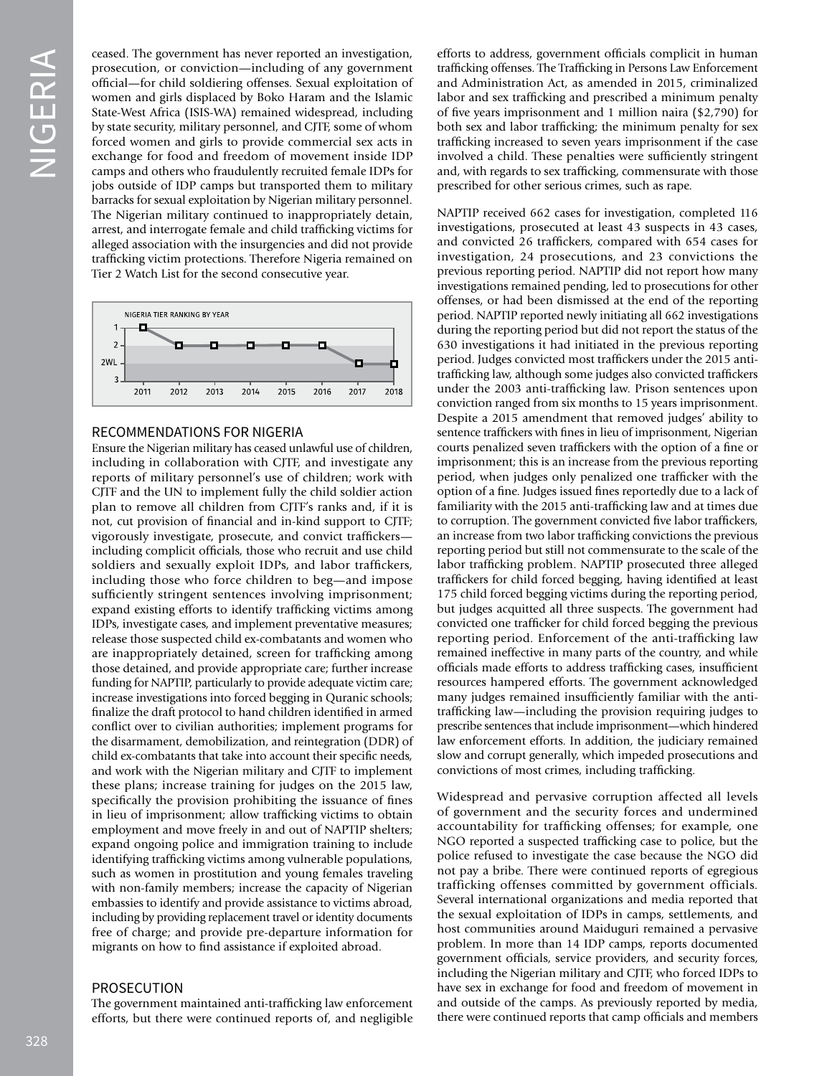prosecution, or conviction—including of any government official—for child soldiering offenses. Sexual exploitation of women and girls displaced by Boko Haram and the Islamic State-West Africa (ISIS-WA) remained widespread, including by state security, military personnel, and CJTF, some of whom forced women and girls to provide commercial sex acts in exchange for food and freedom of movement inside IDP camps and others who fraudulently recruited female IDPs for jobs outside of IDP camps but transported them to military barracks for sexual exploitation by Nigerian military personnel. The Nigerian military continued to inappropriately detain, arrest, and interrogate female and child trafficking victims for alleged association with the insurgencies and did not provide trafficking victim protections. Therefore Nigeria remained on Tier 2 Watch List for the second consecutive year.



### RECOMMENDATIONS FOR NIGERIA

Examele The government has never reported an investigation. The government has never reported and the result of red in the distribution of the result of the distribution of the result of the distribution of the result of Ensure the Nigerian military has ceased unlawful use of children, including in collaboration with CJTF, and investigate any reports of military personnel's use of children; work with CJTF and the UN to implement fully the child soldier action plan to remove all children from CJTF's ranks and, if it is not, cut provision of financial and in-kind support to CJTF; vigorously investigate, prosecute, and convict traffickers including complicit officials, those who recruit and use child soldiers and sexually exploit IDPs, and labor traffickers, including those who force children to beg—and impose sufficiently stringent sentences involving imprisonment; expand existing efforts to identify trafficking victims among IDPs, investigate cases, and implement preventative measures; release those suspected child ex-combatants and women who are inappropriately detained, screen for trafficking among those detained, and provide appropriate care; further increase funding for NAPTIP, particularly to provide adequate victim care; increase investigations into forced begging in Quranic schools; finalize the draft protocol to hand children identified in armed conflict over to civilian authorities; implement programs for the disarmament, demobilization, and reintegration (DDR) of child ex-combatants that take into account their specific needs, and work with the Nigerian military and CJTF to implement these plans; increase training for judges on the 2015 law, specifically the provision prohibiting the issuance of fines in lieu of imprisonment; allow trafficking victims to obtain employment and move freely in and out of NAPTIP shelters; expand ongoing police and immigration training to include identifying trafficking victims among vulnerable populations, such as women in prostitution and young females traveling with non-family members; increase the capacity of Nigerian embassies to identify and provide assistance to victims abroad, including by providing replacement travel or identity documents free of charge; and provide pre-departure information for migrants on how to find assistance if exploited abroad.

### PROSECUTION

The government maintained anti-trafficking law enforcement efforts, but there were continued reports of, and negligible efforts to address, government officials complicit in human trafficking offenses. The Trafficking in Persons Law Enforcement and Administration Act, as amended in 2015, criminalized labor and sex trafficking and prescribed a minimum penalty of five years imprisonment and 1 million naira (\$2,790) for both sex and labor trafficking; the minimum penalty for sex trafficking increased to seven years imprisonment if the case involved a child. These penalties were sufficiently stringent and, with regards to sex trafficking, commensurate with those prescribed for other serious crimes, such as rape.

NAPTIP received 662 cases for investigation, completed 116 investigations, prosecuted at least 43 suspects in 43 cases, and convicted 26 traffickers, compared with 654 cases for investigation, 24 prosecutions, and 23 convictions the previous reporting period. NAPTIP did not report how many investigations remained pending, led to prosecutions for other offenses, or had been dismissed at the end of the reporting period. NAPTIP reported newly initiating all 662 investigations during the reporting period but did not report the status of the 630 investigations it had initiated in the previous reporting period. Judges convicted most traffickers under the 2015 antitrafficking law, although some judges also convicted traffickers under the 2003 anti-trafficking law. Prison sentences upon conviction ranged from six months to 15 years imprisonment. Despite a 2015 amendment that removed judges' ability to sentence traffickers with fines in lieu of imprisonment, Nigerian courts penalized seven traffickers with the option of a fine or imprisonment; this is an increase from the previous reporting period, when judges only penalized one trafficker with the option of a fine. Judges issued fines reportedly due to a lack of familiarity with the 2015 anti-trafficking law and at times due to corruption. The government convicted five labor traffickers, an increase from two labor trafficking convictions the previous reporting period but still not commensurate to the scale of the labor trafficking problem. NAPTIP prosecuted three alleged traffickers for child forced begging, having identified at least 175 child forced begging victims during the reporting period, but judges acquitted all three suspects. The government had convicted one trafficker for child forced begging the previous reporting period. Enforcement of the anti-trafficking law remained ineffective in many parts of the country, and while officials made efforts to address trafficking cases, insufficient resources hampered efforts. The government acknowledged many judges remained insufficiently familiar with the antitrafficking law—including the provision requiring judges to prescribe sentences that include imprisonment—which hindered law enforcement efforts. In addition, the judiciary remained slow and corrupt generally, which impeded prosecutions and convictions of most crimes, including trafficking.

Widespread and pervasive corruption affected all levels of government and the security forces and undermined accountability for trafficking offenses; for example, one NGO reported a suspected trafficking case to police, but the police refused to investigate the case because the NGO did not pay a bribe. There were continued reports of egregious trafficking offenses committed by government officials. Several international organizations and media reported that the sexual exploitation of IDPs in camps, settlements, and host communities around Maiduguri remained a pervasive problem. In more than 14 IDP camps, reports documented government officials, service providers, and security forces, including the Nigerian military and CJTF, who forced IDPs to have sex in exchange for food and freedom of movement in and outside of the camps. As previously reported by media, there were continued reports that camp officials and members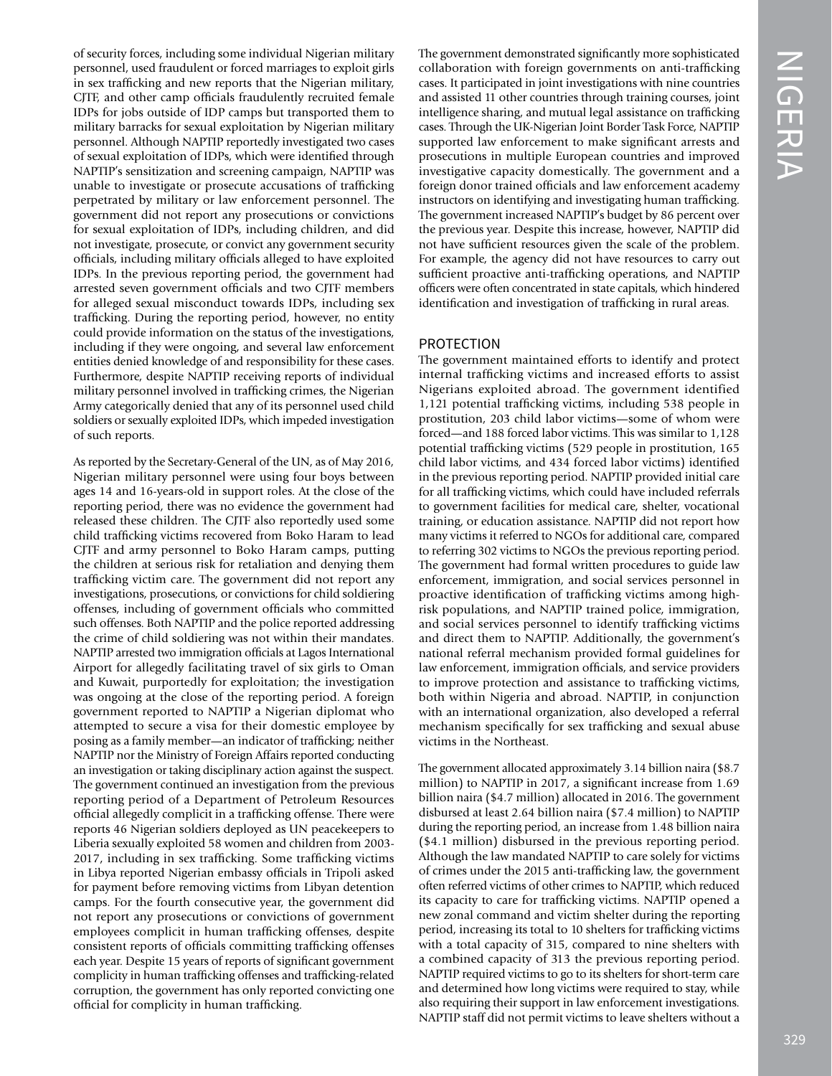of security forces, including some individual Nigerian military personnel, used fraudulent or forced marriages to exploit girls in sex trafficking and new reports that the Nigerian military, CJTF, and other camp officials fraudulently recruited female IDPs for jobs outside of IDP camps but transported them to military barracks for sexual exploitation by Nigerian military personnel. Although NAPTIP reportedly investigated two cases of sexual exploitation of IDPs, which were identified through NAPTIP's sensitization and screening campaign, NAPTIP was unable to investigate or prosecute accusations of trafficking perpetrated by military or law enforcement personnel. The government did not report any prosecutions or convictions for sexual exploitation of IDPs, including children, and did not investigate, prosecute, or convict any government security officials, including military officials alleged to have exploited IDPs. In the previous reporting period, the government had arrested seven government officials and two CJTF members for alleged sexual misconduct towards IDPs, including sex trafficking. During the reporting period, however, no entity could provide information on the status of the investigations, including if they were ongoing, and several law enforcement entities denied knowledge of and responsibility for these cases. Furthermore, despite NAPTIP receiving reports of individual military personnel involved in trafficking crimes, the Nigerian Army categorically denied that any of its personnel used child soldiers or sexually exploited IDPs, which impeded investigation of such reports.

As reported by the Secretary-General of the UN, as of May 2016, Nigerian military personnel were using four boys between ages 14 and 16-years-old in support roles. At the close of the reporting period, there was no evidence the government had released these children. The CJTF also reportedly used some child trafficking victims recovered from Boko Haram to lead CJTF and army personnel to Boko Haram camps, putting the children at serious risk for retaliation and denying them trafficking victim care. The government did not report any investigations, prosecutions, or convictions for child soldiering offenses, including of government officials who committed such offenses. Both NAPTIP and the police reported addressing the crime of child soldiering was not within their mandates. NAPTIP arrested two immigration officials at Lagos International Airport for allegedly facilitating travel of six girls to Oman and Kuwait, purportedly for exploitation; the investigation was ongoing at the close of the reporting period. A foreign government reported to NAPTIP a Nigerian diplomat who attempted to secure a visa for their domestic employee by posing as a family member—an indicator of trafficking; neither NAPTIP nor the Ministry of Foreign Affairs reported conducting an investigation or taking disciplinary action against the suspect. The government continued an investigation from the previous reporting period of a Department of Petroleum Resources official allegedly complicit in a trafficking offense. There were reports 46 Nigerian soldiers deployed as UN peacekeepers to Liberia sexually exploited 58 women and children from 2003- 2017, including in sex trafficking. Some trafficking victims in Libya reported Nigerian embassy officials in Tripoli asked for payment before removing victims from Libyan detention camps. For the fourth consecutive year, the government did not report any prosecutions or convictions of government employees complicit in human trafficking offenses, despite consistent reports of officials committing trafficking offenses each year. Despite 15 years of reports of significant government complicity in human trafficking offenses and trafficking-related corruption, the government has only reported convicting one official for complicity in human trafficking.

The government demonstrated significantly more sophisticated collaboration with foreign governments on anti-trafficking cases. It participated in joint investigations with nine countries and assisted 11 other countries through training courses, joint intelligence sharing, and mutual legal assistance on trafficking cases. Through the UK-Nigerian Joint Border Task Force, NAPTIP supported law enforcement to make significant arrests and prosecutions in multiple European countries and improved investigative capacity domestically. The government and a foreign donor trained officials and law enforcement academy instructors on identifying and investigating human trafficking. The government increased NAPTIP's budget by 86 percent over the previous year. Despite this increase, however, NAPTIP did not have sufficient resources given the scale of the problem. For example, the agency did not have resources to carry out sufficient proactive anti-trafficking operations, and NAPTIP officers were often concentrated in state capitals, which hindered identification and investigation of trafficking in rural areas.

### PROTECTION

The government maintained efforts to identify and protect internal trafficking victims and increased efforts to assist Nigerians exploited abroad. The government identified 1,121 potential trafficking victims, including 538 people in prostitution, 203 child labor victims—some of whom were forced—and 188 forced labor victims. This was similar to 1,128 potential trafficking victims (529 people in prostitution, 165 child labor victims, and 434 forced labor victims) identified in the previous reporting period. NAPTIP provided initial care for all trafficking victims, which could have included referrals to government facilities for medical care, shelter, vocational training, or education assistance. NAPTIP did not report how many victims it referred to NGOs for additional care, compared to referring 302 victims to NGOs the previous reporting period. The government had formal written procedures to guide law enforcement, immigration, and social services personnel in proactive identification of trafficking victims among highrisk populations, and NAPTIP trained police, immigration, and social services personnel to identify trafficking victims and direct them to NAPTIP. Additionally, the government's national referral mechanism provided formal guidelines for law enforcement, immigration officials, and service providers to improve protection and assistance to trafficking victims, both within Nigeria and abroad. NAPTIP, in conjunction with an international organization, also developed a referral mechanism specifically for sex trafficking and sexual abuse victims in the Northeast.

The government allocated approximately 3.14 billion naira (\$8.7 million) to NAPTIP in 2017, a significant increase from 1.69 billion naira (\$4.7 million) allocated in 2016. The government disbursed at least 2.64 billion naira (\$7.4 million) to NAPTIP during the reporting period, an increase from 1.48 billion naira (\$4.1 million) disbursed in the previous reporting period. Although the law mandated NAPTIP to care solely for victims of crimes under the 2015 anti-trafficking law, the government often referred victims of other crimes to NAPTIP, which reduced its capacity to care for trafficking victims. NAPTIP opened a new zonal command and victim shelter during the reporting period, increasing its total to 10 shelters for trafficking victims with a total capacity of 315, compared to nine shelters with a combined capacity of 313 the previous reporting period. NAPTIP required victims to go to its shelters for short-term care and determined how long victims were required to stay, while also requiring their support in law enforcement investigations. NAPTIP staff did not permit victims to leave shelters without a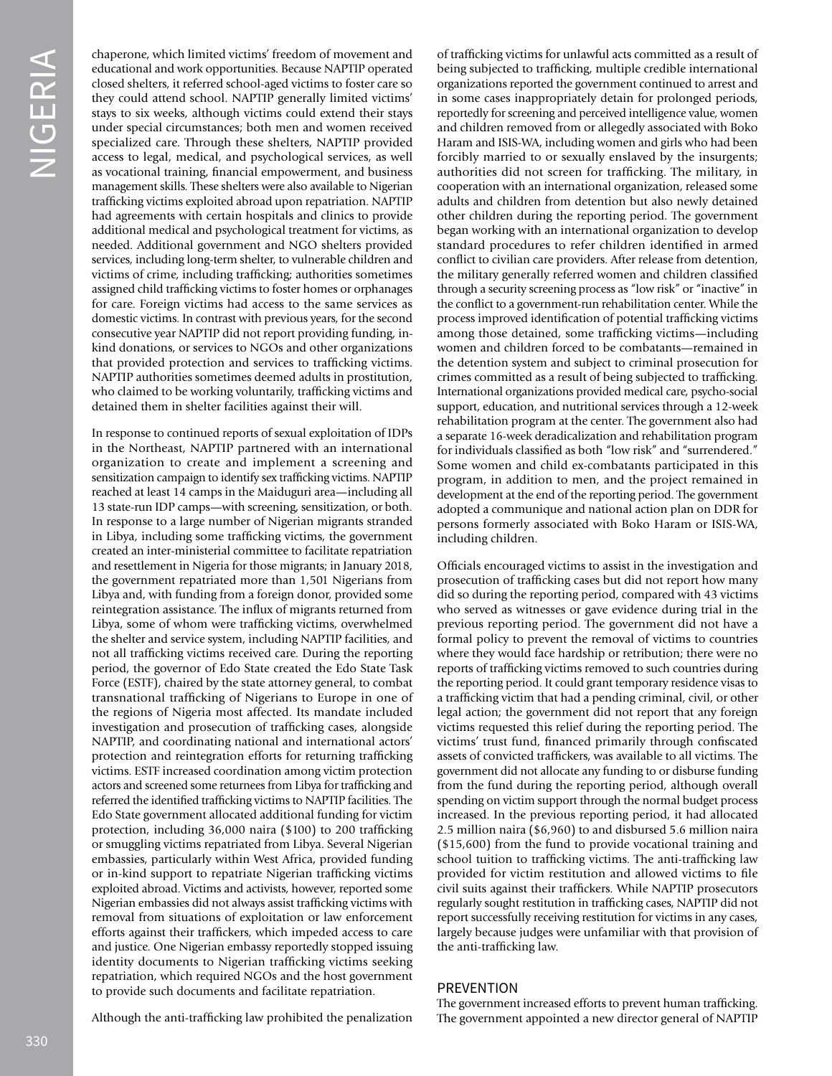educational and work opportunities. Because NAPTIP operated closed shelters, it referred school-aged victims to foster care so they could attend school. NAPTIP generally limited victims' stays to six weeks, although victims could extend their stays under special circumstances; both men and women received specialized care. Through these shelters, NAPTIP provided access to legal, medical, and psychological services, as well as vocational training, financial empowerment, and business management skills. These shelters were also available to Nigerian trafficking victims exploited abroad upon repatriation. NAPTIP had agreements with certain hospitals and clinics to provide additional medical and psychological treatment for victims, as needed. Additional government and NGO shelters provided services, including long-term shelter, to vulnerable children and victims of crime, including trafficking; authorities sometimes assigned child trafficking victims to foster homes or orphanages for care. Foreign victims had access to the same services as domestic victims. In contrast with previous years, for the second consecutive year NAPTIP did not report providing funding, inkind donations, or services to NGOs and other organizations that provided protection and services to trafficking victims. NAPTIP authorities sometimes deemed adults in prostitution, who claimed to be working voluntarily, trafficking victims and detained them in shelter facilities against their will.

Chaperone, which limited victims' because the movement and declines, it redevels and the movement and the second state of the content and the second victims of the content and the second victims are content and the second In response to continued reports of sexual exploitation of IDPs in the Northeast, NAPTIP partnered with an international organization to create and implement a screening and sensitization campaign to identify sex trafficking victims. NAPTIP reached at least 14 camps in the Maiduguri area—including all 13 state-run IDP camps—with screening, sensitization, or both. In response to a large number of Nigerian migrants stranded in Libya, including some trafficking victims, the government created an inter-ministerial committee to facilitate repatriation and resettlement in Nigeria for those migrants; in January 2018, the government repatriated more than 1,501 Nigerians from Libya and, with funding from a foreign donor, provided some reintegration assistance. The influx of migrants returned from Libya, some of whom were trafficking victims, overwhelmed the shelter and service system, including NAPTIP facilities, and not all trafficking victims received care. During the reporting period, the governor of Edo State created the Edo State Task Force (ESTF), chaired by the state attorney general, to combat transnational trafficking of Nigerians to Europe in one of the regions of Nigeria most affected. Its mandate included investigation and prosecution of trafficking cases, alongside NAPTIP, and coordinating national and international actors' protection and reintegration efforts for returning trafficking victims. ESTF increased coordination among victim protection actors and screened some returnees from Libya for trafficking and referred the identified trafficking victims to NAPTIP facilities. The Edo State government allocated additional funding for victim protection, including 36,000 naira (\$100) to 200 trafficking or smuggling victims repatriated from Libya. Several Nigerian embassies, particularly within West Africa, provided funding or in-kind support to repatriate Nigerian trafficking victims exploited abroad. Victims and activists, however, reported some Nigerian embassies did not always assist trafficking victims with removal from situations of exploitation or law enforcement efforts against their traffickers, which impeded access to care and justice. One Nigerian embassy reportedly stopped issuing identity documents to Nigerian trafficking victims seeking repatriation, which required NGOs and the host government to provide such documents and facilitate repatriation.

of trafficking victims for unlawful acts committed as a result of being subjected to trafficking, multiple credible international organizations reported the government continued to arrest and in some cases inappropriately detain for prolonged periods, reportedly for screening and perceived intelligence value, women and children removed from or allegedly associated with Boko Haram and ISIS-WA, including women and girls who had been forcibly married to or sexually enslaved by the insurgents; authorities did not screen for trafficking. The military, in cooperation with an international organization, released some adults and children from detention but also newly detained other children during the reporting period. The government began working with an international organization to develop standard procedures to refer children identified in armed conflict to civilian care providers. After release from detention, the military generally referred women and children classified through a security screening process as "low risk" or "inactive" in the conflict to a government-run rehabilitation center. While the process improved identification of potential trafficking victims among those detained, some trafficking victims—including women and children forced to be combatants—remained in the detention system and subject to criminal prosecution for crimes committed as a result of being subjected to trafficking. International organizations provided medical care, psycho-social support, education, and nutritional services through a 12-week rehabilitation program at the center. The government also had a separate 16-week deradicalization and rehabilitation program for individuals classified as both "low risk" and "surrendered." Some women and child ex-combatants participated in this program, in addition to men, and the project remained in development at the end of the reporting period. The government adopted a communique and national action plan on DDR for persons formerly associated with Boko Haram or ISIS-WA, including children.

Officials encouraged victims to assist in the investigation and prosecution of trafficking cases but did not report how many did so during the reporting period, compared with 43 victims who served as witnesses or gave evidence during trial in the previous reporting period. The government did not have a formal policy to prevent the removal of victims to countries where they would face hardship or retribution; there were no reports of trafficking victims removed to such countries during the reporting period. It could grant temporary residence visas to a trafficking victim that had a pending criminal, civil, or other legal action; the government did not report that any foreign victims requested this relief during the reporting period. The victims' trust fund, financed primarily through confiscated assets of convicted traffickers, was available to all victims. The government did not allocate any funding to or disburse funding from the fund during the reporting period, although overall spending on victim support through the normal budget process increased. In the previous reporting period, it had allocated 2.5 million naira (\$6,960) to and disbursed 5.6 million naira (\$15,600) from the fund to provide vocational training and school tuition to trafficking victims. The anti-trafficking law provided for victim restitution and allowed victims to file civil suits against their traffickers. While NAPTIP prosecutors regularly sought restitution in trafficking cases, NAPTIP did not report successfully receiving restitution for victims in any cases, largely because judges were unfamiliar with that provision of the anti-trafficking law.

### PREVENTION

The government increased efforts to prevent human trafficking. The government appointed a new director general of NAPTIP

Although the anti-trafficking law prohibited the penalization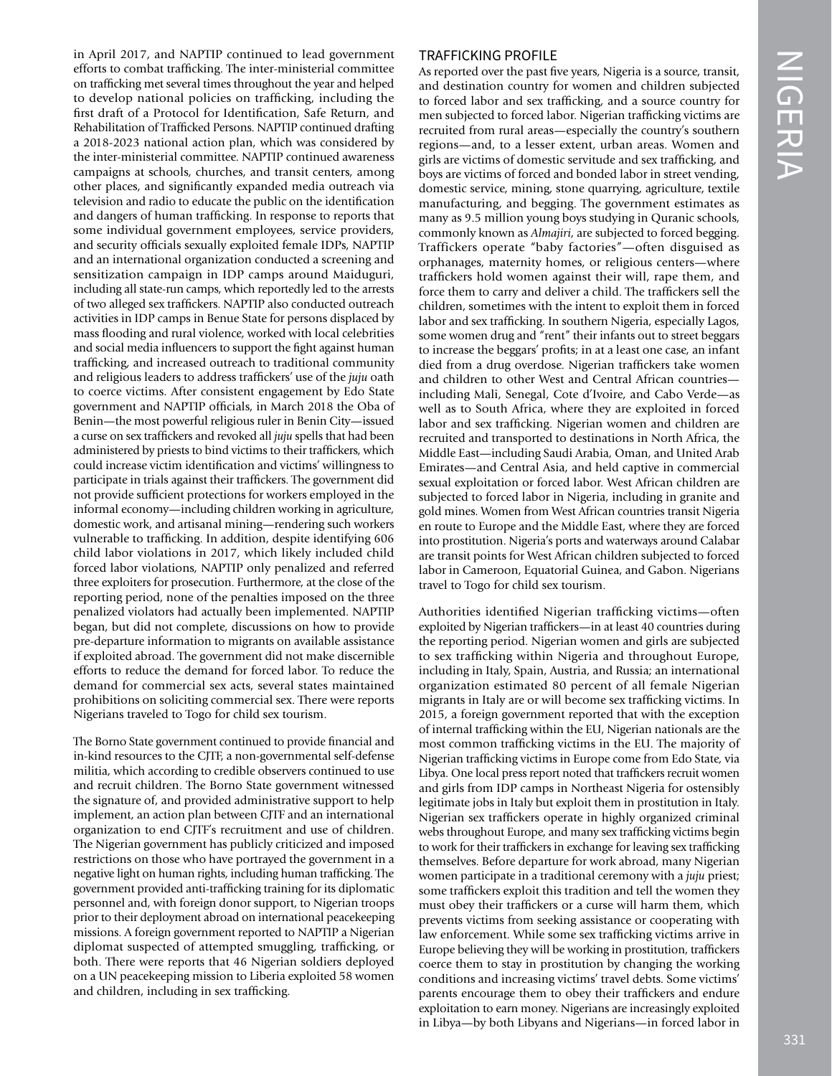in April 2017, and NAPTIP continued to lead government efforts to combat trafficking. The inter-ministerial committee on trafficking met several times throughout the year and helped to develop national policies on trafficking, including the first draft of a Protocol for Identification, Safe Return, and Rehabilitation of Trafficked Persons. NAPTIP continued drafting a 2018-2023 national action plan, which was considered by the inter-ministerial committee. NAPTIP continued awareness campaigns at schools, churches, and transit centers, among other places, and significantly expanded media outreach via television and radio to educate the public on the identification and dangers of human trafficking. In response to reports that some individual government employees, service providers, and security officials sexually exploited female IDPs, NAPTIP and an international organization conducted a screening and sensitization campaign in IDP camps around Maiduguri, including all state-run camps, which reportedly led to the arrests of two alleged sex traffickers. NAPTIP also conducted outreach activities in IDP camps in Benue State for persons displaced by mass flooding and rural violence, worked with local celebrities and social media influencers to support the fight against human trafficking, and increased outreach to traditional community and religious leaders to address traffickers' use of the *juju* oath to coerce victims. After consistent engagement by Edo State government and NAPTIP officials, in March 2018 the Oba of Benin—the most powerful religious ruler in Benin City—issued a curse on sex traffickers and revoked all *juju* spells that had been administered by priests to bind victims to their traffickers, which could increase victim identification and victims' willingness to participate in trials against their traffickers. The government did not provide sufficient protections for workers employed in the informal economy—including children working in agriculture, domestic work, and artisanal mining—rendering such workers vulnerable to trafficking. In addition, despite identifying 606 child labor violations in 2017, which likely included child forced labor violations, NAPTIP only penalized and referred three exploiters for prosecution. Furthermore, at the close of the reporting period, none of the penalties imposed on the three penalized violators had actually been implemented. NAPTIP began, but did not complete, discussions on how to provide pre-departure information to migrants on available assistance if exploited abroad. The government did not make discernible efforts to reduce the demand for forced labor. To reduce the demand for commercial sex acts, several states maintained prohibitions on soliciting commercial sex. There were reports Nigerians traveled to Togo for child sex tourism.

The Borno State government continued to provide financial and in-kind resources to the CJTF, a non-governmental self-defense militia, which according to credible observers continued to use and recruit children. The Borno State government witnessed the signature of, and provided administrative support to help implement, an action plan between CJTF and an international organization to end CJTF's recruitment and use of children. The Nigerian government has publicly criticized and imposed restrictions on those who have portrayed the government in a negative light on human rights, including human trafficking. The government provided anti-trafficking training for its diplomatic personnel and, with foreign donor support, to Nigerian troops prior to their deployment abroad on international peacekeeping missions. A foreign government reported to NAPTIP a Nigerian diplomat suspected of attempted smuggling, trafficking, or both. There were reports that 46 Nigerian soldiers deployed on a UN peacekeeping mission to Liberia exploited 58 women and children, including in sex trafficking.

### TRAFFICKING PROFILE

As reported over the past five years, Nigeria is a source, transit, and destination country for women and children subjected to forced labor and sex trafficking, and a source country for men subjected to forced labor. Nigerian trafficking victims are recruited from rural areas—especially the country's southern regions—and, to a lesser extent, urban areas. Women and girls are victims of domestic servitude and sex trafficking, and boys are victims of forced and bonded labor in street vending, domestic service, mining, stone quarrying, agriculture, textile manufacturing, and begging. The government estimates as many as 9.5 million young boys studying in Quranic schools, commonly known as *Almajiri*, are subjected to forced begging. Traffickers operate "baby factories"—often disguised as orphanages, maternity homes, or religious centers—where traffickers hold women against their will, rape them, and force them to carry and deliver a child. The traffickers sell the children, sometimes with the intent to exploit them in forced labor and sex trafficking. In southern Nigeria, especially Lagos, some women drug and "rent" their infants out to street beggars to increase the beggars' profits; in at a least one case, an infant died from a drug overdose. Nigerian traffickers take women and children to other West and Central African countries including Mali, Senegal, Cote d'Ivoire, and Cabo Verde—as well as to South Africa, where they are exploited in forced labor and sex trafficking. Nigerian women and children are recruited and transported to destinations in North Africa, the Middle East—including Saudi Arabia, Oman, and United Arab Emirates—and Central Asia, and held captive in commercial sexual exploitation or forced labor. West African children are subjected to forced labor in Nigeria, including in granite and gold mines. Women from West African countries transit Nigeria en route to Europe and the Middle East, where they are forced into prostitution. Nigeria's ports and waterways around Calabar are transit points for West African children subjected to forced labor in Cameroon, Equatorial Guinea, and Gabon. Nigerians travel to Togo for child sex tourism.

Authorities identified Nigerian trafficking victims—often exploited by Nigerian traffickers—in at least 40 countries during the reporting period. Nigerian women and girls are subjected to sex trafficking within Nigeria and throughout Europe, including in Italy, Spain, Austria, and Russia; an international organization estimated 80 percent of all female Nigerian migrants in Italy are or will become sex trafficking victims. In 2015, a foreign government reported that with the exception of internal trafficking within the EU, Nigerian nationals are the most common trafficking victims in the EU. The majority of Nigerian trafficking victims in Europe come from Edo State, via Libya. One local press report noted that traffickers recruit women and girls from IDP camps in Northeast Nigeria for ostensibly legitimate jobs in Italy but exploit them in prostitution in Italy. Nigerian sex traffickers operate in highly organized criminal webs throughout Europe, and many sex trafficking victims begin to work for their traffickers in exchange for leaving sex trafficking themselves. Before departure for work abroad, many Nigerian women participate in a traditional ceremony with a *juju* priest; some traffickers exploit this tradition and tell the women they must obey their traffickers or a curse will harm them, which prevents victims from seeking assistance or cooperating with law enforcement. While some sex trafficking victims arrive in Europe believing they will be working in prostitution, traffickers coerce them to stay in prostitution by changing the working conditions and increasing victims' travel debts. Some victims' parents encourage them to obey their traffickers and endure exploitation to earn money. Nigerians are increasingly exploited in Libya—by both Libyans and Nigerians—in forced labor in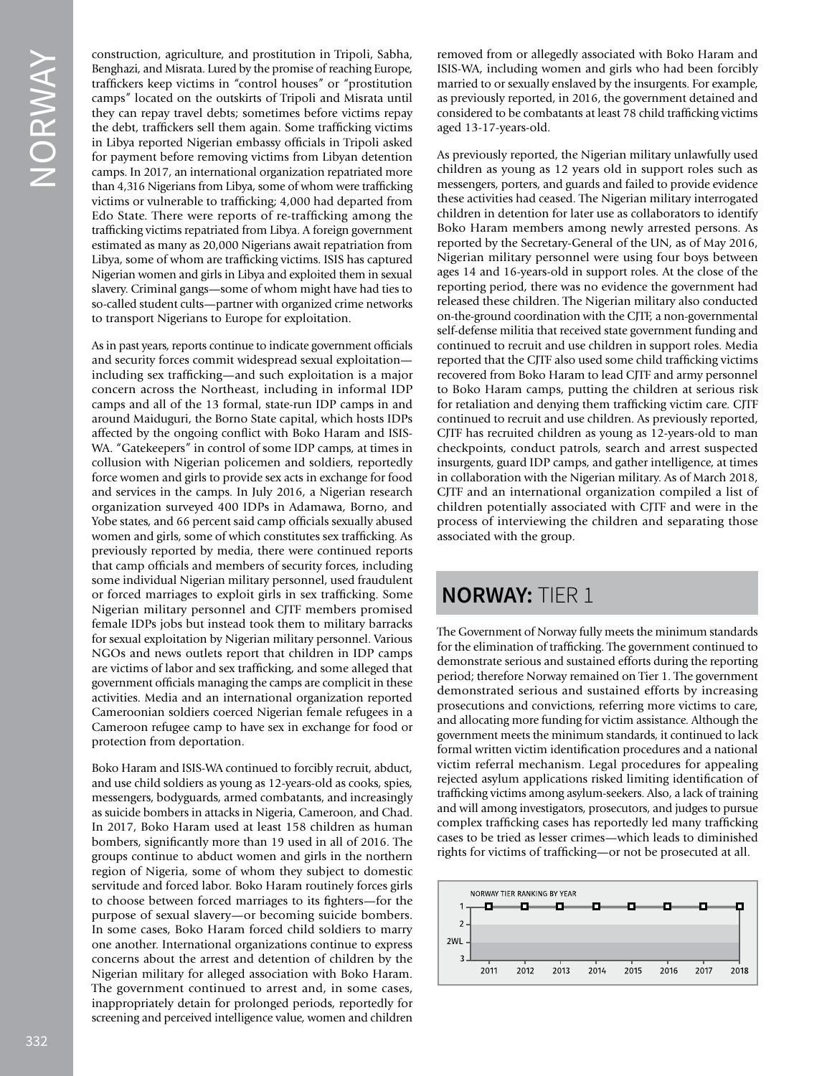Benghazi, and Misrata. Lured by the promise of reaching Europe, traffickers keep victims in "control houses" or "prostitution camps" located on the outskirts of Tripoli and Misrata until they can repay travel debts; sometimes before victims repay the debt, traffickers sell them again. Some trafficking victims in Libya reported Nigerian embassy officials in Tripoli asked for payment before removing victims from Libyan detention camps. In 2017, an international organization repatriated more than 4,316 Nigerians from Libya, some of whom were trafficking victims or vulnerable to trafficking; 4,000 had departed from Edo State. There were reports of re-trafficking among the trafficking victims repatriated from Libya. A foreign government estimated as many as 20,000 Nigerians await repatriation from Libya, some of whom are trafficking victims. ISIS has captured Nigerian women and girls in Libya and exploited them in sexual slavery. Criminal gangs—some of whom might have had ties to so-called student cults—partner with organized crime networks to transport Nigerians to Europe for exploitation.

construction, agriculture, and procedures in Tripoli, Sabha, the state of the constrained in the constraints in the constraints in the constraints in the constraints in the constraints in the constraints in the constraint As in past years, reports continue to indicate government officials and security forces commit widespread sexual exploitation including sex trafficking—and such exploitation is a major concern across the Northeast, including in informal IDP camps and all of the 13 formal, state-run IDP camps in and around Maiduguri, the Borno State capital, which hosts IDPs affected by the ongoing conflict with Boko Haram and ISIS-WA. "Gatekeepers" in control of some IDP camps, at times in collusion with Nigerian policemen and soldiers, reportedly force women and girls to provide sex acts in exchange for food and services in the camps. In July 2016, a Nigerian research organization surveyed 400 IDPs in Adamawa, Borno, and Yobe states, and 66 percent said camp officials sexually abused women and girls, some of which constitutes sex trafficking. As previously reported by media, there were continued reports that camp officials and members of security forces, including some individual Nigerian military personnel, used fraudulent or forced marriages to exploit girls in sex trafficking. Some Nigerian military personnel and CJTF members promised female IDPs jobs but instead took them to military barracks for sexual exploitation by Nigerian military personnel. Various NGOs and news outlets report that children in IDP camps are victims of labor and sex trafficking, and some alleged that government officials managing the camps are complicit in these activities. Media and an international organization reported Cameroonian soldiers coerced Nigerian female refugees in a Cameroon refugee camp to have sex in exchange for food or protection from deportation.

Boko Haram and ISIS-WA continued to forcibly recruit, abduct, and use child soldiers as young as 12-years-old as cooks, spies, messengers, bodyguards, armed combatants, and increasingly as suicide bombers in attacks in Nigeria, Cameroon, and Chad. In 2017, Boko Haram used at least 158 children as human bombers, significantly more than 19 used in all of 2016. The groups continue to abduct women and girls in the northern region of Nigeria, some of whom they subject to domestic servitude and forced labor. Boko Haram routinely forces girls to choose between forced marriages to its fighters—for the purpose of sexual slavery—or becoming suicide bombers. In some cases, Boko Haram forced child soldiers to marry one another. International organizations continue to express concerns about the arrest and detention of children by the Nigerian military for alleged association with Boko Haram. The government continued to arrest and, in some cases, inappropriately detain for prolonged periods, reportedly for screening and perceived intelligence value, women and children

removed from or allegedly associated with Boko Haram and ISIS-WA, including women and girls who had been forcibly married to or sexually enslaved by the insurgents. For example, as previously reported, in 2016, the government detained and considered to be combatants at least 78 child trafficking victims aged 13-17-years-old.

As previously reported, the Nigerian military unlawfully used children as young as 12 years old in support roles such as messengers, porters, and guards and failed to provide evidence these activities had ceased. The Nigerian military interrogated children in detention for later use as collaborators to identify Boko Haram members among newly arrested persons. As reported by the Secretary-General of the UN, as of May 2016, Nigerian military personnel were using four boys between ages 14 and 16-years-old in support roles. At the close of the reporting period, there was no evidence the government had released these children. The Nigerian military also conducted on-the-ground coordination with the CJTF, a non-governmental self-defense militia that received state government funding and continued to recruit and use children in support roles. Media reported that the CJTF also used some child trafficking victims recovered from Boko Haram to lead CJTF and army personnel to Boko Haram camps, putting the children at serious risk for retaliation and denying them trafficking victim care. CJTF continued to recruit and use children. As previously reported, CJTF has recruited children as young as 12-years-old to man checkpoints, conduct patrols, search and arrest suspected insurgents, guard IDP camps, and gather intelligence, at times in collaboration with the Nigerian military. As of March 2018, CJTF and an international organization compiled a list of children potentially associated with CJTF and were in the process of interviewing the children and separating those associated with the group.

# **NORWAY:** TIER 1

The Government of Norway fully meets the minimum standards for the elimination of trafficking. The government continued to demonstrate serious and sustained efforts during the reporting period; therefore Norway remained on Tier 1. The government demonstrated serious and sustained efforts by increasing prosecutions and convictions, referring more victims to care, and allocating more funding for victim assistance. Although the government meets the minimum standards, it continued to lack formal written victim identification procedures and a national victim referral mechanism. Legal procedures for appealing rejected asylum applications risked limiting identification of trafficking victims among asylum-seekers. Also, a lack of training and will among investigators, prosecutors, and judges to pursue complex trafficking cases has reportedly led many trafficking cases to be tried as lesser crimes—which leads to diminished rights for victims of trafficking—or not be prosecuted at all.

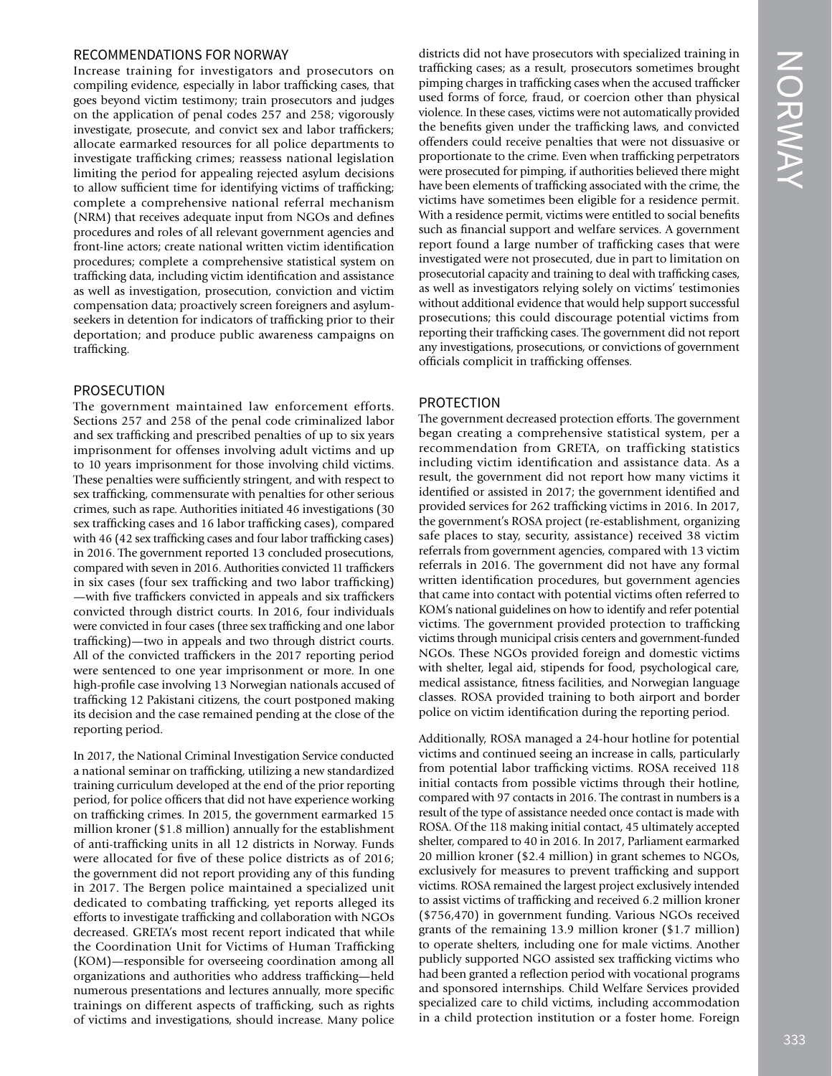# NORWAY NORWAY 333

## RECOMMENDATIONS FOR NORWAY

Increase training for investigators and prosecutors on compiling evidence, especially in labor trafficking cases, that goes beyond victim testimony; train prosecutors and judges on the application of penal codes 257 and 258; vigorously investigate, prosecute, and convict sex and labor traffickers; allocate earmarked resources for all police departments to investigate trafficking crimes; reassess national legislation limiting the period for appealing rejected asylum decisions to allow sufficient time for identifying victims of trafficking; complete a comprehensive national referral mechanism (NRM) that receives adequate input from NGOs and defines procedures and roles of all relevant government agencies and front-line actors; create national written victim identification procedures; complete a comprehensive statistical system on trafficking data, including victim identification and assistance as well as investigation, prosecution, conviction and victim compensation data; proactively screen foreigners and asylumseekers in detention for indicators of trafficking prior to their deportation; and produce public awareness campaigns on trafficking.

### PROSECUTION

The government maintained law enforcement efforts. Sections 257 and 258 of the penal code criminalized labor and sex trafficking and prescribed penalties of up to six years imprisonment for offenses involving adult victims and up to 10 years imprisonment for those involving child victims. These penalties were sufficiently stringent, and with respect to sex trafficking, commensurate with penalties for other serious crimes, such as rape. Authorities initiated 46 investigations (30 sex trafficking cases and 16 labor trafficking cases), compared with 46 (42 sex trafficking cases and four labor trafficking cases) in 2016. The government reported 13 concluded prosecutions, compared with seven in 2016. Authorities convicted 11 traffickers in six cases (four sex trafficking and two labor trafficking) —with five traffickers convicted in appeals and six traffickers convicted through district courts. In 2016, four individuals were convicted in four cases (three sex trafficking and one labor trafficking)—two in appeals and two through district courts. All of the convicted traffickers in the 2017 reporting period were sentenced to one year imprisonment or more. In one high-profile case involving 13 Norwegian nationals accused of trafficking 12 Pakistani citizens, the court postponed making its decision and the case remained pending at the close of the reporting period.

In 2017, the National Criminal Investigation Service conducted a national seminar on trafficking, utilizing a new standardized training curriculum developed at the end of the prior reporting period, for police officers that did not have experience working on trafficking crimes. In 2015, the government earmarked 15 million kroner (\$1.8 million) annually for the establishment of anti-trafficking units in all 12 districts in Norway. Funds were allocated for five of these police districts as of 2016; the government did not report providing any of this funding in 2017. The Bergen police maintained a specialized unit dedicated to combating trafficking, yet reports alleged its efforts to investigate trafficking and collaboration with NGOs decreased. GRETA's most recent report indicated that while the Coordination Unit for Victims of Human Trafficking (KOM)—responsible for overseeing coordination among all organizations and authorities who address trafficking—held numerous presentations and lectures annually, more specific trainings on different aspects of trafficking, such as rights of victims and investigations, should increase. Many police districts did not have prosecutors with specialized training in trafficking cases; as a result, prosecutors sometimes brought pimping charges in trafficking cases when the accused trafficker used forms of force, fraud, or coercion other than physical violence. In these cases, victims were not automatically provided the benefits given under the trafficking laws, and convicted offenders could receive penalties that were not dissuasive or proportionate to the crime. Even when trafficking perpetrators were prosecuted for pimping, if authorities believed there might have been elements of trafficking associated with the crime, the victims have sometimes been eligible for a residence permit. With a residence permit, victims were entitled to social benefits such as financial support and welfare services. A government report found a large number of trafficking cases that were investigated were not prosecuted, due in part to limitation on prosecutorial capacity and training to deal with trafficking cases, as well as investigators relying solely on victims' testimonies without additional evidence that would help support successful prosecutions; this could discourage potential victims from reporting their trafficking cases. The government did not report any investigations, prosecutions, or convictions of government officials complicit in trafficking offenses.

### PROTECTION

The government decreased protection efforts. The government began creating a comprehensive statistical system, per a recommendation from GRETA, on trafficking statistics including victim identification and assistance data. As a result, the government did not report how many victims it identified or assisted in 2017; the government identified and provided services for 262 trafficking victims in 2016. In 2017, the government's ROSA project (re-establishment, organizing safe places to stay, security, assistance) received 38 victim referrals from government agencies, compared with 13 victim referrals in 2016. The government did not have any formal written identification procedures, but government agencies that came into contact with potential victims often referred to KOM's national guidelines on how to identify and refer potential victims. The government provided protection to trafficking victims through municipal crisis centers and government-funded NGOs. These NGOs provided foreign and domestic victims with shelter, legal aid, stipends for food, psychological care, medical assistance, fitness facilities, and Norwegian language classes. ROSA provided training to both airport and border police on victim identification during the reporting period.

Additionally, ROSA managed a 24-hour hotline for potential victims and continued seeing an increase in calls, particularly from potential labor trafficking victims. ROSA received 118 initial contacts from possible victims through their hotline, compared with 97 contacts in 2016. The contrast in numbers is a result of the type of assistance needed once contact is made with ROSA. Of the 118 making initial contact, 45 ultimately accepted shelter, compared to 40 in 2016. In 2017, Parliament earmarked 20 million kroner (\$2.4 million) in grant schemes to NGOs, exclusively for measures to prevent trafficking and support victims. ROSA remained the largest project exclusively intended to assist victims of trafficking and received 6.2 million kroner (\$756,470) in government funding. Various NGOs received grants of the remaining 13.9 million kroner (\$1.7 million) to operate shelters, including one for male victims. Another publicly supported NGO assisted sex trafficking victims who had been granted a reflection period with vocational programs and sponsored internships. Child Welfare Services provided specialized care to child victims, including accommodation in a child protection institution or a foster home. Foreign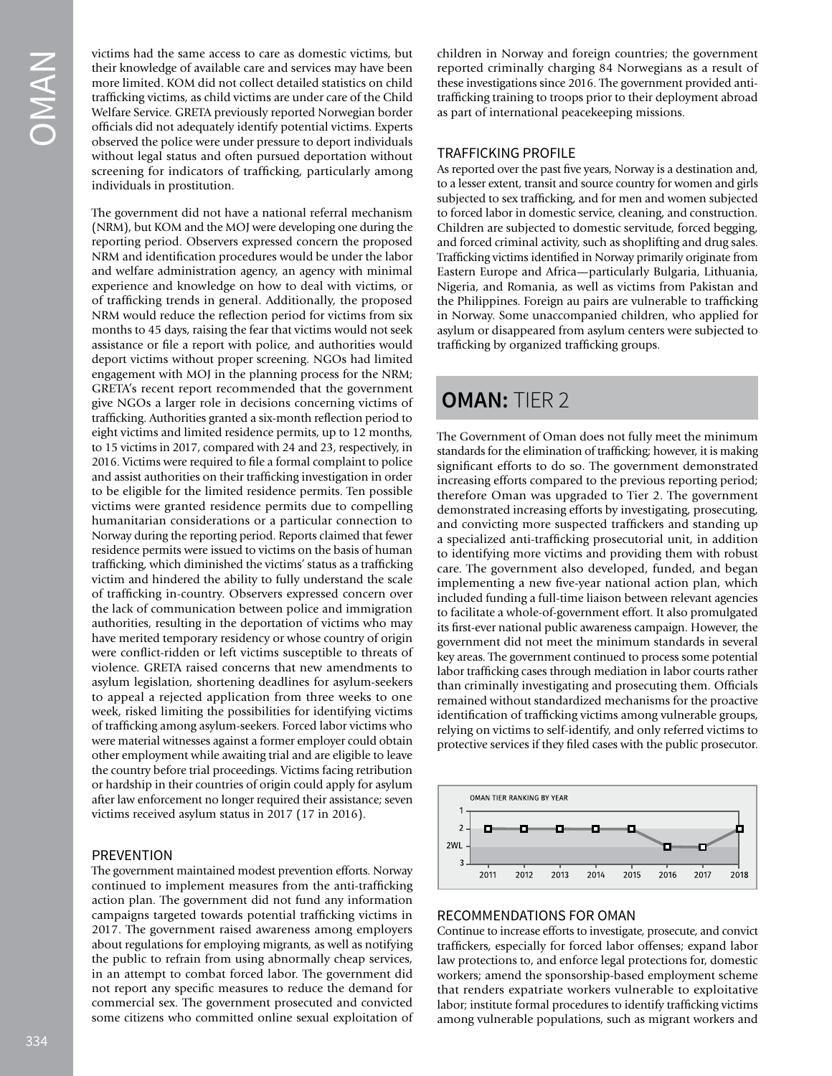their knowledge of available care and services may have been more limited. KOM did not collect detailed statistics on child trafficking victims, as child victims are under care of the Child Welfare Service. GRETA previously reported Norwegian border officials did not adequately identify potential victims. Experts observed the police were under pressure to deport individuals without legal status and often pursued deportation without screening for indicators of trafficking, particularly among individuals in prostitution.

**EV strains had the same access to care as domestic victims, but the same access to care as domestic victims of the same accelerated anticic strength and the same accelerated and the same accelerated and the same accelera** The government did not have a national referral mechanism (NRM), but KOM and the MOJ were developing one during the reporting period. Observers expressed concern the proposed NRM and identification procedures would be under the labor and welfare administration agency, an agency with minimal experience and knowledge on how to deal with victims, or of trafficking trends in general. Additionally, the proposed NRM would reduce the reflection period for victims from six months to 45 days, raising the fear that victims would not seek assistance or file a report with police, and authorities would deport victims without proper screening. NGOs had limited engagement with MOJ in the planning process for the NRM; GRETA's recent report recommended that the government give NGOs a larger role in decisions concerning victims of trafficking. Authorities granted a six-month reflection period to eight victims and limited residence permits, up to 12 months, to 15 victims in 2017, compared with 24 and 23, respectively, in 2016. Victims were required to file a formal complaint to police and assist authorities on their trafficking investigation in order to be eligible for the limited residence permits. Ten possible victims were granted residence permits due to compelling humanitarian considerations or a particular connection to Norway during the reporting period. Reports claimed that fewer residence permits were issued to victims on the basis of human trafficking, which diminished the victims' status as a trafficking victim and hindered the ability to fully understand the scale of trafficking in-country. Observers expressed concern over the lack of communication between police and immigration authorities, resulting in the deportation of victims who may have merited temporary residency or whose country of origin were conflict-ridden or left victims susceptible to threats of violence. GRETA raised concerns that new amendments to asylum legislation, shortening deadlines for asylum-seekers to appeal a rejected application from three weeks to one week, risked limiting the possibilities for identifying victims of trafficking among asylum-seekers. Forced labor victims who were material witnesses against a former employer could obtain other employment while awaiting trial and are eligible to leave the country before trial proceedings. Victims facing retribution or hardship in their countries of origin could apply for asylum after law enforcement no longer required their assistance; seven victims received asylum status in 2017 (17 in 2016).

### PREVENTION

The government maintained modest prevention efforts. Norway continued to implement measures from the anti-trafficking action plan. The government did not fund any information campaigns targeted towards potential trafficking victims in 2017. The government raised awareness among employers about regulations for employing migrants, as well as notifying the public to refrain from using abnormally cheap services, in an attempt to combat forced labor. The government did not report any specific measures to reduce the demand for commercial sex. The government prosecuted and convicted some citizens who committed online sexual exploitation of children in Norway and foreign countries; the government reported criminally charging 84 Norwegians as a result of these investigations since 2016. The government provided antitrafficking training to troops prior to their deployment abroad as part of international peacekeeping missions.

### TRAFFICKING PROFILE

As reported over the past five years, Norway is a destination and, to a lesser extent, transit and source country for women and girls subjected to sex trafficking, and for men and women subjected to forced labor in domestic service, cleaning, and construction. Children are subjected to domestic servitude, forced begging, and forced criminal activity, such as shoplifting and drug sales. Trafficking victims identified in Norway primarily originate from Eastern Europe and Africa—particularly Bulgaria, Lithuania, Nigeria, and Romania, as well as victims from Pakistan and the Philippines. Foreign au pairs are vulnerable to trafficking in Norway. Some unaccompanied children, who applied for asylum or disappeared from asylum centers were subjected to trafficking by organized trafficking groups.

# **OMAN:** TIER 2

The Government of Oman does not fully meet the minimum standards for the elimination of trafficking; however, it is making significant efforts to do so. The government demonstrated increasing efforts compared to the previous reporting period; therefore Oman was upgraded to Tier 2. The government demonstrated increasing efforts by investigating, prosecuting, and convicting more suspected traffickers and standing up a specialized anti-trafficking prosecutorial unit, in addition to identifying more victims and providing them with robust care. The government also developed, funded, and began implementing a new five-year national action plan, which included funding a full-time liaison between relevant agencies to facilitate a whole-of-government effort. It also promulgated its first-ever national public awareness campaign. However, the government did not meet the minimum standards in several key areas. The government continued to process some potential labor trafficking cases through mediation in labor courts rather than criminally investigating and prosecuting them. Officials remained without standardized mechanisms for the proactive identification of trafficking victims among vulnerable groups, relying on victims to self-identify, and only referred victims to protective services if they filed cases with the public prosecutor.



### RECOMMENDATIONS FOR OMAN

Continue to increase efforts to investigate, prosecute, and convict traffickers, especially for forced labor offenses; expand labor law protections to, and enforce legal protections for, domestic workers; amend the sponsorship-based employment scheme that renders expatriate workers vulnerable to exploitative labor; institute formal procedures to identify trafficking victims among vulnerable populations, such as migrant workers and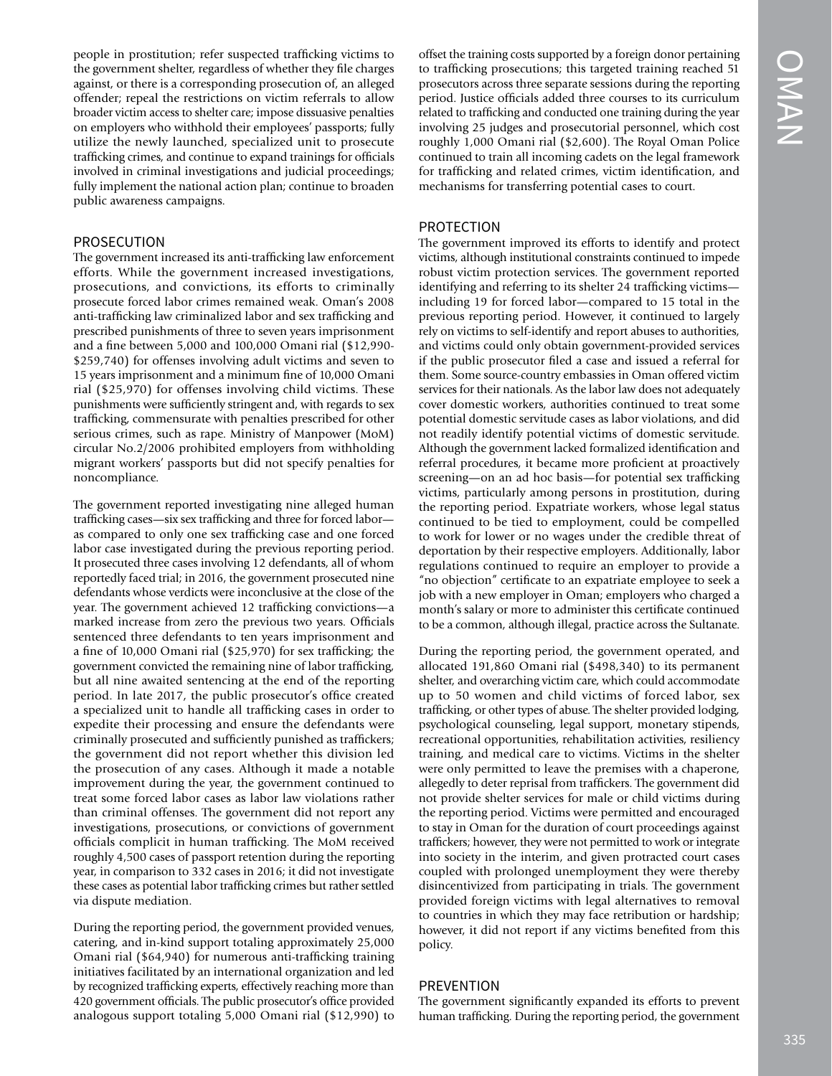people in prostitution; refer suspected trafficking victims to the government shelter, regardless of whether they file charges against, or there is a corresponding prosecution of, an alleged offender; repeal the restrictions on victim referrals to allow broader victim access to shelter care; impose dissuasive penalties on employers who withhold their employees' passports; fully utilize the newly launched, specialized unit to prosecute trafficking crimes, and continue to expand trainings for officials involved in criminal investigations and judicial proceedings; fully implement the national action plan; continue to broaden public awareness campaigns.

### PROSECUTION

The government increased its anti-trafficking law enforcement efforts. While the government increased investigations, prosecutions, and convictions, its efforts to criminally prosecute forced labor crimes remained weak. Oman's 2008 anti-trafficking law criminalized labor and sex trafficking and prescribed punishments of three to seven years imprisonment and a fine between 5,000 and 100,000 Omani rial (\$12,990- \$259,740) for offenses involving adult victims and seven to 15 years imprisonment and a minimum fine of 10,000 Omani rial (\$25,970) for offenses involving child victims. These punishments were sufficiently stringent and, with regards to sex trafficking, commensurate with penalties prescribed for other serious crimes, such as rape. Ministry of Manpower (MoM) circular No.2/2006 prohibited employers from withholding migrant workers' passports but did not specify penalties for noncompliance.

The government reported investigating nine alleged human trafficking cases—six sex trafficking and three for forced labor as compared to only one sex trafficking case and one forced labor case investigated during the previous reporting period. It prosecuted three cases involving 12 defendants, all of whom reportedly faced trial; in 2016, the government prosecuted nine defendants whose verdicts were inconclusive at the close of the year. The government achieved 12 trafficking convictions—a marked increase from zero the previous two years. Officials sentenced three defendants to ten years imprisonment and a fine of 10,000 Omani rial (\$25,970) for sex trafficking; the government convicted the remaining nine of labor trafficking, but all nine awaited sentencing at the end of the reporting period. In late 2017, the public prosecutor's office created a specialized unit to handle all trafficking cases in order to expedite their processing and ensure the defendants were criminally prosecuted and sufficiently punished as traffickers; the government did not report whether this division led the prosecution of any cases. Although it made a notable improvement during the year, the government continued to treat some forced labor cases as labor law violations rather than criminal offenses. The government did not report any investigations, prosecutions, or convictions of government officials complicit in human trafficking. The MoM received roughly 4,500 cases of passport retention during the reporting year, in comparison to 332 cases in 2016; it did not investigate these cases as potential labor trafficking crimes but rather settled via dispute mediation.

During the reporting period, the government provided venues, catering, and in-kind support totaling approximately 25,000 Omani rial (\$64,940) for numerous anti-trafficking training initiatives facilitated by an international organization and led by recognized trafficking experts, effectively reaching more than 420 government officials. The public prosecutor's office provided analogous support totaling 5,000 Omani rial (\$12,990) to offset the training costs supported by a foreign donor pertaining to trafficking prosecutions; this targeted training reached 51 prosecutors across three separate sessions during the reporting period. Justice officials added three courses to its curriculum related to trafficking and conducted one training during the year involving 25 judges and prosecutorial personnel, which cost roughly 1,000 Omani rial (\$2,600). The Royal Oman Police continued to train all incoming cadets on the legal framework for trafficking and related crimes, victim identification, and mechanisms for transferring potential cases to court.

### PROTECTION

The government improved its efforts to identify and protect victims, although institutional constraints continued to impede robust victim protection services. The government reported identifying and referring to its shelter 24 trafficking victims including 19 for forced labor—compared to 15 total in the previous reporting period. However, it continued to largely rely on victims to self-identify and report abuses to authorities, and victims could only obtain government-provided services if the public prosecutor filed a case and issued a referral for them. Some source-country embassies in Oman offered victim services for their nationals. As the labor law does not adequately cover domestic workers, authorities continued to treat some potential domestic servitude cases as labor violations, and did not readily identify potential victims of domestic servitude. Although the government lacked formalized identification and referral procedures, it became more proficient at proactively screening—on an ad hoc basis—for potential sex trafficking victims, particularly among persons in prostitution, during the reporting period. Expatriate workers, whose legal status continued to be tied to employment, could be compelled to work for lower or no wages under the credible threat of deportation by their respective employers. Additionally, labor regulations continued to require an employer to provide a "no objection" certificate to an expatriate employee to seek a job with a new employer in Oman; employers who charged a month's salary or more to administer this certificate continued to be a common, although illegal, practice across the Sultanate.

During the reporting period, the government operated, and allocated 191,860 Omani rial (\$498,340) to its permanent shelter, and overarching victim care, which could accommodate up to 50 women and child victims of forced labor, sex trafficking, or other types of abuse. The shelter provided lodging, psychological counseling, legal support, monetary stipends, recreational opportunities, rehabilitation activities, resiliency training, and medical care to victims. Victims in the shelter were only permitted to leave the premises with a chaperone, allegedly to deter reprisal from traffickers. The government did not provide shelter services for male or child victims during the reporting period. Victims were permitted and encouraged to stay in Oman for the duration of court proceedings against traffickers; however, they were not permitted to work or integrate into society in the interim, and given protracted court cases coupled with prolonged unemployment they were thereby disincentivized from participating in trials. The government provided foreign victims with legal alternatives to removal to countries in which they may face retribution or hardship; however, it did not report if any victims benefited from this policy.

### PREVENTION

The government significantly expanded its efforts to prevent human trafficking. During the reporting period, the government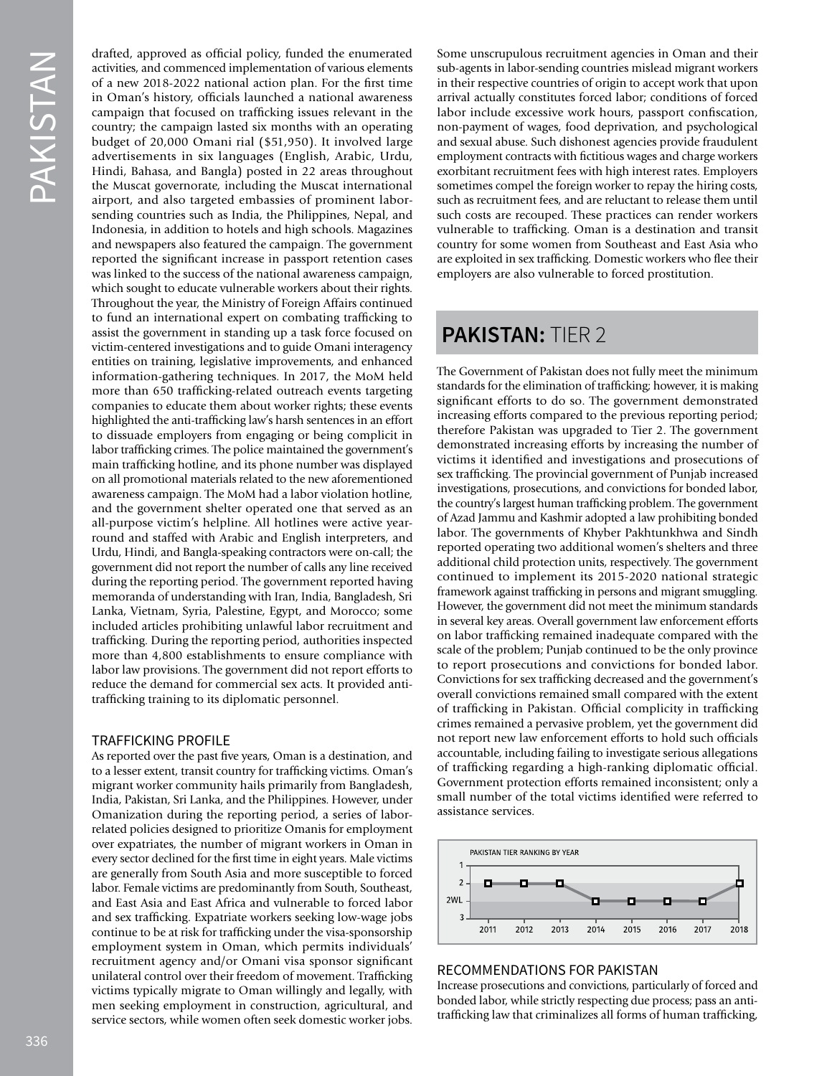Fractical potential policy, finited the enumerated of a mew 2018-2122 and and For the finite time from the filtre in the first time fractical policy funded in the first time fractice and Fa and Fa and Fa and Fa and Fa and activities, and commenced implementation of various elements of a new 2018-2022 national action plan. For the first time in Oman's history, officials launched a national awareness campaign that focused on trafficking issues relevant in the country; the campaign lasted six months with an operating budget of 20,000 Omani rial (\$51,950). It involved large advertisements in six languages (English, Arabic, Urdu, Hindi, Bahasa, and Bangla) posted in 22 areas throughout the Muscat governorate, including the Muscat international airport, and also targeted embassies of prominent laborsending countries such as India, the Philippines, Nepal, and Indonesia, in addition to hotels and high schools. Magazines and newspapers also featured the campaign. The government reported the significant increase in passport retention cases was linked to the success of the national awareness campaign, which sought to educate vulnerable workers about their rights. Throughout the year, the Ministry of Foreign Affairs continued to fund an international expert on combating trafficking to assist the government in standing up a task force focused on victim-centered investigations and to guide Omani interagency entities on training, legislative improvements, and enhanced information-gathering techniques. In 2017, the MoM held more than 650 trafficking-related outreach events targeting companies to educate them about worker rights; these events highlighted the anti-trafficking law's harsh sentences in an effort to dissuade employers from engaging or being complicit in labor trafficking crimes. The police maintained the government's main trafficking hotline, and its phone number was displayed on all promotional materials related to the new aforementioned awareness campaign. The MoM had a labor violation hotline, and the government shelter operated one that served as an all-purpose victim's helpline. All hotlines were active yearround and staffed with Arabic and English interpreters, and Urdu, Hindi, and Bangla-speaking contractors were on-call; the government did not report the number of calls any line received during the reporting period. The government reported having memoranda of understanding with Iran, India, Bangladesh, Sri Lanka, Vietnam, Syria, Palestine, Egypt, and Morocco; some included articles prohibiting unlawful labor recruitment and trafficking. During the reporting period, authorities inspected more than 4,800 establishments to ensure compliance with labor law provisions. The government did not report efforts to reduce the demand for commercial sex acts. It provided antitrafficking training to its diplomatic personnel.

### TRAFFICKING PROFILE

As reported over the past five years, Oman is a destination, and to a lesser extent, transit country for trafficking victims. Oman's migrant worker community hails primarily from Bangladesh, India, Pakistan, Sri Lanka, and the Philippines. However, under Omanization during the reporting period, a series of laborrelated policies designed to prioritize Omanis for employment over expatriates, the number of migrant workers in Oman in every sector declined for the first time in eight years. Male victims are generally from South Asia and more susceptible to forced labor. Female victims are predominantly from South, Southeast, and East Asia and East Africa and vulnerable to forced labor and sex trafficking. Expatriate workers seeking low-wage jobs continue to be at risk for trafficking under the visa-sponsorship employment system in Oman, which permits individuals' recruitment agency and/or Omani visa sponsor significant unilateral control over their freedom of movement. Trafficking victims typically migrate to Oman willingly and legally, with men seeking employment in construction, agricultural, and service sectors, while women often seek domestic worker jobs.

Some unscrupulous recruitment agencies in Oman and their sub-agents in labor-sending countries mislead migrant workers in their respective countries of origin to accept work that upon arrival actually constitutes forced labor; conditions of forced labor include excessive work hours, passport confiscation, non-payment of wages, food deprivation, and psychological and sexual abuse. Such dishonest agencies provide fraudulent employment contracts with fictitious wages and charge workers exorbitant recruitment fees with high interest rates. Employers sometimes compel the foreign worker to repay the hiring costs, such as recruitment fees, and are reluctant to release them until such costs are recouped. These practices can render workers vulnerable to trafficking. Oman is a destination and transit country for some women from Southeast and East Asia who are exploited in sex trafficking. Domestic workers who flee their employers are also vulnerable to forced prostitution.

# **PAKISTAN:** TIER 2

The Government of Pakistan does not fully meet the minimum standards for the elimination of trafficking; however, it is making significant efforts to do so. The government demonstrated increasing efforts compared to the previous reporting period; therefore Pakistan was upgraded to Tier 2. The government demonstrated increasing efforts by increasing the number of victims it identified and investigations and prosecutions of sex trafficking. The provincial government of Punjab increased investigations, prosecutions, and convictions for bonded labor, the country's largest human trafficking problem. The government of Azad Jammu and Kashmir adopted a law prohibiting bonded labor. The governments of Khyber Pakhtunkhwa and Sindh reported operating two additional women's shelters and three additional child protection units, respectively. The government continued to implement its 2015-2020 national strategic framework against trafficking in persons and migrant smuggling. However, the government did not meet the minimum standards in several key areas. Overall government law enforcement efforts on labor trafficking remained inadequate compared with the scale of the problem; Punjab continued to be the only province to report prosecutions and convictions for bonded labor. Convictions for sex trafficking decreased and the government's overall convictions remained small compared with the extent of trafficking in Pakistan. Official complicity in trafficking crimes remained a pervasive problem, yet the government did not report new law enforcement efforts to hold such officials accountable, including failing to investigate serious allegations of trafficking regarding a high-ranking diplomatic official. Government protection efforts remained inconsistent; only a small number of the total victims identified were referred to assistance services.



### RECOMMENDATIONS FOR PAKISTAN

Increase prosecutions and convictions, particularly of forced and bonded labor, while strictly respecting due process; pass an antitrafficking law that criminalizes all forms of human trafficking,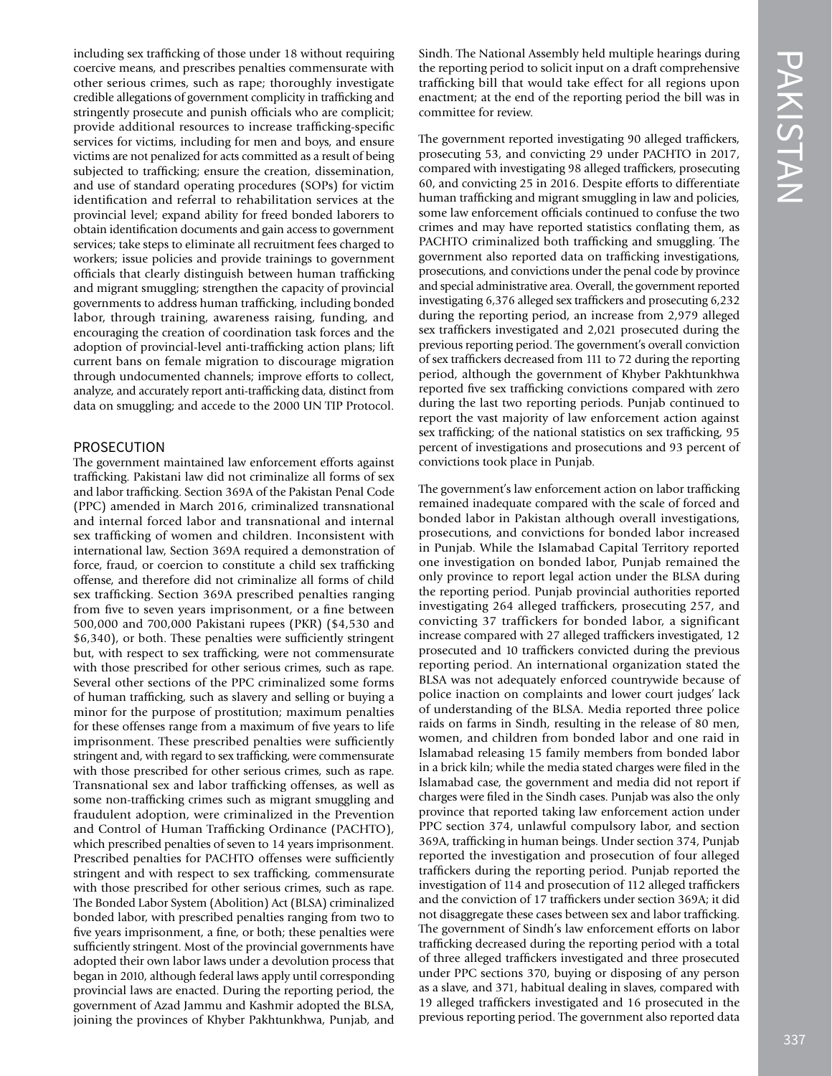including sex trafficking of those under 18 without requiring coercive means, and prescribes penalties commensurate with other serious crimes, such as rape; thoroughly investigate credible allegations of government complicity in trafficking and stringently prosecute and punish officials who are complicit; provide additional resources to increase trafficking-specific services for victims, including for men and boys, and ensure victims are not penalized for acts committed as a result of being subjected to trafficking; ensure the creation, dissemination, and use of standard operating procedures (SOPs) for victim identification and referral to rehabilitation services at the provincial level; expand ability for freed bonded laborers to obtain identification documents and gain access to government services; take steps to eliminate all recruitment fees charged to workers; issue policies and provide trainings to government officials that clearly distinguish between human trafficking and migrant smuggling; strengthen the capacity of provincial governments to address human trafficking, including bonded labor, through training, awareness raising, funding, and encouraging the creation of coordination task forces and the adoption of provincial-level anti-trafficking action plans; lift current bans on female migration to discourage migration through undocumented channels; improve efforts to collect, analyze, and accurately report anti-trafficking data, distinct from data on smuggling; and accede to the 2000 UN TIP Protocol.

### PROSECUTION

The government maintained law enforcement efforts against trafficking. Pakistani law did not criminalize all forms of sex and labor trafficking. Section 369A of the Pakistan Penal Code (PPC) amended in March 2016, criminalized transnational and internal forced labor and transnational and internal sex trafficking of women and children. Inconsistent with international law, Section 369A required a demonstration of force, fraud, or coercion to constitute a child sex trafficking offense, and therefore did not criminalize all forms of child sex trafficking. Section 369A prescribed penalties ranging from five to seven years imprisonment, or a fine between 500,000 and 700,000 Pakistani rupees (PKR) (\$4,530 and \$6,340), or both. These penalties were sufficiently stringent but, with respect to sex trafficking, were not commensurate with those prescribed for other serious crimes, such as rape. Several other sections of the PPC criminalized some forms of human trafficking, such as slavery and selling or buying a minor for the purpose of prostitution; maximum penalties for these offenses range from a maximum of five years to life imprisonment. These prescribed penalties were sufficiently stringent and, with regard to sex trafficking, were commensurate with those prescribed for other serious crimes, such as rape. Transnational sex and labor trafficking offenses, as well as some non-trafficking crimes such as migrant smuggling and fraudulent adoption, were criminalized in the Prevention and Control of Human Trafficking Ordinance (PACHTO), which prescribed penalties of seven to 14 years imprisonment. Prescribed penalties for PACHTO offenses were sufficiently stringent and with respect to sex trafficking, commensurate with those prescribed for other serious crimes, such as rape. The Bonded Labor System (Abolition) Act (BLSA) criminalized bonded labor, with prescribed penalties ranging from two to five years imprisonment, a fine, or both; these penalties were sufficiently stringent. Most of the provincial governments have adopted their own labor laws under a devolution process that began in 2010, although federal laws apply until corresponding provincial laws are enacted. During the reporting period, the government of Azad Jammu and Kashmir adopted the BLSA, joining the provinces of Khyber Pakhtunkhwa, Punjab, and Sindh. The National Assembly held multiple hearings during the reporting period to solicit input on a draft comprehensive trafficking bill that would take effect for all regions upon enactment; at the end of the reporting period the bill was in committee for review.

The government reported investigating 90 alleged traffickers, prosecuting 53, and convicting 29 under PACHTO in 2017, compared with investigating 98 alleged traffickers, prosecuting 60, and convicting 25 in 2016. Despite efforts to differentiate human trafficking and migrant smuggling in law and policies, some law enforcement officials continued to confuse the two crimes and may have reported statistics conflating them, as PACHTO criminalized both trafficking and smuggling. The government also reported data on trafficking investigations, prosecutions, and convictions under the penal code by province and special administrative area. Overall, the government reported investigating 6,376 alleged sex traffickers and prosecuting 6,232 during the reporting period, an increase from 2,979 alleged sex traffickers investigated and 2,021 prosecuted during the previous reporting period. The government's overall conviction of sex traffickers decreased from 111 to 72 during the reporting period, although the government of Khyber Pakhtunkhwa reported five sex trafficking convictions compared with zero during the last two reporting periods. Punjab continued to report the vast majority of law enforcement action against sex trafficking; of the national statistics on sex trafficking, 95 percent of investigations and prosecutions and 93 percent of convictions took place in Punjab.

The government's law enforcement action on labor trafficking remained inadequate compared with the scale of forced and bonded labor in Pakistan although overall investigations, prosecutions, and convictions for bonded labor increased in Punjab. While the Islamabad Capital Territory reported one investigation on bonded labor, Punjab remained the only province to report legal action under the BLSA during the reporting period. Punjab provincial authorities reported investigating 264 alleged traffickers, prosecuting 257, and convicting 37 traffickers for bonded labor, a significant increase compared with 27 alleged traffickers investigated, 12 prosecuted and 10 traffickers convicted during the previous reporting period. An international organization stated the BLSA was not adequately enforced countrywide because of police inaction on complaints and lower court judges' lack of understanding of the BLSA. Media reported three police raids on farms in Sindh, resulting in the release of 80 men, women, and children from bonded labor and one raid in Islamabad releasing 15 family members from bonded labor in a brick kiln; while the media stated charges were filed in the Islamabad case, the government and media did not report if charges were filed in the Sindh cases. Punjab was also the only province that reported taking law enforcement action under PPC section 374, unlawful compulsory labor, and section 369A, trafficking in human beings. Under section 374, Punjab reported the investigation and prosecution of four alleged traffickers during the reporting period. Punjab reported the investigation of 114 and prosecution of 112 alleged traffickers and the conviction of 17 traffickers under section 369A; it did not disaggregate these cases between sex and labor trafficking. The government of Sindh's law enforcement efforts on labor trafficking decreased during the reporting period with a total of three alleged traffickers investigated and three prosecuted under PPC sections 370, buying or disposing of any person as a slave, and 371, habitual dealing in slaves, compared with 19 alleged traffickers investigated and 16 prosecuted in the previous reporting period. The government also reported data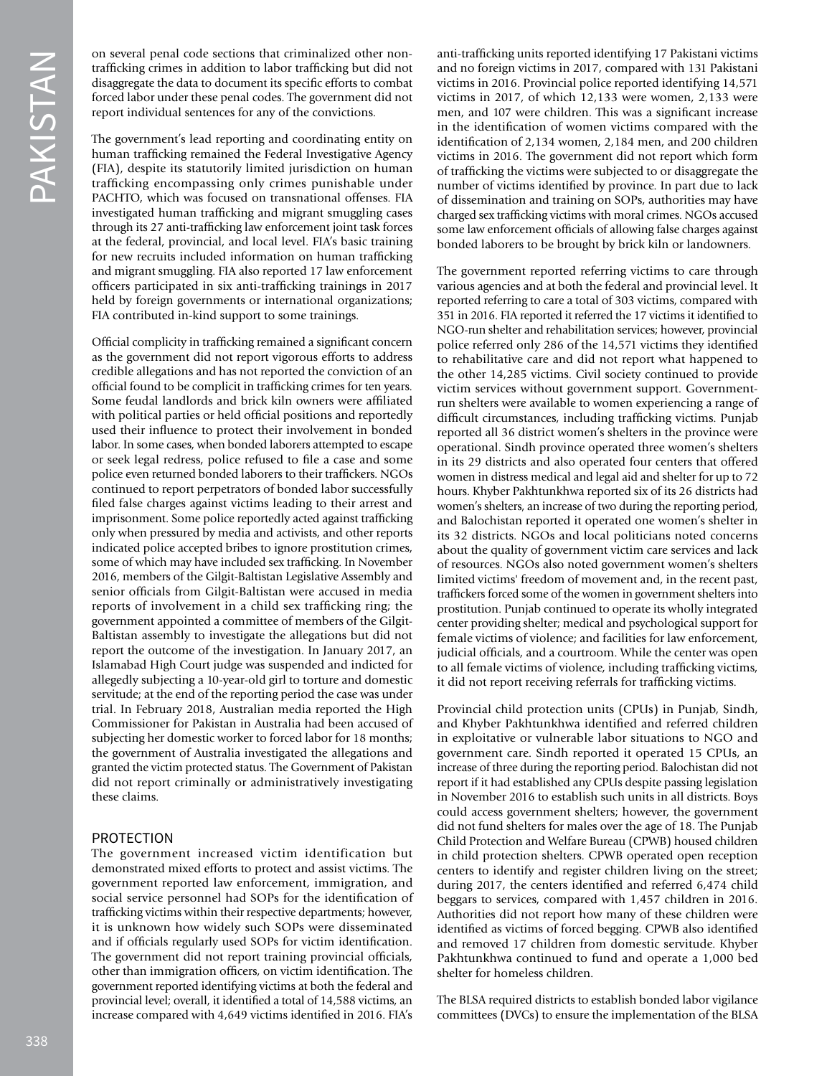trafficking crimes in addition to labor trafficking but did not disaggregate the data to document its specific efforts to combat forced labor under these penal codes. The government did not report individual sentences for any of the convictions.

The government's lead reporting and coordinating entity on human trafficking remained the Federal Investigative Agency (FIA), despite its statutorily limited jurisdiction on human trafficking encompassing only crimes punishable under PACHTO, which was focused on transnational offenses. FIA investigated human trafficking and migrant smuggling cases through its 27 anti-trafficking law enforcement joint task forces at the federal, provincial, and local level. FIA's basic training for new recruits included information on human trafficking and migrant smuggling. FIA also reported 17 law enforcement officers participated in six anti-trafficking trainings in 2017 held by foreign governments or international organizations; FIA contributed in-kind support to some trainings.

Some track of the measure of the measure of the measure of the measure of the measure of the measure of the measure of the measure of the measure of the measure of the measure of the measure of the measure of the measure Official complicity in trafficking remained a significant concern as the government did not report vigorous efforts to address credible allegations and has not reported the conviction of an official found to be complicit in trafficking crimes for ten years. Some feudal landlords and brick kiln owners were affiliated with political parties or held official positions and reportedly used their influence to protect their involvement in bonded labor. In some cases, when bonded laborers attempted to escape or seek legal redress, police refused to file a case and some police even returned bonded laborers to their traffickers. NGOs continued to report perpetrators of bonded labor successfully filed false charges against victims leading to their arrest and imprisonment. Some police reportedly acted against trafficking only when pressured by media and activists, and other reports indicated police accepted bribes to ignore prostitution crimes, some of which may have included sex trafficking. In November 2016, members of the Gilgit-Baltistan Legislative Assembly and senior officials from Gilgit-Baltistan were accused in media reports of involvement in a child sex trafficking ring; the government appointed a committee of members of the Gilgit-Baltistan assembly to investigate the allegations but did not report the outcome of the investigation. In January 2017, an Islamabad High Court judge was suspended and indicted for allegedly subjecting a 10-year-old girl to torture and domestic servitude; at the end of the reporting period the case was under trial. In February 2018, Australian media reported the High Commissioner for Pakistan in Australia had been accused of subjecting her domestic worker to forced labor for 18 months; the government of Australia investigated the allegations and granted the victim protected status. The Government of Pakistan did not report criminally or administratively investigating these claims.

### PROTECTION

The government increased victim identification but demonstrated mixed efforts to protect and assist victims. The government reported law enforcement, immigration, and social service personnel had SOPs for the identification of trafficking victims within their respective departments; however, it is unknown how widely such SOPs were disseminated and if officials regularly used SOPs for victim identification. The government did not report training provincial officials, other than immigration officers, on victim identification. The government reported identifying victims at both the federal and provincial level; overall, it identified a total of 14,588 victims, an increase compared with 4,649 victims identified in 2016. FIA's

anti-trafficking units reported identifying 17 Pakistani victims and no foreign victims in 2017, compared with 131 Pakistani victims in 2016. Provincial police reported identifying 14,571 victims in 2017, of which 12,133 were women, 2,133 were men, and 107 were children. This was a significant increase in the identification of women victims compared with the identification of 2,134 women, 2,184 men, and 200 children victims in 2016. The government did not report which form of trafficking the victims were subjected to or disaggregate the number of victims identified by province. In part due to lack of dissemination and training on SOPs, authorities may have charged sex trafficking victims with moral crimes. NGOs accused some law enforcement officials of allowing false charges against bonded laborers to be brought by brick kiln or landowners.

The government reported referring victims to care through various agencies and at both the federal and provincial level. It reported referring to care a total of 303 victims, compared with 351 in 2016. FIA reported it referred the 17 victims it identified to NGO-run shelter and rehabilitation services; however, provincial police referred only 286 of the 14,571 victims they identified to rehabilitative care and did not report what happened to the other 14,285 victims. Civil society continued to provide victim services without government support. Governmentrun shelters were available to women experiencing a range of difficult circumstances, including trafficking victims. Punjab reported all 36 district women's shelters in the province were operational. Sindh province operated three women's shelters in its 29 districts and also operated four centers that offered women in distress medical and legal aid and shelter for up to 72 hours. Khyber Pakhtunkhwa reported six of its 26 districts had women's shelters, an increase of two during the reporting period, and Balochistan reported it operated one women's shelter in its 32 districts. NGOs and local politicians noted concerns about the quality of government victim care services and lack of resources. NGOs also noted government women's shelters limited victims' freedom of movement and, in the recent past, traffickers forced some of the women in government shelters into prostitution. Punjab continued to operate its wholly integrated center providing shelter; medical and psychological support for female victims of violence; and facilities for law enforcement, judicial officials, and a courtroom. While the center was open to all female victims of violence, including trafficking victims, it did not report receiving referrals for trafficking victims.

Provincial child protection units (CPUs) in Punjab, Sindh, and Khyber Pakhtunkhwa identified and referred children in exploitative or vulnerable labor situations to NGO and government care. Sindh reported it operated 15 CPUs, an increase of three during the reporting period. Balochistan did not report if it had established any CPUs despite passing legislation in November 2016 to establish such units in all districts. Boys could access government shelters; however, the government did not fund shelters for males over the age of 18. The Punjab Child Protection and Welfare Bureau (CPWB) housed children in child protection shelters. CPWB operated open reception centers to identify and register children living on the street; during 2017, the centers identified and referred 6,474 child beggars to services, compared with 1,457 children in 2016. Authorities did not report how many of these children were identified as victims of forced begging. CPWB also identified and removed 17 children from domestic servitude. Khyber Pakhtunkhwa continued to fund and operate a 1,000 bed shelter for homeless children.

The BLSA required districts to establish bonded labor vigilance committees (DVCs) to ensure the implementation of the BLSA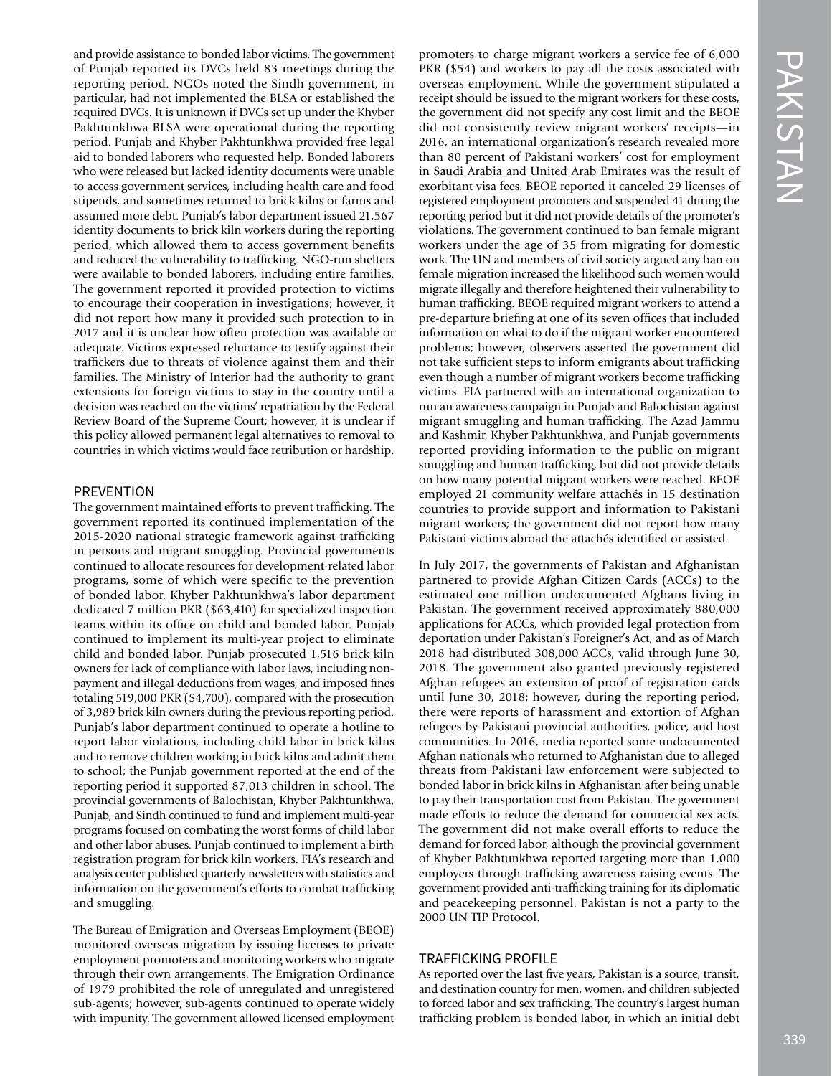and provide assistance to bonded labor victims. The government of Punjab reported its DVCs held 83 meetings during the reporting period. NGOs noted the Sindh government, in particular, had not implemented the BLSA or established the required DVCs. It is unknown if DVCs set up under the Khyber Pakhtunkhwa BLSA were operational during the reporting period. Punjab and Khyber Pakhtunkhwa provided free legal aid to bonded laborers who requested help. Bonded laborers who were released but lacked identity documents were unable to access government services, including health care and food stipends, and sometimes returned to brick kilns or farms and assumed more debt. Punjab's labor department issued 21,567 identity documents to brick kiln workers during the reporting period, which allowed them to access government benefits and reduced the vulnerability to trafficking. NGO-run shelters were available to bonded laborers, including entire families. The government reported it provided protection to victims to encourage their cooperation in investigations; however, it did not report how many it provided such protection to in 2017 and it is unclear how often protection was available or adequate. Victims expressed reluctance to testify against their traffickers due to threats of violence against them and their families. The Ministry of Interior had the authority to grant extensions for foreign victims to stay in the country until a decision was reached on the victims' repatriation by the Federal Review Board of the Supreme Court; however, it is unclear if this policy allowed permanent legal alternatives to removal to countries in which victims would face retribution or hardship.

### PREVENTION

The government maintained efforts to prevent trafficking. The government reported its continued implementation of the 2015-2020 national strategic framework against trafficking in persons and migrant smuggling. Provincial governments continued to allocate resources for development-related labor programs, some of which were specific to the prevention of bonded labor. Khyber Pakhtunkhwa's labor department dedicated 7 million PKR (\$63,410) for specialized inspection teams within its office on child and bonded labor. Punjab continued to implement its multi-year project to eliminate child and bonded labor. Punjab prosecuted 1,516 brick kiln owners for lack of compliance with labor laws, including nonpayment and illegal deductions from wages, and imposed fines totaling 519,000 PKR (\$4,700), compared with the prosecution of 3,989 brick kiln owners during the previous reporting period. Punjab's labor department continued to operate a hotline to report labor violations, including child labor in brick kilns and to remove children working in brick kilns and admit them to school; the Punjab government reported at the end of the reporting period it supported 87,013 children in school. The provincial governments of Balochistan, Khyber Pakhtunkhwa, Punjab, and Sindh continued to fund and implement multi-year programs focused on combating the worst forms of child labor and other labor abuses. Punjab continued to implement a birth registration program for brick kiln workers. FIA's research and analysis center published quarterly newsletters with statistics and information on the government's efforts to combat trafficking and smuggling.

The Bureau of Emigration and Overseas Employment (BEOE) monitored overseas migration by issuing licenses to private employment promoters and monitoring workers who migrate through their own arrangements. The Emigration Ordinance of 1979 prohibited the role of unregulated and unregistered sub-agents; however, sub-agents continued to operate widely with impunity. The government allowed licensed employment promoters to charge migrant workers a service fee of 6,000 PKR (\$54) and workers to pay all the costs associated with overseas employment. While the government stipulated a receipt should be issued to the migrant workers for these costs, the government did not specify any cost limit and the BEOE did not consistently review migrant workers' receipts—in 2016, an international organization's research revealed more than 80 percent of Pakistani workers' cost for employment in Saudi Arabia and United Arab Emirates was the result of exorbitant visa fees. BEOE reported it canceled 29 licenses of registered employment promoters and suspended 41 during the reporting period but it did not provide details of the promoter's violations. The government continued to ban female migrant workers under the age of 35 from migrating for domestic work. The UN and members of civil society argued any ban on female migration increased the likelihood such women would migrate illegally and therefore heightened their vulnerability to human trafficking. BEOE required migrant workers to attend a pre-departure briefing at one of its seven offices that included information on what to do if the migrant worker encountered problems; however, observers asserted the government did not take sufficient steps to inform emigrants about trafficking even though a number of migrant workers become trafficking victims. FIA partnered with an international organization to run an awareness campaign in Punjab and Balochistan against migrant smuggling and human trafficking. The Azad Jammu and Kashmir, Khyber Pakhtunkhwa, and Punjab governments reported providing information to the public on migrant smuggling and human trafficking, but did not provide details on how many potential migrant workers were reached. BEOE employed 21 community welfare attachés in 15 destination countries to provide support and information to Pakistani migrant workers; the government did not report how many Pakistani victims abroad the attachés identified or assisted.

In July 2017, the governments of Pakistan and Afghanistan partnered to provide Afghan Citizen Cards (ACCs) to the estimated one million undocumented Afghans living in Pakistan. The government received approximately 880,000 applications for ACCs, which provided legal protection from deportation under Pakistan's Foreigner's Act, and as of March 2018 had distributed 308,000 ACCs, valid through June 30, 2018. The government also granted previously registered Afghan refugees an extension of proof of registration cards until June 30, 2018; however, during the reporting period, there were reports of harassment and extortion of Afghan refugees by Pakistani provincial authorities, police, and host communities. In 2016, media reported some undocumented Afghan nationals who returned to Afghanistan due to alleged threats from Pakistani law enforcement were subjected to bonded labor in brick kilns in Afghanistan after being unable to pay their transportation cost from Pakistan. The government made efforts to reduce the demand for commercial sex acts. The government did not make overall efforts to reduce the demand for forced labor, although the provincial government of Khyber Pakhtunkhwa reported targeting more than 1,000 employers through trafficking awareness raising events. The government provided anti-trafficking training for its diplomatic and peacekeeping personnel. Pakistan is not a party to the 2000 UN TIP Protocol.

### TRAFFICKING PROFILE

As reported over the last five years, Pakistan is a source, transit, and destination country for men, women, and children subjected to forced labor and sex trafficking. The country's largest human trafficking problem is bonded labor, in which an initial debt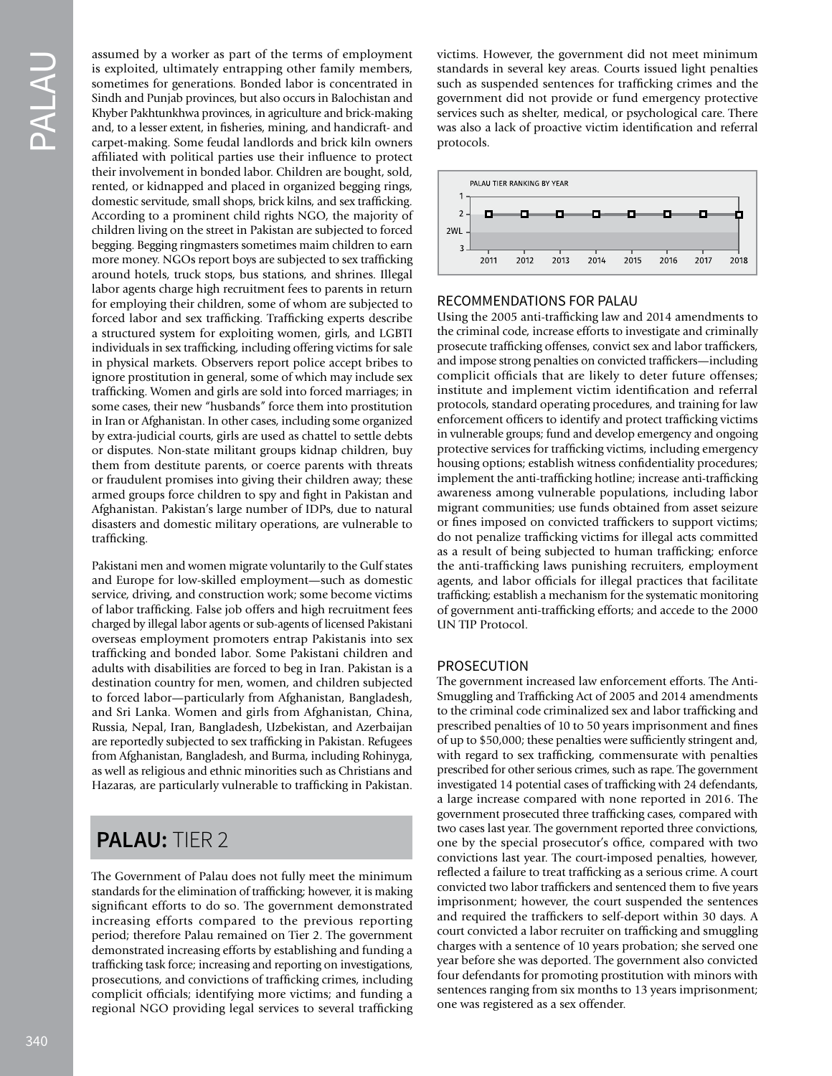38 assumed by a mode as the terms of the terms of employment and a single match is equivalent in generating the single standard and single match is the single and a single standard and the part of the single angular and p is exploited, ultimately entrapping other family members, sometimes for generations. Bonded labor is concentrated in Sindh and Punjab provinces, but also occurs in Balochistan and Khyber Pakhtunkhwa provinces, in agriculture and brick-making and, to a lesser extent, in fisheries, mining, and handicraft- and carpet-making. Some feudal landlords and brick kiln owners affiliated with political parties use their influence to protect their involvement in bonded labor. Children are bought, sold, rented, or kidnapped and placed in organized begging rings, domestic servitude, small shops, brick kilns, and sex trafficking. According to a prominent child rights NGO, the majority of children living on the street in Pakistan are subjected to forced begging. Begging ringmasters sometimes maim children to earn more money. NGOs report boys are subjected to sex trafficking around hotels, truck stops, bus stations, and shrines. Illegal labor agents charge high recruitment fees to parents in return for employing their children, some of whom are subjected to forced labor and sex trafficking. Trafficking experts describe a structured system for exploiting women, girls, and LGBTI individuals in sex trafficking, including offering victims for sale in physical markets. Observers report police accept bribes to ignore prostitution in general, some of which may include sex trafficking. Women and girls are sold into forced marriages; in some cases, their new "husbands" force them into prostitution in Iran or Afghanistan. In other cases, including some organized by extra-judicial courts, girls are used as chattel to settle debts or disputes. Non-state militant groups kidnap children, buy them from destitute parents, or coerce parents with threats or fraudulent promises into giving their children away; these armed groups force children to spy and fight in Pakistan and Afghanistan. Pakistan's large number of IDPs, due to natural disasters and domestic military operations, are vulnerable to trafficking.

Pakistani men and women migrate voluntarily to the Gulf states and Europe for low-skilled employment—such as domestic service, driving, and construction work; some become victims of labor trafficking. False job offers and high recruitment fees charged by illegal labor agents or sub-agents of licensed Pakistani overseas employment promoters entrap Pakistanis into sex trafficking and bonded labor. Some Pakistani children and adults with disabilities are forced to beg in Iran. Pakistan is a destination country for men, women, and children subjected to forced labor—particularly from Afghanistan, Bangladesh, and Sri Lanka. Women and girls from Afghanistan, China, Russia, Nepal, Iran, Bangladesh, Uzbekistan, and Azerbaijan are reportedly subjected to sex trafficking in Pakistan. Refugees from Afghanistan, Bangladesh, and Burma, including Rohinyga, as well as religious and ethnic minorities such as Christians and Hazaras, are particularly vulnerable to trafficking in Pakistan.

# **PALAU:** TIER 2

The Government of Palau does not fully meet the minimum standards for the elimination of trafficking; however, it is making significant efforts to do so. The government demonstrated increasing efforts compared to the previous reporting period; therefore Palau remained on Tier 2. The government demonstrated increasing efforts by establishing and funding a trafficking task force; increasing and reporting on investigations, prosecutions, and convictions of trafficking crimes, including complicit officials; identifying more victims; and funding a regional NGO providing legal services to several trafficking victims. However, the government did not meet minimum standards in several key areas. Courts issued light penalties such as suspended sentences for trafficking crimes and the government did not provide or fund emergency protective services such as shelter, medical, or psychological care. There was also a lack of proactive victim identification and referral protocols.



### RECOMMENDATIONS FOR PALAU

Using the 2005 anti-trafficking law and 2014 amendments to the criminal code, increase efforts to investigate and criminally prosecute trafficking offenses, convict sex and labor traffickers, and impose strong penalties on convicted traffickers—including complicit officials that are likely to deter future offenses; institute and implement victim identification and referral protocols, standard operating procedures, and training for law enforcement officers to identify and protect trafficking victims in vulnerable groups; fund and develop emergency and ongoing protective services for trafficking victims, including emergency housing options; establish witness confidentiality procedures; implement the anti-trafficking hotline; increase anti-trafficking awareness among vulnerable populations, including labor migrant communities; use funds obtained from asset seizure or fines imposed on convicted traffickers to support victims; do not penalize trafficking victims for illegal acts committed as a result of being subjected to human trafficking; enforce the anti-trafficking laws punishing recruiters, employment agents, and labor officials for illegal practices that facilitate trafficking; establish a mechanism for the systematic monitoring of government anti-trafficking efforts; and accede to the 2000 UN TIP Protocol.

### PROSECUTION

The government increased law enforcement efforts. The Anti-Smuggling and Trafficking Act of 2005 and 2014 amendments to the criminal code criminalized sex and labor trafficking and prescribed penalties of 10 to 50 years imprisonment and fines of up to \$50,000; these penalties were sufficiently stringent and, with regard to sex trafficking, commensurate with penalties prescribed for other serious crimes, such as rape. The government investigated 14 potential cases of trafficking with 24 defendants, a large increase compared with none reported in 2016. The government prosecuted three trafficking cases, compared with two cases last year. The government reported three convictions, one by the special prosecutor's office, compared with two convictions last year. The court-imposed penalties, however, reflected a failure to treat trafficking as a serious crime. A court convicted two labor traffickers and sentenced them to five years imprisonment; however, the court suspended the sentences and required the traffickers to self-deport within 30 days. A court convicted a labor recruiter on trafficking and smuggling charges with a sentence of 10 years probation; she served one year before she was deported. The government also convicted four defendants for promoting prostitution with minors with sentences ranging from six months to 13 years imprisonment; one was registered as a sex offender.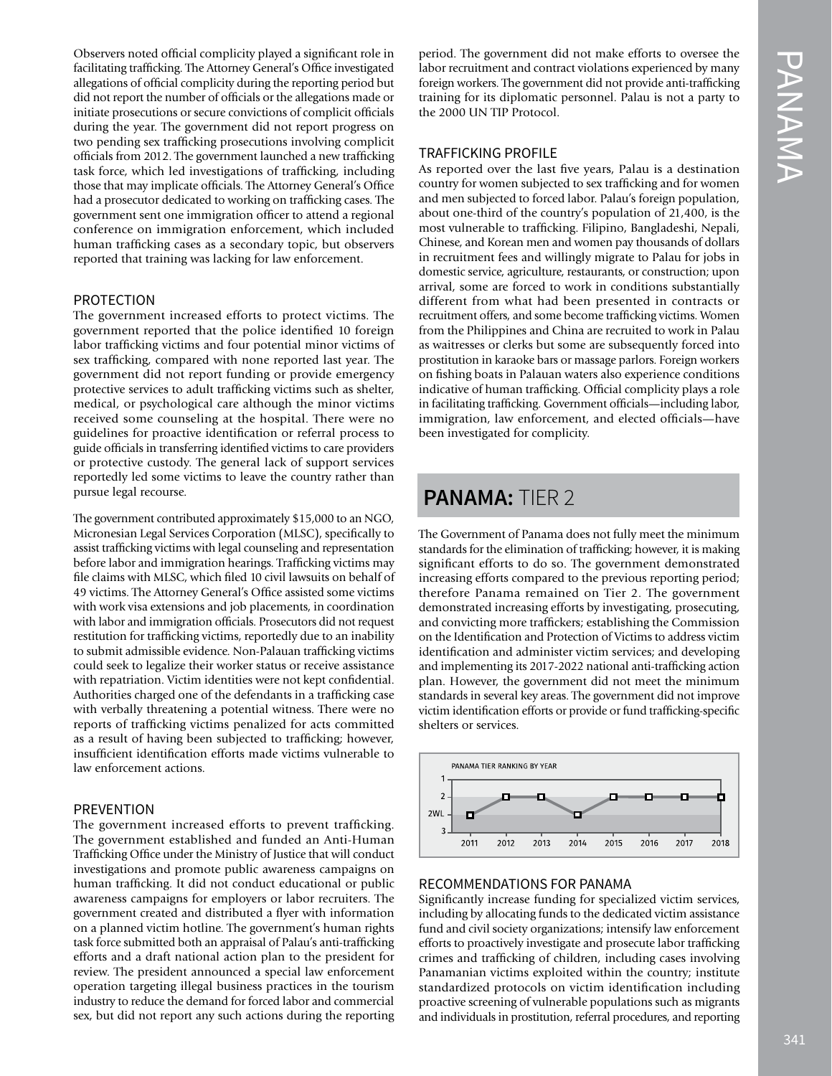Observers noted official complicity played a significant role in facilitating trafficking. The Attorney General's Office investigated allegations of official complicity during the reporting period but did not report the number of officials or the allegations made or initiate prosecutions or secure convictions of complicit officials during the year. The government did not report progress on two pending sex trafficking prosecutions involving complicit officials from 2012. The government launched a new trafficking task force, which led investigations of trafficking, including those that may implicate officials. The Attorney General's Office had a prosecutor dedicated to working on trafficking cases. The government sent one immigration officer to attend a regional conference on immigration enforcement, which included human trafficking cases as a secondary topic, but observers reported that training was lacking for law enforcement.

### PROTECTION

The government increased efforts to protect victims. The government reported that the police identified 10 foreign labor trafficking victims and four potential minor victims of sex trafficking, compared with none reported last year. The government did not report funding or provide emergency protective services to adult trafficking victims such as shelter, medical, or psychological care although the minor victims received some counseling at the hospital. There were no guidelines for proactive identification or referral process to guide officials in transferring identified victims to care providers or protective custody. The general lack of support services reportedly led some victims to leave the country rather than pursue legal recourse.

The government contributed approximately \$15,000 to an NGO, Micronesian Legal Services Corporation (MLSC), specifically to assist trafficking victims with legal counseling and representation before labor and immigration hearings. Trafficking victims may file claims with MLSC, which filed 10 civil lawsuits on behalf of 49 victims. The Attorney General's Office assisted some victims with work visa extensions and job placements, in coordination with labor and immigration officials. Prosecutors did not request restitution for trafficking victims, reportedly due to an inability to submit admissible evidence. Non-Palauan trafficking victims could seek to legalize their worker status or receive assistance with repatriation. Victim identities were not kept confidential. Authorities charged one of the defendants in a trafficking case with verbally threatening a potential witness. There were no reports of trafficking victims penalized for acts committed as a result of having been subjected to trafficking; however, insufficient identification efforts made victims vulnerable to law enforcement actions.

### PREVENTION

The government increased efforts to prevent trafficking. The government established and funded an Anti-Human Trafficking Office under the Ministry of Justice that will conduct investigations and promote public awareness campaigns on human trafficking. It did not conduct educational or public awareness campaigns for employers or labor recruiters. The government created and distributed a flyer with information on a planned victim hotline. The government's human rights task force submitted both an appraisal of Palau's anti-trafficking efforts and a draft national action plan to the president for review. The president announced a special law enforcement operation targeting illegal business practices in the tourism industry to reduce the demand for forced labor and commercial sex, but did not report any such actions during the reporting period. The government did not make efforts to oversee the labor recruitment and contract violations experienced by many foreign workers. The government did not provide anti-trafficking training for its diplomatic personnel. Palau is not a party to the 2000 UN TIP Protocol.

### TRAFFICKING PROFILE

As reported over the last five years, Palau is a destination country for women subjected to sex trafficking and for women and men subjected to forced labor. Palau's foreign population, about one-third of the country's population of 21,400, is the most vulnerable to trafficking. Filipino, Bangladeshi, Nepali, Chinese, and Korean men and women pay thousands of dollars in recruitment fees and willingly migrate to Palau for jobs in domestic service, agriculture, restaurants, or construction; upon arrival, some are forced to work in conditions substantially different from what had been presented in contracts or recruitment offers, and some become trafficking victims. Women from the Philippines and China are recruited to work in Palau as waitresses or clerks but some are subsequently forced into prostitution in karaoke bars or massage parlors. Foreign workers on fishing boats in Palauan waters also experience conditions indicative of human trafficking. Official complicity plays a role in facilitating trafficking. Government officials—including labor, immigration, law enforcement, and elected officials—have been investigated for complicity.

# **PANAMA:** TIER 2

The Government of Panama does not fully meet the minimum standards for the elimination of trafficking; however, it is making significant efforts to do so. The government demonstrated increasing efforts compared to the previous reporting period; therefore Panama remained on Tier 2. The government demonstrated increasing efforts by investigating, prosecuting, and convicting more traffickers; establishing the Commission on the Identification and Protection of Victims to address victim identification and administer victim services; and developing and implementing its 2017-2022 national anti-trafficking action plan. However, the government did not meet the minimum standards in several key areas. The government did not improve victim identification efforts or provide or fund trafficking-specific shelters or services.



### RECOMMENDATIONS FOR PANAMA

Significantly increase funding for specialized victim services, including by allocating funds to the dedicated victim assistance fund and civil society organizations; intensify law enforcement efforts to proactively investigate and prosecute labor trafficking crimes and trafficking of children, including cases involving Panamanian victims exploited within the country; institute standardized protocols on victim identification including proactive screening of vulnerable populations such as migrants and individuals in prostitution, referral procedures, and reporting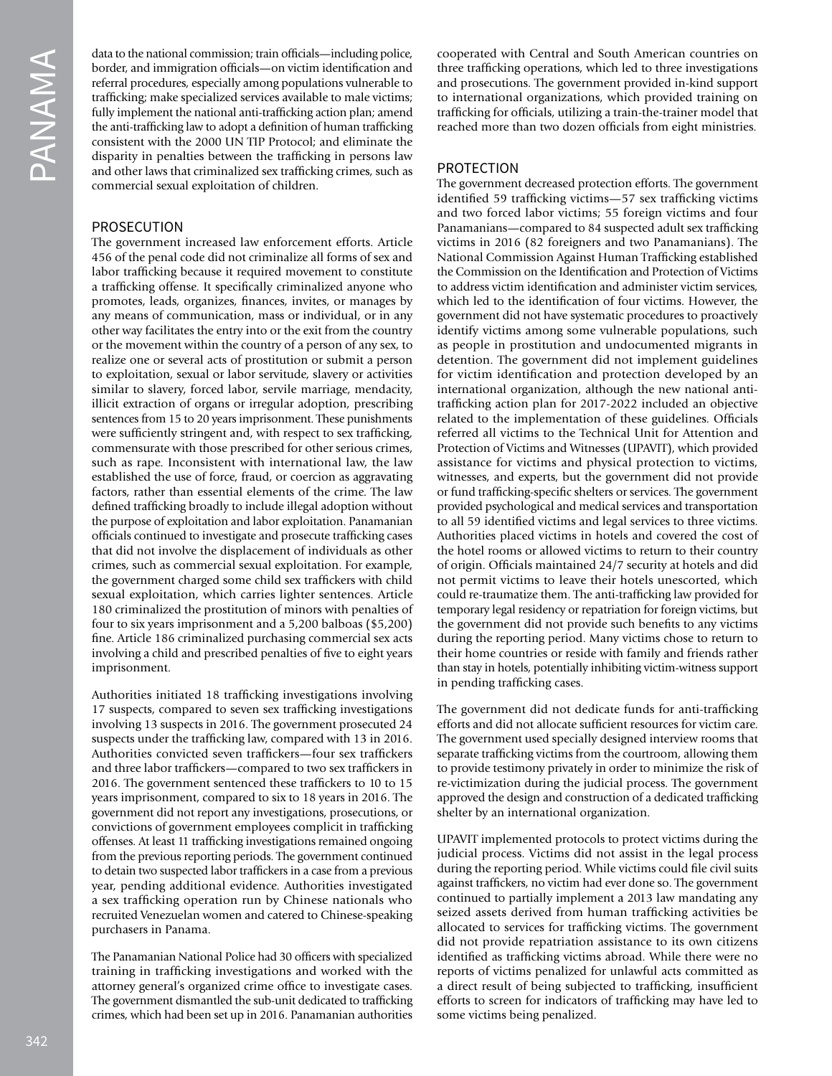border, and immigration officials—on victim identification and referral procedures, especially among populations vulnerable to trafficking; make specialized services available to male victims; fully implement the national anti-trafficking action plan; amend the anti-trafficking law to adopt a definition of human trafficking consistent with the 2000 UN TIP Protocol; and eliminate the disparity in penalties between the trafficking in persons law and other laws that criminalized sex trafficking crimes, such as commercial sexual exploitation of children.

### PROSECUTION

Show the main domination (train of mission-linde) police in the national commission of the national commission of the national commission including the mission of the national commission; training the mission of the natio The government increased law enforcement efforts. Article 456 of the penal code did not criminalize all forms of sex and labor trafficking because it required movement to constitute a trafficking offense. It specifically criminalized anyone who promotes, leads, organizes, finances, invites, or manages by any means of communication, mass or individual, or in any other way facilitates the entry into or the exit from the country or the movement within the country of a person of any sex, to realize one or several acts of prostitution or submit a person to exploitation, sexual or labor servitude, slavery or activities similar to slavery, forced labor, servile marriage, mendacity, illicit extraction of organs or irregular adoption, prescribing sentences from 15 to 20 years imprisonment. These punishments were sufficiently stringent and, with respect to sex trafficking, commensurate with those prescribed for other serious crimes, such as rape. Inconsistent with international law, the law established the use of force, fraud, or coercion as aggravating factors, rather than essential elements of the crime. The law defined trafficking broadly to include illegal adoption without the purpose of exploitation and labor exploitation. Panamanian officials continued to investigate and prosecute trafficking cases that did not involve the displacement of individuals as other crimes, such as commercial sexual exploitation. For example, the government charged some child sex traffickers with child sexual exploitation, which carries lighter sentences. Article 180 criminalized the prostitution of minors with penalties of four to six years imprisonment and a 5,200 balboas (\$5,200) fine. Article 186 criminalized purchasing commercial sex acts involving a child and prescribed penalties of five to eight years imprisonment.

Authorities initiated 18 trafficking investigations involving 17 suspects, compared to seven sex trafficking investigations involving 13 suspects in 2016. The government prosecuted 24 suspects under the trafficking law, compared with 13 in 2016. Authorities convicted seven traffickers—four sex traffickers and three labor traffickers—compared to two sex traffickers in 2016. The government sentenced these traffickers to 10 to 15 years imprisonment, compared to six to 18 years in 2016. The government did not report any investigations, prosecutions, or convictions of government employees complicit in trafficking offenses. At least 11 trafficking investigations remained ongoing from the previous reporting periods. The government continued to detain two suspected labor traffickers in a case from a previous year, pending additional evidence. Authorities investigated a sex trafficking operation run by Chinese nationals who recruited Venezuelan women and catered to Chinese-speaking purchasers in Panama.

The Panamanian National Police had 30 officers with specialized training in trafficking investigations and worked with the attorney general's organized crime office to investigate cases. The government dismantled the sub-unit dedicated to trafficking crimes, which had been set up in 2016. Panamanian authorities

cooperated with Central and South American countries on three trafficking operations, which led to three investigations and prosecutions. The government provided in-kind support to international organizations, which provided training on trafficking for officials, utilizing a train-the-trainer model that reached more than two dozen officials from eight ministries.

### PROTECTION

The government decreased protection efforts. The government identified 59 trafficking victims—57 sex trafficking victims and two forced labor victims; 55 foreign victims and four Panamanians—compared to 84 suspected adult sex trafficking victims in 2016 (82 foreigners and two Panamanians). The National Commission Against Human Trafficking established the Commission on the Identification and Protection of Victims to address victim identification and administer victim services, which led to the identification of four victims. However, the government did not have systematic procedures to proactively identify victims among some vulnerable populations, such as people in prostitution and undocumented migrants in detention. The government did not implement guidelines for victim identification and protection developed by an international organization, although the new national antitrafficking action plan for 2017-2022 included an objective related to the implementation of these guidelines. Officials referred all victims to the Technical Unit for Attention and Protection of Victims and Witnesses (UPAVIT), which provided assistance for victims and physical protection to victims, witnesses, and experts, but the government did not provide or fund trafficking-specific shelters or services. The government provided psychological and medical services and transportation to all 59 identified victims and legal services to three victims. Authorities placed victims in hotels and covered the cost of the hotel rooms or allowed victims to return to their country of origin. Officials maintained 24/7 security at hotels and did not permit victims to leave their hotels unescorted, which could re-traumatize them. The anti-trafficking law provided for temporary legal residency or repatriation for foreign victims, but the government did not provide such benefits to any victims during the reporting period. Many victims chose to return to their home countries or reside with family and friends rather than stay in hotels, potentially inhibiting victim-witness support in pending trafficking cases.

The government did not dedicate funds for anti-trafficking efforts and did not allocate sufficient resources for victim care. The government used specially designed interview rooms that separate trafficking victims from the courtroom, allowing them to provide testimony privately in order to minimize the risk of re-victimization during the judicial process. The government approved the design and construction of a dedicated trafficking shelter by an international organization.

UPAVIT implemented protocols to protect victims during the judicial process. Victims did not assist in the legal process during the reporting period. While victims could file civil suits against traffickers, no victim had ever done so. The government continued to partially implement a 2013 law mandating any seized assets derived from human trafficking activities be allocated to services for trafficking victims. The government did not provide repatriation assistance to its own citizens identified as trafficking victims abroad. While there were no reports of victims penalized for unlawful acts committed as a direct result of being subjected to trafficking, insufficient efforts to screen for indicators of trafficking may have led to some victims being penalized.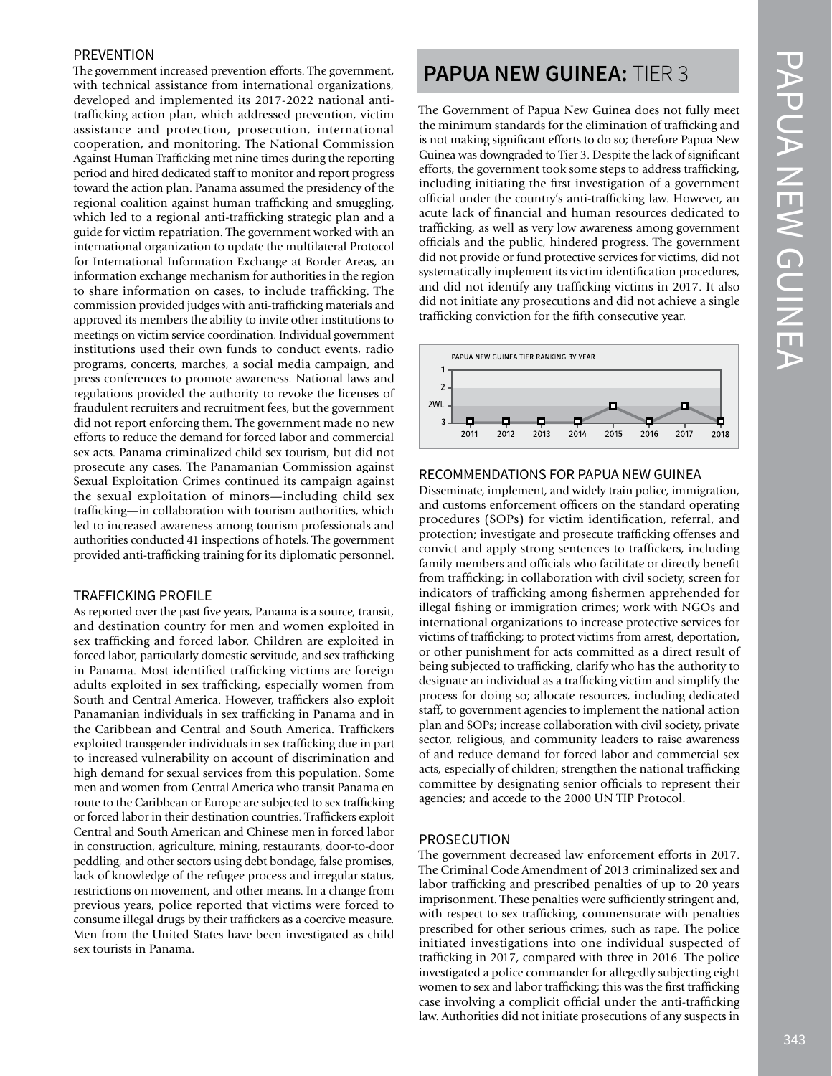# **PAPUA NEW GUINEA** UAPUA NEW GUINEA A 1343 AN ANGLIA NG MANGA NG MATAMBANG ANGLITA NG MANGANG ANGLITA NG MANGANG ANGLITA NG MANGA

### PREVENTION

The government increased prevention efforts. The government, with technical assistance from international organizations, developed and implemented its 2017-2022 national antitrafficking action plan, which addressed prevention, victim assistance and protection, prosecution, international cooperation, and monitoring. The National Commission Against Human Trafficking met nine times during the reporting period and hired dedicated staff to monitor and report progress toward the action plan. Panama assumed the presidency of the regional coalition against human trafficking and smuggling, which led to a regional anti-trafficking strategic plan and a guide for victim repatriation. The government worked with an international organization to update the multilateral Protocol for International Information Exchange at Border Areas, an information exchange mechanism for authorities in the region to share information on cases, to include trafficking. The commission provided judges with anti-trafficking materials and approved its members the ability to invite other institutions to meetings on victim service coordination. Individual government institutions used their own funds to conduct events, radio programs, concerts, marches, a social media campaign, and press conferences to promote awareness. National laws and regulations provided the authority to revoke the licenses of fraudulent recruiters and recruitment fees, but the government did not report enforcing them. The government made no new efforts to reduce the demand for forced labor and commercial sex acts. Panama criminalized child sex tourism, but did not prosecute any cases. The Panamanian Commission against Sexual Exploitation Crimes continued its campaign against the sexual exploitation of minors—including child sex trafficking—in collaboration with tourism authorities, which led to increased awareness among tourism professionals and authorities conducted 41 inspections of hotels. The government provided anti-trafficking training for its diplomatic personnel.

### TRAFFICKING PROFILE

As reported over the past five years, Panama is a source, transit, and destination country for men and women exploited in sex trafficking and forced labor. Children are exploited in forced labor, particularly domestic servitude, and sex trafficking in Panama. Most identified trafficking victims are foreign adults exploited in sex trafficking, especially women from South and Central America. However, traffickers also exploit Panamanian individuals in sex trafficking in Panama and in the Caribbean and Central and South America. Traffickers exploited transgender individuals in sex trafficking due in part to increased vulnerability on account of discrimination and high demand for sexual services from this population. Some men and women from Central America who transit Panama en route to the Caribbean or Europe are subjected to sex trafficking or forced labor in their destination countries. Traffickers exploit Central and South American and Chinese men in forced labor in construction, agriculture, mining, restaurants, door-to-door peddling, and other sectors using debt bondage, false promises, lack of knowledge of the refugee process and irregular status, restrictions on movement, and other means. In a change from previous years, police reported that victims were forced to consume illegal drugs by their traffickers as a coercive measure. Men from the United States have been investigated as child sex tourists in Panama.

# **PAPUA NEW GUINEA:** TIER 3

The Government of Papua New Guinea does not fully meet the minimum standards for the elimination of trafficking and is not making significant efforts to do so; therefore Papua New Guinea was downgraded to Tier 3. Despite the lack of significant efforts, the government took some steps to address trafficking, including initiating the first investigation of a government official under the country's anti-trafficking law. However, an acute lack of financial and human resources dedicated to trafficking, as well as very low awareness among government officials and the public, hindered progress. The government did not provide or fund protective services for victims, did not systematically implement its victim identification procedures, and did not identify any trafficking victims in 2017. It also did not initiate any prosecutions and did not achieve a single trafficking conviction for the fifth consecutive year.



### RECOMMENDATIONS FOR PAPUA NEW GUINEA

Disseminate, implement, and widely train police, immigration, and customs enforcement officers on the standard operating procedures (SOPs) for victim identification, referral, and protection; investigate and prosecute trafficking offenses and convict and apply strong sentences to traffickers, including family members and officials who facilitate or directly benefit from trafficking; in collaboration with civil society, screen for indicators of trafficking among fishermen apprehended for illegal fishing or immigration crimes; work with NGOs and international organizations to increase protective services for victims of trafficking; to protect victims from arrest, deportation, or other punishment for acts committed as a direct result of being subjected to trafficking, clarify who has the authority to designate an individual as a trafficking victim and simplify the process for doing so; allocate resources, including dedicated staff, to government agencies to implement the national action plan and SOPs; increase collaboration with civil society, private sector, religious, and community leaders to raise awareness of and reduce demand for forced labor and commercial sex acts, especially of children; strengthen the national trafficking committee by designating senior officials to represent their agencies; and accede to the 2000 UN TIP Protocol.

### PROSECUTION

The government decreased law enforcement efforts in 2017. The Criminal Code Amendment of 2013 criminalized sex and labor trafficking and prescribed penalties of up to 20 years imprisonment. These penalties were sufficiently stringent and, with respect to sex trafficking, commensurate with penalties prescribed for other serious crimes, such as rape. The police initiated investigations into one individual suspected of trafficking in 2017, compared with three in 2016. The police investigated a police commander for allegedly subjecting eight women to sex and labor trafficking; this was the first trafficking case involving a complicit official under the anti-trafficking law. Authorities did not initiate prosecutions of any suspects in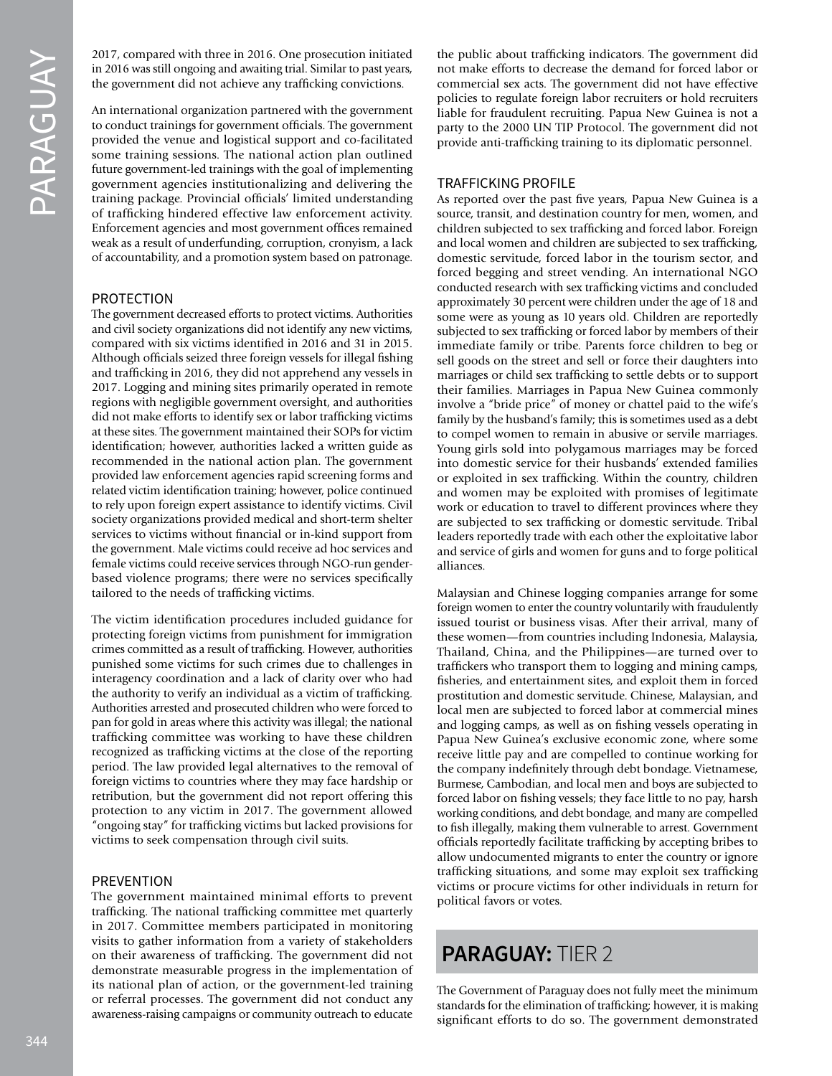in 2016 was still ongoing and awaiting trial. Similar to past years, the government did not achieve any trafficking convictions.

An international organization partnered with the government to conduct trainings for government officials. The government provided the venue and logistical support and co-facilitated some training sessions. The national action plan outlined future government-led trainings with the goal of implementing government agencies institutionalizing and delivering the training package. Provincial officials' limited understanding of trafficking hindered effective law enforcement activity. Enforcement agencies and most government offices remained weak as a result of underfunding, corruption, cronyism, a lack of accountability, and a promotion system based on patronage.

### PROTECTION

2017, compared with there in 2016. One protection initiated<br>one provided the coverage and awaiting ratio. Since provided with the 2018 compared with the compared with the compared with the compared with the compared with The government decreased efforts to protect victims. Authorities and civil society organizations did not identify any new victims, compared with six victims identified in 2016 and 31 in 2015. Although officials seized three foreign vessels for illegal fishing and trafficking in 2016, they did not apprehend any vessels in 2017. Logging and mining sites primarily operated in remote regions with negligible government oversight, and authorities did not make efforts to identify sex or labor trafficking victims at these sites. The government maintained their SOPs for victim identification; however, authorities lacked a written guide as recommended in the national action plan. The government provided law enforcement agencies rapid screening forms and related victim identification training; however, police continued to rely upon foreign expert assistance to identify victims. Civil society organizations provided medical and short-term shelter services to victims without financial or in-kind support from the government. Male victims could receive ad hoc services and female victims could receive services through NGO-run genderbased violence programs; there were no services specifically tailored to the needs of trafficking victims.

The victim identification procedures included guidance for protecting foreign victims from punishment for immigration crimes committed as a result of trafficking. However, authorities punished some victims for such crimes due to challenges in interagency coordination and a lack of clarity over who had the authority to verify an individual as a victim of trafficking. Authorities arrested and prosecuted children who were forced to pan for gold in areas where this activity was illegal; the national trafficking committee was working to have these children recognized as trafficking victims at the close of the reporting period. The law provided legal alternatives to the removal of foreign victims to countries where they may face hardship or retribution, but the government did not report offering this protection to any victim in 2017. The government allowed "ongoing stay" for trafficking victims but lacked provisions for victims to seek compensation through civil suits.

### PREVENTION

The government maintained minimal efforts to prevent trafficking. The national trafficking committee met quarterly in 2017. Committee members participated in monitoring visits to gather information from a variety of stakeholders on their awareness of trafficking. The government did not demonstrate measurable progress in the implementation of its national plan of action, or the government-led training or referral processes. The government did not conduct any awareness-raising campaigns or community outreach to educate

the public about trafficking indicators. The government did not make efforts to decrease the demand for forced labor or commercial sex acts. The government did not have effective policies to regulate foreign labor recruiters or hold recruiters liable for fraudulent recruiting. Papua New Guinea is not a party to the 2000 UN TIP Protocol. The government did not provide anti-trafficking training to its diplomatic personnel.

## TRAFFICKING PROFILE

As reported over the past five years, Papua New Guinea is a source, transit, and destination country for men, women, and children subjected to sex trafficking and forced labor. Foreign and local women and children are subjected to sex trafficking, domestic servitude, forced labor in the tourism sector, and forced begging and street vending. An international NGO conducted research with sex trafficking victims and concluded approximately 30 percent were children under the age of 18 and some were as young as 10 years old. Children are reportedly subjected to sex trafficking or forced labor by members of their immediate family or tribe. Parents force children to beg or sell goods on the street and sell or force their daughters into marriages or child sex trafficking to settle debts or to support their families. Marriages in Papua New Guinea commonly involve a "bride price" of money or chattel paid to the wife's family by the husband's family; this is sometimes used as a debt to compel women to remain in abusive or servile marriages. Young girls sold into polygamous marriages may be forced into domestic service for their husbands' extended families or exploited in sex trafficking. Within the country, children and women may be exploited with promises of legitimate work or education to travel to different provinces where they are subjected to sex trafficking or domestic servitude. Tribal leaders reportedly trade with each other the exploitative labor and service of girls and women for guns and to forge political alliances.

Malaysian and Chinese logging companies arrange for some foreign women to enter the country voluntarily with fraudulently issued tourist or business visas. After their arrival, many of these women—from countries including Indonesia, Malaysia, Thailand, China, and the Philippines—are turned over to traffickers who transport them to logging and mining camps, fisheries, and entertainment sites, and exploit them in forced prostitution and domestic servitude. Chinese, Malaysian, and local men are subjected to forced labor at commercial mines and logging camps, as well as on fishing vessels operating in Papua New Guinea's exclusive economic zone, where some receive little pay and are compelled to continue working for the company indefinitely through debt bondage. Vietnamese, Burmese, Cambodian, and local men and boys are subjected to forced labor on fishing vessels; they face little to no pay, harsh working conditions, and debt bondage, and many are compelled to fish illegally, making them vulnerable to arrest. Government officials reportedly facilitate trafficking by accepting bribes to allow undocumented migrants to enter the country or ignore trafficking situations, and some may exploit sex trafficking victims or procure victims for other individuals in return for political favors or votes.

# **PARAGUAY:** TIER 2

The Government of Paraguay does not fully meet the minimum standards for the elimination of trafficking; however, it is making significant efforts to do so. The government demonstrated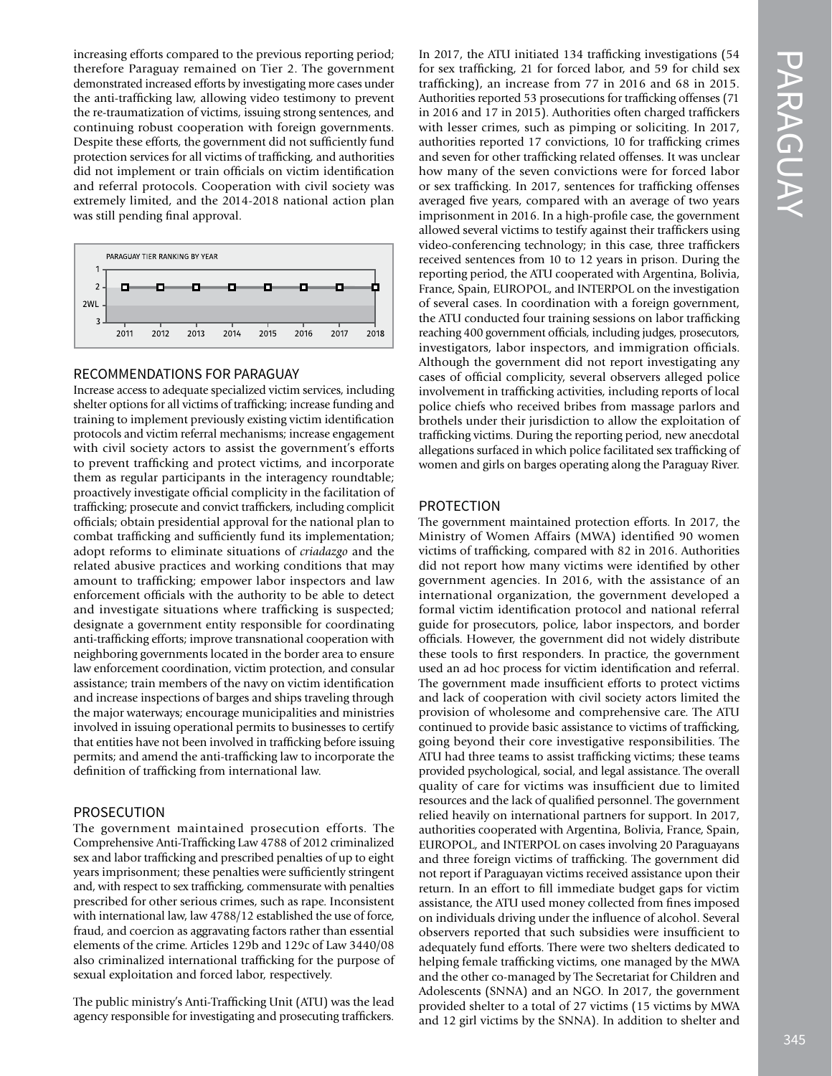increasing efforts compared to the previous reporting period; therefore Paraguay remained on Tier 2. The government demonstrated increased efforts by investigating more cases under the anti-trafficking law, allowing video testimony to prevent the re-traumatization of victims, issuing strong sentences, and continuing robust cooperation with foreign governments. Despite these efforts, the government did not sufficiently fund protection services for all victims of trafficking, and authorities did not implement or train officials on victim identification and referral protocols. Cooperation with civil society was extremely limited, and the 2014-2018 national action plan was still pending final approval.



## RECOMMENDATIONS FOR PARAGUAY

Increase access to adequate specialized victim services, including shelter options for all victims of trafficking; increase funding and training to implement previously existing victim identification protocols and victim referral mechanisms; increase engagement with civil society actors to assist the government's efforts to prevent trafficking and protect victims, and incorporate them as regular participants in the interagency roundtable; proactively investigate official complicity in the facilitation of trafficking; prosecute and convict traffickers, including complicit officials; obtain presidential approval for the national plan to combat trafficking and sufficiently fund its implementation; adopt reforms to eliminate situations of *criadazgo* and the related abusive practices and working conditions that may amount to trafficking; empower labor inspectors and law enforcement officials with the authority to be able to detect and investigate situations where trafficking is suspected; designate a government entity responsible for coordinating anti-trafficking efforts; improve transnational cooperation with neighboring governments located in the border area to ensure law enforcement coordination, victim protection, and consular assistance; train members of the navy on victim identification and increase inspections of barges and ships traveling through the major waterways; encourage municipalities and ministries involved in issuing operational permits to businesses to certify that entities have not been involved in trafficking before issuing permits; and amend the anti-trafficking law to incorporate the definition of trafficking from international law.

## PROSECUTION

The government maintained prosecution efforts. The Comprehensive Anti-Trafficking Law 4788 of 2012 criminalized sex and labor trafficking and prescribed penalties of up to eight years imprisonment; these penalties were sufficiently stringent and, with respect to sex trafficking, commensurate with penalties prescribed for other serious crimes, such as rape. Inconsistent with international law, law 4788/12 established the use of force, fraud, and coercion as aggravating factors rather than essential elements of the crime. Articles 129b and 129c of Law 3440/08 also criminalized international trafficking for the purpose of sexual exploitation and forced labor, respectively.

The public ministry's Anti-Trafficking Unit (ATU) was the lead agency responsible for investigating and prosecuting traffickers. In 2017, the ATU initiated 134 trafficking investigations (54 for sex trafficking, 21 for forced labor, and 59 for child sex trafficking), an increase from 77 in 2016 and 68 in 2015. Authorities reported 53 prosecutions for trafficking offenses (71 in 2016 and 17 in 2015). Authorities often charged traffickers with lesser crimes, such as pimping or soliciting. In 2017, authorities reported 17 convictions, 10 for trafficking crimes and seven for other trafficking related offenses. It was unclear how many of the seven convictions were for forced labor or sex trafficking. In 2017, sentences for trafficking offenses averaged five years, compared with an average of two years imprisonment in 2016. In a high-profile case, the government allowed several victims to testify against their traffickers using video-conferencing technology; in this case, three traffickers received sentences from 10 to 12 years in prison. During the reporting period, the ATU cooperated with Argentina, Bolivia, France, Spain, EUROPOL, and INTERPOL on the investigation of several cases. In coordination with a foreign government, the ATU conducted four training sessions on labor trafficking reaching 400 government officials, including judges, prosecutors, investigators, labor inspectors, and immigration officials. Although the government did not report investigating any cases of official complicity, several observers alleged police involvement in trafficking activities, including reports of local police chiefs who received bribes from massage parlors and brothels under their jurisdiction to allow the exploitation of trafficking victims. During the reporting period, new anecdotal allegations surfaced in which police facilitated sex trafficking of women and girls on barges operating along the Paraguay River.

### PROTECTION

The government maintained protection efforts. In 2017, the Ministry of Women Affairs (MWA) identified 90 women victims of trafficking, compared with 82 in 2016. Authorities did not report how many victims were identified by other government agencies. In 2016, with the assistance of an international organization, the government developed a formal victim identification protocol and national referral guide for prosecutors, police, labor inspectors, and border officials. However, the government did not widely distribute these tools to first responders. In practice, the government used an ad hoc process for victim identification and referral. The government made insufficient efforts to protect victims and lack of cooperation with civil society actors limited the provision of wholesome and comprehensive care. The ATU continued to provide basic assistance to victims of trafficking, going beyond their core investigative responsibilities. The ATU had three teams to assist trafficking victims; these teams provided psychological, social, and legal assistance. The overall quality of care for victims was insufficient due to limited resources and the lack of qualified personnel. The government relied heavily on international partners for support. In 2017, authorities cooperated with Argentina, Bolivia, France, Spain, EUROPOL, and INTERPOL on cases involving 20 Paraguayans and three foreign victims of trafficking. The government did not report if Paraguayan victims received assistance upon their return. In an effort to fill immediate budget gaps for victim assistance, the ATU used money collected from fines imposed on individuals driving under the influence of alcohol. Several observers reported that such subsidies were insufficient to adequately fund efforts. There were two shelters dedicated to helping female trafficking victims, one managed by the MWA and the other co-managed by The Secretariat for Children and Adolescents (SNNA) and an NGO. In 2017, the government provided shelter to a total of 27 victims (15 victims by MWA and 12 girl victims by the SNNA). In addition to shelter and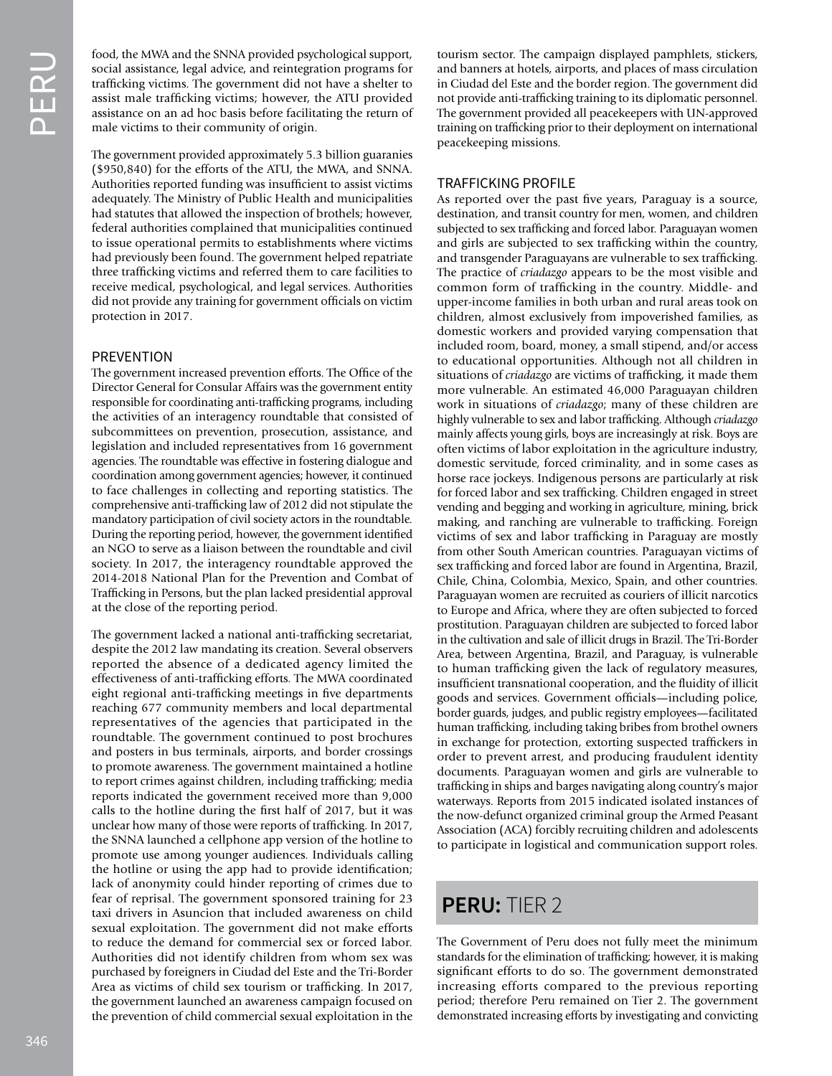social assistance, legal advice, and reintegration programs for trafficking victims. The government did not have a shelter to assist male trafficking victims; however, the ATU provided assistance on an ad hoc basis before facilitating the return of male victims to their community of origin.

The government provided approximately 5.3 billion guaranies (\$950,840) for the efforts of the ATU, the MWA, and SNNA. Authorities reported funding was insufficient to assist victims adequately. The Ministry of Public Health and municipalities had statutes that allowed the inspection of brothels; however, federal authorities complained that municipalities continued to issue operational permits to establishments where victims had previously been found. The government helped repatriate three trafficking victims and referred them to care facilities to receive medical, psychological, and legal services. Authorities did not provide any training for government officials on victim protection in 2017.

### PREVENTION

The government increased prevention efforts. The Office of the Director General for Consular Affairs was the government entity responsible for coordinating anti-trafficking programs, including the activities of an interagency roundtable that consisted of subcommittees on prevention, prosecution, assistance, and legislation and included representatives from 16 government agencies. The roundtable was effective in fostering dialogue and coordination among government agencies; however, it continued to face challenges in collecting and reporting statistics. The comprehensive anti-trafficking law of 2012 did not stipulate the mandatory participation of civil society actors in the roundtable. During the reporting period, however, the government identified an NGO to serve as a liaison between the roundtable and civil society. In 2017, the interagency roundtable approved the 2014-2018 National Plan for the Prevention and Combat of Trafficking in Persons, but the plan lacked presidential approval at the close of the reporting period.

Food, the ASNA and the SNNA provided psychological usport, the MWA and the SNNA branching vectors and the stationary in the government of the ATU provided and the station in the government of the ATU provided and the stat The government lacked a national anti-trafficking secretariat, despite the 2012 law mandating its creation. Several observers reported the absence of a dedicated agency limited the effectiveness of anti-trafficking efforts. The MWA coordinated eight regional anti-trafficking meetings in five departments reaching 677 community members and local departmental representatives of the agencies that participated in the roundtable. The government continued to post brochures and posters in bus terminals, airports, and border crossings to promote awareness. The government maintained a hotline to report crimes against children, including trafficking; media reports indicated the government received more than 9,000 calls to the hotline during the first half of 2017, but it was unclear how many of those were reports of trafficking. In 2017, the SNNA launched a cellphone app version of the hotline to promote use among younger audiences. Individuals calling the hotline or using the app had to provide identification; lack of anonymity could hinder reporting of crimes due to fear of reprisal. The government sponsored training for 23 taxi drivers in Asuncion that included awareness on child sexual exploitation. The government did not make efforts to reduce the demand for commercial sex or forced labor. Authorities did not identify children from whom sex was purchased by foreigners in Ciudad del Este and the Tri-Border Area as victims of child sex tourism or trafficking. In 2017, the government launched an awareness campaign focused on the prevention of child commercial sexual exploitation in the

tourism sector. The campaign displayed pamphlets, stickers, and banners at hotels, airports, and places of mass circulation in Ciudad del Este and the border region. The government did not provide anti-trafficking training to its diplomatic personnel. The government provided all peacekeepers with UN-approved training on trafficking prior to their deployment on international peacekeeping missions.

### TRAFFICKING PROFILE

As reported over the past five years, Paraguay is a source, destination, and transit country for men, women, and children subjected to sex trafficking and forced labor. Paraguayan women and girls are subjected to sex trafficking within the country, and transgender Paraguayans are vulnerable to sex trafficking. The practice of *criadazgo* appears to be the most visible and common form of trafficking in the country. Middle- and upper-income families in both urban and rural areas took on children, almost exclusively from impoverished families, as domestic workers and provided varying compensation that included room, board, money, a small stipend, and/or access to educational opportunities. Although not all children in situations of *criadazgo* are victims of trafficking, it made them more vulnerable. An estimated 46,000 Paraguayan children work in situations of *criadazgo*; many of these children are highly vulnerable to sex and labor trafficking. Although *criadazgo*  mainly affects young girls, boys are increasingly at risk. Boys are often victims of labor exploitation in the agriculture industry, domestic servitude, forced criminality, and in some cases as horse race jockeys. Indigenous persons are particularly at risk for forced labor and sex trafficking. Children engaged in street vending and begging and working in agriculture, mining, brick making, and ranching are vulnerable to trafficking. Foreign victims of sex and labor trafficking in Paraguay are mostly from other South American countries. Paraguayan victims of sex trafficking and forced labor are found in Argentina, Brazil, Chile, China, Colombia, Mexico, Spain, and other countries. Paraguayan women are recruited as couriers of illicit narcotics to Europe and Africa, where they are often subjected to forced prostitution. Paraguayan children are subjected to forced labor in the cultivation and sale of illicit drugs in Brazil. The Tri-Border Area, between Argentina, Brazil, and Paraguay, is vulnerable to human trafficking given the lack of regulatory measures, insufficient transnational cooperation, and the fluidity of illicit goods and services. Government officials—including police, border guards, judges, and public registry employees—facilitated human trafficking, including taking bribes from brothel owners in exchange for protection, extorting suspected traffickers in order to prevent arrest, and producing fraudulent identity documents. Paraguayan women and girls are vulnerable to trafficking in ships and barges navigating along country's major waterways. Reports from 2015 indicated isolated instances of the now-defunct organized criminal group the Armed Peasant Association (ACA) forcibly recruiting children and adolescents to participate in logistical and communication support roles.

# **PERU:** TIER 2

The Government of Peru does not fully meet the minimum standards for the elimination of trafficking; however, it is making significant efforts to do so. The government demonstrated increasing efforts compared to the previous reporting period; therefore Peru remained on Tier 2. The government demonstrated increasing efforts by investigating and convicting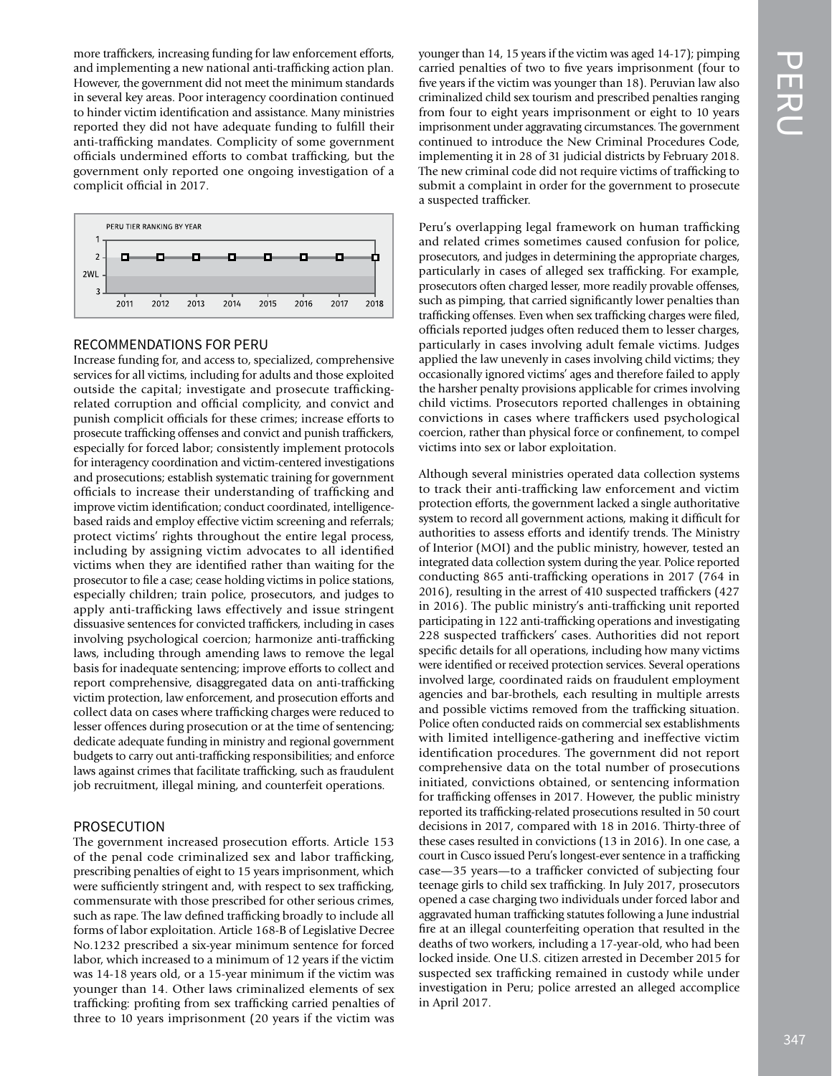more traffickers, increasing funding for law enforcement efforts, and implementing a new national anti-trafficking action plan. However, the government did not meet the minimum standards in several key areas. Poor interagency coordination continued to hinder victim identification and assistance. Many ministries reported they did not have adequate funding to fulfill their anti-trafficking mandates. Complicity of some government officials undermined efforts to combat trafficking, but the government only reported one ongoing investigation of a complicit official in 2017.



### RECOMMENDATIONS FOR PERU

Increase funding for, and access to, specialized, comprehensive services for all victims, including for adults and those exploited outside the capital; investigate and prosecute traffickingrelated corruption and official complicity, and convict and punish complicit officials for these crimes; increase efforts to prosecute trafficking offenses and convict and punish traffickers, especially for forced labor; consistently implement protocols for interagency coordination and victim-centered investigations and prosecutions; establish systematic training for government officials to increase their understanding of trafficking and improve victim identification; conduct coordinated, intelligencebased raids and employ effective victim screening and referrals; protect victims' rights throughout the entire legal process, including by assigning victim advocates to all identified victims when they are identified rather than waiting for the prosecutor to file a case; cease holding victims in police stations, especially children; train police, prosecutors, and judges to apply anti-trafficking laws effectively and issue stringent dissuasive sentences for convicted traffickers, including in cases involving psychological coercion; harmonize anti-trafficking laws, including through amending laws to remove the legal basis for inadequate sentencing; improve efforts to collect and report comprehensive, disaggregated data on anti-trafficking victim protection, law enforcement, and prosecution efforts and collect data on cases where trafficking charges were reduced to lesser offences during prosecution or at the time of sentencing; dedicate adequate funding in ministry and regional government budgets to carry out anti-trafficking responsibilities; and enforce laws against crimes that facilitate trafficking, such as fraudulent job recruitment, illegal mining, and counterfeit operations.

### PROSECUTION

The government increased prosecution efforts. Article 153 of the penal code criminalized sex and labor trafficking, prescribing penalties of eight to 15 years imprisonment, which were sufficiently stringent and, with respect to sex trafficking, commensurate with those prescribed for other serious crimes, such as rape. The law defined trafficking broadly to include all forms of labor exploitation. Article 168-B of Legislative Decree No.1232 prescribed a six-year minimum sentence for forced labor, which increased to a minimum of 12 years if the victim was 14-18 years old, or a 15-year minimum if the victim was younger than 14. Other laws criminalized elements of sex trafficking: profiting from sex trafficking carried penalties of three to 10 years imprisonment (20 years if the victim was younger than 14, 15 years if the victim was aged 14-17); pimping carried penalties of two to five years imprisonment (four to five years if the victim was younger than 18). Peruvian law also criminalized child sex tourism and prescribed penalties ranging from four to eight years imprisonment or eight to 10 years imprisonment under aggravating circumstances. The government continued to introduce the New Criminal Procedures Code, implementing it in 28 of 31 judicial districts by February 2018. The new criminal code did not require victims of trafficking to submit a complaint in order for the government to prosecute a suspected trafficker.

Peru's overlapping legal framework on human trafficking and related crimes sometimes caused confusion for police, prosecutors, and judges in determining the appropriate charges, particularly in cases of alleged sex trafficking. For example, prosecutors often charged lesser, more readily provable offenses, such as pimping, that carried significantly lower penalties than trafficking offenses. Even when sex trafficking charges were filed, officials reported judges often reduced them to lesser charges, particularly in cases involving adult female victims. Judges applied the law unevenly in cases involving child victims; they occasionally ignored victims' ages and therefore failed to apply the harsher penalty provisions applicable for crimes involving child victims. Prosecutors reported challenges in obtaining convictions in cases where traffickers used psychological coercion, rather than physical force or confinement, to compel victims into sex or labor exploitation.

Although several ministries operated data collection systems to track their anti-trafficking law enforcement and victim protection efforts, the government lacked a single authoritative system to record all government actions, making it difficult for authorities to assess efforts and identify trends. The Ministry of Interior (MOI) and the public ministry, however, tested an integrated data collection system during the year. Police reported conducting 865 anti-trafficking operations in 2017 (764 in 2016), resulting in the arrest of 410 suspected traffickers (427 in 2016). The public ministry's anti-trafficking unit reported participating in 122 anti-trafficking operations and investigating 228 suspected traffickers' cases. Authorities did not report specific details for all operations, including how many victims were identified or received protection services. Several operations involved large, coordinated raids on fraudulent employment agencies and bar-brothels, each resulting in multiple arrests and possible victims removed from the trafficking situation. Police often conducted raids on commercial sex establishments with limited intelligence-gathering and ineffective victim identification procedures. The government did not report comprehensive data on the total number of prosecutions initiated, convictions obtained, or sentencing information for trafficking offenses in 2017. However, the public ministry reported its trafficking-related prosecutions resulted in 50 court decisions in 2017, compared with 18 in 2016. Thirty-three of these cases resulted in convictions (13 in 2016). In one case, a court in Cusco issued Peru's longest-ever sentence in a trafficking case—35 years—to a trafficker convicted of subjecting four teenage girls to child sex trafficking. In July 2017, prosecutors opened a case charging two individuals under forced labor and aggravated human trafficking statutes following a June industrial fire at an illegal counterfeiting operation that resulted in the deaths of two workers, including a 17-year-old, who had been locked inside. One U.S. citizen arrested in December 2015 for suspected sex trafficking remained in custody while under investigation in Peru; police arrested an alleged accomplice in April 2017.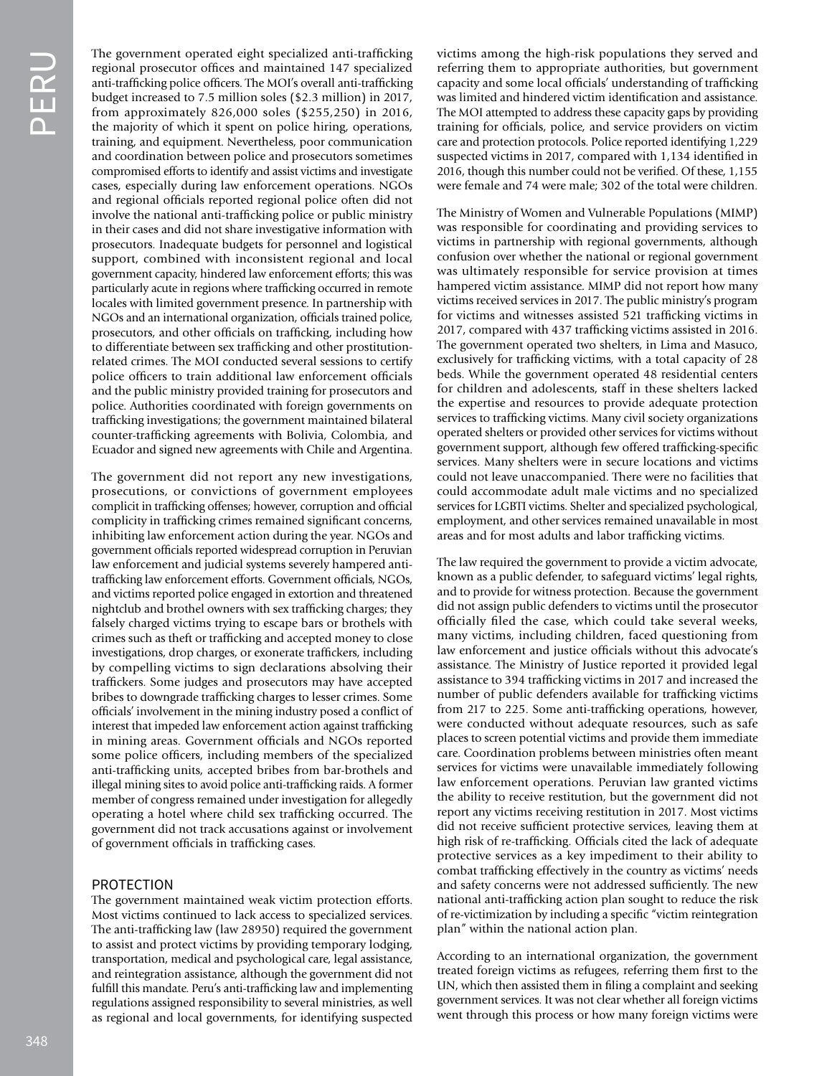The government operation and difficiling procedure and the material of the specifical specific inference in a statistic properties and reaching the control of the specific method in the specific method in the specific met regional prosecutor offices and maintained 147 specialized anti-trafficking police officers. The MOI's overall anti-trafficking budget increased to 7.5 million soles (\$2.3 million) in 2017, from approximately 826,000 soles (\$255,250) in 2016, the majority of which it spent on police hiring, operations, training, and equipment. Nevertheless, poor communication and coordination between police and prosecutors sometimes compromised efforts to identify and assist victims and investigate cases, especially during law enforcement operations. NGOs and regional officials reported regional police often did not involve the national anti-trafficking police or public ministry in their cases and did not share investigative information with prosecutors. Inadequate budgets for personnel and logistical support, combined with inconsistent regional and local government capacity, hindered law enforcement efforts; this was particularly acute in regions where trafficking occurred in remote locales with limited government presence. In partnership with NGOs and an international organization, officials trained police, prosecutors, and other officials on trafficking, including how to differentiate between sex trafficking and other prostitutionrelated crimes. The MOI conducted several sessions to certify police officers to train additional law enforcement officials and the public ministry provided training for prosecutors and police. Authorities coordinated with foreign governments on trafficking investigations; the government maintained bilateral counter-trafficking agreements with Bolivia, Colombia, and Ecuador and signed new agreements with Chile and Argentina.

The government did not report any new investigations, prosecutions, or convictions of government employees complicit in trafficking offenses; however, corruption and official complicity in trafficking crimes remained significant concerns, inhibiting law enforcement action during the year. NGOs and government officials reported widespread corruption in Peruvian law enforcement and judicial systems severely hampered antitrafficking law enforcement efforts. Government officials, NGOs, and victims reported police engaged in extortion and threatened nightclub and brothel owners with sex trafficking charges; they falsely charged victims trying to escape bars or brothels with crimes such as theft or trafficking and accepted money to close investigations, drop charges, or exonerate traffickers, including by compelling victims to sign declarations absolving their traffickers. Some judges and prosecutors may have accepted bribes to downgrade trafficking charges to lesser crimes. Some officials' involvement in the mining industry posed a conflict of interest that impeded law enforcement action against trafficking in mining areas. Government officials and NGOs reported some police officers, including members of the specialized anti-trafficking units, accepted bribes from bar-brothels and illegal mining sites to avoid police anti-trafficking raids. A former member of congress remained under investigation for allegedly operating a hotel where child sex trafficking occurred. The government did not track accusations against or involvement of government officials in trafficking cases.

### PROTECTION

The government maintained weak victim protection efforts. Most victims continued to lack access to specialized services. The anti-trafficking law (law 28950) required the government to assist and protect victims by providing temporary lodging, transportation, medical and psychological care, legal assistance, and reintegration assistance, although the government did not fulfill this mandate. Peru's anti-trafficking law and implementing regulations assigned responsibility to several ministries, as well as regional and local governments, for identifying suspected

victims among the high-risk populations they served and referring them to appropriate authorities, but government capacity and some local officials' understanding of trafficking was limited and hindered victim identification and assistance. The MOI attempted to address these capacity gaps by providing training for officials, police, and service providers on victim care and protection protocols. Police reported identifying 1,229 suspected victims in 2017, compared with 1,134 identified in 2016, though this number could not be verified. Of these, 1,155 were female and 74 were male; 302 of the total were children.

The Ministry of Women and Vulnerable Populations (MIMP) was responsible for coordinating and providing services to victims in partnership with regional governments, although confusion over whether the national or regional government was ultimately responsible for service provision at times hampered victim assistance. MIMP did not report how many victims received services in 2017. The public ministry's program for victims and witnesses assisted 521 trafficking victims in 2017, compared with 437 trafficking victims assisted in 2016. The government operated two shelters, in Lima and Masuco, exclusively for trafficking victims, with a total capacity of 28 beds. While the government operated 48 residential centers for children and adolescents, staff in these shelters lacked the expertise and resources to provide adequate protection services to trafficking victims. Many civil society organizations operated shelters or provided other services for victims without government support, although few offered trafficking-specific services. Many shelters were in secure locations and victims could not leave unaccompanied. There were no facilities that could accommodate adult male victims and no specialized services for LGBTI victims. Shelter and specialized psychological, employment, and other services remained unavailable in most areas and for most adults and labor trafficking victims.

The law required the government to provide a victim advocate, known as a public defender, to safeguard victims' legal rights, and to provide for witness protection. Because the government did not assign public defenders to victims until the prosecutor officially filed the case, which could take several weeks, many victims, including children, faced questioning from law enforcement and justice officials without this advocate's assistance. The Ministry of Justice reported it provided legal assistance to 394 trafficking victims in 2017 and increased the number of public defenders available for trafficking victims from 217 to 225. Some anti-trafficking operations, however, were conducted without adequate resources, such as safe places to screen potential victims and provide them immediate care. Coordination problems between ministries often meant services for victims were unavailable immediately following law enforcement operations. Peruvian law granted victims the ability to receive restitution, but the government did not report any victims receiving restitution in 2017. Most victims did not receive sufficient protective services, leaving them at high risk of re-trafficking. Officials cited the lack of adequate protective services as a key impediment to their ability to combat trafficking effectively in the country as victims' needs and safety concerns were not addressed sufficiently. The new national anti-trafficking action plan sought to reduce the risk of re-victimization by including a specific "victim reintegration plan" within the national action plan.

According to an international organization, the government treated foreign victims as refugees, referring them first to the UN, which then assisted them in filing a complaint and seeking government services. It was not clear whether all foreign victims went through this process or how many foreign victims were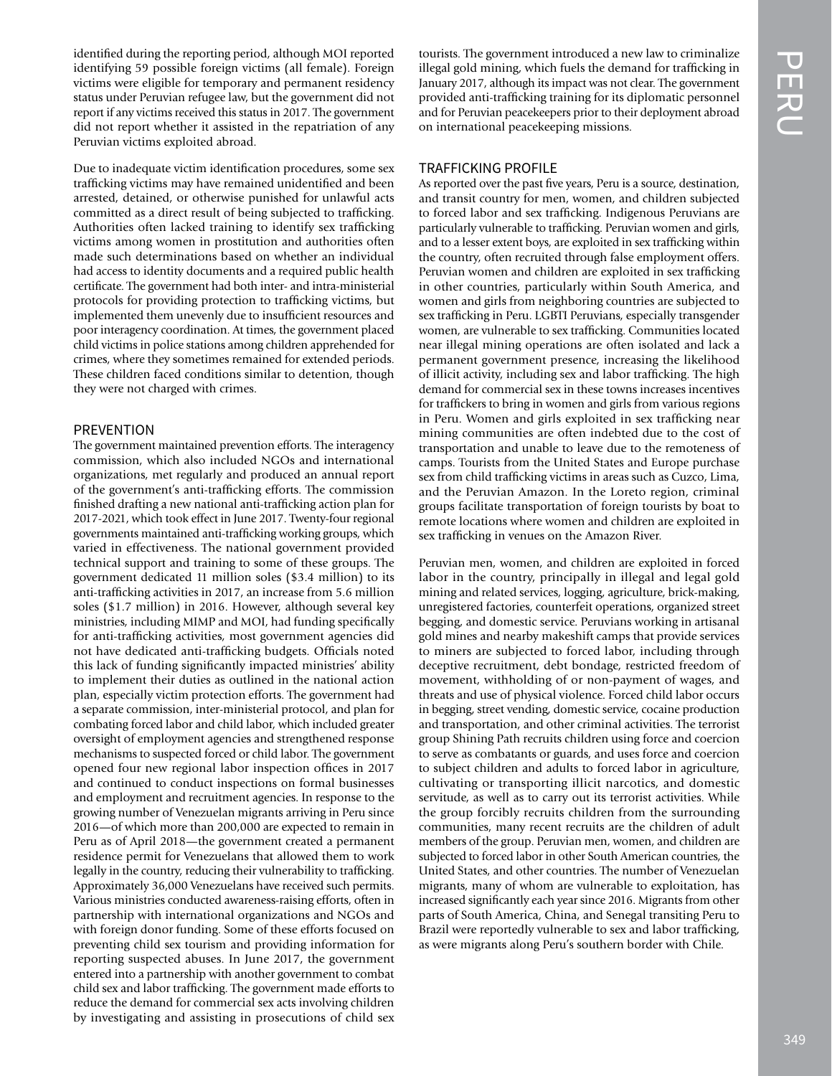identified during the reporting period, although MOI reported identifying 59 possible foreign victims (all female). Foreign victims were eligible for temporary and permanent residency status under Peruvian refugee law, but the government did not report if any victims received this status in 2017. The government did not report whether it assisted in the repatriation of any Peruvian victims exploited abroad.

Due to inadequate victim identification procedures, some sex trafficking victims may have remained unidentified and been arrested, detained, or otherwise punished for unlawful acts committed as a direct result of being subjected to trafficking. Authorities often lacked training to identify sex trafficking victims among women in prostitution and authorities often made such determinations based on whether an individual had access to identity documents and a required public health certificate. The government had both inter- and intra-ministerial protocols for providing protection to trafficking victims, but implemented them unevenly due to insufficient resources and poor interagency coordination. At times, the government placed child victims in police stations among children apprehended for crimes, where they sometimes remained for extended periods. These children faced conditions similar to detention, though they were not charged with crimes.

### PREVENTION

The government maintained prevention efforts. The interagency commission, which also included NGOs and international organizations, met regularly and produced an annual report of the government's anti-trafficking efforts. The commission finished drafting a new national anti-trafficking action plan for 2017-2021, which took effect in June 2017. Twenty-four regional governments maintained anti-trafficking working groups, which varied in effectiveness. The national government provided technical support and training to some of these groups. The government dedicated 11 million soles (\$3.4 million) to its anti-trafficking activities in 2017, an increase from 5.6 million soles (\$1.7 million) in 2016. However, although several key ministries, including MIMP and MOI, had funding specifically for anti-trafficking activities, most government agencies did not have dedicated anti-trafficking budgets. Officials noted this lack of funding significantly impacted ministries' ability to implement their duties as outlined in the national action plan, especially victim protection efforts. The government had a separate commission, inter-ministerial protocol, and plan for combating forced labor and child labor, which included greater oversight of employment agencies and strengthened response mechanisms to suspected forced or child labor. The government opened four new regional labor inspection offices in 2017 and continued to conduct inspections on formal businesses and employment and recruitment agencies. In response to the growing number of Venezuelan migrants arriving in Peru since 2016—of which more than 200,000 are expected to remain in Peru as of April 2018—the government created a permanent residence permit for Venezuelans that allowed them to work legally in the country, reducing their vulnerability to trafficking. Approximately 36,000 Venezuelans have received such permits. Various ministries conducted awareness-raising efforts, often in partnership with international organizations and NGOs and with foreign donor funding. Some of these efforts focused on preventing child sex tourism and providing information for reporting suspected abuses. In June 2017, the government entered into a partnership with another government to combat child sex and labor trafficking. The government made efforts to reduce the demand for commercial sex acts involving children by investigating and assisting in prosecutions of child sex

tourists. The government introduced a new law to criminalize illegal gold mining, which fuels the demand for trafficking in January 2017, although its impact was not clear. The government provided anti-trafficking training for its diplomatic personnel and for Peruvian peacekeepers prior to their deployment abroad on international peacekeeping missions.

### TRAFFICKING PROFILE

As reported over the past five years, Peru is a source, destination, and transit country for men, women, and children subjected to forced labor and sex trafficking. Indigenous Peruvians are particularly vulnerable to trafficking. Peruvian women and girls, and to a lesser extent boys, are exploited in sex trafficking within the country, often recruited through false employment offers. Peruvian women and children are exploited in sex trafficking in other countries, particularly within South America, and women and girls from neighboring countries are subjected to sex trafficking in Peru. LGBTI Peruvians, especially transgender women, are vulnerable to sex trafficking. Communities located near illegal mining operations are often isolated and lack a permanent government presence, increasing the likelihood of illicit activity, including sex and labor trafficking. The high demand for commercial sex in these towns increases incentives for traffickers to bring in women and girls from various regions in Peru. Women and girls exploited in sex trafficking near mining communities are often indebted due to the cost of transportation and unable to leave due to the remoteness of camps. Tourists from the United States and Europe purchase sex from child trafficking victims in areas such as Cuzco, Lima, and the Peruvian Amazon. In the Loreto region, criminal groups facilitate transportation of foreign tourists by boat to remote locations where women and children are exploited in sex trafficking in venues on the Amazon River.

Peruvian men, women, and children are exploited in forced labor in the country, principally in illegal and legal gold mining and related services, logging, agriculture, brick-making, unregistered factories, counterfeit operations, organized street begging, and domestic service. Peruvians working in artisanal gold mines and nearby makeshift camps that provide services to miners are subjected to forced labor, including through deceptive recruitment, debt bondage, restricted freedom of movement, withholding of or non-payment of wages, and threats and use of physical violence. Forced child labor occurs in begging, street vending, domestic service, cocaine production and transportation, and other criminal activities. The terrorist group Shining Path recruits children using force and coercion to serve as combatants or guards, and uses force and coercion to subject children and adults to forced labor in agriculture, cultivating or transporting illicit narcotics, and domestic servitude, as well as to carry out its terrorist activities. While the group forcibly recruits children from the surrounding communities, many recent recruits are the children of adult members of the group. Peruvian men, women, and children are subjected to forced labor in other South American countries, the United States, and other countries. The number of Venezuelan migrants, many of whom are vulnerable to exploitation, has increased significantly each year since 2016. Migrants from other parts of South America, China, and Senegal transiting Peru to Brazil were reportedly vulnerable to sex and labor trafficking, as were migrants along Peru's southern border with Chile.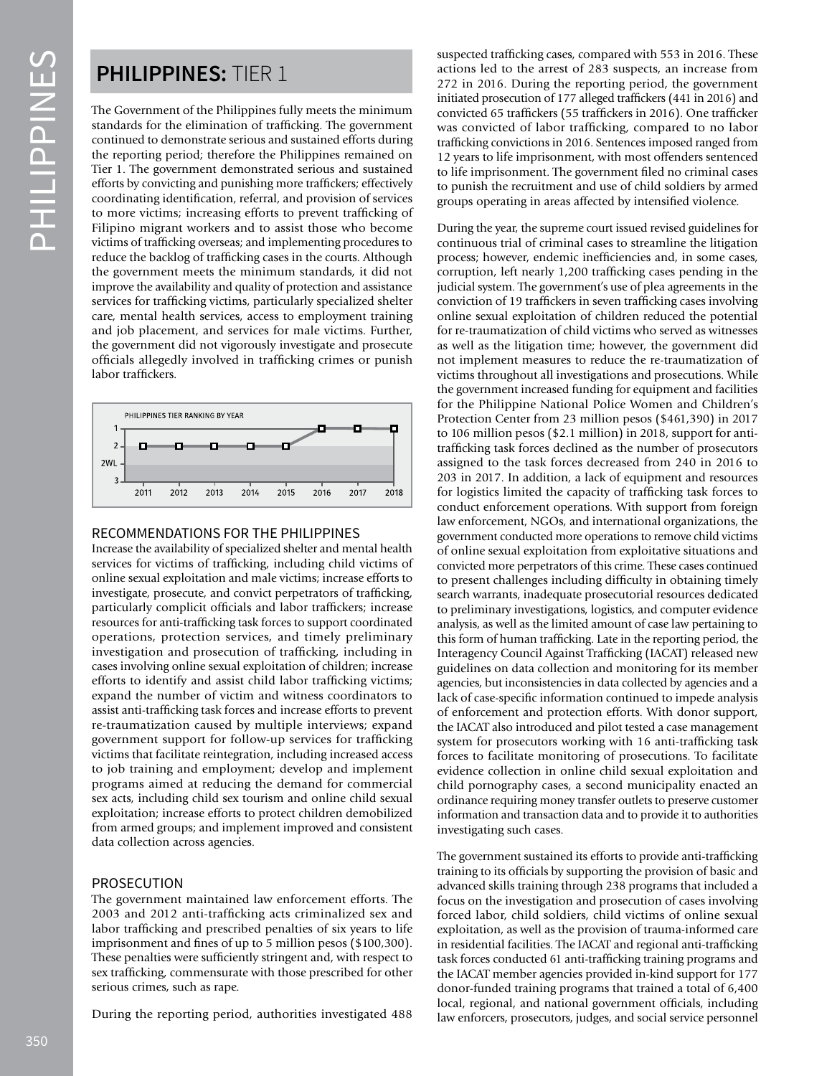# **PHILIPPINES:** TIER 1

The Government of the Philippines fully meets the minimum standards for the elimination of trafficking. The government continued to demonstrate serious and sustained efforts during the reporting period; therefore the Philippines remained on Tier 1. The government demonstrated serious and sustained efforts by convicting and punishing more traffickers; effectively coordinating identification, referral, and provision of services to more victims; increasing efforts to prevent trafficking of Filipino migrant workers and to assist those who become victims of trafficking overseas; and implementing procedures to reduce the backlog of trafficking cases in the courts. Although the government meets the minimum standards, it did not improve the availability and quality of protection and assistance services for trafficking victims, particularly specialized shelter care, mental health services, access to employment training and job placement, and services for male victims. Further, the government did not vigorously investigate and prosecute officials allegedly involved in trafficking crimes or punish labor traffickers.



### RECOMMENDATIONS FOR THE PHILIPPINES

Increase the availability of specialized shelter and mental health services for victims of trafficking, including child victims of online sexual exploitation and male victims; increase efforts to investigate, prosecute, and convict perpetrators of trafficking, particularly complicit officials and labor traffickers; increase resources for anti-trafficking task forces to support coordinated operations, protection services, and timely preliminary investigation and prosecution of trafficking, including in cases involving online sexual exploitation of children; increase efforts to identify and assist child labor trafficking victims; expand the number of victim and witness coordinators to assist anti-trafficking task forces and increase efforts to prevent re-traumatization caused by multiple interviews; expand government support for follow-up services for trafficking victims that facilitate reintegration, including increased access to job training and employment; develop and implement programs aimed at reducing the demand for commercial sex acts, including child sex tourism and online child sexual exploitation; increase efforts to protect children demobilized from armed groups; and implement improved and consistent data collection across agencies.

### PROSECUTION

The government maintained law enforcement efforts. The 2003 and 2012 anti-trafficking acts criminalized sex and labor trafficking and prescribed penalties of six years to life imprisonment and fines of up to 5 million pesos (\$100,300). These penalties were sufficiently stringent and, with respect to sex trafficking, commensurate with those prescribed for other serious crimes, such as rape.

During the reporting period, authorities investigated 488

suspected trafficking cases, compared with 553 in 2016. These actions led to the arrest of 283 suspects, an increase from 272 in 2016. During the reporting period, the government initiated prosecution of 177 alleged traffickers (441 in 2016) and convicted 65 traffickers (55 traffickers in 2016). One trafficker was convicted of labor trafficking, compared to no labor trafficking convictions in 2016. Sentences imposed ranged from 12 years to life imprisonment, with most offenders sentenced to life imprisonment. The government filed no criminal cases to punish the recruitment and use of child soldiers by armed groups operating in areas affected by intensified violence.

During the year, the supreme court issued revised guidelines for continuous trial of criminal cases to streamline the litigation process; however, endemic inefficiencies and, in some cases, corruption, left nearly 1,200 trafficking cases pending in the judicial system. The government's use of plea agreements in the conviction of 19 traffickers in seven trafficking cases involving online sexual exploitation of children reduced the potential for re-traumatization of child victims who served as witnesses as well as the litigation time; however, the government did not implement measures to reduce the re-traumatization of victims throughout all investigations and prosecutions. While the government increased funding for equipment and facilities for the Philippine National Police Women and Children's Protection Center from 23 million pesos (\$461,390) in 2017 to 106 million pesos (\$2.1 million) in 2018, support for antitrafficking task forces declined as the number of prosecutors assigned to the task forces decreased from 240 in 2016 to 203 in 2017. In addition, a lack of equipment and resources for logistics limited the capacity of trafficking task forces to conduct enforcement operations. With support from foreign law enforcement, NGOs, and international organizations, the government conducted more operations to remove child victims of online sexual exploitation from exploitative situations and convicted more perpetrators of this crime. These cases continued to present challenges including difficulty in obtaining timely search warrants, inadequate prosecutorial resources dedicated to preliminary investigations, logistics, and computer evidence analysis, as well as the limited amount of case law pertaining to this form of human trafficking. Late in the reporting period, the Interagency Council Against Trafficking (IACAT) released new guidelines on data collection and monitoring for its member agencies, but inconsistencies in data collected by agencies and a lack of case-specific information continued to impede analysis of enforcement and protection efforts. With donor support, the IACAT also introduced and pilot tested a case management system for prosecutors working with 16 anti-trafficking task forces to facilitate monitoring of prosecutions. To facilitate evidence collection in online child sexual exploitation and child pornography cases, a second municipality enacted an ordinance requiring money transfer outlets to preserve customer information and transaction data and to provide it to authorities investigating such cases.

The government sustained its efforts to provide anti-trafficking training to its officials by supporting the provision of basic and advanced skills training through 238 programs that included a focus on the investigation and prosecution of cases involving forced labor, child soldiers, child victims of online sexual exploitation, as well as the provision of trauma-informed care in residential facilities. The IACAT and regional anti-trafficking task forces conducted 61 anti-trafficking training programs and the IACAT member agencies provided in-kind support for 177 donor-funded training programs that trained a total of 6,400 local, regional, and national government officials, including law enforcers, prosecutors, judges, and social service personnel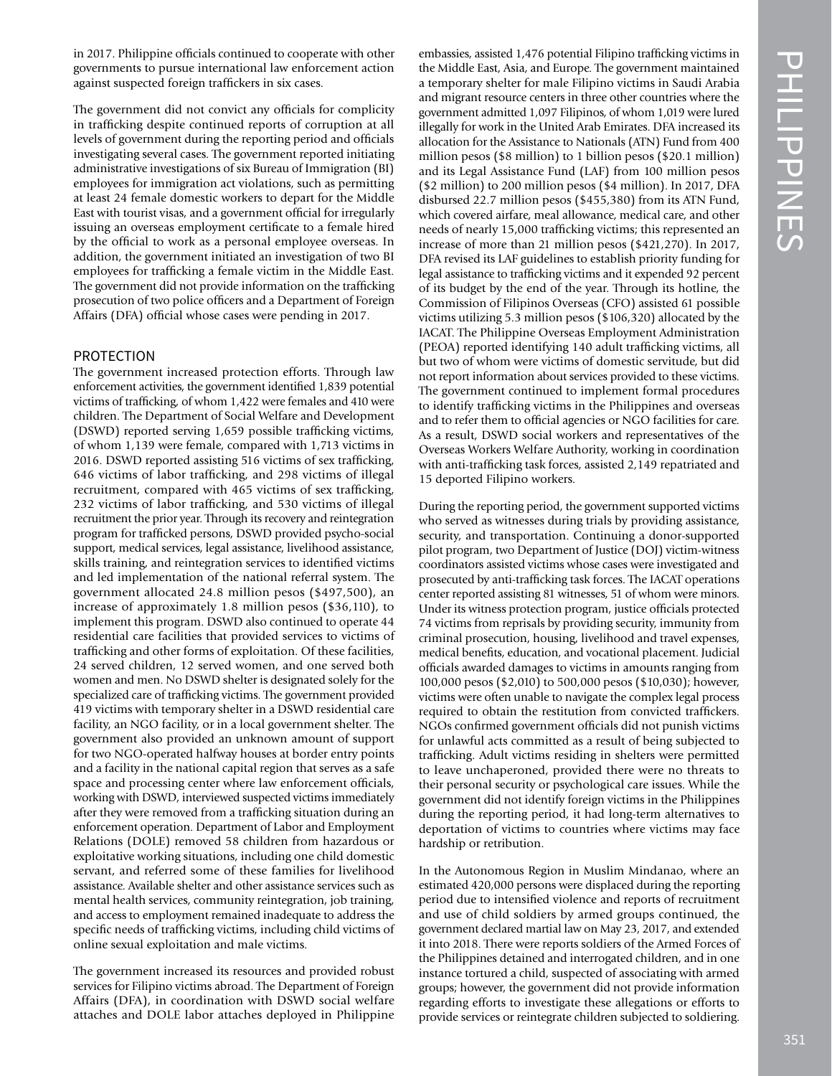in 2017. Philippine officials continued to cooperate with other governments to pursue international law enforcement action against suspected foreign traffickers in six cases.

The government did not convict any officials for complicity in trafficking despite continued reports of corruption at all levels of government during the reporting period and officials investigating several cases. The government reported initiating administrative investigations of six Bureau of Immigration (BI) employees for immigration act violations, such as permitting at least 24 female domestic workers to depart for the Middle East with tourist visas, and a government official for irregularly issuing an overseas employment certificate to a female hired by the official to work as a personal employee overseas. In addition, the government initiated an investigation of two BI employees for trafficking a female victim in the Middle East. The government did not provide information on the trafficking prosecution of two police officers and a Department of Foreign Affairs (DFA) official whose cases were pending in 2017.

### PROTECTION

The government increased protection efforts. Through law enforcement activities, the government identified 1,839 potential victims of trafficking, of whom 1,422 were females and 410 were children. The Department of Social Welfare and Development (DSWD) reported serving 1,659 possible trafficking victims, of whom 1,139 were female, compared with 1,713 victims in 2016. DSWD reported assisting 516 victims of sex trafficking, 646 victims of labor trafficking, and 298 victims of illegal recruitment, compared with 465 victims of sex trafficking, 232 victims of labor trafficking, and 530 victims of illegal recruitment the prior year. Through its recovery and reintegration program for trafficked persons, DSWD provided psycho-social support, medical services, legal assistance, livelihood assistance, skills training, and reintegration services to identified victims and led implementation of the national referral system. The government allocated 24.8 million pesos (\$497,500), an increase of approximately 1.8 million pesos (\$36,110), to implement this program. DSWD also continued to operate 44 residential care facilities that provided services to victims of trafficking and other forms of exploitation. Of these facilities, 24 served children, 12 served women, and one served both women and men. No DSWD shelter is designated solely for the specialized care of trafficking victims. The government provided 419 victims with temporary shelter in a DSWD residential care facility, an NGO facility, or in a local government shelter. The government also provided an unknown amount of support for two NGO-operated halfway houses at border entry points and a facility in the national capital region that serves as a safe space and processing center where law enforcement officials, working with DSWD, interviewed suspected victims immediately after they were removed from a trafficking situation during an enforcement operation. Department of Labor and Employment Relations (DOLE) removed 58 children from hazardous or exploitative working situations, including one child domestic servant, and referred some of these families for livelihood assistance. Available shelter and other assistance services such as mental health services, community reintegration, job training, and access to employment remained inadequate to address the specific needs of trafficking victims, including child victims of online sexual exploitation and male victims.

The government increased its resources and provided robust services for Filipino victims abroad. The Department of Foreign Affairs (DFA), in coordination with DSWD social welfare attaches and DOLE labor attaches deployed in Philippine embassies, assisted 1,476 potential Filipino trafficking victims in the Middle East, Asia, and Europe. The government maintained a temporary shelter for male Filipino victims in Saudi Arabia and migrant resource centers in three other countries where the government admitted 1,097 Filipinos, of whom 1,019 were lured illegally for work in the United Arab Emirates. DFA increased its allocation for the Assistance to Nationals (ATN) Fund from 400 million pesos (\$8 million) to 1 billion pesos (\$20.1 million) and its Legal Assistance Fund (LAF) from 100 million pesos (\$2 million) to 200 million pesos (\$4 million). In 2017, DFA disbursed 22.7 million pesos (\$455,380) from its ATN Fund, which covered airfare, meal allowance, medical care, and other needs of nearly 15,000 trafficking victims; this represented an increase of more than 21 million pesos (\$421,270). In 2017, DFA revised its LAF guidelines to establish priority funding for legal assistance to trafficking victims and it expended 92 percent of its budget by the end of the year. Through its hotline, the Commission of Filipinos Overseas (CFO) assisted 61 possible victims utilizing 5.3 million pesos (\$106,320) allocated by the IACAT. The Philippine Overseas Employment Administration (PEOA) reported identifying 140 adult trafficking victims, all but two of whom were victims of domestic servitude, but did not report information about services provided to these victims. The government continued to implement formal procedures to identify trafficking victims in the Philippines and overseas and to refer them to official agencies or NGO facilities for care. As a result, DSWD social workers and representatives of the Overseas Workers Welfare Authority, working in coordination with anti-trafficking task forces, assisted 2,149 repatriated and 15 deported Filipino workers.

During the reporting period, the government supported victims who served as witnesses during trials by providing assistance, security, and transportation. Continuing a donor-supported pilot program, two Department of Justice (DOJ) victim-witness coordinators assisted victims whose cases were investigated and prosecuted by anti-trafficking task forces. The IACAT operations center reported assisting 81 witnesses, 51 of whom were minors. Under its witness protection program, justice officials protected 74 victims from reprisals by providing security, immunity from criminal prosecution, housing, livelihood and travel expenses, medical benefits, education, and vocational placement. Judicial officials awarded damages to victims in amounts ranging from 100,000 pesos (\$2,010) to 500,000 pesos (\$10,030); however, victims were often unable to navigate the complex legal process required to obtain the restitution from convicted traffickers. NGOs confirmed government officials did not punish victims for unlawful acts committed as a result of being subjected to trafficking. Adult victims residing in shelters were permitted to leave unchaperoned, provided there were no threats to their personal security or psychological care issues. While the government did not identify foreign victims in the Philippines during the reporting period, it had long-term alternatives to deportation of victims to countries where victims may face hardship or retribution.

In the Autonomous Region in Muslim Mindanao, where an estimated 420,000 persons were displaced during the reporting period due to intensified violence and reports of recruitment and use of child soldiers by armed groups continued, the government declared martial law on May 23, 2017, and extended it into 2018. There were reports soldiers of the Armed Forces of the Philippines detained and interrogated children, and in one instance tortured a child, suspected of associating with armed groups; however, the government did not provide information regarding efforts to investigate these allegations or efforts to provide services or reintegrate children subjected to soldiering.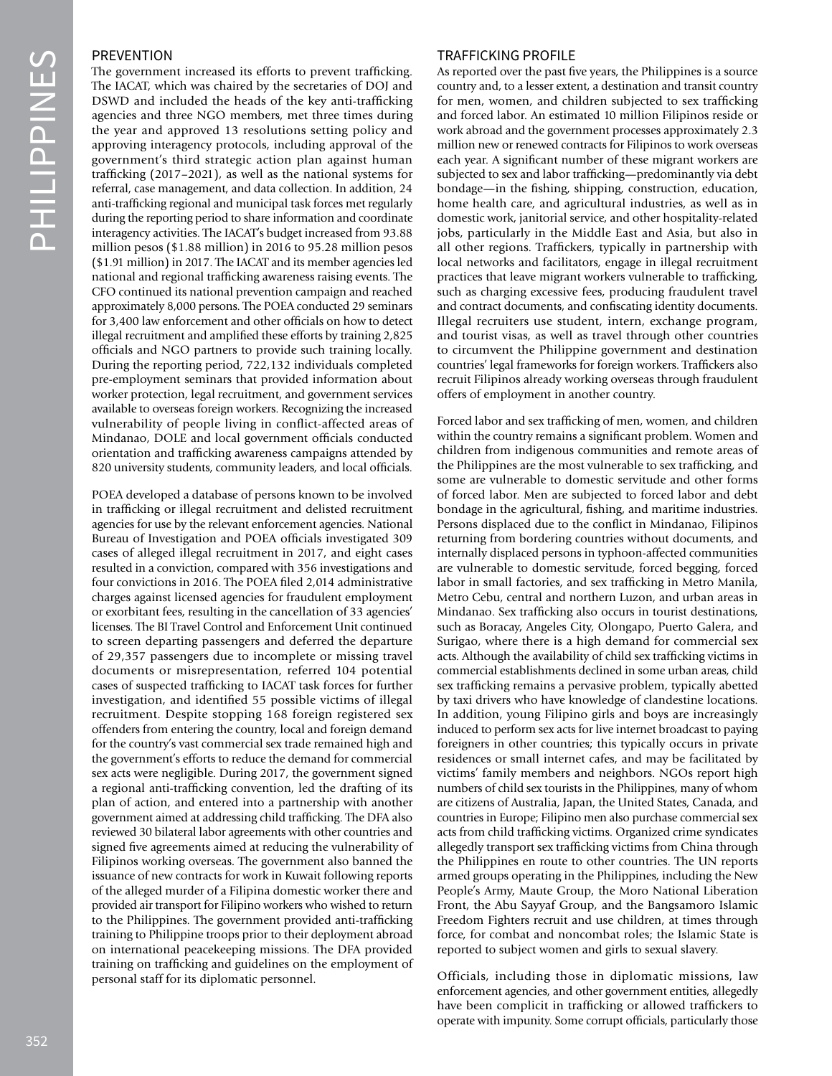### PREVENTION

PHILIPPINES

The government increased its efforts to prevent trafficking. The IACAT, which was chaired by the secretaries of DOJ and DSWD and included the heads of the key anti-trafficking agencies and three NGO members, met three times during the year and approved 13 resolutions setting policy and approving interagency protocols, including approval of the government's third strategic action plan against human trafficking (2017–2021), as well as the national systems for referral, case management, and data collection. In addition, 24 anti-trafficking regional and municipal task forces met regularly during the reporting period to share information and coordinate interagency activities. The IACAT's budget increased from 93.88 million pesos (\$1.88 million) in 2016 to 95.28 million pesos (\$1.91 million) in 2017. The IACAT and its member agencies led national and regional trafficking awareness raising events. The CFO continued its national prevention campaign and reached approximately 8,000 persons. The POEA conducted 29 seminars for 3,400 law enforcement and other officials on how to detect illegal recruitment and amplified these efforts by training 2,825 officials and NGO partners to provide such training locally. During the reporting period, 722,132 individuals completed pre-employment seminars that provided information about worker protection, legal recruitment, and government services available to overseas foreign workers. Recognizing the increased vulnerability of people living in conflict-affected areas of Mindanao, DOLE and local government officials conducted orientation and trafficking awareness campaigns attended by 820 university students, community leaders, and local officials.

**SEVENTION**<br>
The government<br>
The HACAT, whis meand and independent on the proton and independent and the pear and and approving inter government's trafficking (2011) metric of a start interrelation of the set of 3.400 law POEA developed a database of persons known to be involved in trafficking or illegal recruitment and delisted recruitment agencies for use by the relevant enforcement agencies. National Bureau of Investigation and POEA officials investigated 309 cases of alleged illegal recruitment in 2017, and eight cases resulted in a conviction, compared with 356 investigations and four convictions in 2016. The POEA filed 2,014 administrative charges against licensed agencies for fraudulent employment or exorbitant fees, resulting in the cancellation of 33 agencies' licenses. The BI Travel Control and Enforcement Unit continued to screen departing passengers and deferred the departure of 29,357 passengers due to incomplete or missing travel documents or misrepresentation, referred 104 potential cases of suspected trafficking to IACAT task forces for further investigation, and identified 55 possible victims of illegal recruitment. Despite stopping 168 foreign registered sex offenders from entering the country, local and foreign demand for the country's vast commercial sex trade remained high and the government's efforts to reduce the demand for commercial sex acts were negligible. During 2017, the government signed a regional anti-trafficking convention, led the drafting of its plan of action, and entered into a partnership with another government aimed at addressing child trafficking. The DFA also reviewed 30 bilateral labor agreements with other countries and signed five agreements aimed at reducing the vulnerability of Filipinos working overseas. The government also banned the issuance of new contracts for work in Kuwait following reports of the alleged murder of a Filipina domestic worker there and provided air transport for Filipino workers who wished to return to the Philippines. The government provided anti-trafficking training to Philippine troops prior to their deployment abroad on international peacekeeping missions. The DFA provided training on trafficking and guidelines on the employment of personal staff for its diplomatic personnel.

### TRAFFICKING PROFILE

As reported over the past five years, the Philippines is a source country and, to a lesser extent, a destination and transit country for men, women, and children subjected to sex trafficking and forced labor. An estimated 10 million Filipinos reside or work abroad and the government processes approximately 2.3 million new or renewed contracts for Filipinos to work overseas each year. A significant number of these migrant workers are subjected to sex and labor trafficking—predominantly via debt bondage—in the fishing, shipping, construction, education, home health care, and agricultural industries, as well as in domestic work, janitorial service, and other hospitality-related jobs, particularly in the Middle East and Asia, but also in all other regions. Traffickers, typically in partnership with local networks and facilitators, engage in illegal recruitment practices that leave migrant workers vulnerable to trafficking, such as charging excessive fees, producing fraudulent travel and contract documents, and confiscating identity documents. Illegal recruiters use student, intern, exchange program, and tourist visas, as well as travel through other countries to circumvent the Philippine government and destination countries' legal frameworks for foreign workers. Traffickers also recruit Filipinos already working overseas through fraudulent offers of employment in another country.

Forced labor and sex trafficking of men, women, and children within the country remains a significant problem. Women and children from indigenous communities and remote areas of the Philippines are the most vulnerable to sex trafficking, and some are vulnerable to domestic servitude and other forms of forced labor. Men are subjected to forced labor and debt bondage in the agricultural, fishing, and maritime industries. Persons displaced due to the conflict in Mindanao, Filipinos returning from bordering countries without documents, and internally displaced persons in typhoon-affected communities are vulnerable to domestic servitude, forced begging, forced labor in small factories, and sex trafficking in Metro Manila, Metro Cebu, central and northern Luzon, and urban areas in Mindanao. Sex trafficking also occurs in tourist destinations, such as Boracay, Angeles City, Olongapo, Puerto Galera, and Surigao, where there is a high demand for commercial sex acts. Although the availability of child sex trafficking victims in commercial establishments declined in some urban areas, child sex trafficking remains a pervasive problem, typically abetted by taxi drivers who have knowledge of clandestine locations. In addition, young Filipino girls and boys are increasingly induced to perform sex acts for live internet broadcast to paying foreigners in other countries; this typically occurs in private residences or small internet cafes, and may be facilitated by victims' family members and neighbors. NGOs report high numbers of child sex tourists in the Philippines, many of whom are citizens of Australia, Japan, the United States, Canada, and countries in Europe; Filipino men also purchase commercial sex acts from child trafficking victims. Organized crime syndicates allegedly transport sex trafficking victims from China through the Philippines en route to other countries. The UN reports armed groups operating in the Philippines, including the New People's Army, Maute Group, the Moro National Liberation Front, the Abu Sayyaf Group, and the Bangsamoro Islamic Freedom Fighters recruit and use children, at times through force, for combat and noncombat roles; the Islamic State is reported to subject women and girls to sexual slavery.

Officials, including those in diplomatic missions, law enforcement agencies, and other government entities, allegedly have been complicit in trafficking or allowed traffickers to operate with impunity. Some corrupt officials, particularly those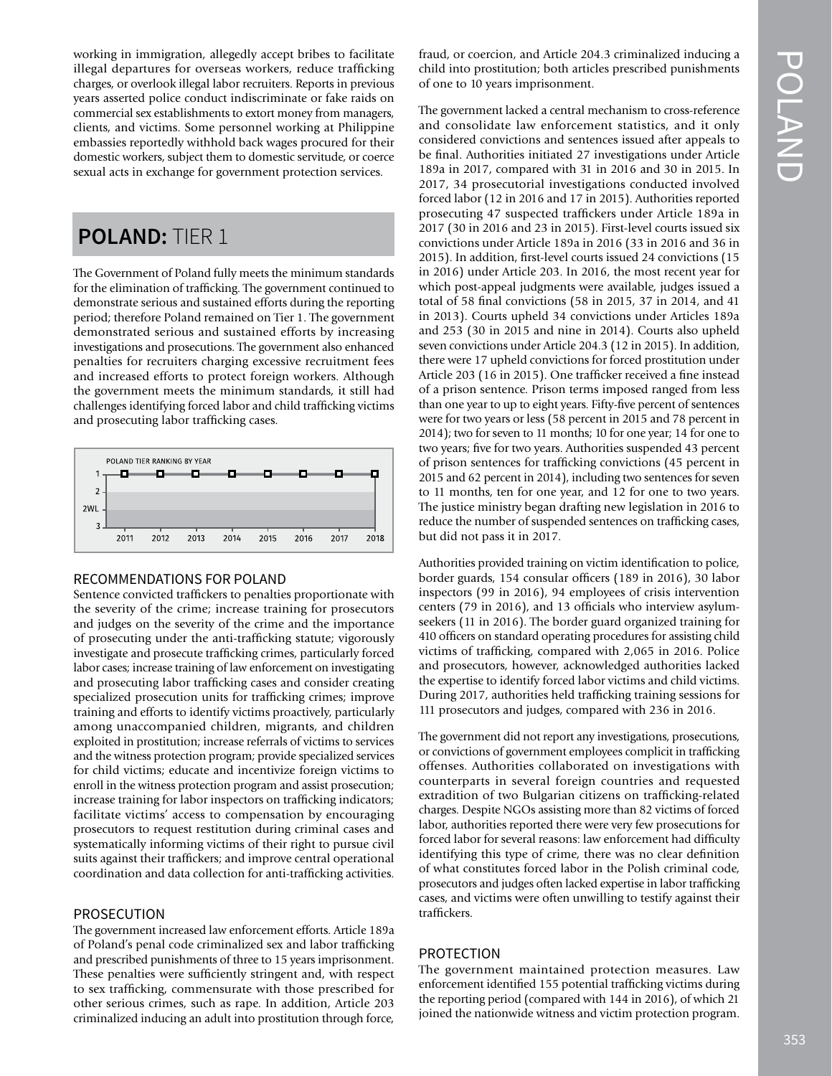working in immigration, allegedly accept bribes to facilitate illegal departures for overseas workers, reduce trafficking charges, or overlook illegal labor recruiters. Reports in previous years asserted police conduct indiscriminate or fake raids on commercial sex establishments to extort money from managers, clients, and victims. Some personnel working at Philippine embassies reportedly withhold back wages procured for their domestic workers, subject them to domestic servitude, or coerce sexual acts in exchange for government protection services.

# **POLAND:** TIER 1

The Government of Poland fully meets the minimum standards for the elimination of trafficking. The government continued to demonstrate serious and sustained efforts during the reporting period; therefore Poland remained on Tier 1. The government demonstrated serious and sustained efforts by increasing investigations and prosecutions. The government also enhanced penalties for recruiters charging excessive recruitment fees and increased efforts to protect foreign workers. Although the government meets the minimum standards, it still had challenges identifying forced labor and child trafficking victims and prosecuting labor trafficking cases.



### RECOMMENDATIONS FOR POLAND

Sentence convicted traffickers to penalties proportionate with the severity of the crime; increase training for prosecutors and judges on the severity of the crime and the importance of prosecuting under the anti-trafficking statute; vigorously investigate and prosecute trafficking crimes, particularly forced labor cases; increase training of law enforcement on investigating and prosecuting labor trafficking cases and consider creating specialized prosecution units for trafficking crimes; improve training and efforts to identify victims proactively, particularly among unaccompanied children, migrants, and children exploited in prostitution; increase referrals of victims to services and the witness protection program; provide specialized services for child victims; educate and incentivize foreign victims to enroll in the witness protection program and assist prosecution; increase training for labor inspectors on trafficking indicators; facilitate victims' access to compensation by encouraging prosecutors to request restitution during criminal cases and systematically informing victims of their right to pursue civil suits against their traffickers; and improve central operational coordination and data collection for anti-trafficking activities.

### PROSECUTION

The government increased law enforcement efforts. Article 189a of Poland's penal code criminalized sex and labor trafficking and prescribed punishments of three to 15 years imprisonment. These penalties were sufficiently stringent and, with respect to sex trafficking, commensurate with those prescribed for other serious crimes, such as rape. In addition, Article 203 criminalized inducing an adult into prostitution through force, fraud, or coercion, and Article 204.3 criminalized inducing a child into prostitution; both articles prescribed punishments of one to 10 years imprisonment.

The government lacked a central mechanism to cross-reference and consolidate law enforcement statistics, and it only considered convictions and sentences issued after appeals to be final. Authorities initiated 27 investigations under Article 189a in 2017, compared with 31 in 2016 and 30 in 2015. In 2017, 34 prosecutorial investigations conducted involved forced labor (12 in 2016 and 17 in 2015). Authorities reported prosecuting 47 suspected traffickers under Article 189a in 2017 (30 in 2016 and 23 in 2015). First-level courts issued six convictions under Article 189a in 2016 (33 in 2016 and 36 in 2015). In addition, first-level courts issued 24 convictions (15 in 2016) under Article 203. In 2016, the most recent year for which post-appeal judgments were available, judges issued a total of 58 final convictions (58 in 2015, 37 in 2014, and 41 in 2013). Courts upheld 34 convictions under Articles 189a and 253 (30 in 2015 and nine in 2014). Courts also upheld seven convictions under Article 204.3 (12 in 2015). In addition, there were 17 upheld convictions for forced prostitution under Article 203 (16 in 2015). One trafficker received a fine instead of a prison sentence. Prison terms imposed ranged from less than one year to up to eight years. Fifty-five percent of sentences were for two years or less (58 percent in 2015 and 78 percent in 2014); two for seven to 11 months; 10 for one year; 14 for one to two years; five for two years. Authorities suspended 43 percent of prison sentences for trafficking convictions (45 percent in 2015 and 62 percent in 2014), including two sentences for seven to 11 months, ten for one year, and 12 for one to two years. The justice ministry began drafting new legislation in 2016 to reduce the number of suspended sentences on trafficking cases, but did not pass it in 2017.

Authorities provided training on victim identification to police, border guards, 154 consular officers (189 in 2016), 30 labor inspectors (99 in 2016), 94 employees of crisis intervention centers (79 in 2016), and 13 officials who interview asylumseekers (11 in 2016). The border guard organized training for 410 officers on standard operating procedures for assisting child victims of trafficking, compared with 2,065 in 2016. Police and prosecutors, however, acknowledged authorities lacked the expertise to identify forced labor victims and child victims. During 2017, authorities held trafficking training sessions for 111 prosecutors and judges, compared with 236 in 2016.

The government did not report any investigations, prosecutions, or convictions of government employees complicit in trafficking offenses. Authorities collaborated on investigations with counterparts in several foreign countries and requested extradition of two Bulgarian citizens on trafficking-related charges. Despite NGOs assisting more than 82 victims of forced labor, authorities reported there were very few prosecutions for forced labor for several reasons: law enforcement had difficulty identifying this type of crime, there was no clear definition of what constitutes forced labor in the Polish criminal code, prosecutors and judges often lacked expertise in labor trafficking cases, and victims were often unwilling to testify against their traffickers.

### PROTECTION

The government maintained protection measures. Law enforcement identified 155 potential trafficking victims during the reporting period (compared with 144 in 2016), of which 21 joined the nationwide witness and victim protection program.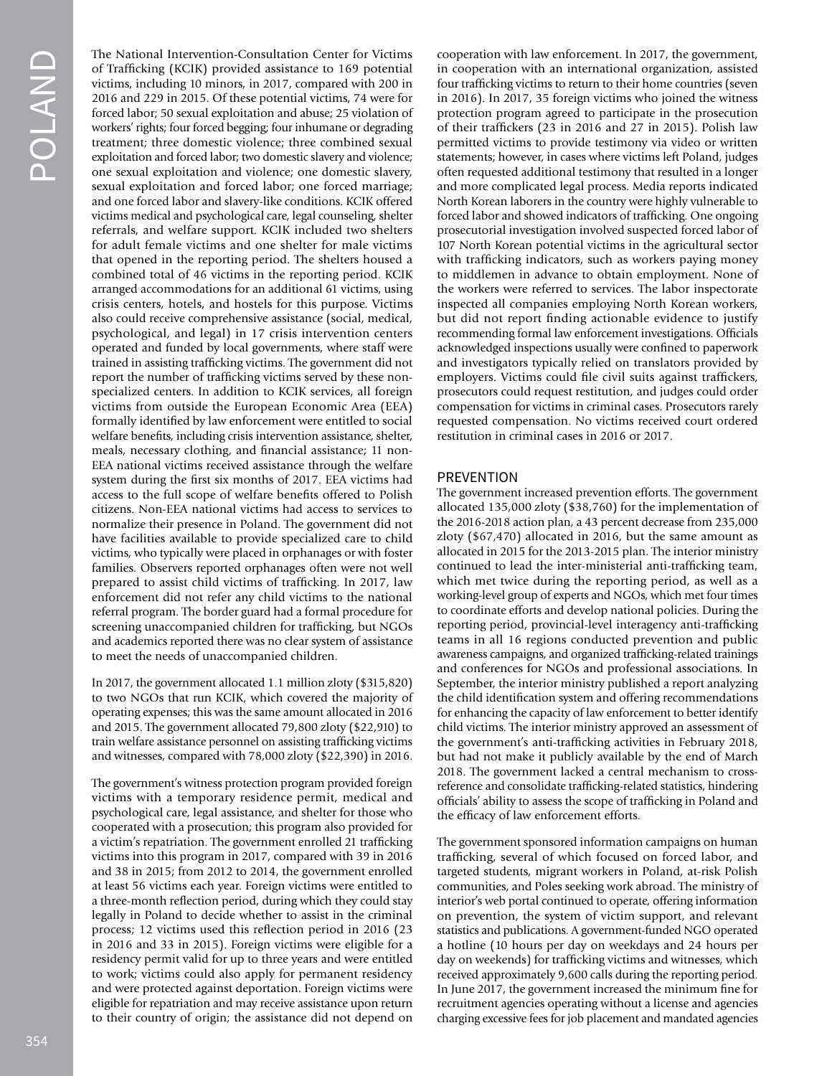The National Intervention Center for Victims (For Victims) when the National Intervention-Consultation Center for Victims) and the National Intervention Center of Mathematical Intervention-Consultation-Consultation Center of Trafficking (KCIK) provided assistance to 169 potential victims, including 10 minors, in 2017, compared with 200 in 2016 and 229 in 2015. Of these potential victims, 74 were for forced labor; 50 sexual exploitation and abuse; 25 violation of workers' rights; four forced begging; four inhumane or degrading treatment; three domestic violence; three combined sexual exploitation and forced labor; two domestic slavery and violence; one sexual exploitation and violence; one domestic slavery, sexual exploitation and forced labor; one forced marriage; and one forced labor and slavery-like conditions. KCIK offered victims medical and psychological care, legal counseling, shelter referrals, and welfare support. KCIK included two shelters for adult female victims and one shelter for male victims that opened in the reporting period. The shelters housed a combined total of 46 victims in the reporting period. KCIK arranged accommodations for an additional 61 victims, using crisis centers, hotels, and hostels for this purpose. Victims also could receive comprehensive assistance (social, medical, psychological, and legal) in 17 crisis intervention centers operated and funded by local governments, where staff were trained in assisting trafficking victims. The government did not report the number of trafficking victims served by these nonspecialized centers. In addition to KCIK services, all foreign victims from outside the European Economic Area (EEA) formally identified by law enforcement were entitled to social welfare benefits, including crisis intervention assistance, shelter, meals, necessary clothing, and financial assistance; 11 non-EEA national victims received assistance through the welfare system during the first six months of 2017. EEA victims had access to the full scope of welfare benefits offered to Polish citizens. Non-EEA national victims had access to services to normalize their presence in Poland. The government did not have facilities available to provide specialized care to child victims, who typically were placed in orphanages or with foster families. Observers reported orphanages often were not well prepared to assist child victims of trafficking. In 2017, law enforcement did not refer any child victims to the national referral program. The border guard had a formal procedure for screening unaccompanied children for trafficking, but NGOs and academics reported there was no clear system of assistance to meet the needs of unaccompanied children.

In 2017, the government allocated 1.1 million zloty (\$315,820) to two NGOs that run KCIK, which covered the majority of operating expenses; this was the same amount allocated in 2016 and 2015. The government allocated 79,800 zloty (\$22,910) to train welfare assistance personnel on assisting trafficking victims and witnesses, compared with 78,000 zloty (\$22,390) in 2016.

The government's witness protection program provided foreign victims with a temporary residence permit, medical and psychological care, legal assistance, and shelter for those who cooperated with a prosecution; this program also provided for a victim's repatriation. The government enrolled 21 trafficking victims into this program in 2017, compared with 39 in 2016 and 38 in 2015; from 2012 to 2014, the government enrolled at least 56 victims each year. Foreign victims were entitled to a three-month reflection period, during which they could stay legally in Poland to decide whether to assist in the criminal process; 12 victims used this reflection period in 2016 (23 in 2016 and 33 in 2015). Foreign victims were eligible for a residency permit valid for up to three years and were entitled to work; victims could also apply for permanent residency and were protected against deportation. Foreign victims were eligible for repatriation and may receive assistance upon return to their country of origin; the assistance did not depend on

cooperation with law enforcement. In 2017, the government, in cooperation with an international organization, assisted four trafficking victims to return to their home countries (seven in 2016). In 2017, 35 foreign victims who joined the witness protection program agreed to participate in the prosecution of their traffickers (23 in 2016 and 27 in 2015). Polish law permitted victims to provide testimony via video or written statements; however, in cases where victims left Poland, judges often requested additional testimony that resulted in a longer and more complicated legal process. Media reports indicated North Korean laborers in the country were highly vulnerable to forced labor and showed indicators of trafficking. One ongoing prosecutorial investigation involved suspected forced labor of 107 North Korean potential victims in the agricultural sector with trafficking indicators, such as workers paying money to middlemen in advance to obtain employment. None of the workers were referred to services. The labor inspectorate inspected all companies employing North Korean workers, but did not report finding actionable evidence to justify recommending formal law enforcement investigations. Officials acknowledged inspections usually were confined to paperwork and investigators typically relied on translators provided by employers. Victims could file civil suits against traffickers, prosecutors could request restitution, and judges could order compensation for victims in criminal cases. Prosecutors rarely requested compensation. No victims received court ordered restitution in criminal cases in 2016 or 2017.

### PREVENTION

The government increased prevention efforts. The government allocated 135,000 zloty (\$38,760) for the implementation of the 2016-2018 action plan, a 43 percent decrease from 235,000 zloty (\$67,470) allocated in 2016, but the same amount as allocated in 2015 for the 2013-2015 plan. The interior ministry continued to lead the inter-ministerial anti-trafficking team, which met twice during the reporting period, as well as a working-level group of experts and NGOs, which met four times to coordinate efforts and develop national policies. During the reporting period, provincial-level interagency anti-trafficking teams in all 16 regions conducted prevention and public awareness campaigns, and organized trafficking-related trainings and conferences for NGOs and professional associations. In September, the interior ministry published a report analyzing the child identification system and offering recommendations for enhancing the capacity of law enforcement to better identify child victims. The interior ministry approved an assessment of the government's anti-trafficking activities in February 2018, but had not make it publicly available by the end of March 2018. The government lacked a central mechanism to crossreference and consolidate trafficking-related statistics, hindering officials' ability to assess the scope of trafficking in Poland and the efficacy of law enforcement efforts.

The government sponsored information campaigns on human trafficking, several of which focused on forced labor, and targeted students, migrant workers in Poland, at-risk Polish communities, and Poles seeking work abroad. The ministry of interior's web portal continued to operate, offering information on prevention, the system of victim support, and relevant statistics and publications. A government-funded NGO operated a hotline (10 hours per day on weekdays and 24 hours per day on weekends) for trafficking victims and witnesses, which received approximately 9,600 calls during the reporting period. In June 2017, the government increased the minimum fine for recruitment agencies operating without a license and agencies charging excessive fees for job placement and mandated agencies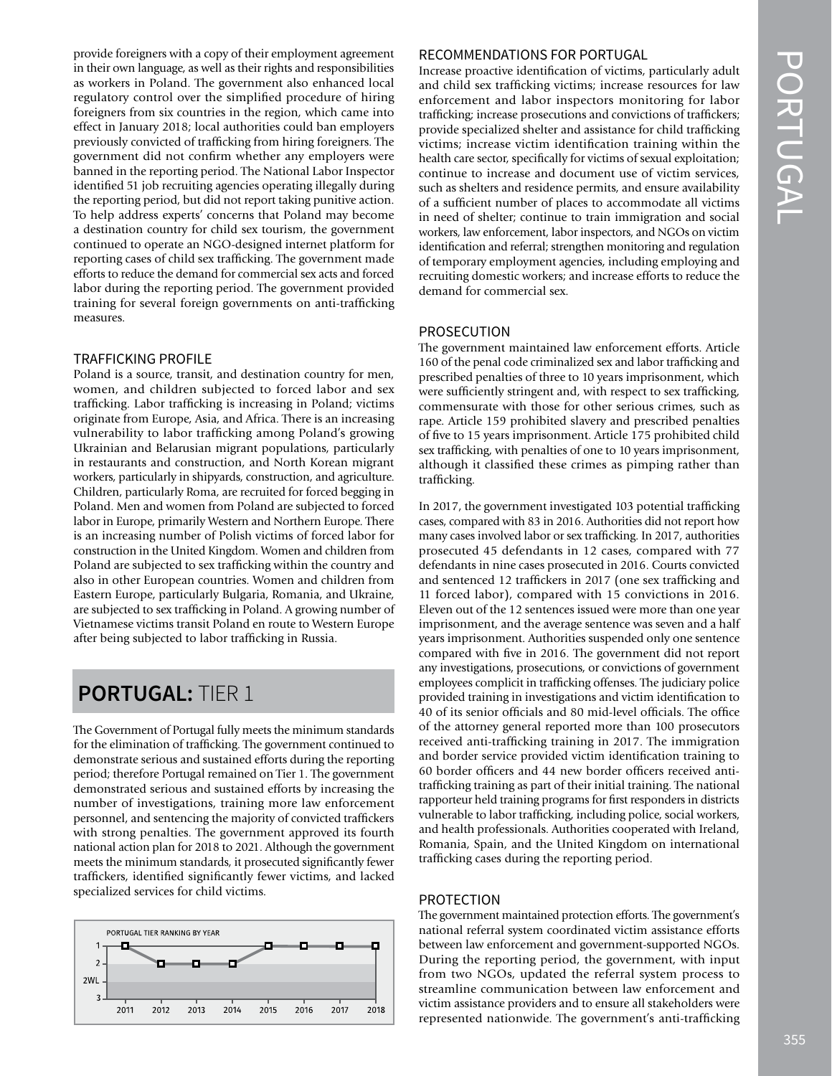provide foreigners with a copy of their employment agreement in their own language, as well as their rights and responsibilities as workers in Poland. The government also enhanced local regulatory control over the simplified procedure of hiring foreigners from six countries in the region, which came into effect in January 2018; local authorities could ban employers previously convicted of trafficking from hiring foreigners. The government did not confirm whether any employers were banned in the reporting period. The National Labor Inspector identified 51 job recruiting agencies operating illegally during the reporting period, but did not report taking punitive action. To help address experts' concerns that Poland may become a destination country for child sex tourism, the government continued to operate an NGO-designed internet platform for reporting cases of child sex trafficking. The government made efforts to reduce the demand for commercial sex acts and forced labor during the reporting period. The government provided training for several foreign governments on anti-trafficking measures.

### TRAFFICKING PROFILE

Poland is a source, transit, and destination country for men, women, and children subjected to forced labor and sex trafficking. Labor trafficking is increasing in Poland; victims originate from Europe, Asia, and Africa. There is an increasing vulnerability to labor trafficking among Poland's growing Ukrainian and Belarusian migrant populations, particularly in restaurants and construction, and North Korean migrant workers, particularly in shipyards, construction, and agriculture. Children, particularly Roma, are recruited for forced begging in Poland. Men and women from Poland are subjected to forced labor in Europe, primarily Western and Northern Europe. There is an increasing number of Polish victims of forced labor for construction in the United Kingdom. Women and children from Poland are subjected to sex trafficking within the country and also in other European countries. Women and children from Eastern Europe, particularly Bulgaria, Romania, and Ukraine, are subjected to sex trafficking in Poland. A growing number of Vietnamese victims transit Poland en route to Western Europe after being subjected to labor trafficking in Russia.

# **PORTUGAL:** TIER 1

The Government of Portugal fully meets the minimum standards for the elimination of trafficking. The government continued to demonstrate serious and sustained efforts during the reporting period; therefore Portugal remained on Tier 1. The government demonstrated serious and sustained efforts by increasing the number of investigations, training more law enforcement personnel, and sentencing the majority of convicted traffickers with strong penalties. The government approved its fourth national action plan for 2018 to 2021. Although the government meets the minimum standards, it prosecuted significantly fewer traffickers, identified significantly fewer victims, and lacked specialized services for child victims.



### RECOMMENDATIONS FOR PORTUGAL

Increase proactive identification of victims, particularly adult and child sex trafficking victims; increase resources for law enforcement and labor inspectors monitoring for labor trafficking; increase prosecutions and convictions of traffickers; provide specialized shelter and assistance for child trafficking victims; increase victim identification training within the health care sector, specifically for victims of sexual exploitation; continue to increase and document use of victim services, such as shelters and residence permits, and ensure availability of a sufficient number of places to accommodate all victims in need of shelter; continue to train immigration and social workers, law enforcement, labor inspectors, and NGOs on victim identification and referral; strengthen monitoring and regulation of temporary employment agencies, including employing and recruiting domestic workers; and increase efforts to reduce the demand for commercial sex.

### PROSECUTION

The government maintained law enforcement efforts. Article 160 of the penal code criminalized sex and labor trafficking and prescribed penalties of three to 10 years imprisonment, which were sufficiently stringent and, with respect to sex trafficking, commensurate with those for other serious crimes, such as rape. Article 159 prohibited slavery and prescribed penalties of five to 15 years imprisonment. Article 175 prohibited child sex trafficking, with penalties of one to 10 years imprisonment, although it classified these crimes as pimping rather than trafficking.

In 2017, the government investigated 103 potential trafficking cases, compared with 83 in 2016. Authorities did not report how many cases involved labor or sex trafficking. In 2017, authorities prosecuted 45 defendants in 12 cases, compared with 77 defendants in nine cases prosecuted in 2016. Courts convicted and sentenced 12 traffickers in 2017 (one sex trafficking and 11 forced labor), compared with 15 convictions in 2016. Eleven out of the 12 sentences issued were more than one year imprisonment, and the average sentence was seven and a half years imprisonment. Authorities suspended only one sentence compared with five in 2016. The government did not report any investigations, prosecutions, or convictions of government employees complicit in trafficking offenses. The judiciary police provided training in investigations and victim identification to 40 of its senior officials and 80 mid-level officials. The office of the attorney general reported more than 100 prosecutors received anti-trafficking training in 2017. The immigration and border service provided victim identification training to 60 border officers and 44 new border officers received antitrafficking training as part of their initial training. The national rapporteur held training programs for first responders in districts vulnerable to labor trafficking, including police, social workers, and health professionals. Authorities cooperated with Ireland, Romania, Spain, and the United Kingdom on international trafficking cases during the reporting period.

### PROTECTION

The government maintained protection efforts. The government's national referral system coordinated victim assistance efforts between law enforcement and government-supported NGOs. During the reporting period, the government, with input from two NGOs, updated the referral system process to streamline communication between law enforcement and victim assistance providers and to ensure all stakeholders were represented nationwide. The government's anti-trafficking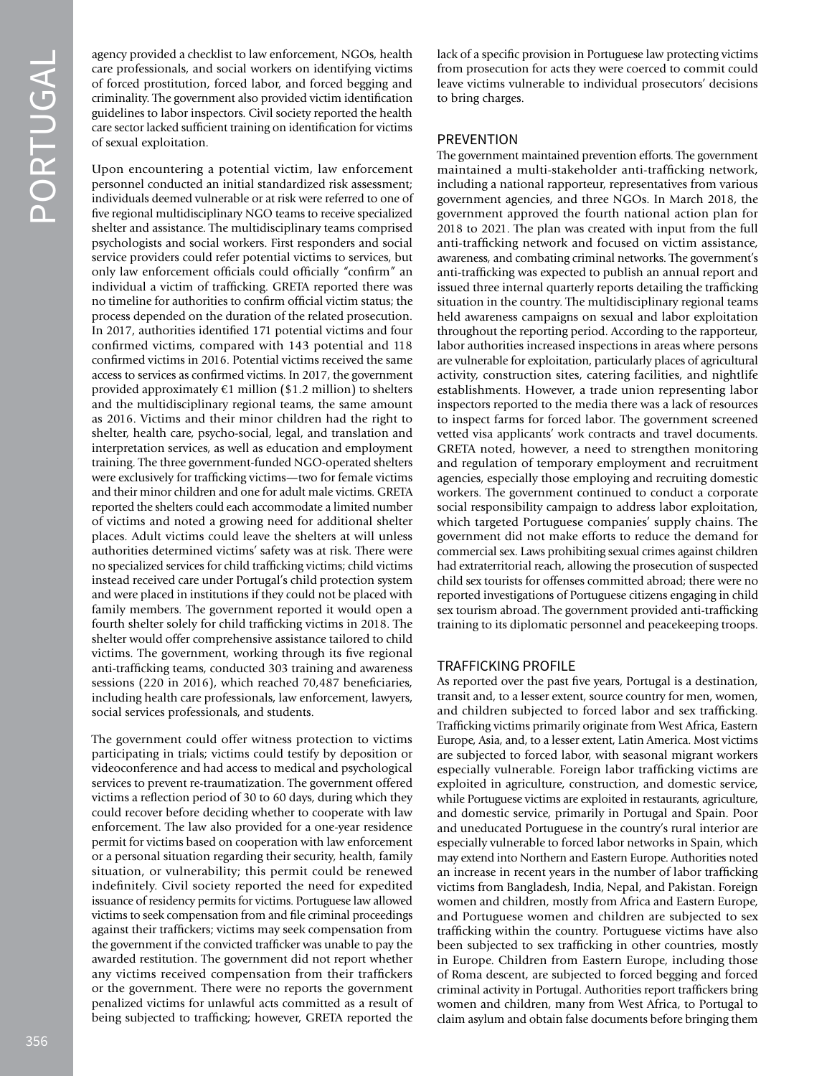care professionals, and social workers on identifying victims of forced prostitution, forced labor, and forced begging and criminality. The government also provided victim identification guidelines to labor inspectors. Civil society reported the health care sector lacked sufficient training on identification for victims of sexual exploitation.

Example provided a checklist to law enforcement, NGOs, health and consistent of the distribution, by consistent of the state of the state of the state of the state of the state of the state of the state of the state of th Upon encountering a potential victim, law enforcement personnel conducted an initial standardized risk assessment; individuals deemed vulnerable or at risk were referred to one of five regional multidisciplinary NGO teams to receive specialized shelter and assistance. The multidisciplinary teams comprised psychologists and social workers. First responders and social service providers could refer potential victims to services, but only law enforcement officials could officially "confirm" an individual a victim of trafficking. GRETA reported there was no timeline for authorities to confirm official victim status; the process depended on the duration of the related prosecution. In 2017, authorities identified 171 potential victims and four confirmed victims, compared with 143 potential and 118 confirmed victims in 2016. Potential victims received the same access to services as confirmed victims. In 2017, the government provided approximately  $\epsilon$ 1 million (\$1.2 million) to shelters and the multidisciplinary regional teams, the same amount as 2016. Victims and their minor children had the right to shelter, health care, psycho-social, legal, and translation and interpretation services, as well as education and employment training. The three government-funded NGO-operated shelters were exclusively for trafficking victims—two for female victims and their minor children and one for adult male victims. GRETA reported the shelters could each accommodate a limited number of victims and noted a growing need for additional shelter places. Adult victims could leave the shelters at will unless authorities determined victims' safety was at risk. There were no specialized services for child trafficking victims; child victims instead received care under Portugal's child protection system and were placed in institutions if they could not be placed with family members. The government reported it would open a fourth shelter solely for child trafficking victims in 2018. The shelter would offer comprehensive assistance tailored to child victims. The government, working through its five regional anti-trafficking teams, conducted 303 training and awareness sessions (220 in 2016), which reached 70,487 beneficiaries, including health care professionals, law enforcement, lawyers, social services professionals, and students.

The government could offer witness protection to victims participating in trials; victims could testify by deposition or videoconference and had access to medical and psychological services to prevent re-traumatization. The government offered victims a reflection period of 30 to 60 days, during which they could recover before deciding whether to cooperate with law enforcement. The law also provided for a one-year residence permit for victims based on cooperation with law enforcement or a personal situation regarding their security, health, family situation, or vulnerability; this permit could be renewed indefinitely. Civil society reported the need for expedited issuance of residency permits for victims. Portuguese law allowed victims to seek compensation from and file criminal proceedings against their traffickers; victims may seek compensation from the government if the convicted trafficker was unable to pay the awarded restitution. The government did not report whether any victims received compensation from their traffickers or the government. There were no reports the government penalized victims for unlawful acts committed as a result of being subjected to trafficking; however, GRETA reported the

lack of a specific provision in Portuguese law protecting victims from prosecution for acts they were coerced to commit could leave victims vulnerable to individual prosecutors' decisions to bring charges.

### PREVENTION

The government maintained prevention efforts. The government maintained a multi-stakeholder anti-trafficking network, including a national rapporteur, representatives from various government agencies, and three NGOs. In March 2018, the government approved the fourth national action plan for 2018 to 2021. The plan was created with input from the full anti-trafficking network and focused on victim assistance, awareness, and combating criminal networks. The government's anti-trafficking was expected to publish an annual report and issued three internal quarterly reports detailing the trafficking situation in the country. The multidisciplinary regional teams held awareness campaigns on sexual and labor exploitation throughout the reporting period. According to the rapporteur, labor authorities increased inspections in areas where persons are vulnerable for exploitation, particularly places of agricultural activity, construction sites, catering facilities, and nightlife establishments. However, a trade union representing labor inspectors reported to the media there was a lack of resources to inspect farms for forced labor. The government screened vetted visa applicants' work contracts and travel documents. GRETA noted, however, a need to strengthen monitoring and regulation of temporary employment and recruitment agencies, especially those employing and recruiting domestic workers. The government continued to conduct a corporate social responsibility campaign to address labor exploitation, which targeted Portuguese companies' supply chains. The government did not make efforts to reduce the demand for commercial sex. Laws prohibiting sexual crimes against children had extraterritorial reach, allowing the prosecution of suspected child sex tourists for offenses committed abroad; there were no reported investigations of Portuguese citizens engaging in child sex tourism abroad. The government provided anti-trafficking training to its diplomatic personnel and peacekeeping troops.

### TRAFFICKING PROFILE

As reported over the past five years, Portugal is a destination, transit and, to a lesser extent, source country for men, women, and children subjected to forced labor and sex trafficking. Trafficking victims primarily originate from West Africa, Eastern Europe, Asia, and, to a lesser extent, Latin America. Most victims are subjected to forced labor, with seasonal migrant workers especially vulnerable. Foreign labor trafficking victims are exploited in agriculture, construction, and domestic service, while Portuguese victims are exploited in restaurants, agriculture, and domestic service, primarily in Portugal and Spain. Poor and uneducated Portuguese in the country's rural interior are especially vulnerable to forced labor networks in Spain, which may extend into Northern and Eastern Europe. Authorities noted an increase in recent years in the number of labor trafficking victims from Bangladesh, India, Nepal, and Pakistan. Foreign women and children, mostly from Africa and Eastern Europe, and Portuguese women and children are subjected to sex trafficking within the country. Portuguese victims have also been subjected to sex trafficking in other countries, mostly in Europe. Children from Eastern Europe, including those of Roma descent, are subjected to forced begging and forced criminal activity in Portugal. Authorities report traffickers bring women and children, many from West Africa, to Portugal to claim asylum and obtain false documents before bringing them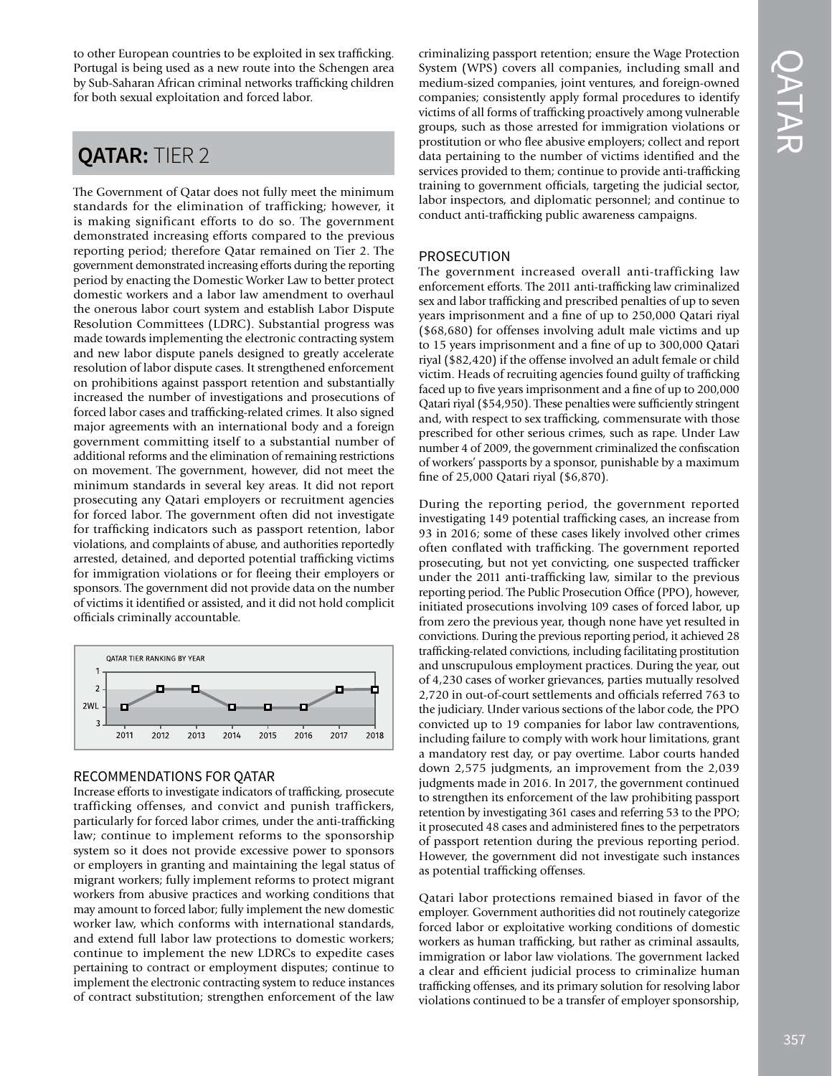to other European countries to be exploited in sex trafficking. Portugal is being used as a new route into the Schengen area by Sub-Saharan African criminal networks trafficking children for both sexual exploitation and forced labor.

# **QATAR:** TIER 2

The Government of Qatar does not fully meet the minimum standards for the elimination of trafficking; however, it is making significant efforts to do so. The government demonstrated increasing efforts compared to the previous reporting period; therefore Qatar remained on Tier 2. The government demonstrated increasing efforts during the reporting period by enacting the Domestic Worker Law to better protect domestic workers and a labor law amendment to overhaul the onerous labor court system and establish Labor Dispute Resolution Committees (LDRC). Substantial progress was made towards implementing the electronic contracting system and new labor dispute panels designed to greatly accelerate resolution of labor dispute cases. It strengthened enforcement on prohibitions against passport retention and substantially increased the number of investigations and prosecutions of forced labor cases and trafficking-related crimes. It also signed major agreements with an international body and a foreign government committing itself to a substantial number of additional reforms and the elimination of remaining restrictions on movement. The government, however, did not meet the minimum standards in several key areas. It did not report prosecuting any Qatari employers or recruitment agencies for forced labor. The government often did not investigate for trafficking indicators such as passport retention, labor violations, and complaints of abuse, and authorities reportedly arrested, detained, and deported potential trafficking victims for immigration violations or for fleeing their employers or sponsors. The government did not provide data on the number of victims it identified or assisted, and it did not hold complicit officials criminally accountable.



### RECOMMENDATIONS FOR QATAR

Increase efforts to investigate indicators of trafficking, prosecute trafficking offenses, and convict and punish traffickers, particularly for forced labor crimes, under the anti-trafficking law; continue to implement reforms to the sponsorship system so it does not provide excessive power to sponsors or employers in granting and maintaining the legal status of migrant workers; fully implement reforms to protect migrant workers from abusive practices and working conditions that may amount to forced labor; fully implement the new domestic worker law, which conforms with international standards, and extend full labor law protections to domestic workers; continue to implement the new LDRCs to expedite cases pertaining to contract or employment disputes; continue to implement the electronic contracting system to reduce instances of contract substitution; strengthen enforcement of the law criminalizing passport retention; ensure the Wage Protection System (WPS) covers all companies, including small and medium-sized companies, joint ventures, and foreign-owned companies; consistently apply formal procedures to identify victims of all forms of trafficking proactively among vulnerable groups, such as those arrested for immigration violations or prostitution or who flee abusive employers; collect and report data pertaining to the number of victims identified and the services provided to them; continue to provide anti-trafficking training to government officials, targeting the judicial sector, labor inspectors, and diplomatic personnel; and continue to conduct anti-trafficking public awareness campaigns.

### PROSECUTION

The government increased overall anti-trafficking law enforcement efforts. The 2011 anti-trafficking law criminalized sex and labor trafficking and prescribed penalties of up to seven years imprisonment and a fine of up to 250,000 Qatari riyal (\$68,680) for offenses involving adult male victims and up to 15 years imprisonment and a fine of up to 300,000 Qatari riyal (\$82,420) if the offense involved an adult female or child victim. Heads of recruiting agencies found guilty of trafficking faced up to five years imprisonment and a fine of up to 200,000 Qatari riyal (\$54,950). These penalties were sufficiently stringent and, with respect to sex trafficking, commensurate with those prescribed for other serious crimes, such as rape. Under Law number 4 of 2009, the government criminalized the confiscation of workers' passports by a sponsor, punishable by a maximum fine of 25,000 Qatari riyal (\$6,870).

During the reporting period, the government reported investigating 149 potential trafficking cases, an increase from 93 in 2016; some of these cases likely involved other crimes often conflated with trafficking. The government reported prosecuting, but not yet convicting, one suspected trafficker under the 2011 anti-trafficking law, similar to the previous reporting period. The Public Prosecution Office (PPO), however, initiated prosecutions involving 109 cases of forced labor, up from zero the previous year, though none have yet resulted in convictions. During the previous reporting period, it achieved 28 trafficking-related convictions, including facilitating prostitution and unscrupulous employment practices. During the year, out of 4,230 cases of worker grievances, parties mutually resolved 2,720 in out-of-court settlements and officials referred 763 to the judiciary. Under various sections of the labor code, the PPO convicted up to 19 companies for labor law contraventions, including failure to comply with work hour limitations, grant a mandatory rest day, or pay overtime. Labor courts handed down 2,575 judgments, an improvement from the 2,039 judgments made in 2016. In 2017, the government continued to strengthen its enforcement of the law prohibiting passport retention by investigating 361 cases and referring 53 to the PPO; it prosecuted 48 cases and administered fines to the perpetrators of passport retention during the previous reporting period. However, the government did not investigate such instances as potential trafficking offenses.

Qatari labor protections remained biased in favor of the employer. Government authorities did not routinely categorize forced labor or exploitative working conditions of domestic workers as human trafficking, but rather as criminal assaults, immigration or labor law violations. The government lacked a clear and efficient judicial process to criminalize human trafficking offenses, and its primary solution for resolving labor violations continued to be a transfer of employer sponsorship,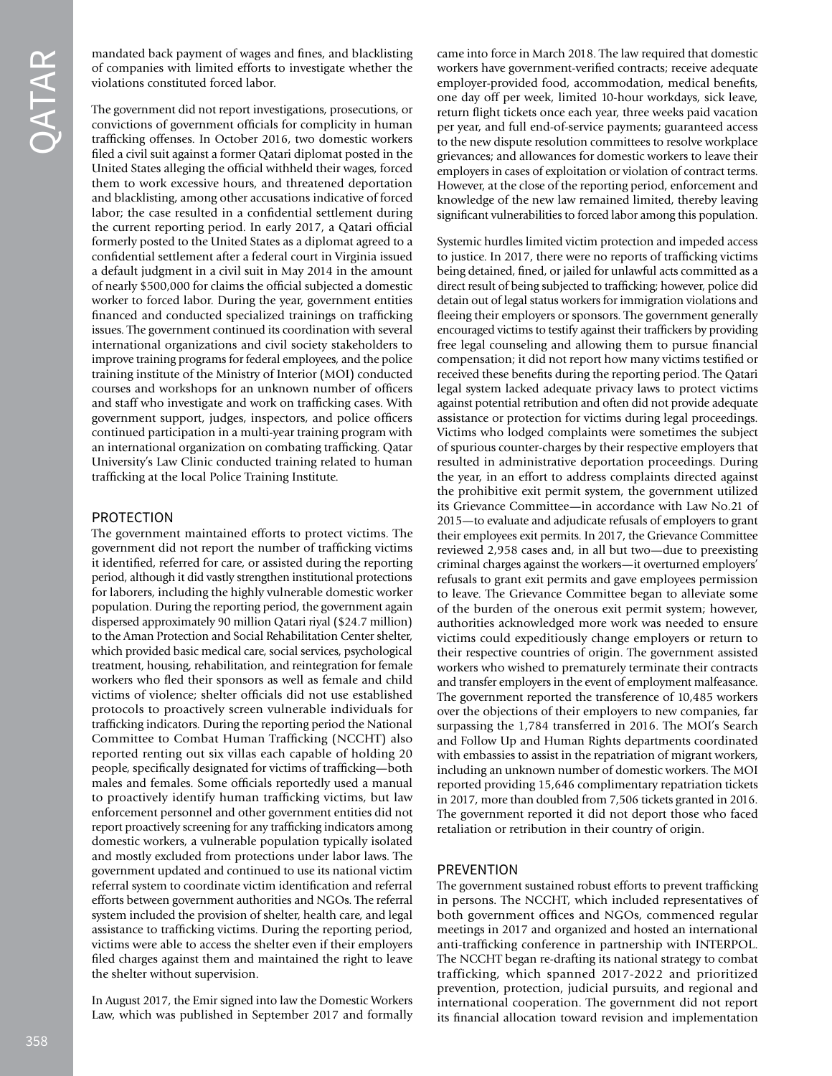of companies with limited efforts to investigate whether the violations constituted forced labor.

The government did not report investigations, prosecutions, or convictions of government officials for complicity in human trafficking offenses. In October 2016, two domestic workers filed a civil suit against a former Qatari diplomat posted in the United States alleging the official withheld their wages, forced them to work excessive hours, and threatened deportation and blacklisting, among other accusations indicative of forced labor; the case resulted in a confidential settlement during the current reporting period. In early 2017, a Qatari official formerly posted to the United States as a diplomat agreed to a confidential settlement after a federal court in Virginia issued a default judgment in a civil suit in May 2014 in the amount of nearly \$500,000 for claims the official subjected a domestic worker to forced labor. During the year, government entities financed and conducted specialized trainings on trafficking issues. The government continued its coordination with several international organizations and civil society stakeholders to improve training programs for federal employees, and the police training institute of the Ministry of Interior (MOI) conducted courses and workshops for an unknown number of officers and staff who investigate and work on trafficking cases. With government support, judges, inspectors, and police officers continued participation in a multi-year training program with an international organization on combating trafficking. Qatar University's Law Clinic conducted training related to human trafficking at the local Police Training Institute.

### PROTECTION

manulated back payment of way is and fines, and the same and the same and the same and the same and the same and the same and the same and the same and the same and the same and the same and the same and the same and the The government maintained efforts to protect victims. The government did not report the number of trafficking victims it identified, referred for care, or assisted during the reporting period, although it did vastly strengthen institutional protections for laborers, including the highly vulnerable domestic worker population. During the reporting period, the government again dispersed approximately 90 million Qatari riyal (\$24.7 million) to the Aman Protection and Social Rehabilitation Center shelter, which provided basic medical care, social services, psychological treatment, housing, rehabilitation, and reintegration for female workers who fled their sponsors as well as female and child victims of violence; shelter officials did not use established protocols to proactively screen vulnerable individuals for trafficking indicators. During the reporting period the National Committee to Combat Human Trafficking (NCCHT) also reported renting out six villas each capable of holding 20 people, specifically designated for victims of trafficking—both males and females. Some officials reportedly used a manual to proactively identify human trafficking victims, but law enforcement personnel and other government entities did not report proactively screening for any trafficking indicators among domestic workers, a vulnerable population typically isolated and mostly excluded from protections under labor laws. The government updated and continued to use its national victim referral system to coordinate victim identification and referral efforts between government authorities and NGOs. The referral system included the provision of shelter, health care, and legal assistance to trafficking victims. During the reporting period, victims were able to access the shelter even if their employers filed charges against them and maintained the right to leave the shelter without supervision.

In August 2017, the Emir signed into law the Domestic Workers Law, which was published in September 2017 and formally came into force in March 2018. The law required that domestic workers have government-verified contracts; receive adequate employer-provided food, accommodation, medical benefits, one day off per week, limited 10-hour workdays, sick leave, return flight tickets once each year, three weeks paid vacation per year, and full end-of-service payments; guaranteed access to the new dispute resolution committees to resolve workplace grievances; and allowances for domestic workers to leave their employers in cases of exploitation or violation of contract terms. However, at the close of the reporting period, enforcement and knowledge of the new law remained limited, thereby leaving significant vulnerabilities to forced labor among this population.

Systemic hurdles limited victim protection and impeded access to justice. In 2017, there were no reports of trafficking victims being detained, fined, or jailed for unlawful acts committed as a direct result of being subjected to trafficking; however, police did detain out of legal status workers for immigration violations and fleeing their employers or sponsors. The government generally encouraged victims to testify against their traffickers by providing free legal counseling and allowing them to pursue financial compensation; it did not report how many victims testified or received these benefits during the reporting period. The Qatari legal system lacked adequate privacy laws to protect victims against potential retribution and often did not provide adequate assistance or protection for victims during legal proceedings. Victims who lodged complaints were sometimes the subject of spurious counter-charges by their respective employers that resulted in administrative deportation proceedings. During the year, in an effort to address complaints directed against the prohibitive exit permit system, the government utilized its Grievance Committee—in accordance with Law No.21 of 2015—to evaluate and adjudicate refusals of employers to grant their employees exit permits. In 2017, the Grievance Committee reviewed 2,958 cases and, in all but two—due to preexisting criminal charges against the workers—it overturned employers' refusals to grant exit permits and gave employees permission to leave. The Grievance Committee began to alleviate some of the burden of the onerous exit permit system; however, authorities acknowledged more work was needed to ensure victims could expeditiously change employers or return to their respective countries of origin. The government assisted workers who wished to prematurely terminate their contracts and transfer employers in the event of employment malfeasance. The government reported the transference of 10,485 workers over the objections of their employers to new companies, far surpassing the 1,784 transferred in 2016. The MOI's Search and Follow Up and Human Rights departments coordinated with embassies to assist in the repatriation of migrant workers, including an unknown number of domestic workers. The MOI reported providing 15,646 complimentary repatriation tickets in 2017, more than doubled from 7,506 tickets granted in 2016. The government reported it did not deport those who faced retaliation or retribution in their country of origin.

### PREVENTION

The government sustained robust efforts to prevent trafficking in persons. The NCCHT, which included representatives of both government offices and NGOs, commenced regular meetings in 2017 and organized and hosted an international anti-trafficking conference in partnership with INTERPOL. The NCCHT began re-drafting its national strategy to combat trafficking, which spanned 2017-2022 and prioritized prevention, protection, judicial pursuits, and regional and international cooperation. The government did not report its financial allocation toward revision and implementation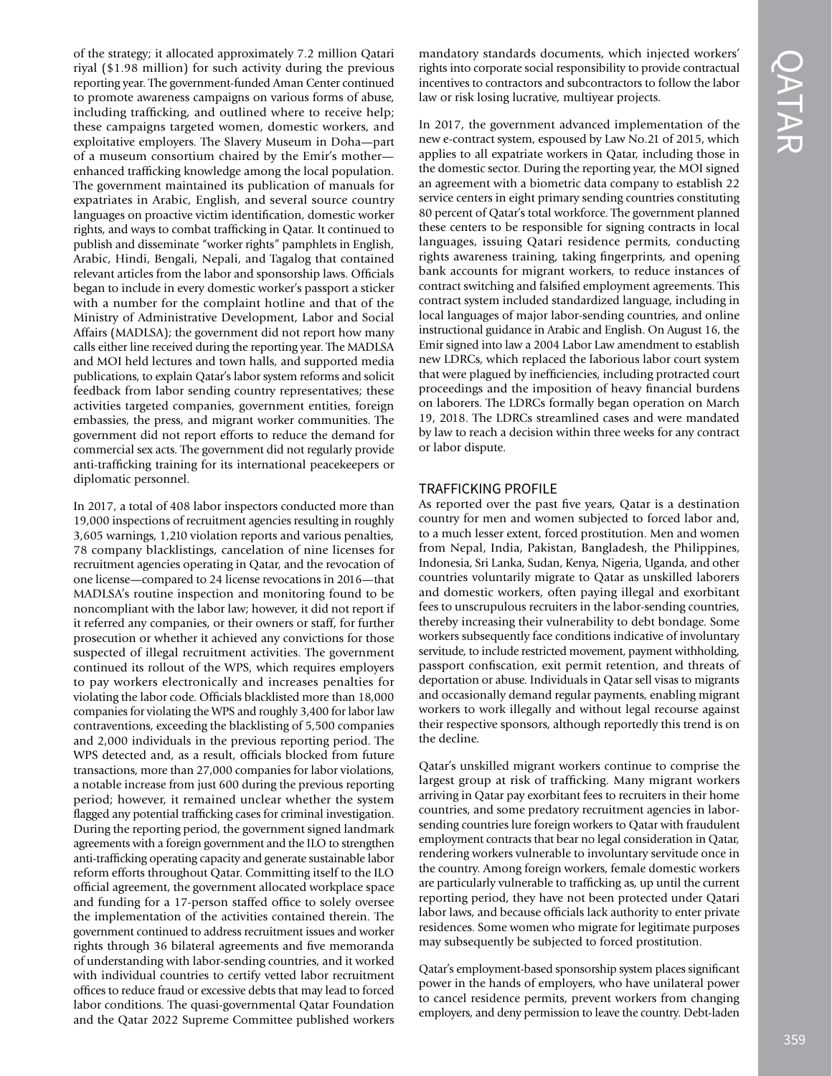of the strategy; it allocated approximately 7.2 million Qatari riyal (\$1.98 million) for such activity during the previous reporting year. The government-funded Aman Center continued to promote awareness campaigns on various forms of abuse, including trafficking, and outlined where to receive help; these campaigns targeted women, domestic workers, and exploitative employers. The Slavery Museum in Doha—part of a museum consortium chaired by the Emir's mother enhanced trafficking knowledge among the local population. The government maintained its publication of manuals for expatriates in Arabic, English, and several source country languages on proactive victim identification, domestic worker rights, and ways to combat trafficking in Qatar. It continued to publish and disseminate "worker rights" pamphlets in English, Arabic, Hindi, Bengali, Nepali, and Tagalog that contained relevant articles from the labor and sponsorship laws. Officials began to include in every domestic worker's passport a sticker with a number for the complaint hotline and that of the Ministry of Administrative Development, Labor and Social Affairs (MADLSA); the government did not report how many calls either line received during the reporting year. The MADLSA and MOI held lectures and town halls, and supported media publications, to explain Qatar's labor system reforms and solicit feedback from labor sending country representatives; these activities targeted companies, government entities, foreign embassies, the press, and migrant worker communities. The government did not report efforts to reduce the demand for commercial sex acts. The government did not regularly provide anti-trafficking training for its international peacekeepers or diplomatic personnel.

In 2017, a total of 408 labor inspectors conducted more than 19,000 inspections of recruitment agencies resulting in roughly 3,605 warnings, 1,210 violation reports and various penalties, 78 company blacklistings, cancelation of nine licenses for recruitment agencies operating in Qatar, and the revocation of one license—compared to 24 license revocations in 2016—that MADLSA's routine inspection and monitoring found to be noncompliant with the labor law; however, it did not report if it referred any companies, or their owners or staff, for further prosecution or whether it achieved any convictions for those suspected of illegal recruitment activities. The government continued its rollout of the WPS, which requires employers to pay workers electronically and increases penalties for violating the labor code. Officials blacklisted more than 18,000 companies for violating the WPS and roughly 3,400 for labor law contraventions, exceeding the blacklisting of 5,500 companies and 2,000 individuals in the previous reporting period. The WPS detected and, as a result, officials blocked from future transactions, more than 27,000 companies for labor violations, a notable increase from just 600 during the previous reporting period; however, it remained unclear whether the system flagged any potential trafficking cases for criminal investigation. During the reporting period, the government signed landmark agreements with a foreign government and the ILO to strengthen anti-trafficking operating capacity and generate sustainable labor reform efforts throughout Qatar. Committing itself to the ILO official agreement, the government allocated workplace space and funding for a 17-person staffed office to solely oversee the implementation of the activities contained therein. The government continued to address recruitment issues and worker rights through 36 bilateral agreements and five memoranda of understanding with labor-sending countries, and it worked with individual countries to certify vetted labor recruitment offices to reduce fraud or excessive debts that may lead to forced labor conditions. The quasi-governmental Qatar Foundation and the Qatar 2022 Supreme Committee published workers mandatory standards documents, which injected workers' rights into corporate social responsibility to provide contractual incentives to contractors and subcontractors to follow the labor law or risk losing lucrative, multiyear projects.

In 2017, the government advanced implementation of the new e-contract system, espoused by Law No.21 of 2015, which applies to all expatriate workers in Qatar, including those in the domestic sector. During the reporting year, the MOI signed an agreement with a biometric data company to establish 22 service centers in eight primary sending countries constituting 80 percent of Qatar's total workforce. The government planned these centers to be responsible for signing contracts in local languages, issuing Qatari residence permits, conducting rights awareness training, taking fingerprints, and opening bank accounts for migrant workers, to reduce instances of contract switching and falsified employment agreements. This contract system included standardized language, including in local languages of major labor-sending countries, and online instructional guidance in Arabic and English. On August 16, the Emir signed into law a 2004 Labor Law amendment to establish new LDRCs, which replaced the laborious labor court system that were plagued by inefficiencies, including protracted court proceedings and the imposition of heavy financial burdens on laborers. The LDRCs formally began operation on March 19, 2018. The LDRCs streamlined cases and were mandated by law to reach a decision within three weeks for any contract or labor dispute.

### TRAFFICKING PROFILE

As reported over the past five years, Qatar is a destination country for men and women subjected to forced labor and, to a much lesser extent, forced prostitution. Men and women from Nepal, India, Pakistan, Bangladesh, the Philippines, Indonesia, Sri Lanka, Sudan, Kenya, Nigeria, Uganda, and other countries voluntarily migrate to Qatar as unskilled laborers and domestic workers, often paying illegal and exorbitant fees to unscrupulous recruiters in the labor-sending countries, thereby increasing their vulnerability to debt bondage. Some workers subsequently face conditions indicative of involuntary servitude, to include restricted movement, payment withholding, passport confiscation, exit permit retention, and threats of deportation or abuse. Individuals in Qatar sell visas to migrants and occasionally demand regular payments, enabling migrant workers to work illegally and without legal recourse against their respective sponsors, although reportedly this trend is on the decline.

Qatar's unskilled migrant workers continue to comprise the largest group at risk of trafficking. Many migrant workers arriving in Qatar pay exorbitant fees to recruiters in their home countries, and some predatory recruitment agencies in laborsending countries lure foreign workers to Qatar with fraudulent employment contracts that bear no legal consideration in Qatar, rendering workers vulnerable to involuntary servitude once in the country. Among foreign workers, female domestic workers are particularly vulnerable to trafficking as, up until the current reporting period, they have not been protected under Qatari labor laws, and because officials lack authority to enter private residences. Some women who migrate for legitimate purposes may subsequently be subjected to forced prostitution.

Qatar's employment-based sponsorship system places significant power in the hands of employers, who have unilateral power to cancel residence permits, prevent workers from changing employers, and deny permission to leave the country. Debt-laden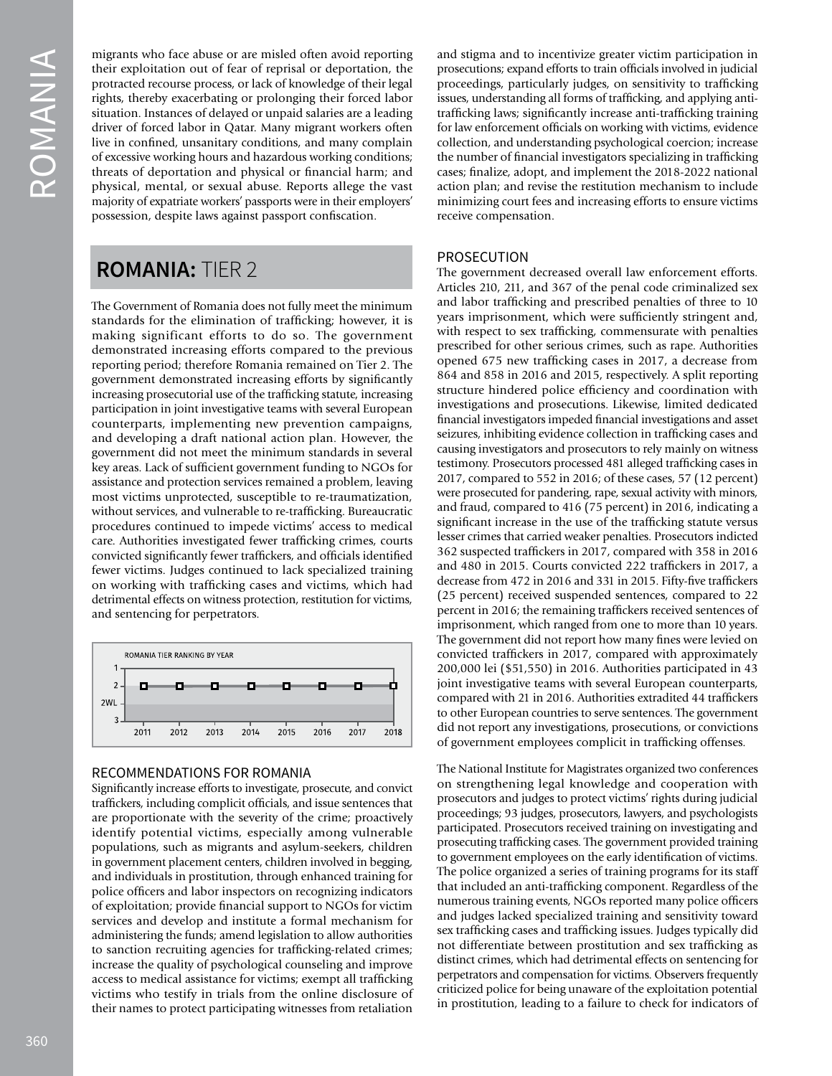their exploitation out of fear of reprisal or deportation, the protracted recourse process, or lack of knowledge of their legal rights, thereby exacerbating or prolonging their forced labor situation. Instances of delayed or unpaid salaries are a leading driver of forced labor in Qatar. Many migrant workers often live in confined, unsanitary conditions, and many complain of excessive working hours and hazardous working conditions; threats of deportation and physical or financial harm; and physical, mental, or sexual abuse. Reports allege the vast majority of expatriate workers' passports were in their employers' possession, despite laws against passport confiscation.

# **ROMANIA:** TIER 2

**EXERC INTERF AND CONSTRANT CONSTRANT CONSTRANT CONSTRANT CONSTRANT CONSTRANT CONSTRANT CONSTRANT CONSTRANT CONSTRANT CONSTRANT CONSTRANT CONSTRANT CONSTRANT CONSTRANT CONSTRANT CONSTRANT CONSTRANT CONSTRANT CONSTRANT CON** The Government of Romania does not fully meet the minimum standards for the elimination of trafficking; however, it is making significant efforts to do so. The government demonstrated increasing efforts compared to the previous reporting period; therefore Romania remained on Tier 2. The government demonstrated increasing efforts by significantly increasing prosecutorial use of the trafficking statute, increasing participation in joint investigative teams with several European counterparts, implementing new prevention campaigns, and developing a draft national action plan. However, the government did not meet the minimum standards in several key areas. Lack of sufficient government funding to NGOs for assistance and protection services remained a problem, leaving most victims unprotected, susceptible to re-traumatization, without services, and vulnerable to re-trafficking. Bureaucratic procedures continued to impede victims' access to medical care. Authorities investigated fewer trafficking crimes, courts convicted significantly fewer traffickers, and officials identified fewer victims. Judges continued to lack specialized training on working with trafficking cases and victims, which had detrimental effects on witness protection, restitution for victims, and sentencing for perpetrators.



### RECOMMENDATIONS FOR ROMANIA

Significantly increase efforts to investigate, prosecute, and convict traffickers, including complicit officials, and issue sentences that are proportionate with the severity of the crime; proactively identify potential victims, especially among vulnerable populations, such as migrants and asylum-seekers, children in government placement centers, children involved in begging, and individuals in prostitution, through enhanced training for police officers and labor inspectors on recognizing indicators of exploitation; provide financial support to NGOs for victim services and develop and institute a formal mechanism for administering the funds; amend legislation to allow authorities to sanction recruiting agencies for trafficking-related crimes; increase the quality of psychological counseling and improve access to medical assistance for victims; exempt all trafficking victims who testify in trials from the online disclosure of their names to protect participating witnesses from retaliation

and stigma and to incentivize greater victim participation in prosecutions; expand efforts to train officials involved in judicial proceedings, particularly judges, on sensitivity to trafficking issues, understanding all forms of trafficking, and applying antitrafficking laws; significantly increase anti-trafficking training for law enforcement officials on working with victims, evidence collection, and understanding psychological coercion; increase the number of financial investigators specializing in trafficking cases; finalize, adopt, and implement the 2018-2022 national action plan; and revise the restitution mechanism to include minimizing court fees and increasing efforts to ensure victims receive compensation.

### PROSECUTION

The government decreased overall law enforcement efforts. Articles 210, 211, and 367 of the penal code criminalized sex and labor trafficking and prescribed penalties of three to 10 years imprisonment, which were sufficiently stringent and, with respect to sex trafficking, commensurate with penalties prescribed for other serious crimes, such as rape. Authorities opened 675 new trafficking cases in 2017, a decrease from 864 and 858 in 2016 and 2015, respectively. A split reporting structure hindered police efficiency and coordination with investigations and prosecutions. Likewise, limited dedicated financial investigators impeded financial investigations and asset seizures, inhibiting evidence collection in trafficking cases and causing investigators and prosecutors to rely mainly on witness testimony. Prosecutors processed 481 alleged trafficking cases in 2017, compared to 552 in 2016; of these cases, 57 (12 percent) were prosecuted for pandering, rape, sexual activity with minors, and fraud, compared to 416 (75 percent) in 2016, indicating a significant increase in the use of the trafficking statute versus lesser crimes that carried weaker penalties. Prosecutors indicted 362 suspected traffickers in 2017, compared with 358 in 2016 and 480 in 2015. Courts convicted 222 traffickers in 2017, a decrease from 472 in 2016 and 331 in 2015. Fifty-five traffickers (25 percent) received suspended sentences, compared to 22 percent in 2016; the remaining traffickers received sentences of imprisonment, which ranged from one to more than 10 years. The government did not report how many fines were levied on convicted traffickers in 2017, compared with approximately 200,000 lei (\$51,550) in 2016. Authorities participated in 43 joint investigative teams with several European counterparts, compared with 21 in 2016. Authorities extradited 44 traffickers to other European countries to serve sentences. The government did not report any investigations, prosecutions, or convictions of government employees complicit in trafficking offenses.

The National Institute for Magistrates organized two conferences on strengthening legal knowledge and cooperation with prosecutors and judges to protect victims' rights during judicial proceedings; 93 judges, prosecutors, lawyers, and psychologists participated. Prosecutors received training on investigating and prosecuting trafficking cases. The government provided training to government employees on the early identification of victims. The police organized a series of training programs for its staff that included an anti-trafficking component. Regardless of the numerous training events, NGOs reported many police officers and judges lacked specialized training and sensitivity toward sex trafficking cases and trafficking issues. Judges typically did not differentiate between prostitution and sex trafficking as distinct crimes, which had detrimental effects on sentencing for perpetrators and compensation for victims. Observers frequently criticized police for being unaware of the exploitation potential in prostitution, leading to a failure to check for indicators of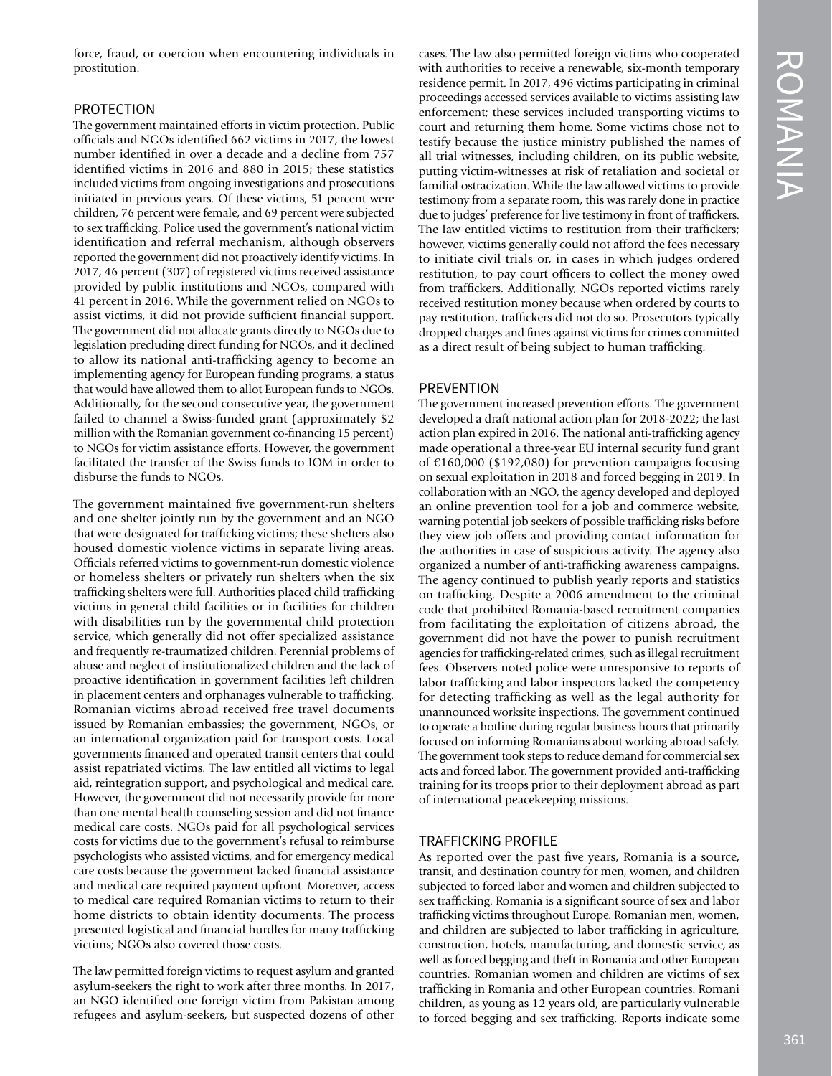force, fraud, or coercion when encountering individuals in prostitution.

### PROTECTION

The government maintained efforts in victim protection. Public officials and NGOs identified 662 victims in 2017, the lowest number identified in over a decade and a decline from 757 identified victims in 2016 and 880 in 2015; these statistics included victims from ongoing investigations and prosecutions initiated in previous years. Of these victims, 51 percent were children, 76 percent were female, and 69 percent were subjected to sex trafficking. Police used the government's national victim identification and referral mechanism, although observers reported the government did not proactively identify victims. In 2017, 46 percent (307) of registered victims received assistance provided by public institutions and NGOs, compared with 41 percent in 2016. While the government relied on NGOs to assist victims, it did not provide sufficient financial support. The government did not allocate grants directly to NGOs due to legislation precluding direct funding for NGOs, and it declined to allow its national anti-trafficking agency to become an implementing agency for European funding programs, a status that would have allowed them to allot European funds to NGOs. Additionally, for the second consecutive year, the government failed to channel a Swiss-funded grant (approximately \$2 million with the Romanian government co-financing 15 percent) to NGOs for victim assistance efforts. However, the government facilitated the transfer of the Swiss funds to IOM in order to disburse the funds to NGOs.

The government maintained five government-run shelters and one shelter jointly run by the government and an NGO that were designated for trafficking victims; these shelters also housed domestic violence victims in separate living areas. Officials referred victims to government-run domestic violence or homeless shelters or privately run shelters when the six trafficking shelters were full. Authorities placed child trafficking victims in general child facilities or in facilities for children with disabilities run by the governmental child protection service, which generally did not offer specialized assistance and frequently re-traumatized children. Perennial problems of abuse and neglect of institutionalized children and the lack of proactive identification in government facilities left children in placement centers and orphanages vulnerable to trafficking. Romanian victims abroad received free travel documents issued by Romanian embassies; the government, NGOs, or an international organization paid for transport costs. Local governments financed and operated transit centers that could assist repatriated victims. The law entitled all victims to legal aid, reintegration support, and psychological and medical care. However, the government did not necessarily provide for more than one mental health counseling session and did not finance medical care costs. NGOs paid for all psychological services costs for victims due to the government's refusal to reimburse psychologists who assisted victims, and for emergency medical care costs because the government lacked financial assistance and medical care required payment upfront. Moreover, access to medical care required Romanian victims to return to their home districts to obtain identity documents. The process presented logistical and financial hurdles for many trafficking victims; NGOs also covered those costs.

The law permitted foreign victims to request asylum and granted asylum-seekers the right to work after three months. In 2017, an NGO identified one foreign victim from Pakistan among refugees and asylum-seekers, but suspected dozens of other cases. The law also permitted foreign victims who cooperated with authorities to receive a renewable, six-month temporary residence permit. In 2017, 496 victims participating in criminal proceedings accessed services available to victims assisting law enforcement; these services included transporting victims to court and returning them home. Some victims chose not to testify because the justice ministry published the names of all trial witnesses, including children, on its public website, putting victim-witnesses at risk of retaliation and societal or familial ostracization. While the law allowed victims to provide testimony from a separate room, this was rarely done in practice due to judges' preference for live testimony in front of traffickers. The law entitled victims to restitution from their traffickers; however, victims generally could not afford the fees necessary to initiate civil trials or, in cases in which judges ordered restitution, to pay court officers to collect the money owed from traffickers. Additionally, NGOs reported victims rarely received restitution money because when ordered by courts to pay restitution, traffickers did not do so. Prosecutors typically dropped charges and fines against victims for crimes committed as a direct result of being subject to human trafficking.

### PREVENTION

The government increased prevention efforts. The government developed a draft national action plan for 2018-2022; the last action plan expired in 2016. The national anti-trafficking agency made operational a three-year EU internal security fund grant of €160,000 (\$192,080) for prevention campaigns focusing on sexual exploitation in 2018 and forced begging in 2019. In collaboration with an NGO, the agency developed and deployed an online prevention tool for a job and commerce website, warning potential job seekers of possible trafficking risks before they view job offers and providing contact information for the authorities in case of suspicious activity. The agency also organized a number of anti-trafficking awareness campaigns. The agency continued to publish yearly reports and statistics on trafficking. Despite a 2006 amendment to the criminal code that prohibited Romania-based recruitment companies from facilitating the exploitation of citizens abroad, the government did not have the power to punish recruitment agencies for trafficking-related crimes, such as illegal recruitment fees. Observers noted police were unresponsive to reports of labor trafficking and labor inspectors lacked the competency for detecting trafficking as well as the legal authority for unannounced worksite inspections. The government continued to operate a hotline during regular business hours that primarily focused on informing Romanians about working abroad safely. The government took steps to reduce demand for commercial sex acts and forced labor. The government provided anti-trafficking training for its troops prior to their deployment abroad as part of international peacekeeping missions.

### TRAFFICKING PROFILE

As reported over the past five years, Romania is a source, transit, and destination country for men, women, and children subjected to forced labor and women and children subjected to sex trafficking. Romania is a significant source of sex and labor trafficking victims throughout Europe. Romanian men, women, and children are subjected to labor trafficking in agriculture, construction, hotels, manufacturing, and domestic service, as well as forced begging and theft in Romania and other European countries. Romanian women and children are victims of sex trafficking in Romania and other European countries. Romani children, as young as 12 years old, are particularly vulnerable to forced begging and sex trafficking. Reports indicate some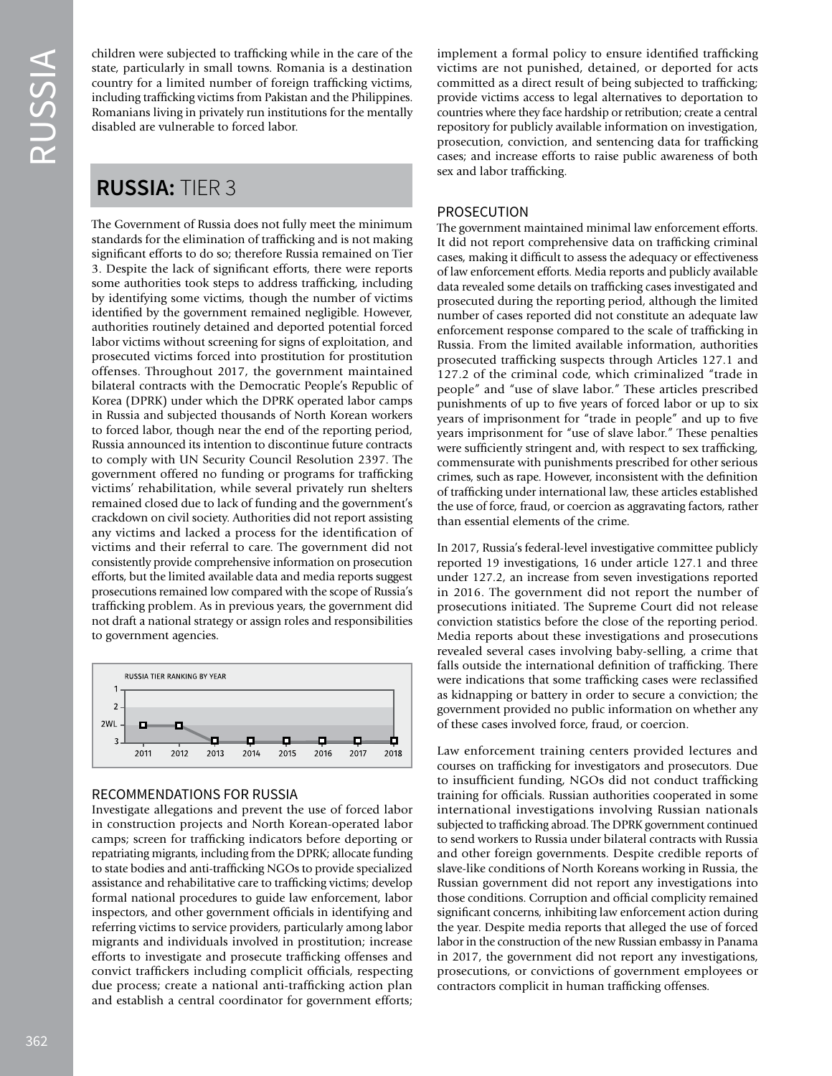state, particularly in small towns. Romania is a destination country for a limited number of foreign trafficking victims, including trafficking victims from Pakistan and the Philippines. Romanians living in privately run institutions for the mentally disabled are vulnerable to forced labor.

# **RUSSIA:** TIER 3

**Example 262**<br>
State nowe subjected to trafficking while in the care of the care of the<br>singure methods of the animal temperator of the limit of the singular<br>
Counter and the Philippine Control were subsected to the care The Government of Russia does not fully meet the minimum standards for the elimination of trafficking and is not making significant efforts to do so; therefore Russia remained on Tier 3. Despite the lack of significant efforts, there were reports some authorities took steps to address trafficking, including by identifying some victims, though the number of victims identified by the government remained negligible. However, authorities routinely detained and deported potential forced labor victims without screening for signs of exploitation, and prosecuted victims forced into prostitution for prostitution offenses. Throughout 2017, the government maintained bilateral contracts with the Democratic People's Republic of Korea (DPRK) under which the DPRK operated labor camps in Russia and subjected thousands of North Korean workers to forced labor, though near the end of the reporting period, Russia announced its intention to discontinue future contracts to comply with UN Security Council Resolution 2397. The government offered no funding or programs for trafficking victims' rehabilitation, while several privately run shelters remained closed due to lack of funding and the government's crackdown on civil society. Authorities did not report assisting any victims and lacked a process for the identification of victims and their referral to care. The government did not consistently provide comprehensive information on prosecution efforts, but the limited available data and media reports suggest prosecutions remained low compared with the scope of Russia's trafficking problem. As in previous years, the government did not draft a national strategy or assign roles and responsibilities to government agencies.



### RECOMMENDATIONS FOR RUSSIA

Investigate allegations and prevent the use of forced labor in construction projects and North Korean-operated labor camps; screen for trafficking indicators before deporting or repatriating migrants, including from the DPRK; allocate funding to state bodies and anti-trafficking NGOs to provide specialized assistance and rehabilitative care to trafficking victims; develop formal national procedures to guide law enforcement, labor inspectors, and other government officials in identifying and referring victims to service providers, particularly among labor migrants and individuals involved in prostitution; increase efforts to investigate and prosecute trafficking offenses and convict traffickers including complicit officials, respecting due process; create a national anti-trafficking action plan and establish a central coordinator for government efforts;

implement a formal policy to ensure identified trafficking victims are not punished, detained, or deported for acts committed as a direct result of being subjected to trafficking; provide victims access to legal alternatives to deportation to countries where they face hardship or retribution; create a central repository for publicly available information on investigation, prosecution, conviction, and sentencing data for trafficking cases; and increase efforts to raise public awareness of both sex and labor trafficking.

### PROSECUTION

The government maintained minimal law enforcement efforts. It did not report comprehensive data on trafficking criminal cases, making it difficult to assess the adequacy or effectiveness of law enforcement efforts. Media reports and publicly available data revealed some details on trafficking cases investigated and prosecuted during the reporting period, although the limited number of cases reported did not constitute an adequate law enforcement response compared to the scale of trafficking in Russia. From the limited available information, authorities prosecuted trafficking suspects through Articles 127.1 and 127.2 of the criminal code, which criminalized "trade in people" and "use of slave labor." These articles prescribed punishments of up to five years of forced labor or up to six years of imprisonment for "trade in people" and up to five years imprisonment for "use of slave labor." These penalties were sufficiently stringent and, with respect to sex trafficking, commensurate with punishments prescribed for other serious crimes, such as rape. However, inconsistent with the definition of trafficking under international law, these articles established the use of force, fraud, or coercion as aggravating factors, rather than essential elements of the crime.

In 2017, Russia's federal-level investigative committee publicly reported 19 investigations, 16 under article 127.1 and three under 127.2, an increase from seven investigations reported in 2016. The government did not report the number of prosecutions initiated. The Supreme Court did not release conviction statistics before the close of the reporting period. Media reports about these investigations and prosecutions revealed several cases involving baby-selling, a crime that falls outside the international definition of trafficking. There were indications that some trafficking cases were reclassified as kidnapping or battery in order to secure a conviction; the government provided no public information on whether any of these cases involved force, fraud, or coercion.

Law enforcement training centers provided lectures and courses on trafficking for investigators and prosecutors. Due to insufficient funding, NGOs did not conduct trafficking training for officials. Russian authorities cooperated in some international investigations involving Russian nationals subjected to trafficking abroad. The DPRK government continued to send workers to Russia under bilateral contracts with Russia and other foreign governments. Despite credible reports of slave-like conditions of North Koreans working in Russia, the Russian government did not report any investigations into those conditions. Corruption and official complicity remained significant concerns, inhibiting law enforcement action during the year. Despite media reports that alleged the use of forced labor in the construction of the new Russian embassy in Panama in 2017, the government did not report any investigations, prosecutions, or convictions of government employees or contractors complicit in human trafficking offenses.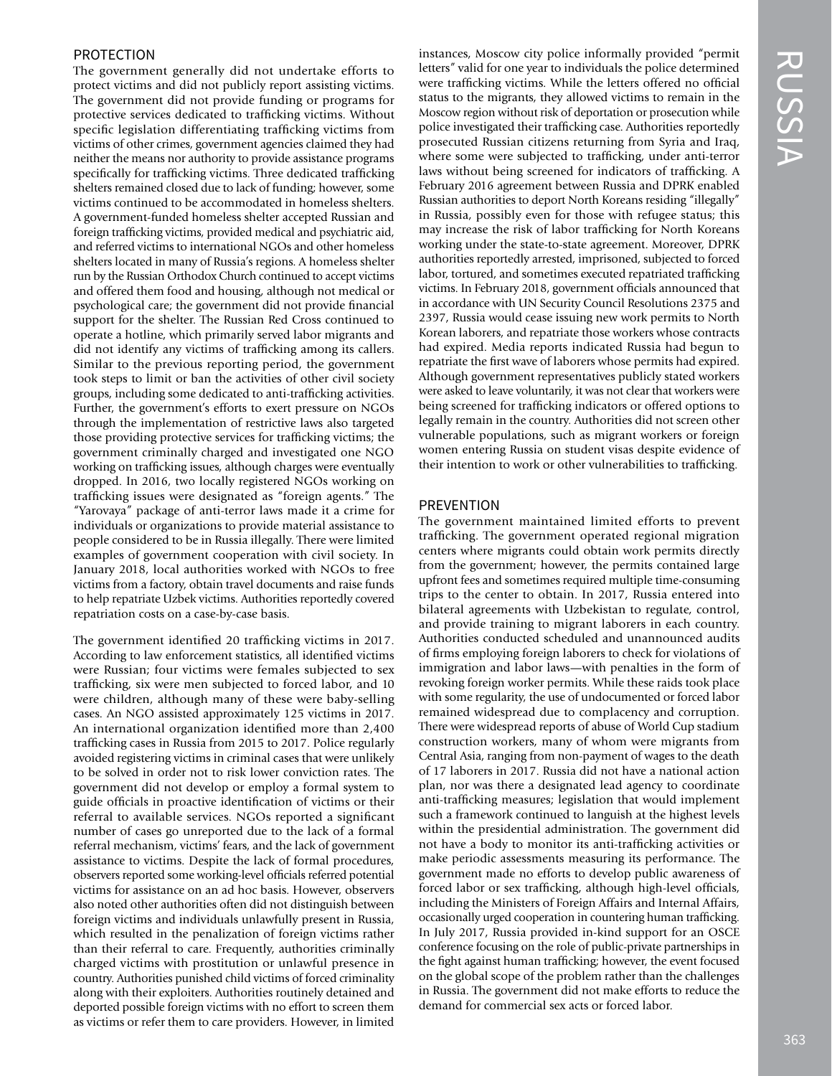# **DON STAR RESPONSED ASSESS** RUSSI/

## PROTECTION

The government generally did not undertake efforts to protect victims and did not publicly report assisting victims. The government did not provide funding or programs for protective services dedicated to trafficking victims. Without specific legislation differentiating trafficking victims from victims of other crimes, government agencies claimed they had neither the means nor authority to provide assistance programs specifically for trafficking victims. Three dedicated trafficking shelters remained closed due to lack of funding; however, some victims continued to be accommodated in homeless shelters. A government-funded homeless shelter accepted Russian and foreign trafficking victims, provided medical and psychiatric aid, and referred victims to international NGOs and other homeless shelters located in many of Russia's regions. A homeless shelter run by the Russian Orthodox Church continued to accept victims and offered them food and housing, although not medical or psychological care; the government did not provide financial support for the shelter. The Russian Red Cross continued to operate a hotline, which primarily served labor migrants and did not identify any victims of trafficking among its callers. Similar to the previous reporting period, the government took steps to limit or ban the activities of other civil society groups, including some dedicated to anti-trafficking activities. Further, the government's efforts to exert pressure on NGOs through the implementation of restrictive laws also targeted those providing protective services for trafficking victims; the government criminally charged and investigated one NGO working on trafficking issues, although charges were eventually dropped. In 2016, two locally registered NGOs working on trafficking issues were designated as "foreign agents." The "Yarovaya" package of anti-terror laws made it a crime for individuals or organizations to provide material assistance to people considered to be in Russia illegally. There were limited examples of government cooperation with civil society. In January 2018, local authorities worked with NGOs to free victims from a factory, obtain travel documents and raise funds to help repatriate Uzbek victims. Authorities reportedly covered repatriation costs on a case-by-case basis.

The government identified 20 trafficking victims in 2017. According to law enforcement statistics, all identified victims were Russian; four victims were females subjected to sex trafficking, six were men subjected to forced labor, and 10 were children, although many of these were baby-selling cases. An NGO assisted approximately 125 victims in 2017. An international organization identified more than 2,400 trafficking cases in Russia from 2015 to 2017. Police regularly avoided registering victims in criminal cases that were unlikely to be solved in order not to risk lower conviction rates. The government did not develop or employ a formal system to guide officials in proactive identification of victims or their referral to available services. NGOs reported a significant number of cases go unreported due to the lack of a formal referral mechanism, victims' fears, and the lack of government assistance to victims. Despite the lack of formal procedures, observers reported some working-level officials referred potential victims for assistance on an ad hoc basis. However, observers also noted other authorities often did not distinguish between foreign victims and individuals unlawfully present in Russia, which resulted in the penalization of foreign victims rather than their referral to care. Frequently, authorities criminally charged victims with prostitution or unlawful presence in country. Authorities punished child victims of forced criminality along with their exploiters. Authorities routinely detained and deported possible foreign victims with no effort to screen them as victims or refer them to care providers. However, in limited instances, Moscow city police informally provided "permit letters" valid for one year to individuals the police determined were trafficking victims. While the letters offered no official status to the migrants, they allowed victims to remain in the Moscow region without risk of deportation or prosecution while police investigated their trafficking case. Authorities reportedly prosecuted Russian citizens returning from Syria and Iraq, where some were subjected to trafficking, under anti-terror laws without being screened for indicators of trafficking. A February 2016 agreement between Russia and DPRK enabled Russian authorities to deport North Koreans residing "illegally" in Russia, possibly even for those with refugee status; this may increase the risk of labor trafficking for North Koreans working under the state-to-state agreement. Moreover, DPRK authorities reportedly arrested, imprisoned, subjected to forced labor, tortured, and sometimes executed repatriated trafficking victims. In February 2018, government officials announced that in accordance with UN Security Council Resolutions 2375 and 2397, Russia would cease issuing new work permits to North Korean laborers, and repatriate those workers whose contracts had expired. Media reports indicated Russia had begun to repatriate the first wave of laborers whose permits had expired. Although government representatives publicly stated workers were asked to leave voluntarily, it was not clear that workers were being screened for trafficking indicators or offered options to legally remain in the country. Authorities did not screen other vulnerable populations, such as migrant workers or foreign women entering Russia on student visas despite evidence of their intention to work or other vulnerabilities to trafficking.

### **PREVENTION**

The government maintained limited efforts to prevent trafficking. The government operated regional migration centers where migrants could obtain work permits directly from the government; however, the permits contained large upfront fees and sometimes required multiple time-consuming trips to the center to obtain. In 2017, Russia entered into bilateral agreements with Uzbekistan to regulate, control, and provide training to migrant laborers in each country. Authorities conducted scheduled and unannounced audits of firms employing foreign laborers to check for violations of immigration and labor laws—with penalties in the form of revoking foreign worker permits. While these raids took place with some regularity, the use of undocumented or forced labor remained widespread due to complacency and corruption. There were widespread reports of abuse of World Cup stadium construction workers, many of whom were migrants from Central Asia, ranging from non-payment of wages to the death of 17 laborers in 2017. Russia did not have a national action plan, nor was there a designated lead agency to coordinate anti-trafficking measures; legislation that would implement such a framework continued to languish at the highest levels within the presidential administration. The government did not have a body to monitor its anti-trafficking activities or make periodic assessments measuring its performance. The government made no efforts to develop public awareness of forced labor or sex trafficking, although high-level officials, including the Ministers of Foreign Affairs and Internal Affairs, occasionally urged cooperation in countering human trafficking. In July 2017, Russia provided in-kind support for an OSCE conference focusing on the role of public-private partnerships in the fight against human trafficking; however, the event focused on the global scope of the problem rather than the challenges in Russia. The government did not make efforts to reduce the demand for commercial sex acts or forced labor.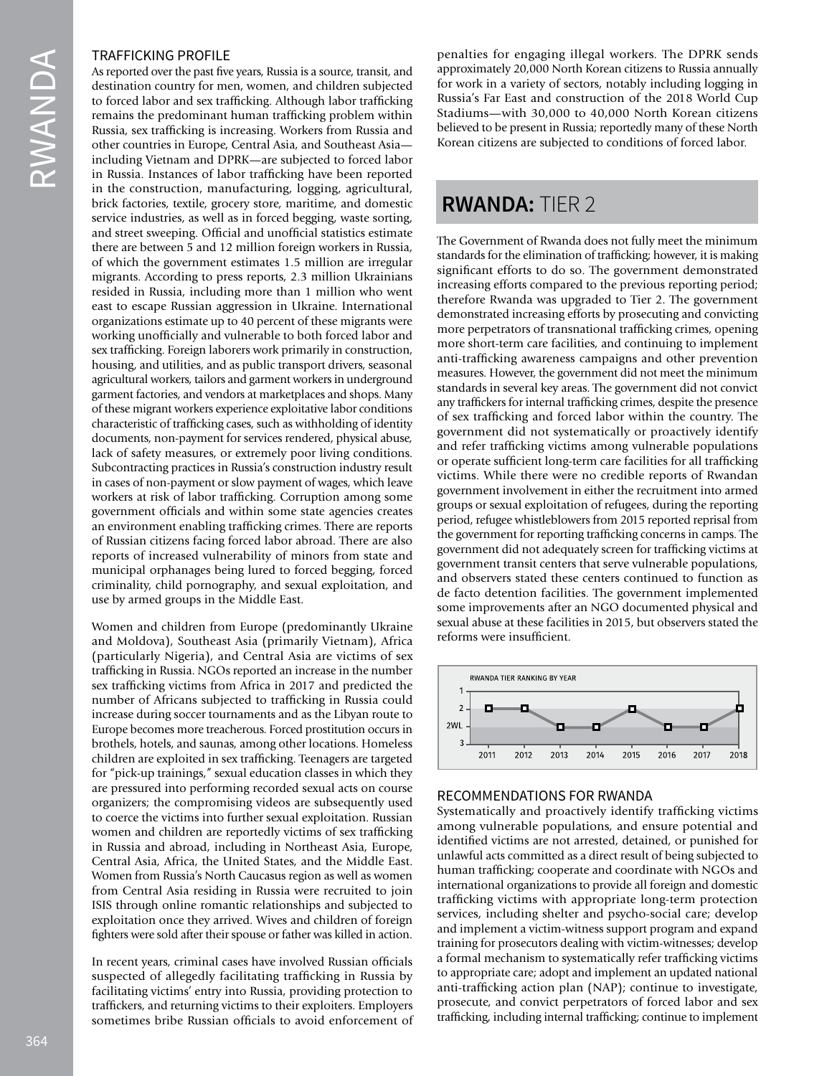TRAFFICKING PROFILE<br>Asseroted over the past five and the star control control of mean fits the desirantion country for means the predominant<br>Russia, sex trafficking is in the construction in a sumple and sex trafficking is As reported over the past five years, Russia is a source, transit, and destination country for men, women, and children subjected to forced labor and sex trafficking. Although labor trafficking remains the predominant human trafficking problem within Russia, sex trafficking is increasing. Workers from Russia and other countries in Europe, Central Asia, and Southeast Asia including Vietnam and DPRK—are subjected to forced labor in Russia. Instances of labor trafficking have been reported in the construction, manufacturing, logging, agricultural, brick factories, textile, grocery store, maritime, and domestic service industries, as well as in forced begging, waste sorting, and street sweeping. Official and unofficial statistics estimate there are between 5 and 12 million foreign workers in Russia, of which the government estimates 1.5 million are irregular migrants. According to press reports, 2.3 million Ukrainians resided in Russia, including more than 1 million who went east to escape Russian aggression in Ukraine. International organizations estimate up to 40 percent of these migrants were working unofficially and vulnerable to both forced labor and sex trafficking. Foreign laborers work primarily in construction, housing, and utilities, and as public transport drivers, seasonal agricultural workers, tailors and garment workers in underground garment factories, and vendors at marketplaces and shops. Many of these migrant workers experience exploitative labor conditions characteristic of trafficking cases, such as withholding of identity documents, non-payment for services rendered, physical abuse, lack of safety measures, or extremely poor living conditions. Subcontracting practices in Russia's construction industry result in cases of non-payment or slow payment of wages, which leave workers at risk of labor trafficking. Corruption among some government officials and within some state agencies creates an environment enabling trafficking crimes. There are reports of Russian citizens facing forced labor abroad. There are also reports of increased vulnerability of minors from state and municipal orphanages being lured to forced begging, forced criminality, child pornography, and sexual exploitation, and use by armed groups in the Middle East.

Women and children from Europe (predominantly Ukraine and Moldova), Southeast Asia (primarily Vietnam), Africa (particularly Nigeria), and Central Asia are victims of sex trafficking in Russia. NGOs reported an increase in the number sex trafficking victims from Africa in 2017 and predicted the number of Africans subjected to trafficking in Russia could increase during soccer tournaments and as the Libyan route to Europe becomes more treacherous. Forced prostitution occurs in brothels, hotels, and saunas, among other locations. Homeless children are exploited in sex trafficking. Teenagers are targeted for "pick-up trainings," sexual education classes in which they are pressured into performing recorded sexual acts on course organizers; the compromising videos are subsequently used to coerce the victims into further sexual exploitation. Russian women and children are reportedly victims of sex trafficking in Russia and abroad, including in Northeast Asia, Europe, Central Asia, Africa, the United States, and the Middle East. Women from Russia's North Caucasus region as well as women from Central Asia residing in Russia were recruited to join ISIS through online romantic relationships and subjected to exploitation once they arrived. Wives and children of foreign fighters were sold after their spouse or father was killed in action.

In recent years, criminal cases have involved Russian officials suspected of allegedly facilitating trafficking in Russia by facilitating victims' entry into Russia, providing protection to traffickers, and returning victims to their exploiters. Employers sometimes bribe Russian officials to avoid enforcement of penalties for engaging illegal workers. The DPRK sends approximately 20,000 North Korean citizens to Russia annually for work in a variety of sectors, notably including logging in Russia's Far East and construction of the 2018 World Cup Stadiums—with 30,000 to 40,000 North Korean citizens believed to be present in Russia; reportedly many of these North Korean citizens are subjected to conditions of forced labor.

# **RWANDA:** TIER 2

The Government of Rwanda does not fully meet the minimum standards for the elimination of trafficking; however, it is making significant efforts to do so. The government demonstrated increasing efforts compared to the previous reporting period; therefore Rwanda was upgraded to Tier 2. The government demonstrated increasing efforts by prosecuting and convicting more perpetrators of transnational trafficking crimes, opening more short-term care facilities, and continuing to implement anti-trafficking awareness campaigns and other prevention measures. However, the government did not meet the minimum standards in several key areas. The government did not convict any traffickers for internal trafficking crimes, despite the presence of sex trafficking and forced labor within the country. The government did not systematically or proactively identify and refer trafficking victims among vulnerable populations or operate sufficient long-term care facilities for all trafficking victims. While there were no credible reports of Rwandan government involvement in either the recruitment into armed groups or sexual exploitation of refugees, during the reporting period, refugee whistleblowers from 2015 reported reprisal from the government for reporting trafficking concerns in camps. The government did not adequately screen for trafficking victims at government transit centers that serve vulnerable populations, and observers stated these centers continued to function as de facto detention facilities. The government implemented some improvements after an NGO documented physical and sexual abuse at these facilities in 2015, but observers stated the reforms were insufficient.



### RECOMMENDATIONS FOR RWANDA

Systematically and proactively identify trafficking victims among vulnerable populations, and ensure potential and identified victims are not arrested, detained, or punished for unlawful acts committed as a direct result of being subjected to human trafficking; cooperate and coordinate with NGOs and international organizations to provide all foreign and domestic trafficking victims with appropriate long-term protection services, including shelter and psycho-social care; develop and implement a victim-witness support program and expand training for prosecutors dealing with victim-witnesses; develop a formal mechanism to systematically refer trafficking victims to appropriate care; adopt and implement an updated national anti-trafficking action plan (NAP); continue to investigate, prosecute, and convict perpetrators of forced labor and sex trafficking, including internal trafficking; continue to implement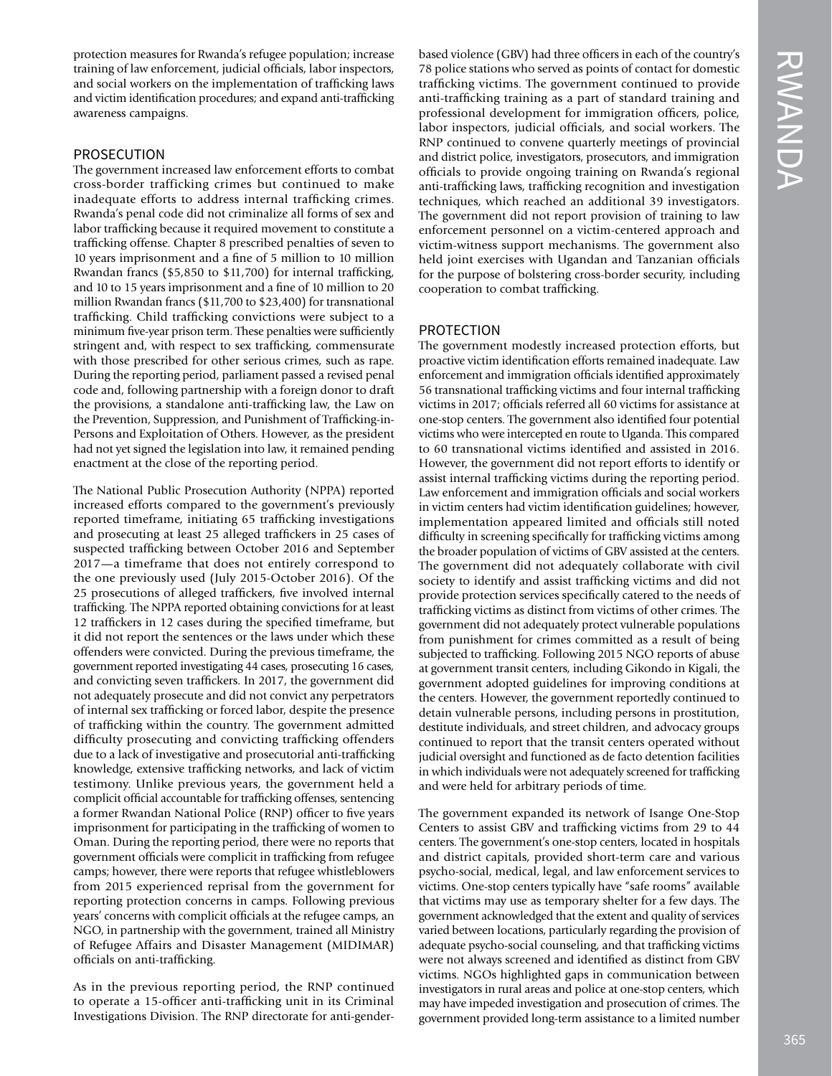protection measures for Rwanda's refugee population; increase training of law enforcement, judicial officials, labor inspectors, and social workers on the implementation of trafficking laws and victim identification procedures; and expand anti-trafficking awareness campaigns.

### PROSECUTION

The government increased law enforcement efforts to combat cross-border trafficking crimes but continued to make inadequate efforts to address internal trafficking crimes. Rwanda's penal code did not criminalize all forms of sex and labor trafficking because it required movement to constitute a trafficking offense. Chapter 8 prescribed penalties of seven to 10 years imprisonment and a fine of 5 million to 10 million Rwandan francs (\$5,850 to \$11,700) for internal trafficking, and 10 to 15 years imprisonment and a fine of 10 million to 20 million Rwandan francs (\$11,700 to \$23,400) for transnational trafficking. Child trafficking convictions were subject to a minimum five-year prison term. These penalties were sufficiently stringent and, with respect to sex trafficking, commensurate with those prescribed for other serious crimes, such as rape. During the reporting period, parliament passed a revised penal code and, following partnership with a foreign donor to draft the provisions, a standalone anti-trafficking law, the Law on the Prevention, Suppression, and Punishment of Trafficking-in-Persons and Exploitation of Others. However, as the president had not yet signed the legislation into law, it remained pending enactment at the close of the reporting period.

The National Public Prosecution Authority (NPPA) reported increased efforts compared to the government's previously reported timeframe, initiating 65 trafficking investigations and prosecuting at least 25 alleged traffickers in 25 cases of suspected trafficking between October 2016 and September 2017—a timeframe that does not entirely correspond to the one previously used (July 2015-October 2016). Of the 25 prosecutions of alleged traffickers, five involved internal trafficking. The NPPA reported obtaining convictions for at least 12 traffickers in 12 cases during the specified timeframe, but it did not report the sentences or the laws under which these offenders were convicted. During the previous timeframe, the government reported investigating 44 cases, prosecuting 16 cases, and convicting seven traffickers. In 2017, the government did not adequately prosecute and did not convict any perpetrators of internal sex trafficking or forced labor, despite the presence of trafficking within the country. The government admitted difficulty prosecuting and convicting trafficking offenders due to a lack of investigative and prosecutorial anti-trafficking knowledge, extensive trafficking networks, and lack of victim testimony. Unlike previous years, the government held a complicit official accountable for trafficking offenses, sentencing a former Rwandan National Police (RNP) officer to five years imprisonment for participating in the trafficking of women to Oman. During the reporting period, there were no reports that government officials were complicit in trafficking from refugee camps; however, there were reports that refugee whistleblowers from 2015 experienced reprisal from the government for reporting protection concerns in camps. Following previous years' concerns with complicit officials at the refugee camps, an NGO, in partnership with the government, trained all Ministry of Refugee Affairs and Disaster Management (MIDIMAR) officials on anti-trafficking.

As in the previous reporting period, the RNP continued to operate a 15-officer anti-trafficking unit in its Criminal Investigations Division. The RNP directorate for anti-genderbased violence (GBV) had three officers in each of the country's 78 police stations who served as points of contact for domestic trafficking victims. The government continued to provide anti-trafficking training as a part of standard training and professional development for immigration officers, police, labor inspectors, judicial officials, and social workers. The RNP continued to convene quarterly meetings of provincial and district police, investigators, prosecutors, and immigration officials to provide ongoing training on Rwanda's regional anti-trafficking laws, trafficking recognition and investigation techniques, which reached an additional 39 investigators. The government did not report provision of training to law enforcement personnel on a victim-centered approach and victim-witness support mechanisms. The government also held joint exercises with Ugandan and Tanzanian officials for the purpose of bolstering cross-border security, including cooperation to combat trafficking.

### PROTECTION

The government modestly increased protection efforts, but proactive victim identification efforts remained inadequate. Law enforcement and immigration officials identified approximately 56 transnational trafficking victims and four internal trafficking victims in 2017; officials referred all 60 victims for assistance at one-stop centers. The government also identified four potential victims who were intercepted en route to Uganda. This compared to 60 transnational victims identified and assisted in 2016. However, the government did not report efforts to identify or assist internal trafficking victims during the reporting period. Law enforcement and immigration officials and social workers in victim centers had victim identification guidelines; however, implementation appeared limited and officials still noted difficulty in screening specifically for trafficking victims among the broader population of victims of GBV assisted at the centers. The government did not adequately collaborate with civil society to identify and assist trafficking victims and did not provide protection services specifically catered to the needs of trafficking victims as distinct from victims of other crimes. The government did not adequately protect vulnerable populations from punishment for crimes committed as a result of being subjected to trafficking. Following 2015 NGO reports of abuse at government transit centers, including Gikondo in Kigali, the government adopted guidelines for improving conditions at the centers. However, the government reportedly continued to detain vulnerable persons, including persons in prostitution, destitute individuals, and street children, and advocacy groups continued to report that the transit centers operated without judicial oversight and functioned as de facto detention facilities in which individuals were not adequately screened for trafficking and were held for arbitrary periods of time.

The government expanded its network of Isange One-Stop Centers to assist GBV and trafficking victims from 29 to 44 centers. The government's one-stop centers, located in hospitals and district capitals, provided short-term care and various psycho-social, medical, legal, and law enforcement services to victims. One-stop centers typically have "safe rooms" available that victims may use as temporary shelter for a few days. The government acknowledged that the extent and quality of services varied between locations, particularly regarding the provision of adequate psycho-social counseling, and that trafficking victims were not always screened and identified as distinct from GBV victims. NGOs highlighted gaps in communication between investigators in rural areas and police at one-stop centers, which may have impeded investigation and prosecution of crimes. The government provided long-term assistance to a limited number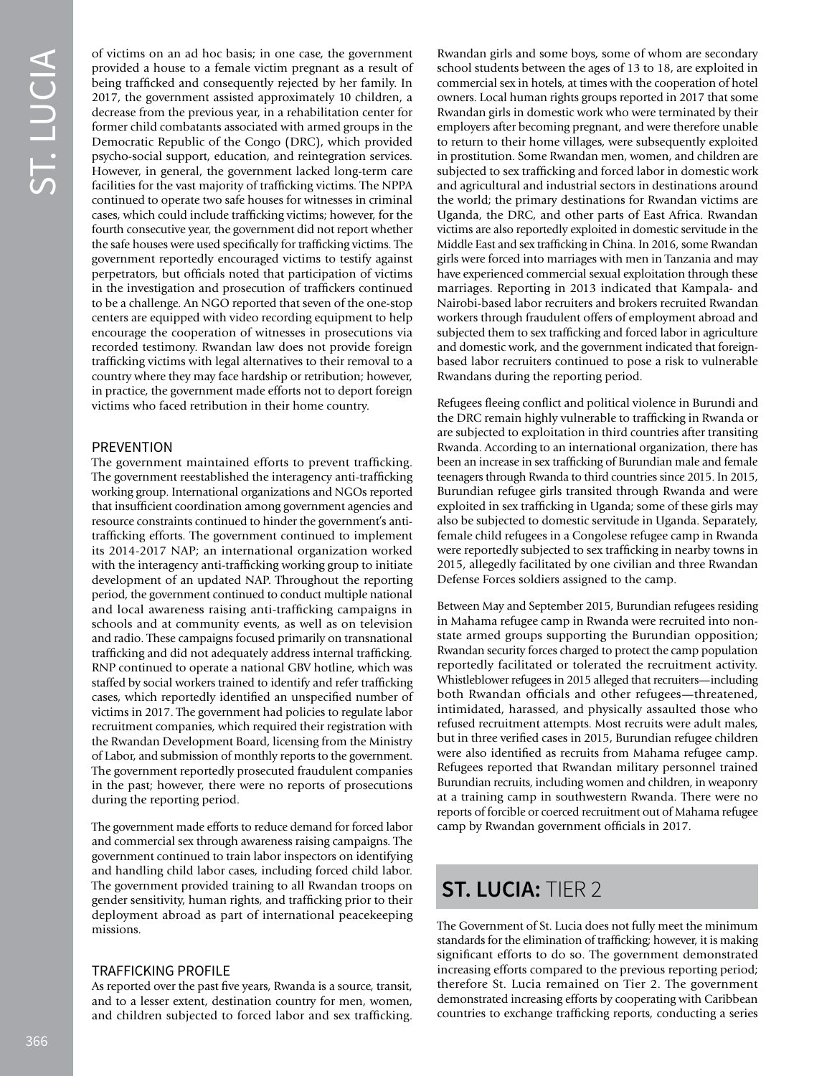**SYSTEM INTERFEV (CONTRACT STEP)** and a done basis; in one case, the government of binality in the function by the function of the function by the function of the function of the function of the function of the function o provided a house to a female victim pregnant as a result of being trafficked and consequently rejected by her family. In 2017, the government assisted approximately 10 children, a decrease from the previous year, in a rehabilitation center for former child combatants associated with armed groups in the Democratic Republic of the Congo (DRC), which provided psycho-social support, education, and reintegration services. However, in general, the government lacked long-term care facilities for the vast majority of trafficking victims. The NPPA continued to operate two safe houses for witnesses in criminal cases, which could include trafficking victims; however, for the fourth consecutive year, the government did not report whether the safe houses were used specifically for trafficking victims. The government reportedly encouraged victims to testify against perpetrators, but officials noted that participation of victims in the investigation and prosecution of traffickers continued to be a challenge. An NGO reported that seven of the one-stop centers are equipped with video recording equipment to help encourage the cooperation of witnesses in prosecutions via recorded testimony. Rwandan law does not provide foreign trafficking victims with legal alternatives to their removal to a country where they may face hardship or retribution; however, in practice, the government made efforts not to deport foreign victims who faced retribution in their home country.

### PREVENTION

The government maintained efforts to prevent trafficking. The government reestablished the interagency anti-trafficking working group. International organizations and NGOs reported that insufficient coordination among government agencies and resource constraints continued to hinder the government's antitrafficking efforts. The government continued to implement its 2014-2017 NAP; an international organization worked with the interagency anti-trafficking working group to initiate development of an updated NAP. Throughout the reporting period, the government continued to conduct multiple national and local awareness raising anti-trafficking campaigns in schools and at community events, as well as on television and radio. These campaigns focused primarily on transnational trafficking and did not adequately address internal trafficking. RNP continued to operate a national GBV hotline, which was staffed by social workers trained to identify and refer trafficking cases, which reportedly identified an unspecified number of victims in 2017. The government had policies to regulate labor recruitment companies, which required their registration with the Rwandan Development Board, licensing from the Ministry of Labor, and submission of monthly reports to the government. The government reportedly prosecuted fraudulent companies in the past; however, there were no reports of prosecutions during the reporting period.

The government made efforts to reduce demand for forced labor and commercial sex through awareness raising campaigns. The government continued to train labor inspectors on identifying and handling child labor cases, including forced child labor. The government provided training to all Rwandan troops on gender sensitivity, human rights, and trafficking prior to their deployment abroad as part of international peacekeeping missions.

### TRAFFICKING PROFILE

As reported over the past five years, Rwanda is a source, transit, and to a lesser extent, destination country for men, women, and children subjected to forced labor and sex trafficking. Rwandan girls and some boys, some of whom are secondary school students between the ages of 13 to 18, are exploited in commercial sex in hotels, at times with the cooperation of hotel owners. Local human rights groups reported in 2017 that some Rwandan girls in domestic work who were terminated by their employers after becoming pregnant, and were therefore unable to return to their home villages, were subsequently exploited in prostitution. Some Rwandan men, women, and children are subjected to sex trafficking and forced labor in domestic work and agricultural and industrial sectors in destinations around the world; the primary destinations for Rwandan victims are Uganda, the DRC, and other parts of East Africa. Rwandan victims are also reportedly exploited in domestic servitude in the Middle East and sex trafficking in China. In 2016, some Rwandan girls were forced into marriages with men in Tanzania and may have experienced commercial sexual exploitation through these marriages. Reporting in 2013 indicated that Kampala- and Nairobi-based labor recruiters and brokers recruited Rwandan workers through fraudulent offers of employment abroad and subjected them to sex trafficking and forced labor in agriculture and domestic work, and the government indicated that foreignbased labor recruiters continued to pose a risk to vulnerable Rwandans during the reporting period.

Refugees fleeing conflict and political violence in Burundi and the DRC remain highly vulnerable to trafficking in Rwanda or are subjected to exploitation in third countries after transiting Rwanda. According to an international organization, there has been an increase in sex trafficking of Burundian male and female teenagers through Rwanda to third countries since 2015. In 2015, Burundian refugee girls transited through Rwanda and were exploited in sex trafficking in Uganda; some of these girls may also be subjected to domestic servitude in Uganda. Separately, female child refugees in a Congolese refugee camp in Rwanda were reportedly subjected to sex trafficking in nearby towns in 2015, allegedly facilitated by one civilian and three Rwandan Defense Forces soldiers assigned to the camp.

Between May and September 2015, Burundian refugees residing in Mahama refugee camp in Rwanda were recruited into nonstate armed groups supporting the Burundian opposition; Rwandan security forces charged to protect the camp population reportedly facilitated or tolerated the recruitment activity. Whistleblower refugees in 2015 alleged that recruiters—including both Rwandan officials and other refugees—threatened, intimidated, harassed, and physically assaulted those who refused recruitment attempts. Most recruits were adult males, but in three verified cases in 2015, Burundian refugee children were also identified as recruits from Mahama refugee camp. Refugees reported that Rwandan military personnel trained Burundian recruits, including women and children, in weaponry at a training camp in southwestern Rwanda. There were no reports of forcible or coerced recruitment out of Mahama refugee camp by Rwandan government officials in 2017.

# **ST. LUCIA:** TIER 2

The Government of St. Lucia does not fully meet the minimum standards for the elimination of trafficking; however, it is making significant efforts to do so. The government demonstrated increasing efforts compared to the previous reporting period; therefore St. Lucia remained on Tier 2. The government demonstrated increasing efforts by cooperating with Caribbean countries to exchange trafficking reports, conducting a series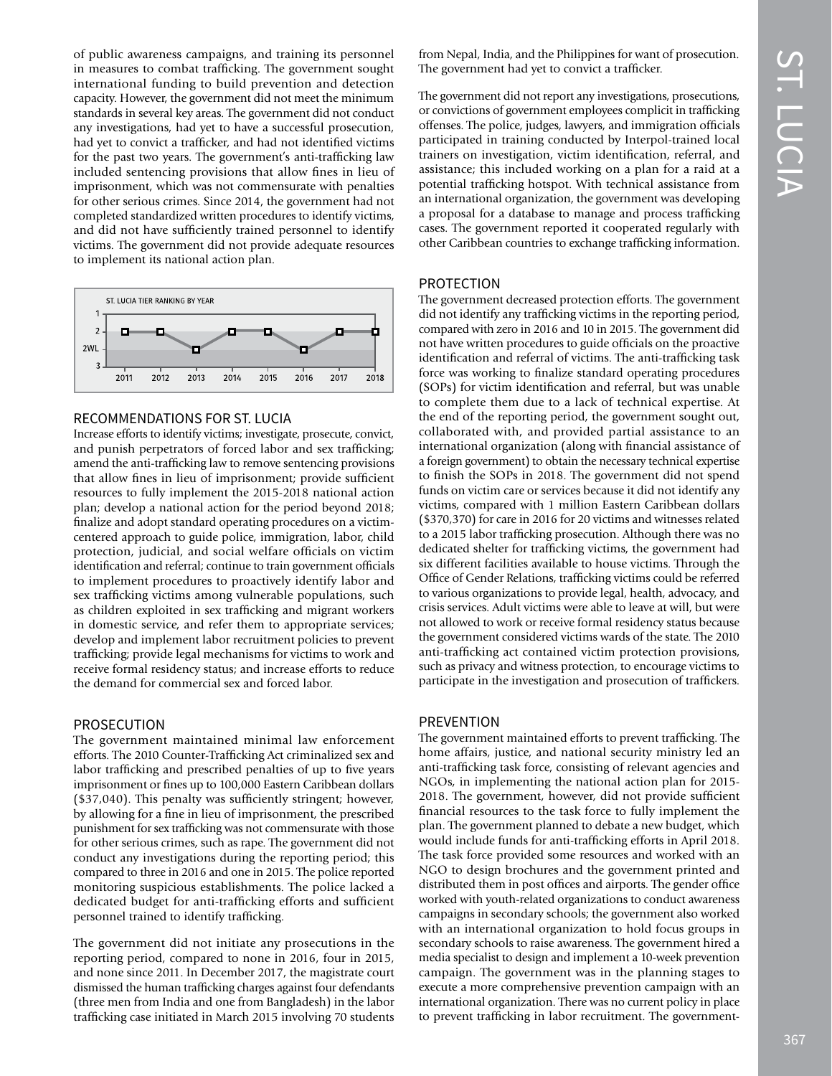of public awareness campaigns, and training its personnel in measures to combat trafficking. The government sought international funding to build prevention and detection capacity. However, the government did not meet the minimum standards in several key areas. The government did not conduct any investigations, had yet to have a successful prosecution, had yet to convict a trafficker, and had not identified victims for the past two years. The government's anti-trafficking law included sentencing provisions that allow fines in lieu of imprisonment, which was not commensurate with penalties for other serious crimes. Since 2014, the government had not completed standardized written procedures to identify victims, and did not have sufficiently trained personnel to identify victims. The government did not provide adequate resources to implement its national action plan.



### RECOMMENDATIONS FOR ST. LUCIA

Increase efforts to identify victims; investigate, prosecute, convict, and punish perpetrators of forced labor and sex trafficking; amend the anti-trafficking law to remove sentencing provisions that allow fines in lieu of imprisonment; provide sufficient resources to fully implement the 2015-2018 national action plan; develop a national action for the period beyond 2018; finalize and adopt standard operating procedures on a victimcentered approach to guide police, immigration, labor, child protection, judicial, and social welfare officials on victim identification and referral; continue to train government officials to implement procedures to proactively identify labor and sex trafficking victims among vulnerable populations, such as children exploited in sex trafficking and migrant workers in domestic service, and refer them to appropriate services; develop and implement labor recruitment policies to prevent trafficking; provide legal mechanisms for victims to work and receive formal residency status; and increase efforts to reduce the demand for commercial sex and forced labor.

### PROSECUTION

The government maintained minimal law enforcement efforts. The 2010 Counter-Trafficking Act criminalized sex and labor trafficking and prescribed penalties of up to five years imprisonment or fines up to 100,000 Eastern Caribbean dollars (\$37,040). This penalty was sufficiently stringent; however, by allowing for a fine in lieu of imprisonment, the prescribed punishment for sex trafficking was not commensurate with those for other serious crimes, such as rape. The government did not conduct any investigations during the reporting period; this compared to three in 2016 and one in 2015. The police reported monitoring suspicious establishments. The police lacked a dedicated budget for anti-trafficking efforts and sufficient personnel trained to identify trafficking.

The government did not initiate any prosecutions in the reporting period, compared to none in 2016, four in 2015, and none since 2011. In December 2017, the magistrate court dismissed the human trafficking charges against four defendants (three men from India and one from Bangladesh) in the labor trafficking case initiated in March 2015 involving 70 students from Nepal, India, and the Philippines for want of prosecution. The government had yet to convict a trafficker.

The government did not report any investigations, prosecutions, or convictions of government employees complicit in trafficking offenses. The police, judges, lawyers, and immigration officials participated in training conducted by Interpol-trained local trainers on investigation, victim identification, referral, and assistance; this included working on a plan for a raid at a potential trafficking hotspot. With technical assistance from an international organization, the government was developing a proposal for a database to manage and process trafficking cases. The government reported it cooperated regularly with other Caribbean countries to exchange trafficking information.

### PROTECTION

The government decreased protection efforts. The government did not identify any trafficking victims in the reporting period, compared with zero in 2016 and 10 in 2015. The government did not have written procedures to guide officials on the proactive identification and referral of victims. The anti-trafficking task force was working to finalize standard operating procedures (SOPs) for victim identification and referral, but was unable to complete them due to a lack of technical expertise. At the end of the reporting period, the government sought out, collaborated with, and provided partial assistance to an international organization (along with financial assistance of a foreign government) to obtain the necessary technical expertise to finish the SOPs in 2018. The government did not spend funds on victim care or services because it did not identify any victims, compared with 1 million Eastern Caribbean dollars (\$370,370) for care in 2016 for 20 victims and witnesses related to a 2015 labor trafficking prosecution. Although there was no dedicated shelter for trafficking victims, the government had six different facilities available to house victims. Through the Office of Gender Relations, trafficking victims could be referred to various organizations to provide legal, health, advocacy, and crisis services. Adult victims were able to leave at will, but were not allowed to work or receive formal residency status because the government considered victims wards of the state. The 2010 anti-trafficking act contained victim protection provisions, such as privacy and witness protection, to encourage victims to participate in the investigation and prosecution of traffickers.

### PREVENTION

The government maintained efforts to prevent trafficking. The home affairs, justice, and national security ministry led an anti-trafficking task force, consisting of relevant agencies and NGOs, in implementing the national action plan for 2015- 2018. The government, however, did not provide sufficient financial resources to the task force to fully implement the plan. The government planned to debate a new budget, which would include funds for anti-trafficking efforts in April 2018. The task force provided some resources and worked with an NGO to design brochures and the government printed and distributed them in post offices and airports. The gender office worked with youth-related organizations to conduct awareness campaigns in secondary schools; the government also worked with an international organization to hold focus groups in secondary schools to raise awareness. The government hired a media specialist to design and implement a 10-week prevention campaign. The government was in the planning stages to execute a more comprehensive prevention campaign with an international organization. There was no current policy in place to prevent trafficking in labor recruitment. The government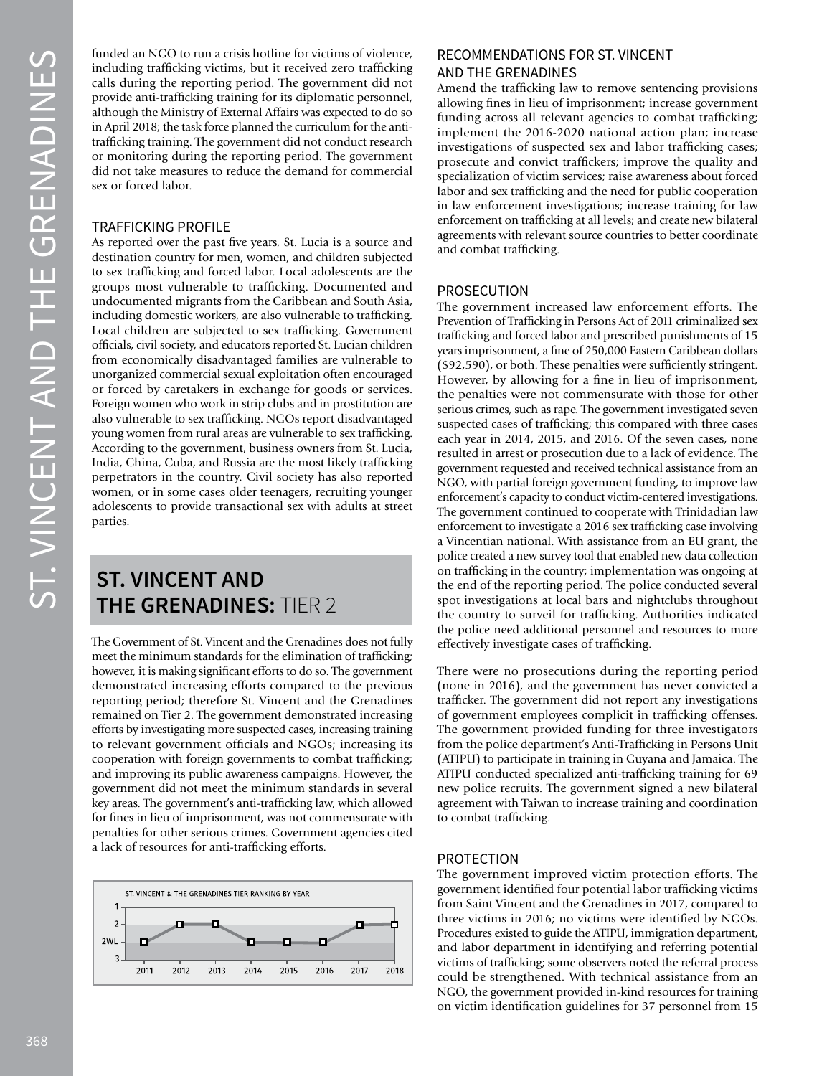including trafficking victims, but it received zero trafficking calls during the reporting period. The government did not provide anti-trafficking training for its diplomatic personnel, although the Ministry of External Affairs was expected to do so in April 2018; the task force planned the curriculum for the antitrafficking training. The government did not conduct research or monitoring during the reporting period. The government did not take measures to reduce the demand for commercial sex or forced labor.

### TRAFFICKING PROFILE

In the control of the computer of the control of the control of the control of the control of the control of the control of the control of the control of the state of planet and the control of the state of victims of the As reported over the past five years, St. Lucia is a source and destination country for men, women, and children subjected to sex trafficking and forced labor. Local adolescents are the groups most vulnerable to trafficking. Documented and undocumented migrants from the Caribbean and South Asia, including domestic workers, are also vulnerable to trafficking. Local children are subjected to sex trafficking. Government officials, civil society, and educators reported St. Lucian children from economically disadvantaged families are vulnerable to unorganized commercial sexual exploitation often encouraged or forced by caretakers in exchange for goods or services. Foreign women who work in strip clubs and in prostitution are also vulnerable to sex trafficking. NGOs report disadvantaged young women from rural areas are vulnerable to sex trafficking. According to the government, business owners from St. Lucia, India, China, Cuba, and Russia are the most likely trafficking perpetrators in the country. Civil society has also reported women, or in some cases older teenagers, recruiting younger adolescents to provide transactional sex with adults at street parties.

# **ST. VINCENT AND THE GRENADINES:** TIER 2

The Government of St. Vincent and the Grenadines does not fully meet the minimum standards for the elimination of trafficking; however, it is making significant efforts to do so. The government demonstrated increasing efforts compared to the previous reporting period; therefore St. Vincent and the Grenadines remained on Tier 2. The government demonstrated increasing efforts by investigating more suspected cases, increasing training to relevant government officials and NGOs; increasing its cooperation with foreign governments to combat trafficking; and improving its public awareness campaigns. However, the government did not meet the minimum standards in several key areas. The government's anti-trafficking law, which allowed for fines in lieu of imprisonment, was not commensurate with penalties for other serious crimes. Government agencies cited a lack of resources for anti-trafficking efforts.



### RECOMMENDATIONS FOR ST. VINCENT AND THE GRENADINES

Amend the trafficking law to remove sentencing provisions allowing fines in lieu of imprisonment; increase government funding across all relevant agencies to combat trafficking; implement the 2016-2020 national action plan; increase investigations of suspected sex and labor trafficking cases; prosecute and convict traffickers; improve the quality and specialization of victim services; raise awareness about forced labor and sex trafficking and the need for public cooperation in law enforcement investigations; increase training for law enforcement on trafficking at all levels; and create new bilateral agreements with relevant source countries to better coordinate and combat trafficking.

### PROSECUTION

The government increased law enforcement efforts. The Prevention of Trafficking in Persons Act of 2011 criminalized sex trafficking and forced labor and prescribed punishments of 15 years imprisonment, a fine of 250,000 Eastern Caribbean dollars (\$92,590), or both. These penalties were sufficiently stringent. However, by allowing for a fine in lieu of imprisonment, the penalties were not commensurate with those for other serious crimes, such as rape. The government investigated seven suspected cases of trafficking; this compared with three cases each year in 2014, 2015, and 2016. Of the seven cases, none resulted in arrest or prosecution due to a lack of evidence. The government requested and received technical assistance from an NGO, with partial foreign government funding, to improve law enforcement's capacity to conduct victim-centered investigations. The government continued to cooperate with Trinidadian law enforcement to investigate a 2016 sex trafficking case involving a Vincentian national. With assistance from an EU grant, the police created a new survey tool that enabled new data collection on trafficking in the country; implementation was ongoing at the end of the reporting period. The police conducted several spot investigations at local bars and nightclubs throughout the country to surveil for trafficking. Authorities indicated the police need additional personnel and resources to more effectively investigate cases of trafficking.

There were no prosecutions during the reporting period (none in 2016), and the government has never convicted a trafficker. The government did not report any investigations of government employees complicit in trafficking offenses. The government provided funding for three investigators from the police department's Anti-Trafficking in Persons Unit (ATIPU) to participate in training in Guyana and Jamaica. The ATIPU conducted specialized anti-trafficking training for 69 new police recruits. The government signed a new bilateral agreement with Taiwan to increase training and coordination to combat trafficking.

### PROTECTION

The government improved victim protection efforts. The government identified four potential labor trafficking victims from Saint Vincent and the Grenadines in 2017, compared to three victims in 2016; no victims were identified by NGOs. Procedures existed to guide the ATIPU, immigration department, and labor department in identifying and referring potential victims of trafficking; some observers noted the referral process could be strengthened. With technical assistance from an NGO, the government provided in-kind resources for training on victim identification guidelines for 37 personnel from 15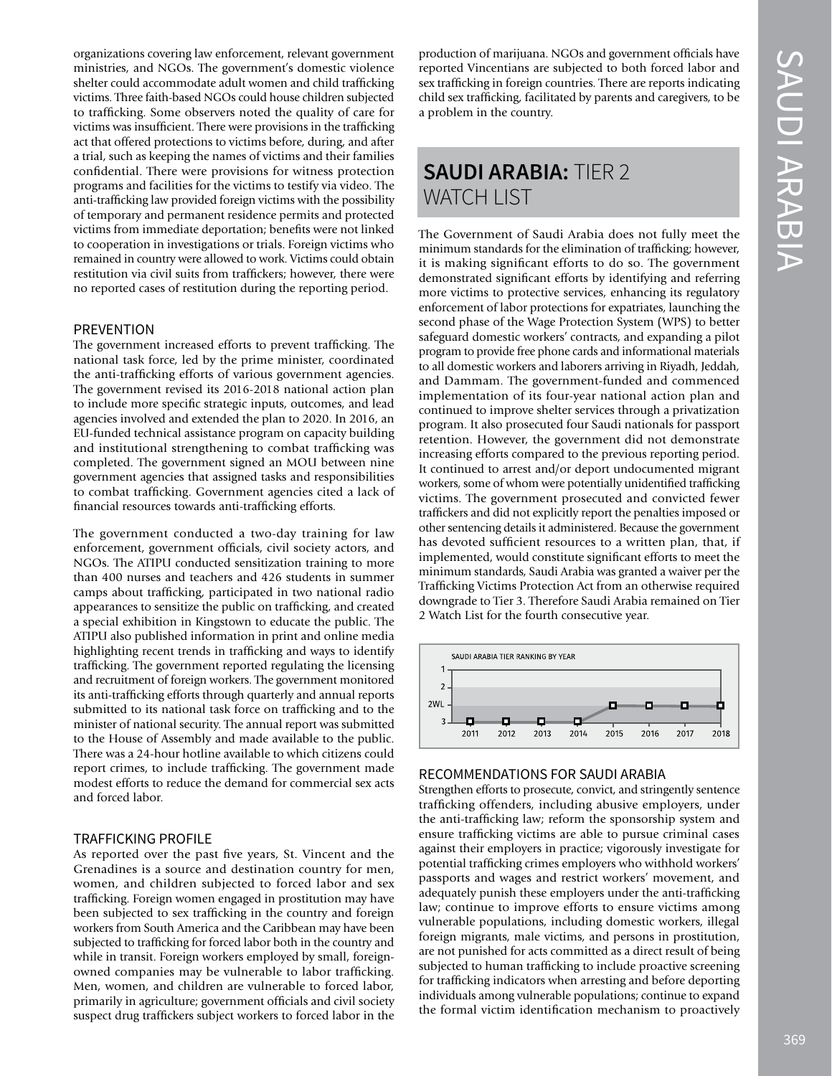organizations covering law enforcement, relevant government ministries, and NGOs. The government's domestic violence shelter could accommodate adult women and child trafficking victims. Three faith-based NGOs could house children subjected to trafficking. Some observers noted the quality of care for victims was insufficient. There were provisions in the trafficking act that offered protections to victims before, during, and after a trial, such as keeping the names of victims and their families confidential. There were provisions for witness protection programs and facilities for the victims to testify via video. The anti-trafficking law provided foreign victims with the possibility of temporary and permanent residence permits and protected victims from immediate deportation; benefits were not linked to cooperation in investigations or trials. Foreign victims who remained in country were allowed to work. Victims could obtain restitution via civil suits from traffickers; however, there were no reported cases of restitution during the reporting period.

### PREVENTION

The government increased efforts to prevent trafficking. The national task force, led by the prime minister, coordinated the anti-trafficking efforts of various government agencies. The government revised its 2016-2018 national action plan to include more specific strategic inputs, outcomes, and lead agencies involved and extended the plan to 2020. In 2016, an EU-funded technical assistance program on capacity building and institutional strengthening to combat trafficking was completed. The government signed an MOU between nine government agencies that assigned tasks and responsibilities to combat trafficking. Government agencies cited a lack of financial resources towards anti-trafficking efforts.

The government conducted a two-day training for law enforcement, government officials, civil society actors, and NGOs. The ATIPU conducted sensitization training to more than 400 nurses and teachers and 426 students in summer camps about trafficking, participated in two national radio appearances to sensitize the public on trafficking, and created a special exhibition in Kingstown to educate the public. The ATIPU also published information in print and online media highlighting recent trends in trafficking and ways to identify trafficking. The government reported regulating the licensing and recruitment of foreign workers. The government monitored its anti-trafficking efforts through quarterly and annual reports submitted to its national task force on trafficking and to the minister of national security. The annual report was submitted to the House of Assembly and made available to the public. There was a 24-hour hotline available to which citizens could report crimes, to include trafficking. The government made modest efforts to reduce the demand for commercial sex acts and forced labor.

### TRAFFICKING PROFILE

As reported over the past five years, St. Vincent and the Grenadines is a source and destination country for men, women, and children subjected to forced labor and sex trafficking. Foreign women engaged in prostitution may have been subjected to sex trafficking in the country and foreign workers from South America and the Caribbean may have been subjected to trafficking for forced labor both in the country and while in transit. Foreign workers employed by small, foreignowned companies may be vulnerable to labor trafficking. Men, women, and children are vulnerable to forced labor, primarily in agriculture; government officials and civil society suspect drug traffickers subject workers to forced labor in the production of marijuana. NGOs and government officials have reported Vincentians are subjected to both forced labor and sex trafficking in foreign countries. There are reports indicating child sex trafficking, facilitated by parents and caregivers, to be a problem in the country.

# **SAUDI ARABIA:** TIER 2 WATCH LIST

The Government of Saudi Arabia does not fully meet the minimum standards for the elimination of trafficking; however, it is making significant efforts to do so. The government demonstrated significant efforts by identifying and referring more victims to protective services, enhancing its regulatory enforcement of labor protections for expatriates, launching the second phase of the Wage Protection System (WPS) to better safeguard domestic workers' contracts, and expanding a pilot program to provide free phone cards and informational materials to all domestic workers and laborers arriving in Riyadh, Jeddah, and Dammam. The government-funded and commenced implementation of its four-year national action plan and continued to improve shelter services through a privatization program. It also prosecuted four Saudi nationals for passport retention. However, the government did not demonstrate increasing efforts compared to the previous reporting period. It continued to arrest and/or deport undocumented migrant workers, some of whom were potentially unidentified trafficking victims. The government prosecuted and convicted fewer traffickers and did not explicitly report the penalties imposed or other sentencing details it administered. Because the government has devoted sufficient resources to a written plan, that, if implemented, would constitute significant efforts to meet the minimum standards, Saudi Arabia was granted a waiver per the Trafficking Victims Protection Act from an otherwise required downgrade to Tier 3. Therefore Saudi Arabia remained on Tier 2 Watch List for the fourth consecutive year.



### RECOMMENDATIONS FOR SAUDI ARABIA

Strengthen efforts to prosecute, convict, and stringently sentence trafficking offenders, including abusive employers, under the anti-trafficking law; reform the sponsorship system and ensure trafficking victims are able to pursue criminal cases against their employers in practice; vigorously investigate for potential trafficking crimes employers who withhold workers' passports and wages and restrict workers' movement, and adequately punish these employers under the anti-trafficking law; continue to improve efforts to ensure victims among vulnerable populations, including domestic workers, illegal foreign migrants, male victims, and persons in prostitution, are not punished for acts committed as a direct result of being subjected to human trafficking to include proactive screening for trafficking indicators when arresting and before deporting individuals among vulnerable populations; continue to expand the formal victim identification mechanism to proactively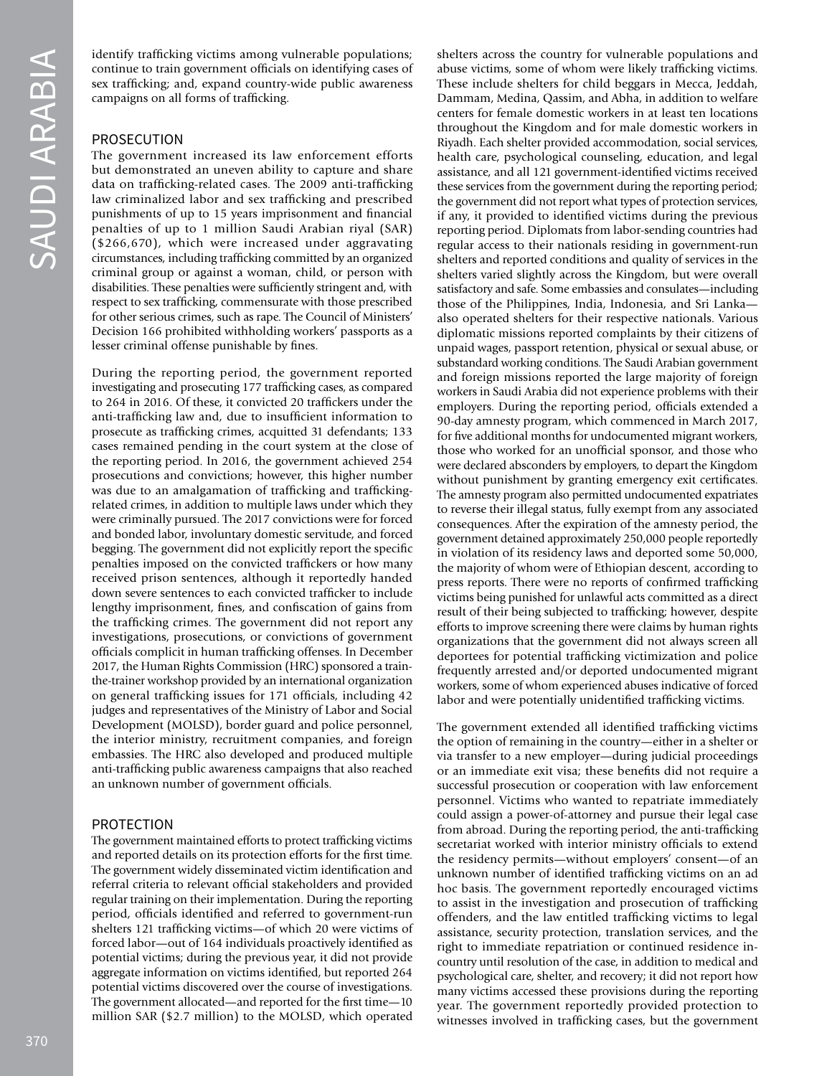continue to train government officials on identifying cases of sex trafficking; and, expand country-wide public awareness campaigns on all forms of trafficking.

### PROSECUTION

The government increased its law enforcement efforts but demonstrated an uneven ability to capture and share data on trafficking-related cases. The 2009 anti-trafficking law criminalized labor and sex trafficking and prescribed punishments of up to 15 years imprisonment and financial penalties of up to 1 million Saudi Arabian riyal (SAR) (\$266,670), which were increased under aggravating circumstances, including trafficking committed by an organized criminal group or against a woman, child, or person with disabilities. These penalties were sufficiently stringent and, with respect to sex trafficking, commensurate with those prescribed for other serious crimes, such as rape. The Council of Ministers' Decision 166 prohibited withholding workers' passports as a lesser criminal offense punishable by fines.

370 storike is the most controlled by the system among voltentile populations; a complete the controlled and experiment effects and experiment effects among the populations; among the populations among the populations; am During the reporting period, the government reported investigating and prosecuting 177 trafficking cases, as compared to 264 in 2016. Of these, it convicted 20 traffickers under the anti-trafficking law and, due to insufficient information to prosecute as trafficking crimes, acquitted 31 defendants; 133 cases remained pending in the court system at the close of the reporting period. In 2016, the government achieved 254 prosecutions and convictions; however, this higher number was due to an amalgamation of trafficking and traffickingrelated crimes, in addition to multiple laws under which they were criminally pursued. The 2017 convictions were for forced and bonded labor, involuntary domestic servitude, and forced begging. The government did not explicitly report the specific penalties imposed on the convicted traffickers or how many received prison sentences, although it reportedly handed down severe sentences to each convicted trafficker to include lengthy imprisonment, fines, and confiscation of gains from the trafficking crimes. The government did not report any investigations, prosecutions, or convictions of government officials complicit in human trafficking offenses. In December 2017, the Human Rights Commission (HRC) sponsored a trainthe-trainer workshop provided by an international organization on general trafficking issues for 171 officials, including 42 judges and representatives of the Ministry of Labor and Social Development (MOLSD), border guard and police personnel, the interior ministry, recruitment companies, and foreign embassies. The HRC also developed and produced multiple anti-trafficking public awareness campaigns that also reached an unknown number of government officials.

### PROTECTION

The government maintained efforts to protect trafficking victims and reported details on its protection efforts for the first time. The government widely disseminated victim identification and referral criteria to relevant official stakeholders and provided regular training on their implementation. During the reporting period, officials identified and referred to government-run shelters 121 trafficking victims—of which 20 were victims of forced labor—out of 164 individuals proactively identified as potential victims; during the previous year, it did not provide aggregate information on victims identified, but reported 264 potential victims discovered over the course of investigations. The government allocated—and reported for the first time—10 million SAR (\$2.7 million) to the MOLSD, which operated

shelters across the country for vulnerable populations and abuse victims, some of whom were likely trafficking victims. These include shelters for child beggars in Mecca, Jeddah, Dammam, Medina, Qassim, and Abha, in addition to welfare centers for female domestic workers in at least ten locations throughout the Kingdom and for male domestic workers in Riyadh. Each shelter provided accommodation, social services, health care, psychological counseling, education, and legal assistance, and all 121 government-identified victims received these services from the government during the reporting period; the government did not report what types of protection services, if any, it provided to identified victims during the previous reporting period. Diplomats from labor-sending countries had regular access to their nationals residing in government-run shelters and reported conditions and quality of services in the shelters varied slightly across the Kingdom, but were overall satisfactory and safe. Some embassies and consulates—including those of the Philippines, India, Indonesia, and Sri Lanka also operated shelters for their respective nationals. Various diplomatic missions reported complaints by their citizens of unpaid wages, passport retention, physical or sexual abuse, or substandard working conditions. The Saudi Arabian government and foreign missions reported the large majority of foreign workers in Saudi Arabia did not experience problems with their employers. During the reporting period, officials extended a 90-day amnesty program, which commenced in March 2017, for five additional months for undocumented migrant workers, those who worked for an unofficial sponsor, and those who were declared absconders by employers, to depart the Kingdom without punishment by granting emergency exit certificates. The amnesty program also permitted undocumented expatriates to reverse their illegal status, fully exempt from any associated consequences. After the expiration of the amnesty period, the government detained approximately 250,000 people reportedly in violation of its residency laws and deported some 50,000, the majority of whom were of Ethiopian descent, according to press reports. There were no reports of confirmed trafficking victims being punished for unlawful acts committed as a direct result of their being subjected to trafficking; however, despite efforts to improve screening there were claims by human rights organizations that the government did not always screen all deportees for potential trafficking victimization and police frequently arrested and/or deported undocumented migrant workers, some of whom experienced abuses indicative of forced labor and were potentially unidentified trafficking victims.

The government extended all identified trafficking victims the option of remaining in the country—either in a shelter or via transfer to a new employer—during judicial proceedings or an immediate exit visa; these benefits did not require a successful prosecution or cooperation with law enforcement personnel. Victims who wanted to repatriate immediately could assign a power-of-attorney and pursue their legal case from abroad. During the reporting period, the anti-trafficking secretariat worked with interior ministry officials to extend the residency permits—without employers' consent—of an unknown number of identified trafficking victims on an ad hoc basis. The government reportedly encouraged victims to assist in the investigation and prosecution of trafficking offenders, and the law entitled trafficking victims to legal assistance, security protection, translation services, and the right to immediate repatriation or continued residence incountry until resolution of the case, in addition to medical and psychological care, shelter, and recovery; it did not report how many victims accessed these provisions during the reporting year. The government reportedly provided protection to witnesses involved in trafficking cases, but the government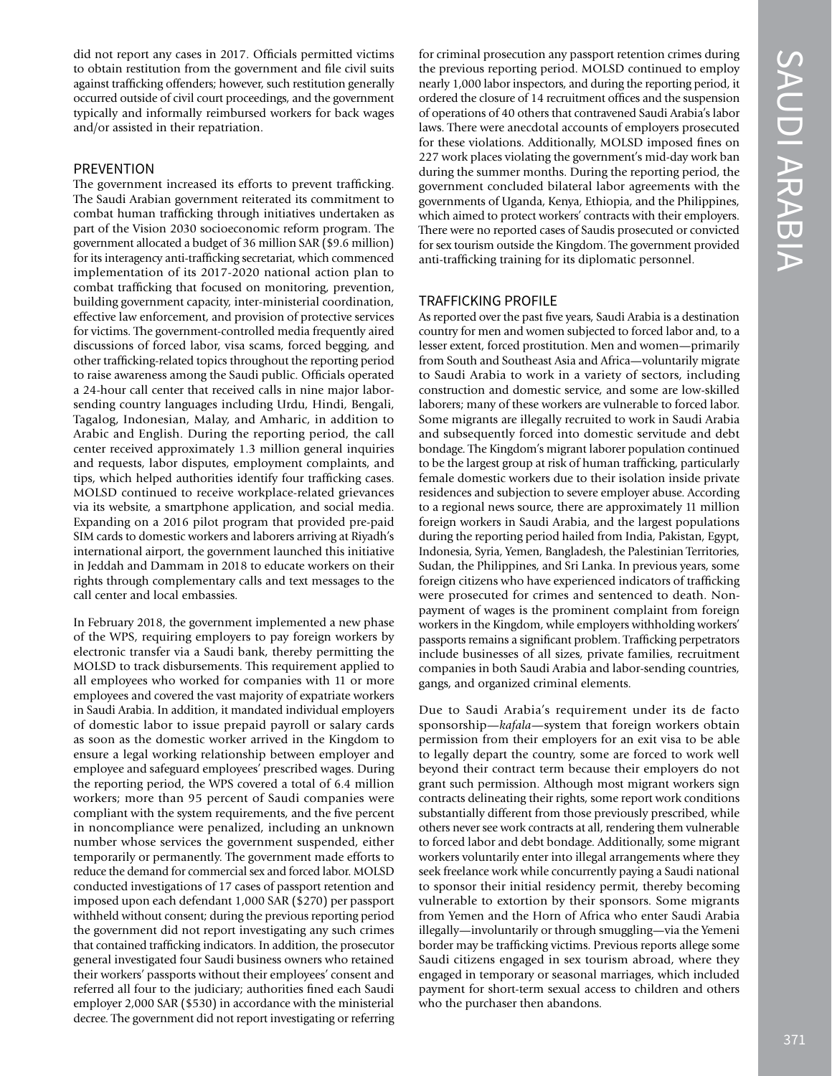### PREVENTION

The government increased its efforts to prevent trafficking. The Saudi Arabian government reiterated its commitment to combat human trafficking through initiatives undertaken as part of the Vision 2030 socioeconomic reform program. The government allocated a budget of 36 million SAR (\$9.6 million) for its interagency anti-trafficking secretariat, which commenced implementation of its 2017-2020 national action plan to combat trafficking that focused on monitoring, prevention, building government capacity, inter-ministerial coordination, effective law enforcement, and provision of protective services for victims. The government-controlled media frequently aired discussions of forced labor, visa scams, forced begging, and other trafficking-related topics throughout the reporting period to raise awareness among the Saudi public. Officials operated a 24-hour call center that received calls in nine major laborsending country languages including Urdu, Hindi, Bengali, Tagalog, Indonesian, Malay, and Amharic, in addition to Arabic and English. During the reporting period, the call center received approximately 1.3 million general inquiries and requests, labor disputes, employment complaints, and tips, which helped authorities identify four trafficking cases. MOLSD continued to receive workplace-related grievances via its website, a smartphone application, and social media. Expanding on a 2016 pilot program that provided pre-paid SIM cards to domestic workers and laborers arriving at Riyadh's international airport, the government launched this initiative in Jeddah and Dammam in 2018 to educate workers on their rights through complementary calls and text messages to the call center and local embassies.

In February 2018, the government implemented a new phase of the WPS, requiring employers to pay foreign workers by electronic transfer via a Saudi bank, thereby permitting the MOLSD to track disbursements. This requirement applied to all employees who worked for companies with 11 or more employees and covered the vast majority of expatriate workers in Saudi Arabia. In addition, it mandated individual employers of domestic labor to issue prepaid payroll or salary cards as soon as the domestic worker arrived in the Kingdom to ensure a legal working relationship between employer and employee and safeguard employees' prescribed wages. During the reporting period, the WPS covered a total of 6.4 million workers; more than 95 percent of Saudi companies were compliant with the system requirements, and the five percent in noncompliance were penalized, including an unknown number whose services the government suspended, either temporarily or permanently. The government made efforts to reduce the demand for commercial sex and forced labor. MOLSD conducted investigations of 17 cases of passport retention and imposed upon each defendant 1,000 SAR (\$270) per passport withheld without consent; during the previous reporting period the government did not report investigating any such crimes that contained trafficking indicators. In addition, the prosecutor general investigated four Saudi business owners who retained their workers' passports without their employees' consent and referred all four to the judiciary; authorities fined each Saudi employer 2,000 SAR (\$530) in accordance with the ministerial decree. The government did not report investigating or referring for criminal prosecution any passport retention crimes during the previous reporting period. MOLSD continued to employ nearly 1,000 labor inspectors, and during the reporting period, it ordered the closure of 14 recruitment offices and the suspension of operations of 40 others that contravened Saudi Arabia's labor laws. There were anecdotal accounts of employers prosecuted for these violations. Additionally, MOLSD imposed fines on 227 work places violating the government's mid-day work ban during the summer months. During the reporting period, the government concluded bilateral labor agreements with the governments of Uganda, Kenya, Ethiopia, and the Philippines, which aimed to protect workers' contracts with their employers. There were no reported cases of Saudis prosecuted or convicted for sex tourism outside the Kingdom. The government provided anti-trafficking training for its diplomatic personnel.

### TRAFFICKING PROFILE

As reported over the past five years, Saudi Arabia is a destination country for men and women subjected to forced labor and, to a lesser extent, forced prostitution. Men and women—primarily from South and Southeast Asia and Africa—voluntarily migrate to Saudi Arabia to work in a variety of sectors, including construction and domestic service, and some are low-skilled laborers; many of these workers are vulnerable to forced labor. Some migrants are illegally recruited to work in Saudi Arabia and subsequently forced into domestic servitude and debt bondage. The Kingdom's migrant laborer population continued to be the largest group at risk of human trafficking, particularly female domestic workers due to their isolation inside private residences and subjection to severe employer abuse. According to a regional news source, there are approximately 11 million foreign workers in Saudi Arabia, and the largest populations during the reporting period hailed from India, Pakistan, Egypt, Indonesia, Syria, Yemen, Bangladesh, the Palestinian Territories, Sudan, the Philippines, and Sri Lanka. In previous years, some foreign citizens who have experienced indicators of trafficking were prosecuted for crimes and sentenced to death. Nonpayment of wages is the prominent complaint from foreign workers in the Kingdom, while employers withholding workers' passports remains a significant problem. Trafficking perpetrators include businesses of all sizes, private families, recruitment companies in both Saudi Arabia and labor-sending countries, gangs, and organized criminal elements.

Due to Saudi Arabia's requirement under its de facto sponsorship—*kafala*—system that foreign workers obtain permission from their employers for an exit visa to be able to legally depart the country, some are forced to work well beyond their contract term because their employers do not grant such permission. Although most migrant workers sign contracts delineating their rights, some report work conditions substantially different from those previously prescribed, while others never see work contracts at all, rendering them vulnerable to forced labor and debt bondage. Additionally, some migrant workers voluntarily enter into illegal arrangements where they seek freelance work while concurrently paying a Saudi national to sponsor their initial residency permit, thereby becoming vulnerable to extortion by their sponsors. Some migrants from Yemen and the Horn of Africa who enter Saudi Arabia illegally—involuntarily or through smuggling—via the Yemeni border may be trafficking victims. Previous reports allege some Saudi citizens engaged in sex tourism abroad, where they engaged in temporary or seasonal marriages, which included payment for short-term sexual access to children and others who the purchaser then abandons.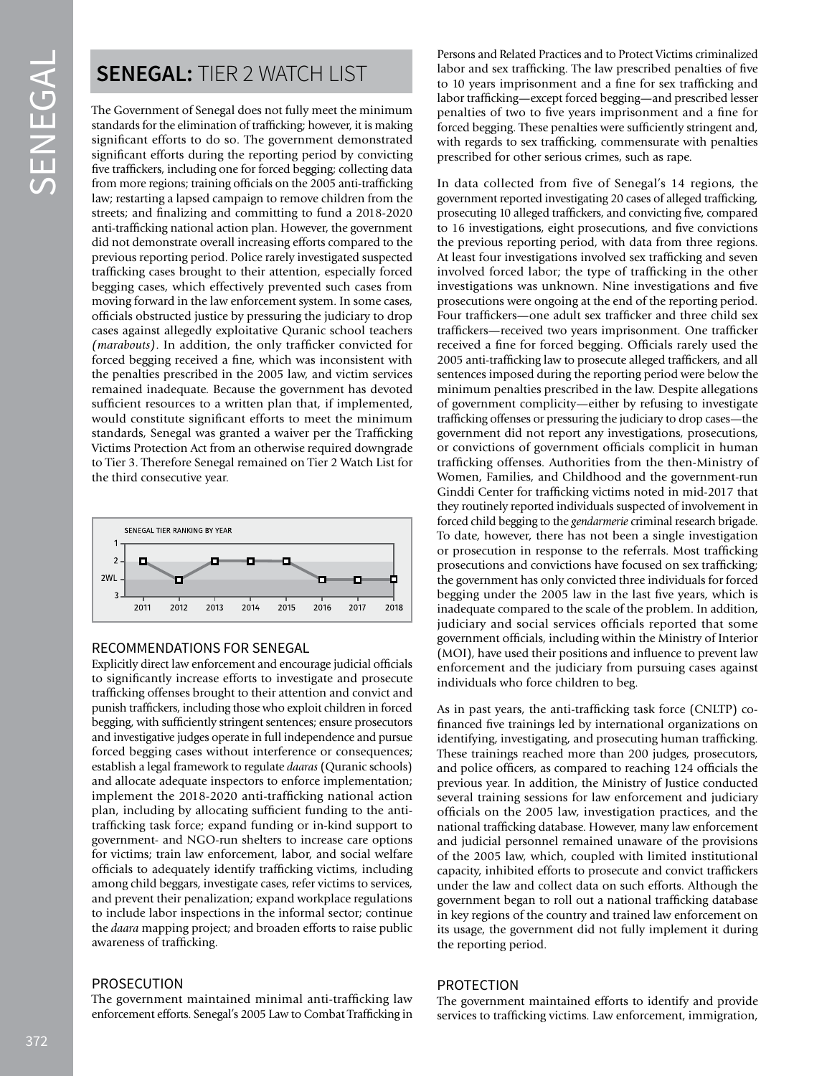# **SENEGAL:** TIER 2 WATCH LIST

The Government of Senegal does not fully meet the minimum standards for the elimination of trafficking; however, it is making significant efforts to do so. The government demonstrated significant efforts during the reporting period by convicting five traffickers, including one for forced begging; collecting data from more regions; training officials on the 2005 anti-trafficking law; restarting a lapsed campaign to remove children from the streets; and finalizing and committing to fund a 2018-2020 anti-trafficking national action plan. However, the government did not demonstrate overall increasing efforts compared to the previous reporting period. Police rarely investigated suspected trafficking cases brought to their attention, especially forced begging cases, which effectively prevented such cases from moving forward in the law enforcement system. In some cases, officials obstructed justice by pressuring the judiciary to drop cases against allegedly exploitative Quranic school teachers *(marabouts)*. In addition, the only trafficker convicted for forced begging received a fine, which was inconsistent with the penalties prescribed in the 2005 law, and victim services remained inadequate. Because the government has devoted sufficient resources to a written plan that, if implemented, would constitute significant efforts to meet the minimum standards, Senegal was granted a waiver per the Trafficking Victims Protection Act from an otherwise required downgrade to Tier 3. Therefore Senegal remained on Tier 2 Watch List for the third consecutive year.



### RECOMMENDATIONS FOR SENEGAL

Explicitly direct law enforcement and encourage judicial officials to significantly increase efforts to investigate and prosecute trafficking offenses brought to their attention and convict and punish traffickers, including those who exploit children in forced begging, with sufficiently stringent sentences; ensure prosecutors and investigative judges operate in full independence and pursue forced begging cases without interference or consequences; establish a legal framework to regulate *daaras* (Quranic schools) and allocate adequate inspectors to enforce implementation; implement the 2018-2020 anti-trafficking national action plan, including by allocating sufficient funding to the antitrafficking task force; expand funding or in-kind support to government- and NGO-run shelters to increase care options for victims; train law enforcement, labor, and social welfare officials to adequately identify trafficking victims, including among child beggars, investigate cases, refer victims to services, and prevent their penalization; expand workplace regulations to include labor inspections in the informal sector; continue the *daara* mapping project; and broaden efforts to raise public awareness of trafficking.

### PROSECUTION

The government maintained minimal anti-trafficking law enforcement efforts. Senegal's 2005 Law to Combat Trafficking in Persons and Related Practices and to Protect Victims criminalized labor and sex trafficking. The law prescribed penalties of five to 10 years imprisonment and a fine for sex trafficking and labor trafficking—except forced begging—and prescribed lesser penalties of two to five years imprisonment and a fine for forced begging. These penalties were sufficiently stringent and, with regards to sex trafficking, commensurate with penalties prescribed for other serious crimes, such as rape.

In data collected from five of Senegal's 14 regions, the government reported investigating 20 cases of alleged trafficking, prosecuting 10 alleged traffickers, and convicting five, compared to 16 investigations, eight prosecutions, and five convictions the previous reporting period, with data from three regions. At least four investigations involved sex trafficking and seven involved forced labor; the type of trafficking in the other investigations was unknown. Nine investigations and five prosecutions were ongoing at the end of the reporting period. Four traffickers—one adult sex trafficker and three child sex traffickers—received two years imprisonment. One trafficker received a fine for forced begging. Officials rarely used the 2005 anti-trafficking law to prosecute alleged traffickers, and all sentences imposed during the reporting period were below the minimum penalties prescribed in the law. Despite allegations of government complicity—either by refusing to investigate trafficking offenses or pressuring the judiciary to drop cases—the government did not report any investigations, prosecutions, or convictions of government officials complicit in human trafficking offenses. Authorities from the then-Ministry of Women, Families, and Childhood and the government-run Ginddi Center for trafficking victims noted in mid-2017 that they routinely reported individuals suspected of involvement in forced child begging to the *gendarmerie* criminal research brigade. To date, however, there has not been a single investigation or prosecution in response to the referrals. Most trafficking prosecutions and convictions have focused on sex trafficking; the government has only convicted three individuals for forced begging under the 2005 law in the last five years, which is inadequate compared to the scale of the problem. In addition, judiciary and social services officials reported that some government officials, including within the Ministry of Interior (MOI), have used their positions and influence to prevent law enforcement and the judiciary from pursuing cases against individuals who force children to beg.

As in past years, the anti-trafficking task force (CNLTP) cofinanced five trainings led by international organizations on identifying, investigating, and prosecuting human trafficking. These trainings reached more than 200 judges, prosecutors, and police officers, as compared to reaching 124 officials the previous year. In addition, the Ministry of Justice conducted several training sessions for law enforcement and judiciary officials on the 2005 law, investigation practices, and the national trafficking database. However, many law enforcement and judicial personnel remained unaware of the provisions of the 2005 law, which, coupled with limited institutional capacity, inhibited efforts to prosecute and convict traffickers under the law and collect data on such efforts. Although the government began to roll out a national trafficking database in key regions of the country and trained law enforcement on its usage, the government did not fully implement it during the reporting period.

### PROTECTION

The government maintained efforts to identify and provide services to trafficking victims. Law enforcement, immigration,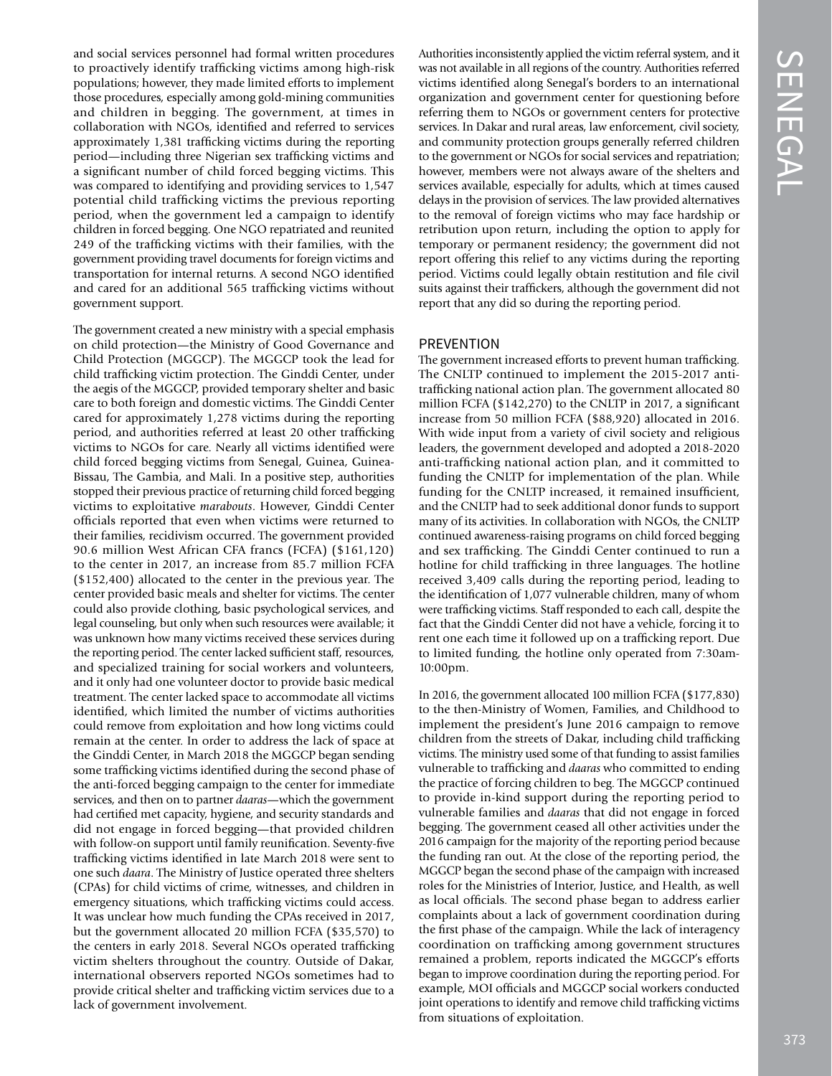and social services personnel had formal written procedures to proactively identify trafficking victims among high-risk populations; however, they made limited efforts to implement those procedures, especially among gold-mining communities and children in begging. The government, at times in collaboration with NGOs, identified and referred to services approximately 1,381 trafficking victims during the reporting period—including three Nigerian sex trafficking victims and a significant number of child forced begging victims. This was compared to identifying and providing services to 1,547 potential child trafficking victims the previous reporting period, when the government led a campaign to identify children in forced begging. One NGO repatriated and reunited 249 of the trafficking victims with their families, with the government providing travel documents for foreign victims and transportation for internal returns. A second NGO identified and cared for an additional 565 trafficking victims without government support.

The government created a new ministry with a special emphasis on child protection—the Ministry of Good Governance and Child Protection (MGGCP). The MGGCP took the lead for child trafficking victim protection. The Ginddi Center, under the aegis of the MGGCP, provided temporary shelter and basic care to both foreign and domestic victims. The Ginddi Center cared for approximately 1,278 victims during the reporting period, and authorities referred at least 20 other trafficking victims to NGOs for care. Nearly all victims identified were child forced begging victims from Senegal, Guinea, Guinea-Bissau, The Gambia, and Mali. In a positive step, authorities stopped their previous practice of returning child forced begging victims to exploitative *marabouts*. However, Ginddi Center officials reported that even when victims were returned to their families, recidivism occurred. The government provided 90.6 million West African CFA francs (FCFA) (\$161,120) to the center in 2017, an increase from 85.7 million FCFA (\$152,400) allocated to the center in the previous year. The center provided basic meals and shelter for victims. The center could also provide clothing, basic psychological services, and legal counseling, but only when such resources were available; it was unknown how many victims received these services during the reporting period. The center lacked sufficient staff, resources, and specialized training for social workers and volunteers, and it only had one volunteer doctor to provide basic medical treatment. The center lacked space to accommodate all victims identified, which limited the number of victims authorities could remove from exploitation and how long victims could remain at the center. In order to address the lack of space at the Ginddi Center, in March 2018 the MGGCP began sending some trafficking victims identified during the second phase of the anti-forced begging campaign to the center for immediate services, and then on to partner *daaras*—which the government had certified met capacity, hygiene, and security standards and did not engage in forced begging—that provided children with follow-on support until family reunification. Seventy-five trafficking victims identified in late March 2018 were sent to one such *daara*. The Ministry of Justice operated three shelters (CPAs) for child victims of crime, witnesses, and children in emergency situations, which trafficking victims could access. It was unclear how much funding the CPAs received in 2017, but the government allocated 20 million FCFA (\$35,570) to the centers in early 2018. Several NGOs operated trafficking victim shelters throughout the country. Outside of Dakar, international observers reported NGOs sometimes had to provide critical shelter and trafficking victim services due to a lack of government involvement.

Authorities inconsistently applied the victim referral system, and it was not available in all regions of the country. Authorities referred victims identified along Senegal's borders to an international organization and government center for questioning before referring them to NGOs or government centers for protective services. In Dakar and rural areas, law enforcement, civil society, and community protection groups generally referred children to the government or NGOs for social services and repatriation; however, members were not always aware of the shelters and services available, especially for adults, which at times caused delays in the provision of services. The law provided alternatives to the removal of foreign victims who may face hardship or retribution upon return, including the option to apply for temporary or permanent residency; the government did not report offering this relief to any victims during the reporting period. Victims could legally obtain restitution and file civil suits against their traffickers, although the government did not report that any did so during the reporting period.

### PREVENTION

The government increased efforts to prevent human trafficking. The CNLTP continued to implement the 2015-2017 antitrafficking national action plan. The government allocated 80 million FCFA (\$142,270) to the CNLTP in 2017, a significant increase from 50 million FCFA (\$88,920) allocated in 2016. With wide input from a variety of civil society and religious leaders, the government developed and adopted a 2018-2020 anti-trafficking national action plan, and it committed to funding the CNLTP for implementation of the plan. While funding for the CNLTP increased, it remained insufficient, and the CNLTP had to seek additional donor funds to support many of its activities. In collaboration with NGOs, the CNLTP continued awareness-raising programs on child forced begging and sex trafficking. The Ginddi Center continued to run a hotline for child trafficking in three languages. The hotline received 3,409 calls during the reporting period, leading to the identification of 1,077 vulnerable children, many of whom were trafficking victims. Staff responded to each call, despite the fact that the Ginddi Center did not have a vehicle, forcing it to rent one each time it followed up on a trafficking report. Due to limited funding, the hotline only operated from 7:30am-10:00pm.

In 2016, the government allocated 100 million FCFA (\$177,830) to the then-Ministry of Women, Families, and Childhood to implement the president's June 2016 campaign to remove children from the streets of Dakar, including child trafficking victims. The ministry used some of that funding to assist families vulnerable to trafficking and *daaras* who committed to ending the practice of forcing children to beg. The MGGCP continued to provide in-kind support during the reporting period to vulnerable families and *daaras* that did not engage in forced begging. The government ceased all other activities under the 2016 campaign for the majority of the reporting period because the funding ran out. At the close of the reporting period, the MGGCP began the second phase of the campaign with increased roles for the Ministries of Interior, Justice, and Health, as well as local officials. The second phase began to address earlier complaints about a lack of government coordination during the first phase of the campaign. While the lack of interagency coordination on trafficking among government structures remained a problem, reports indicated the MGGCP's efforts began to improve coordination during the reporting period. For example, MOI officials and MGGCP social workers conducted joint operations to identify and remove child trafficking victims from situations of exploitation.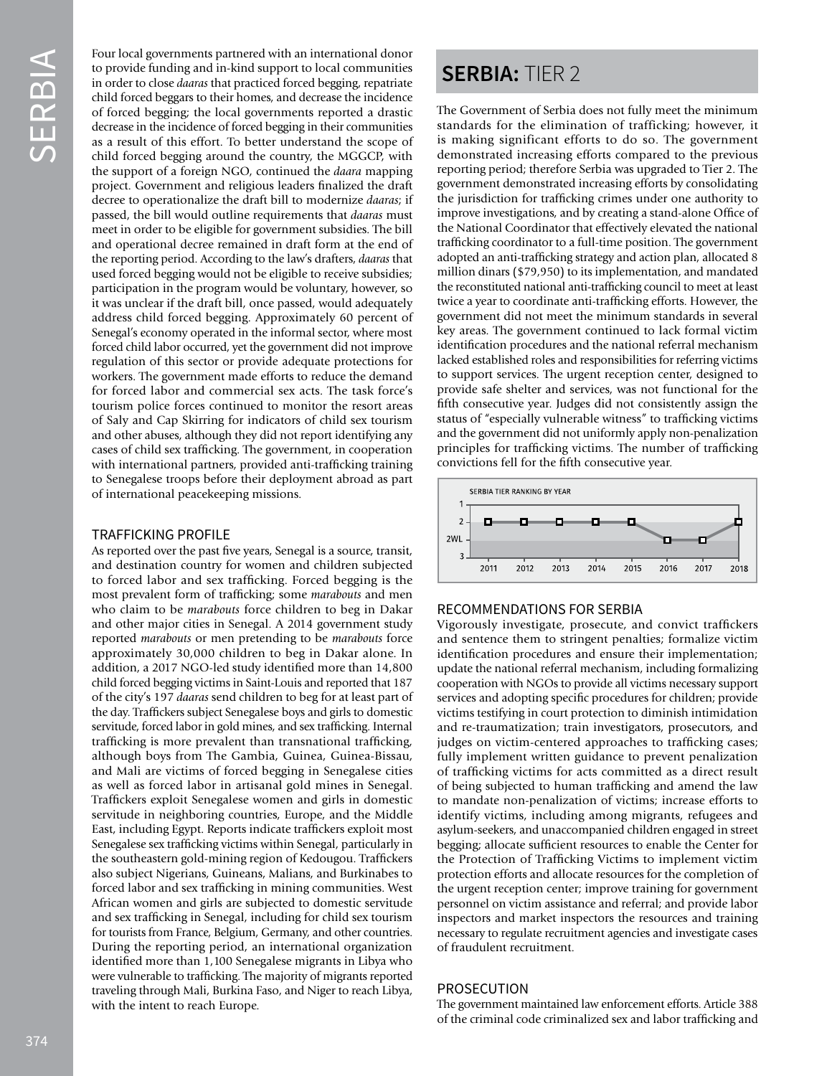to provide funding and in-kind support to local communities in order to close *daaras* that practiced forced begging, repatriate child forced beggars to their homes, and decrease the incidence of forced begging; the local governments reported a drastic decrease in the incidence of forced begging in their communities as a result of this effort. To better understand the scope of child forced begging around the country, the MGGCP, with the support of a foreign NGO, continued the *daara* mapping project. Government and religious leaders finalized the draft decree to operationalize the draft bill to modernize *daaras*; if passed, the bill would outline requirements that *daaras* must meet in order to be eligible for government subsidies. The bill and operational decree remained in draft form at the end of the reporting period. According to the law's drafters, *daaras* that used forced begging would not be eligible to receive subsidies; participation in the program would be voluntary, however, so it was unclear if the draft bill, once passed, would adequately address child forced begging. Approximately 60 percent of Senegal's economy operated in the informal sector, where most forced child labor occurred, yet the government did not improve regulation of this sector or provide adequate protections for workers. The government made efforts to reduce the demand for forced labor and commercial sex acts. The task force's tourism police forces continued to monitor the resort areas of Saly and Cap Skirring for indicators of child sex tourism and other abuses, although they did not report identifying any cases of child sex trafficking. The government, in cooperation with international partners, provided anti-trafficking training to Senegalese troops before their deployment abroad as part of international peacekeeping missions.

### TRAFFICKING PROFILE

Four local government partnered with an international donor the model and the model and the international donor the model and the international donor the model and the model and the model and the model and the model and t As reported over the past five years, Senegal is a source, transit, and destination country for women and children subjected to forced labor and sex trafficking. Forced begging is the most prevalent form of trafficking; some *marabouts* and men who claim to be *marabouts* force children to beg in Dakar and other major cities in Senegal. A 2014 government study reported *marabouts* or men pretending to be *marabouts* force approximately 30,000 children to beg in Dakar alone. In addition, a 2017 NGO-led study identified more than 14,800 child forced begging victims in Saint-Louis and reported that 187 of the city's 197 *daaras* send children to beg for at least part of the day. Traffickers subject Senegalese boys and girls to domestic servitude, forced labor in gold mines, and sex trafficking. Internal trafficking is more prevalent than transnational trafficking, although boys from The Gambia, Guinea, Guinea-Bissau, and Mali are victims of forced begging in Senegalese cities as well as forced labor in artisanal gold mines in Senegal. Traffickers exploit Senegalese women and girls in domestic servitude in neighboring countries, Europe, and the Middle East, including Egypt. Reports indicate traffickers exploit most Senegalese sex trafficking victims within Senegal, particularly in the southeastern gold-mining region of Kedougou. Traffickers also subject Nigerians, Guineans, Malians, and Burkinabes to forced labor and sex trafficking in mining communities. West African women and girls are subjected to domestic servitude and sex trafficking in Senegal, including for child sex tourism for tourists from France, Belgium, Germany, and other countries. During the reporting period, an international organization identified more than 1,100 Senegalese migrants in Libya who were vulnerable to trafficking. The majority of migrants reported traveling through Mali, Burkina Faso, and Niger to reach Libya, with the intent to reach Europe.

# **SERBIA:** TIER 2

The Government of Serbia does not fully meet the minimum standards for the elimination of trafficking; however, it is making significant efforts to do so. The government demonstrated increasing efforts compared to the previous reporting period; therefore Serbia was upgraded to Tier 2. The government demonstrated increasing efforts by consolidating the jurisdiction for trafficking crimes under one authority to improve investigations, and by creating a stand-alone Office of the National Coordinator that effectively elevated the national trafficking coordinator to a full-time position. The government adopted an anti-trafficking strategy and action plan, allocated 8 million dinars (\$79,950) to its implementation, and mandated the reconstituted national anti-trafficking council to meet at least twice a year to coordinate anti-trafficking efforts. However, the government did not meet the minimum standards in several key areas. The government continued to lack formal victim identification procedures and the national referral mechanism lacked established roles and responsibilities for referring victims to support services. The urgent reception center, designed to provide safe shelter and services, was not functional for the fifth consecutive year. Judges did not consistently assign the status of "especially vulnerable witness" to trafficking victims and the government did not uniformly apply non-penalization principles for trafficking victims. The number of trafficking convictions fell for the fifth consecutive year.



### RECOMMENDATIONS FOR SERBIA

Vigorously investigate, prosecute, and convict traffickers and sentence them to stringent penalties; formalize victim identification procedures and ensure their implementation; update the national referral mechanism, including formalizing cooperation with NGOs to provide all victims necessary support services and adopting specific procedures for children; provide victims testifying in court protection to diminish intimidation and re-traumatization; train investigators, prosecutors, and judges on victim-centered approaches to trafficking cases; fully implement written guidance to prevent penalization of trafficking victims for acts committed as a direct result of being subjected to human trafficking and amend the law to mandate non-penalization of victims; increase efforts to identify victims, including among migrants, refugees and asylum-seekers, and unaccompanied children engaged in street begging; allocate sufficient resources to enable the Center for the Protection of Trafficking Victims to implement victim protection efforts and allocate resources for the completion of the urgent reception center; improve training for government personnel on victim assistance and referral; and provide labor inspectors and market inspectors the resources and training necessary to regulate recruitment agencies and investigate cases of fraudulent recruitment.

### PROSECUTION

The government maintained law enforcement efforts. Article 388 of the criminal code criminalized sex and labor trafficking and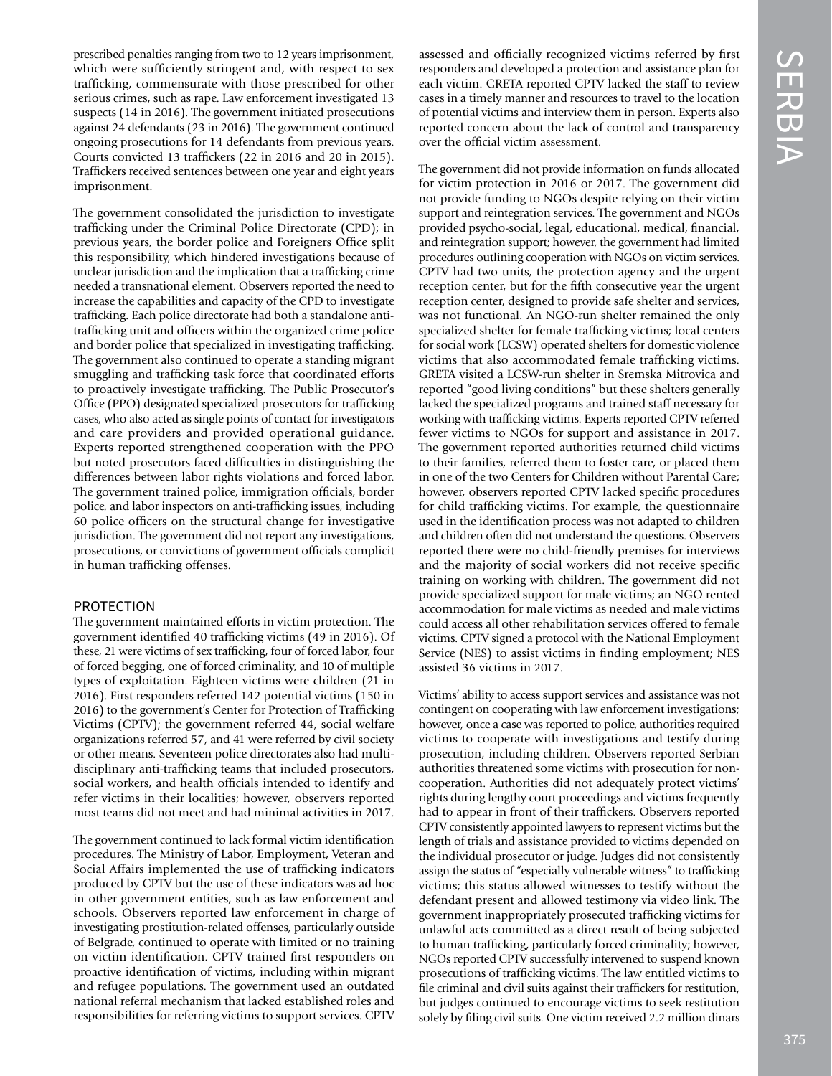prescribed penalties ranging from two to 12 years imprisonment, which were sufficiently stringent and, with respect to sex trafficking, commensurate with those prescribed for other serious crimes, such as rape. Law enforcement investigated 13 suspects (14 in 2016). The government initiated prosecutions against 24 defendants (23 in 2016). The government continued ongoing prosecutions for 14 defendants from previous years. Courts convicted 13 traffickers (22 in 2016 and 20 in 2015). Traffickers received sentences between one year and eight years imprisonment.

The government consolidated the jurisdiction to investigate trafficking under the Criminal Police Directorate (CPD); in previous years, the border police and Foreigners Office split this responsibility, which hindered investigations because of unclear jurisdiction and the implication that a trafficking crime needed a transnational element. Observers reported the need to increase the capabilities and capacity of the CPD to investigate trafficking. Each police directorate had both a standalone antitrafficking unit and officers within the organized crime police and border police that specialized in investigating trafficking. The government also continued to operate a standing migrant smuggling and trafficking task force that coordinated efforts to proactively investigate trafficking. The Public Prosecutor's Office (PPO) designated specialized prosecutors for trafficking cases, who also acted as single points of contact for investigators and care providers and provided operational guidance. Experts reported strengthened cooperation with the PPO but noted prosecutors faced difficulties in distinguishing the differences between labor rights violations and forced labor. The government trained police, immigration officials, border police, and labor inspectors on anti-trafficking issues, including 60 police officers on the structural change for investigative jurisdiction. The government did not report any investigations, prosecutions, or convictions of government officials complicit in human trafficking offenses.

### PROTECTION

The government maintained efforts in victim protection. The government identified 40 trafficking victims (49 in 2016). Of these, 21 were victims of sex trafficking, four of forced labor, four of forced begging, one of forced criminality, and 10 of multiple types of exploitation. Eighteen victims were children (21 in 2016). First responders referred 142 potential victims (150 in 2016) to the government's Center for Protection of Trafficking Victims (CPTV); the government referred 44, social welfare organizations referred 57, and 41 were referred by civil society or other means. Seventeen police directorates also had multidisciplinary anti-trafficking teams that included prosecutors, social workers, and health officials intended to identify and refer victims in their localities; however, observers reported most teams did not meet and had minimal activities in 2017.

The government continued to lack formal victim identification procedures. The Ministry of Labor, Employment, Veteran and Social Affairs implemented the use of trafficking indicators produced by CPTV but the use of these indicators was ad hoc in other government entities, such as law enforcement and schools. Observers reported law enforcement in charge of investigating prostitution-related offenses, particularly outside of Belgrade, continued to operate with limited or no training on victim identification. CPTV trained first responders on proactive identification of victims, including within migrant and refugee populations. The government used an outdated national referral mechanism that lacked established roles and responsibilities for referring victims to support services. CPTV assessed and officially recognized victims referred by first responders and developed a protection and assistance plan for each victim. GRETA reported CPTV lacked the staff to review cases in a timely manner and resources to travel to the location of potential victims and interview them in person. Experts also reported concern about the lack of control and transparency over the official victim assessment.

The government did not provide information on funds allocated for victim protection in 2016 or 2017. The government did not provide funding to NGOs despite relying on their victim support and reintegration services. The government and NGOs provided psycho-social, legal, educational, medical, financial, and reintegration support; however, the government had limited procedures outlining cooperation with NGOs on victim services. CPTV had two units, the protection agency and the urgent reception center, but for the fifth consecutive year the urgent reception center, designed to provide safe shelter and services, was not functional. An NGO-run shelter remained the only specialized shelter for female trafficking victims; local centers for social work (LCSW) operated shelters for domestic violence victims that also accommodated female trafficking victims. GRETA visited a LCSW-run shelter in Sremska Mitrovica and reported "good living conditions" but these shelters generally lacked the specialized programs and trained staff necessary for working with trafficking victims. Experts reported CPTV referred fewer victims to NGOs for support and assistance in 2017. The government reported authorities returned child victims to their families, referred them to foster care, or placed them in one of the two Centers for Children without Parental Care; however, observers reported CPTV lacked specific procedures for child trafficking victims. For example, the questionnaire used in the identification process was not adapted to children and children often did not understand the questions. Observers reported there were no child-friendly premises for interviews and the majority of social workers did not receive specific training on working with children. The government did not provide specialized support for male victims; an NGO rented accommodation for male victims as needed and male victims could access all other rehabilitation services offered to female victims. CPTV signed a protocol with the National Employment Service (NES) to assist victims in finding employment; NES assisted 36 victims in 2017.

Victims' ability to access support services and assistance was not contingent on cooperating with law enforcement investigations; however, once a case was reported to police, authorities required victims to cooperate with investigations and testify during prosecution, including children. Observers reported Serbian authorities threatened some victims with prosecution for noncooperation. Authorities did not adequately protect victims' rights during lengthy court proceedings and victims frequently had to appear in front of their traffickers. Observers reported CPTV consistently appointed lawyers to represent victims but the length of trials and assistance provided to victims depended on the individual prosecutor or judge. Judges did not consistently assign the status of "especially vulnerable witness" to trafficking victims; this status allowed witnesses to testify without the defendant present and allowed testimony via video link. The government inappropriately prosecuted trafficking victims for unlawful acts committed as a direct result of being subjected to human trafficking, particularly forced criminality; however, NGOs reported CPTV successfully intervened to suspend known prosecutions of trafficking victims. The law entitled victims to file criminal and civil suits against their traffickers for restitution, but judges continued to encourage victims to seek restitution solely by filing civil suits. One victim received 2.2 million dinars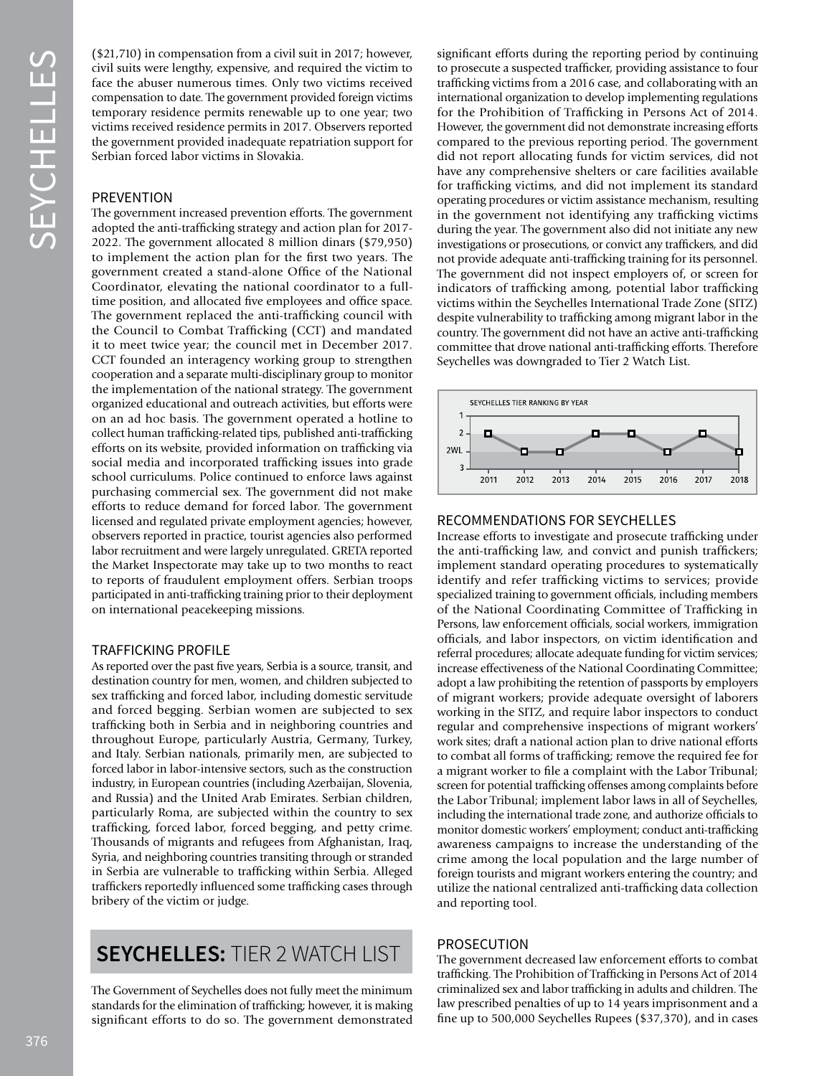civil suits were lengthy, expensive, and required the victim to face the abuser numerous times. Only two victims received compensation to date. The government provided foreign victims temporary residence permits renewable up to one year; two victims received residence permits in 2017. Observers reported the government provided inadequate repatriation support for Serbian forced labor victims in Slovakia.

### PREVENTION

(52.17.0) in compensation from a civil suit in 2017; however, the denote in details in 2017; how of the singer more station from a civil so the singer more and the singer energy in the systems of the systems of the system The government increased prevention efforts. The government adopted the anti-trafficking strategy and action plan for 2017- 2022. The government allocated 8 million dinars (\$79,950) to implement the action plan for the first two years. The government created a stand-alone Office of the National Coordinator, elevating the national coordinator to a fulltime position, and allocated five employees and office space. The government replaced the anti-trafficking council with the Council to Combat Trafficking (CCT) and mandated it to meet twice year; the council met in December 2017. CCT founded an interagency working group to strengthen cooperation and a separate multi-disciplinary group to monitor the implementation of the national strategy. The government organized educational and outreach activities, but efforts were on an ad hoc basis. The government operated a hotline to collect human trafficking-related tips, published anti-trafficking efforts on its website, provided information on trafficking via social media and incorporated trafficking issues into grade school curriculums. Police continued to enforce laws against purchasing commercial sex. The government did not make efforts to reduce demand for forced labor. The government licensed and regulated private employment agencies; however, observers reported in practice, tourist agencies also performed labor recruitment and were largely unregulated. GRETA reported the Market Inspectorate may take up to two months to react to reports of fraudulent employment offers. Serbian troops participated in anti-trafficking training prior to their deployment on international peacekeeping missions.

### TRAFFICKING PROFILE

As reported over the past five years, Serbia is a source, transit, and destination country for men, women, and children subjected to sex trafficking and forced labor, including domestic servitude and forced begging. Serbian women are subjected to sex trafficking both in Serbia and in neighboring countries and throughout Europe, particularly Austria, Germany, Turkey, and Italy. Serbian nationals, primarily men, are subjected to forced labor in labor-intensive sectors, such as the construction industry, in European countries (including Azerbaijan, Slovenia, and Russia) and the United Arab Emirates. Serbian children, particularly Roma, are subjected within the country to sex trafficking, forced labor, forced begging, and petty crime. Thousands of migrants and refugees from Afghanistan, Iraq, Syria, and neighboring countries transiting through or stranded in Serbia are vulnerable to trafficking within Serbia. Alleged traffickers reportedly influenced some trafficking cases through bribery of the victim or judge.

# **SEYCHELLES:** TIER 2 WATCH LIST

The Government of Seychelles does not fully meet the minimum standards for the elimination of trafficking; however, it is making significant efforts to do so. The government demonstrated

significant efforts during the reporting period by continuing to prosecute a suspected trafficker, providing assistance to four trafficking victims from a 2016 case, and collaborating with an international organization to develop implementing regulations for the Prohibition of Trafficking in Persons Act of 2014. However, the government did not demonstrate increasing efforts compared to the previous reporting period. The government did not report allocating funds for victim services, did not have any comprehensive shelters or care facilities available for trafficking victims, and did not implement its standard operating procedures or victim assistance mechanism, resulting in the government not identifying any trafficking victims during the year. The government also did not initiate any new investigations or prosecutions, or convict any traffickers, and did not provide adequate anti-trafficking training for its personnel. The government did not inspect employers of, or screen for indicators of trafficking among, potential labor trafficking victims within the Seychelles International Trade Zone (SITZ) despite vulnerability to trafficking among migrant labor in the country. The government did not have an active anti-trafficking committee that drove national anti-trafficking efforts. Therefore Seychelles was downgraded to Tier 2 Watch List.



### RECOMMENDATIONS FOR SEYCHELLES

Increase efforts to investigate and prosecute trafficking under the anti-trafficking law, and convict and punish traffickers; implement standard operating procedures to systematically identify and refer trafficking victims to services; provide specialized training to government officials, including members of the National Coordinating Committee of Trafficking in Persons, law enforcement officials, social workers, immigration officials, and labor inspectors, on victim identification and referral procedures; allocate adequate funding for victim services; increase effectiveness of the National Coordinating Committee; adopt a law prohibiting the retention of passports by employers of migrant workers; provide adequate oversight of laborers working in the SITZ, and require labor inspectors to conduct regular and comprehensive inspections of migrant workers' work sites; draft a national action plan to drive national efforts to combat all forms of trafficking; remove the required fee for a migrant worker to file a complaint with the Labor Tribunal; screen for potential trafficking offenses among complaints before the Labor Tribunal; implement labor laws in all of Seychelles, including the international trade zone, and authorize officials to monitor domestic workers' employment; conduct anti-trafficking awareness campaigns to increase the understanding of the crime among the local population and the large number of foreign tourists and migrant workers entering the country; and utilize the national centralized anti-trafficking data collection and reporting tool.

### PROSECUTION

The government decreased law enforcement efforts to combat trafficking. The Prohibition of Trafficking in Persons Act of 2014 criminalized sex and labor trafficking in adults and children. The law prescribed penalties of up to 14 years imprisonment and a fine up to 500,000 Seychelles Rupees (\$37,370), and in cases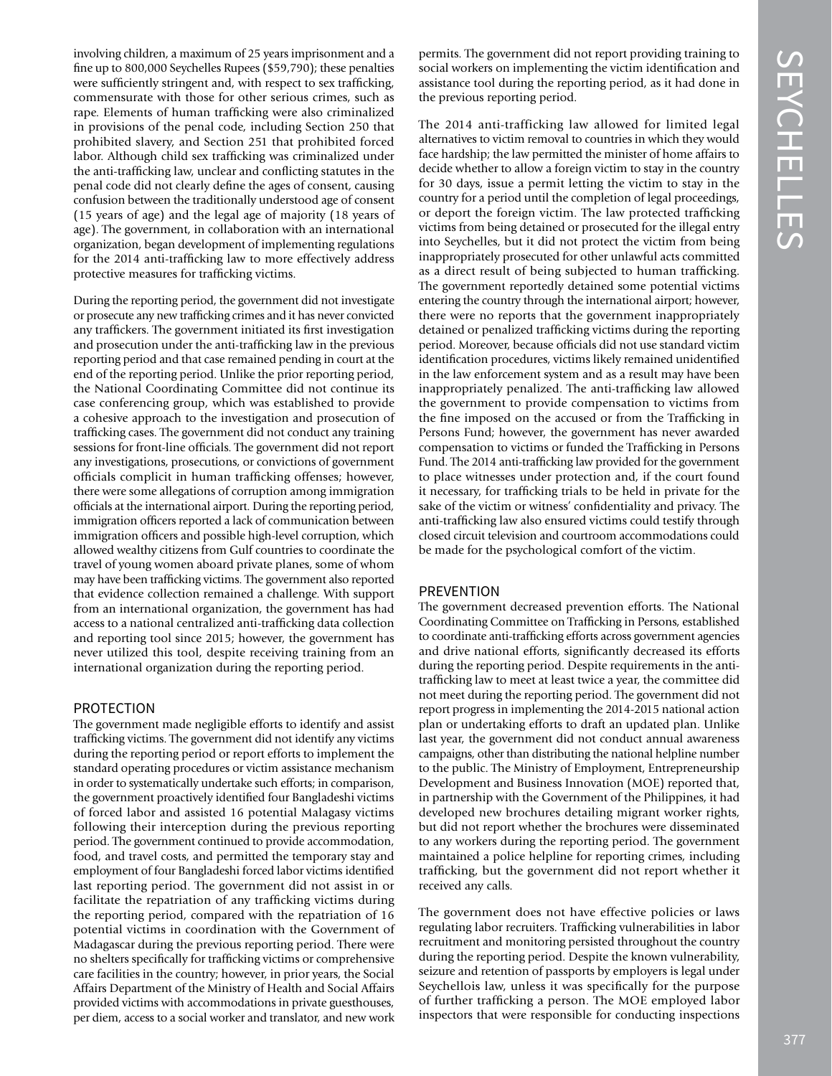involving children, a maximum of 25 years imprisonment and a fine up to 800,000 Seychelles Rupees (\$59,790); these penalties were sufficiently stringent and, with respect to sex trafficking, commensurate with those for other serious crimes, such as rape. Elements of human trafficking were also criminalized in provisions of the penal code, including Section 250 that prohibited slavery, and Section 251 that prohibited forced labor. Although child sex trafficking was criminalized under the anti-trafficking law, unclear and conflicting statutes in the penal code did not clearly define the ages of consent, causing confusion between the traditionally understood age of consent (15 years of age) and the legal age of majority (18 years of age). The government, in collaboration with an international organization, began development of implementing regulations for the 2014 anti-trafficking law to more effectively address protective measures for trafficking victims.

During the reporting period, the government did not investigate or prosecute any new trafficking crimes and it has never convicted any traffickers. The government initiated its first investigation and prosecution under the anti-trafficking law in the previous reporting period and that case remained pending in court at the end of the reporting period. Unlike the prior reporting period, the National Coordinating Committee did not continue its case conferencing group, which was established to provide a cohesive approach to the investigation and prosecution of trafficking cases. The government did not conduct any training sessions for front-line officials. The government did not report any investigations, prosecutions, or convictions of government officials complicit in human trafficking offenses; however, there were some allegations of corruption among immigration officials at the international airport. During the reporting period, immigration officers reported a lack of communication between immigration officers and possible high-level corruption, which allowed wealthy citizens from Gulf countries to coordinate the travel of young women aboard private planes, some of whom may have been trafficking victims. The government also reported that evidence collection remained a challenge. With support from an international organization, the government has had access to a national centralized anti-trafficking data collection and reporting tool since 2015; however, the government has never utilized this tool, despite receiving training from an international organization during the reporting period.

### PROTECTION

The government made negligible efforts to identify and assist trafficking victims. The government did not identify any victims during the reporting period or report efforts to implement the standard operating procedures or victim assistance mechanism in order to systematically undertake such efforts; in comparison, the government proactively identified four Bangladeshi victims of forced labor and assisted 16 potential Malagasy victims following their interception during the previous reporting period. The government continued to provide accommodation, food, and travel costs, and permitted the temporary stay and employment of four Bangladeshi forced labor victims identified last reporting period. The government did not assist in or facilitate the repatriation of any trafficking victims during the reporting period, compared with the repatriation of 16 potential victims in coordination with the Government of Madagascar during the previous reporting period. There were no shelters specifically for trafficking victims or comprehensive care facilities in the country; however, in prior years, the Social Affairs Department of the Ministry of Health and Social Affairs provided victims with accommodations in private guesthouses, per diem, access to a social worker and translator, and new work permits. The government did not report providing training to social workers on implementing the victim identification and assistance tool during the reporting period, as it had done in the previous reporting period.

The 2014 anti-trafficking law allowed for limited legal alternatives to victim removal to countries in which they would face hardship; the law permitted the minister of home affairs to decide whether to allow a foreign victim to stay in the country for 30 days, issue a permit letting the victim to stay in the country for a period until the completion of legal proceedings, or deport the foreign victim. The law protected trafficking victims from being detained or prosecuted for the illegal entry into Seychelles, but it did not protect the victim from being inappropriately prosecuted for other unlawful acts committed as a direct result of being subjected to human trafficking. The government reportedly detained some potential victims entering the country through the international airport; however, there were no reports that the government inappropriately detained or penalized trafficking victims during the reporting period. Moreover, because officials did not use standard victim identification procedures, victims likely remained unidentified in the law enforcement system and as a result may have been inappropriately penalized. The anti-trafficking law allowed the government to provide compensation to victims from the fine imposed on the accused or from the Trafficking in Persons Fund; however, the government has never awarded compensation to victims or funded the Trafficking in Persons Fund. The 2014 anti-trafficking law provided for the government to place witnesses under protection and, if the court found it necessary, for trafficking trials to be held in private for the sake of the victim or witness' confidentiality and privacy. The anti-trafficking law also ensured victims could testify through closed circuit television and courtroom accommodations could be made for the psychological comfort of the victim.

### PREVENTION

The government decreased prevention efforts. The National Coordinating Committee on Trafficking in Persons, established to coordinate anti-trafficking efforts across government agencies and drive national efforts, significantly decreased its efforts during the reporting period. Despite requirements in the antitrafficking law to meet at least twice a year, the committee did not meet during the reporting period. The government did not report progress in implementing the 2014-2015 national action plan or undertaking efforts to draft an updated plan. Unlike last year, the government did not conduct annual awareness campaigns, other than distributing the national helpline number to the public. The Ministry of Employment, Entrepreneurship Development and Business Innovation (MOE) reported that, in partnership with the Government of the Philippines, it had developed new brochures detailing migrant worker rights, but did not report whether the brochures were disseminated to any workers during the reporting period. The government maintained a police helpline for reporting crimes, including trafficking, but the government did not report whether it received any calls.

The government does not have effective policies or laws regulating labor recruiters. Trafficking vulnerabilities in labor recruitment and monitoring persisted throughout the country during the reporting period. Despite the known vulnerability, seizure and retention of passports by employers is legal under Seychellois law, unless it was specifically for the purpose of further trafficking a person. The MOE employed labor inspectors that were responsible for conducting inspections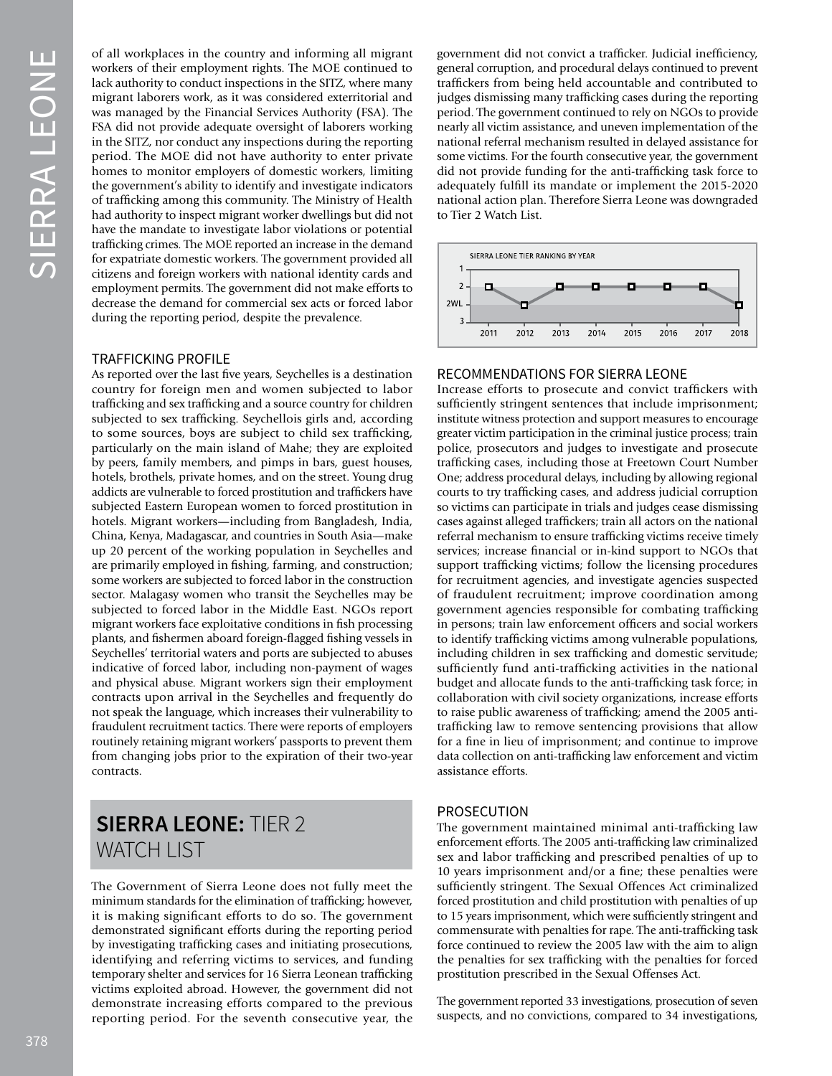workers of their employment rights. The MOE continued to lack authority to conduct inspections in the SITZ, where many migrant laborers work, as it was considered exterritorial and was managed by the Financial Services Authority (FSA). The FSA did not provide adequate oversight of laborers working in the SITZ, nor conduct any inspections during the reporting period. The MOE did not have authority to enter private homes to monitor employers of domestic workers, limiting the government's ability to identify and investigate indicators of trafficking among this community. The Ministry of Health had authority to inspect migrant worker dwellings but did not have the mandate to investigate labor violations or potential trafficking crimes. The MOE reported an increase in the demand for expatriate domestic workers. The government provided all citizens and foreign workers with national identity cards and employment permits. The government did not make efforts to decrease the demand for commercial sex acts or forced labor during the reporting period, despite the prevalence.

### TRAFFICKING PROFILE

378 SIERRA LEONEIF ARE country and informing all migration in the country of the counter information in the SITZ obten many the counter in the country of containing the matrix of the country of the country of the country As reported over the last five years, Seychelles is a destination country for foreign men and women subjected to labor trafficking and sex trafficking and a source country for children subjected to sex trafficking. Seychellois girls and, according to some sources, boys are subject to child sex trafficking, particularly on the main island of Mahe; they are exploited by peers, family members, and pimps in bars, guest houses, hotels, brothels, private homes, and on the street. Young drug addicts are vulnerable to forced prostitution and traffickers have subjected Eastern European women to forced prostitution in hotels. Migrant workers—including from Bangladesh, India, China, Kenya, Madagascar, and countries in South Asia—make up 20 percent of the working population in Seychelles and are primarily employed in fishing, farming, and construction; some workers are subjected to forced labor in the construction sector. Malagasy women who transit the Seychelles may be subjected to forced labor in the Middle East. NGOs report migrant workers face exploitative conditions in fish processing plants, and fishermen aboard foreign-flagged fishing vessels in Seychelles' territorial waters and ports are subjected to abuses indicative of forced labor, including non-payment of wages and physical abuse. Migrant workers sign their employment contracts upon arrival in the Seychelles and frequently do not speak the language, which increases their vulnerability to fraudulent recruitment tactics. There were reports of employers routinely retaining migrant workers' passports to prevent them from changing jobs prior to the expiration of their two-year contracts.

# **SIERRA LEONE:** TIER 2 WATCH LIST

The Government of Sierra Leone does not fully meet the minimum standards for the elimination of trafficking; however, it is making significant efforts to do so. The government demonstrated significant efforts during the reporting period by investigating trafficking cases and initiating prosecutions, identifying and referring victims to services, and funding temporary shelter and services for 16 Sierra Leonean trafficking victims exploited abroad. However, the government did not demonstrate increasing efforts compared to the previous reporting period. For the seventh consecutive year, the government did not convict a trafficker. Judicial inefficiency, general corruption, and procedural delays continued to prevent traffickers from being held accountable and contributed to judges dismissing many trafficking cases during the reporting period. The government continued to rely on NGOs to provide nearly all victim assistance, and uneven implementation of the national referral mechanism resulted in delayed assistance for some victims. For the fourth consecutive year, the government did not provide funding for the anti-trafficking task force to adequately fulfill its mandate or implement the 2015-2020 national action plan. Therefore Sierra Leone was downgraded to Tier 2 Watch List.



### RECOMMENDATIONS FOR SIERRA LEONE

Increase efforts to prosecute and convict traffickers with sufficiently stringent sentences that include imprisonment; institute witness protection and support measures to encourage greater victim participation in the criminal justice process; train police, prosecutors and judges to investigate and prosecute trafficking cases, including those at Freetown Court Number One; address procedural delays, including by allowing regional courts to try trafficking cases, and address judicial corruption so victims can participate in trials and judges cease dismissing cases against alleged traffickers; train all actors on the national referral mechanism to ensure trafficking victims receive timely services; increase financial or in-kind support to NGOs that support trafficking victims; follow the licensing procedures for recruitment agencies, and investigate agencies suspected of fraudulent recruitment; improve coordination among government agencies responsible for combating trafficking in persons; train law enforcement officers and social workers to identify trafficking victims among vulnerable populations, including children in sex trafficking and domestic servitude; sufficiently fund anti-trafficking activities in the national budget and allocate funds to the anti-trafficking task force; in collaboration with civil society organizations, increase efforts to raise public awareness of trafficking; amend the 2005 antitrafficking law to remove sentencing provisions that allow for a fine in lieu of imprisonment; and continue to improve data collection on anti-trafficking law enforcement and victim assistance efforts.

### PROSECUTION

The government maintained minimal anti-trafficking law enforcement efforts. The 2005 anti-trafficking law criminalized sex and labor trafficking and prescribed penalties of up to 10 years imprisonment and/or a fine; these penalties were sufficiently stringent. The Sexual Offences Act criminalized forced prostitution and child prostitution with penalties of up to 15 years imprisonment, which were sufficiently stringent and commensurate with penalties for rape. The anti-trafficking task force continued to review the 2005 law with the aim to align the penalties for sex trafficking with the penalties for forced prostitution prescribed in the Sexual Offenses Act.

The government reported 33 investigations, prosecution of seven suspects, and no convictions, compared to 34 investigations,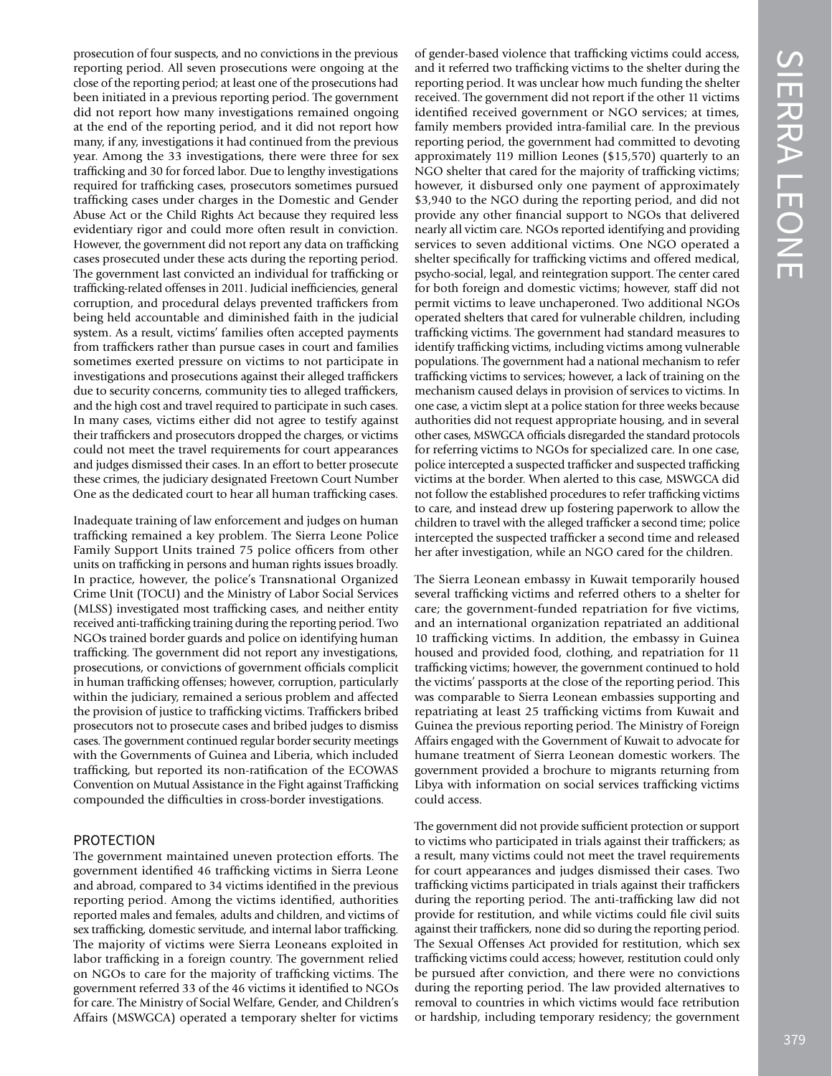prosecution of four suspects, and no convictions in the previous reporting period. All seven prosecutions were ongoing at the close of the reporting period; at least one of the prosecutions had been initiated in a previous reporting period. The government did not report how many investigations remained ongoing at the end of the reporting period, and it did not report how many, if any, investigations it had continued from the previous year. Among the 33 investigations, there were three for sex trafficking and 30 for forced labor. Due to lengthy investigations required for trafficking cases, prosecutors sometimes pursued trafficking cases under charges in the Domestic and Gender Abuse Act or the Child Rights Act because they required less evidentiary rigor and could more often result in conviction. However, the government did not report any data on trafficking cases prosecuted under these acts during the reporting period. The government last convicted an individual for trafficking or trafficking-related offenses in 2011. Judicial inefficiencies, general corruption, and procedural delays prevented traffickers from being held accountable and diminished faith in the judicial system. As a result, victims' families often accepted payments from traffickers rather than pursue cases in court and families sometimes exerted pressure on victims to not participate in investigations and prosecutions against their alleged traffickers due to security concerns, community ties to alleged traffickers, and the high cost and travel required to participate in such cases. In many cases, victims either did not agree to testify against their traffickers and prosecutors dropped the charges, or victims could not meet the travel requirements for court appearances and judges dismissed their cases. In an effort to better prosecute these crimes, the judiciary designated Freetown Court Number One as the dedicated court to hear all human trafficking cases.

Inadequate training of law enforcement and judges on human trafficking remained a key problem. The Sierra Leone Police Family Support Units trained 75 police officers from other units on trafficking in persons and human rights issues broadly. In practice, however, the police's Transnational Organized Crime Unit (TOCU) and the Ministry of Labor Social Services (MLSS) investigated most trafficking cases, and neither entity received anti-trafficking training during the reporting period. Two NGOs trained border guards and police on identifying human trafficking. The government did not report any investigations, prosecutions, or convictions of government officials complicit in human trafficking offenses; however, corruption, particularly within the judiciary, remained a serious problem and affected the provision of justice to trafficking victims. Traffickers bribed prosecutors not to prosecute cases and bribed judges to dismiss cases. The government continued regular border security meetings with the Governments of Guinea and Liberia, which included trafficking, but reported its non-ratification of the ECOWAS Convention on Mutual Assistance in the Fight against Trafficking compounded the difficulties in cross-border investigations.

### PROTECTION

The government maintained uneven protection efforts. The government identified 46 trafficking victims in Sierra Leone and abroad, compared to 34 victims identified in the previous reporting period. Among the victims identified, authorities reported males and females, adults and children, and victims of sex trafficking, domestic servitude, and internal labor trafficking. The majority of victims were Sierra Leoneans exploited in labor trafficking in a foreign country. The government relied on NGOs to care for the majority of trafficking victims. The government referred 33 of the 46 victims it identified to NGOs for care. The Ministry of Social Welfare, Gender, and Children's Affairs (MSWGCA) operated a temporary shelter for victims

of gender-based violence that trafficking victims could access, and it referred two trafficking victims to the shelter during the reporting period. It was unclear how much funding the shelter received. The government did not report if the other 11 victims identified received government or NGO services; at times, family members provided intra-familial care. In the previous reporting period, the government had committed to devoting approximately 119 million Leones (\$15,570) quarterly to an NGO shelter that cared for the majority of trafficking victims; however, it disbursed only one payment of approximately \$3,940 to the NGO during the reporting period, and did not provide any other financial support to NGOs that delivered nearly all victim care. NGOs reported identifying and providing services to seven additional victims. One NGO operated a shelter specifically for trafficking victims and offered medical, psycho-social, legal, and reintegration support. The center cared for both foreign and domestic victims; however, staff did not permit victims to leave unchaperoned. Two additional NGOs operated shelters that cared for vulnerable children, including trafficking victims. The government had standard measures to identify trafficking victims, including victims among vulnerable populations. The government had a national mechanism to refer trafficking victims to services; however, a lack of training on the mechanism caused delays in provision of services to victims. In one case, a victim slept at a police station for three weeks because authorities did not request appropriate housing, and in several other cases, MSWGCA officials disregarded the standard protocols for referring victims to NGOs for specialized care. In one case, police intercepted a suspected trafficker and suspected trafficking victims at the border. When alerted to this case, MSWGCA did not follow the established procedures to refer trafficking victims to care, and instead drew up fostering paperwork to allow the children to travel with the alleged trafficker a second time; police intercepted the suspected trafficker a second time and released her after investigation, while an NGO cared for the children.

The Sierra Leonean embassy in Kuwait temporarily housed several trafficking victims and referred others to a shelter for care; the government-funded repatriation for five victims, and an international organization repatriated an additional 10 trafficking victims. In addition, the embassy in Guinea housed and provided food, clothing, and repatriation for 11 trafficking victims; however, the government continued to hold the victims' passports at the close of the reporting period. This was comparable to Sierra Leonean embassies supporting and repatriating at least 25 trafficking victims from Kuwait and Guinea the previous reporting period. The Ministry of Foreign Affairs engaged with the Government of Kuwait to advocate for humane treatment of Sierra Leonean domestic workers. The government provided a brochure to migrants returning from Libya with information on social services trafficking victims could access.

The government did not provide sufficient protection or support to victims who participated in trials against their traffickers; as a result, many victims could not meet the travel requirements for court appearances and judges dismissed their cases. Two trafficking victims participated in trials against their traffickers during the reporting period. The anti-trafficking law did not provide for restitution, and while victims could file civil suits against their traffickers, none did so during the reporting period. The Sexual Offenses Act provided for restitution, which sex trafficking victims could access; however, restitution could only be pursued after conviction, and there were no convictions during the reporting period. The law provided alternatives to removal to countries in which victims would face retribution or hardship, including temporary residency; the government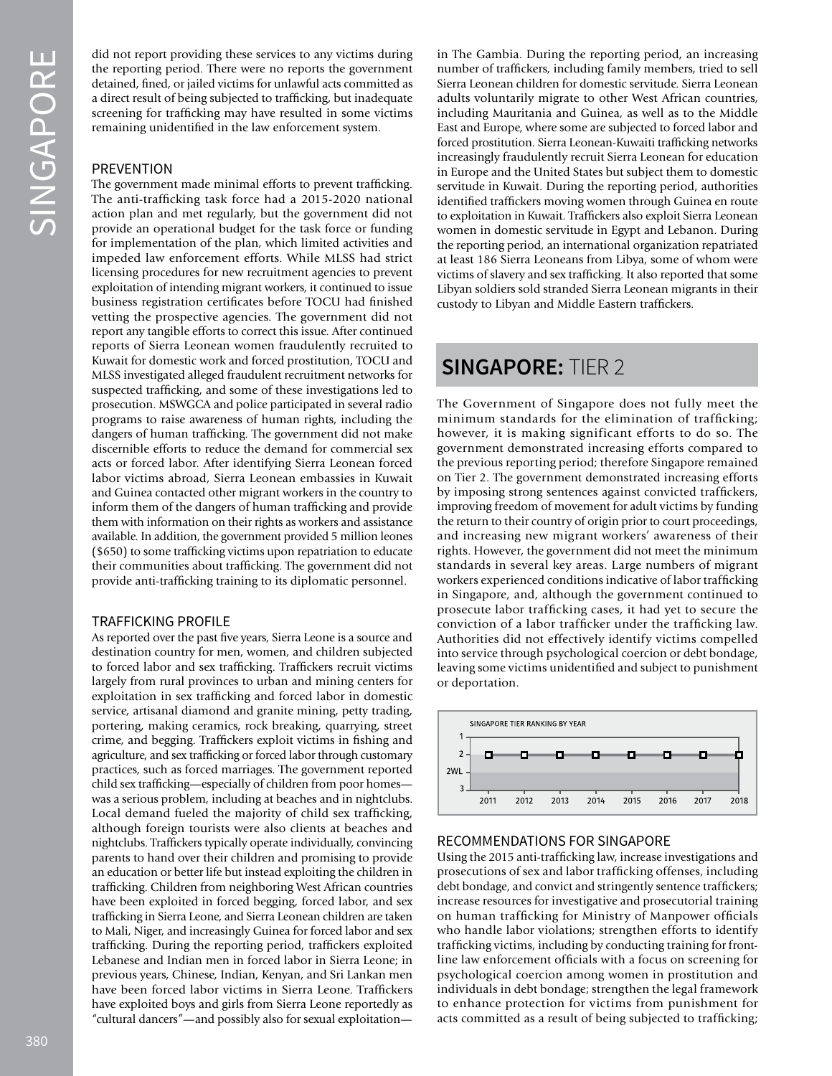the reporting period. There were no reports the government detained, fined, or jailed victims for unlawful acts committed as a direct result of being subjected to trafficking, but inadequate screening for trafficking may have resulted in some victims remaining unidentified in the law enforcement system.

### PREVENTION

did not report in the services to any victims during these services to any victims of the services of all detections of the services of the service of the service of the service of the service of the service of the servic The government made minimal efforts to prevent trafficking. The anti-trafficking task force had a 2015-2020 national action plan and met regularly, but the government did not provide an operational budget for the task force or funding for implementation of the plan, which limited activities and impeded law enforcement efforts. While MLSS had strict licensing procedures for new recruitment agencies to prevent exploitation of intending migrant workers, it continued to issue business registration certificates before TOCU had finished vetting the prospective agencies. The government did not report any tangible efforts to correct this issue. After continued reports of Sierra Leonean women fraudulently recruited to Kuwait for domestic work and forced prostitution, TOCU and MLSS investigated alleged fraudulent recruitment networks for suspected trafficking, and some of these investigations led to prosecution. MSWGCA and police participated in several radio programs to raise awareness of human rights, including the dangers of human trafficking. The government did not make discernible efforts to reduce the demand for commercial sex acts or forced labor. After identifying Sierra Leonean forced labor victims abroad, Sierra Leonean embassies in Kuwait and Guinea contacted other migrant workers in the country to inform them of the dangers of human trafficking and provide them with information on their rights as workers and assistance available. In addition, the government provided 5 million leones (\$650) to some trafficking victims upon repatriation to educate their communities about trafficking. The government did not provide anti-trafficking training to its diplomatic personnel.

### TRAFFICKING PROFILE

As reported over the past five years, Sierra Leone is a source and destination country for men, women, and children subjected to forced labor and sex trafficking. Traffickers recruit victims largely from rural provinces to urban and mining centers for exploitation in sex trafficking and forced labor in domestic service, artisanal diamond and granite mining, petty trading, portering, making ceramics, rock breaking, quarrying, street crime, and begging. Traffickers exploit victims in fishing and agriculture, and sex trafficking or forced labor through customary practices, such as forced marriages. The government reported child sex trafficking—especially of children from poor homes was a serious problem, including at beaches and in nightclubs. Local demand fueled the majority of child sex trafficking, although foreign tourists were also clients at beaches and nightclubs. Traffickers typically operate individually, convincing parents to hand over their children and promising to provide an education or better life but instead exploiting the children in trafficking. Children from neighboring West African countries have been exploited in forced begging, forced labor, and sex trafficking in Sierra Leone, and Sierra Leonean children are taken to Mali, Niger, and increasingly Guinea for forced labor and sex trafficking. During the reporting period, traffickers exploited Lebanese and Indian men in forced labor in Sierra Leone; in previous years, Chinese, Indian, Kenyan, and Sri Lankan men have been forced labor victims in Sierra Leone. Traffickers have exploited boys and girls from Sierra Leone reportedly as "cultural dancers"—and possibly also for sexual exploitationin The Gambia. During the reporting period, an increasing number of traffickers, including family members, tried to sell Sierra Leonean children for domestic servitude. Sierra Leonean adults voluntarily migrate to other West African countries, including Mauritania and Guinea, as well as to the Middle East and Europe, where some are subjected to forced labor and forced prostitution. Sierra Leonean-Kuwaiti trafficking networks increasingly fraudulently recruit Sierra Leonean for education in Europe and the United States but subject them to domestic servitude in Kuwait. During the reporting period, authorities identified traffickers moving women through Guinea en route to exploitation in Kuwait. Traffickers also exploit Sierra Leonean women in domestic servitude in Egypt and Lebanon. During the reporting period, an international organization repatriated at least 186 Sierra Leoneans from Libya, some of whom were victims of slavery and sex trafficking. It also reported that some Libyan soldiers sold stranded Sierra Leonean migrants in their custody to Libyan and Middle Eastern traffickers.

# **SINGAPORE:** TIER 2

The Government of Singapore does not fully meet the minimum standards for the elimination of trafficking; however, it is making significant efforts to do so. The government demonstrated increasing efforts compared to the previous reporting period; therefore Singapore remained on Tier 2. The government demonstrated increasing efforts by imposing strong sentences against convicted traffickers, improving freedom of movement for adult victims by funding the return to their country of origin prior to court proceedings, and increasing new migrant workers' awareness of their rights. However, the government did not meet the minimum standards in several key areas. Large numbers of migrant workers experienced conditions indicative of labor trafficking in Singapore, and, although the government continued to prosecute labor trafficking cases, it had yet to secure the conviction of a labor trafficker under the trafficking law. Authorities did not effectively identify victims compelled into service through psychological coercion or debt bondage, leaving some victims unidentified and subject to punishment or deportation.



### RECOMMENDATIONS FOR SINGAPORE

Using the 2015 anti-trafficking law, increase investigations and prosecutions of sex and labor trafficking offenses, including debt bondage, and convict and stringently sentence traffickers; increase resources for investigative and prosecutorial training on human trafficking for Ministry of Manpower officials who handle labor violations; strengthen efforts to identify trafficking victims, including by conducting training for frontline law enforcement officials with a focus on screening for psychological coercion among women in prostitution and individuals in debt bondage; strengthen the legal framework to enhance protection for victims from punishment for acts committed as a result of being subjected to trafficking;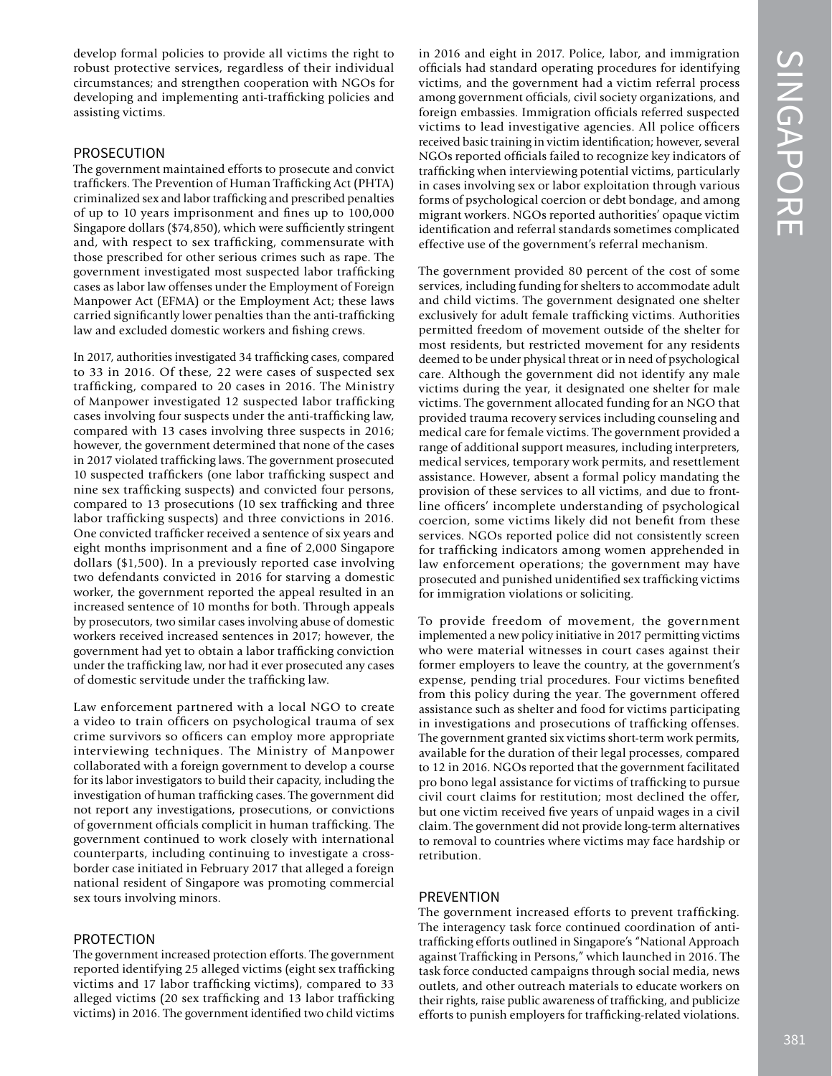develop formal policies to provide all victims the right to robust protective services, regardless of their individual circumstances; and strengthen cooperation with NGOs for developing and implementing anti-trafficking policies and assisting victims.

### PROSECUTION

The government maintained efforts to prosecute and convict traffickers. The Prevention of Human Trafficking Act (PHTA) criminalized sex and labor trafficking and prescribed penalties of up to 10 years imprisonment and fines up to 100,000 Singapore dollars (\$74,850), which were sufficiently stringent and, with respect to sex trafficking, commensurate with those prescribed for other serious crimes such as rape. The government investigated most suspected labor trafficking cases as labor law offenses under the Employment of Foreign Manpower Act (EFMA) or the Employment Act; these laws carried significantly lower penalties than the anti-trafficking law and excluded domestic workers and fishing crews.

In 2017, authorities investigated 34 trafficking cases, compared to 33 in 2016. Of these, 22 were cases of suspected sex trafficking, compared to 20 cases in 2016. The Ministry of Manpower investigated 12 suspected labor trafficking cases involving four suspects under the anti-trafficking law, compared with 13 cases involving three suspects in 2016; however, the government determined that none of the cases in 2017 violated trafficking laws. The government prosecuted 10 suspected traffickers (one labor trafficking suspect and nine sex trafficking suspects) and convicted four persons, compared to 13 prosecutions (10 sex trafficking and three labor trafficking suspects) and three convictions in 2016. One convicted trafficker received a sentence of six years and eight months imprisonment and a fine of 2,000 Singapore dollars (\$1,500). In a previously reported case involving two defendants convicted in 2016 for starving a domestic worker, the government reported the appeal resulted in an increased sentence of 10 months for both. Through appeals by prosecutors, two similar cases involving abuse of domestic workers received increased sentences in 2017; however, the government had yet to obtain a labor trafficking conviction under the trafficking law, nor had it ever prosecuted any cases of domestic servitude under the trafficking law.

Law enforcement partnered with a local NGO to create a video to train officers on psychological trauma of sex crime survivors so officers can employ more appropriate interviewing techniques. The Ministry of Manpower collaborated with a foreign government to develop a course for its labor investigators to build their capacity, including the investigation of human trafficking cases. The government did not report any investigations, prosecutions, or convictions of government officials complicit in human trafficking. The government continued to work closely with international counterparts, including continuing to investigate a crossborder case initiated in February 2017 that alleged a foreign national resident of Singapore was promoting commercial sex tours involving minors.

### PROTECTION

The government increased protection efforts. The government reported identifying 25 alleged victims (eight sex trafficking victims and 17 labor trafficking victims), compared to 33 alleged victims (20 sex trafficking and 13 labor trafficking victims) in 2016. The government identified two child victims in 2016 and eight in 2017. Police, labor, and immigration officials had standard operating procedures for identifying victims, and the government had a victim referral process among government officials, civil society organizations, and foreign embassies. Immigration officials referred suspected victims to lead investigative agencies. All police officers received basic training in victim identification; however, several NGOs reported officials failed to recognize key indicators of trafficking when interviewing potential victims, particularly in cases involving sex or labor exploitation through various forms of psychological coercion or debt bondage, and among migrant workers. NGOs reported authorities' opaque victim identification and referral standards sometimes complicated effective use of the government's referral mechanism.

The government provided 80 percent of the cost of some services, including funding for shelters to accommodate adult and child victims. The government designated one shelter exclusively for adult female trafficking victims. Authorities permitted freedom of movement outside of the shelter for most residents, but restricted movement for any residents deemed to be under physical threat or in need of psychological care. Although the government did not identify any male victims during the year, it designated one shelter for male victims. The government allocated funding for an NGO that provided trauma recovery services including counseling and medical care for female victims. The government provided a range of additional support measures, including interpreters, medical services, temporary work permits, and resettlement assistance. However, absent a formal policy mandating the provision of these services to all victims, and due to frontline officers' incomplete understanding of psychological coercion, some victims likely did not benefit from these services. NGOs reported police did not consistently screen for trafficking indicators among women apprehended in law enforcement operations; the government may have prosecuted and punished unidentified sex trafficking victims for immigration violations or soliciting.

To provide freedom of movement, the government implemented a new policy initiative in 2017 permitting victims who were material witnesses in court cases against their former employers to leave the country, at the government's expense, pending trial procedures. Four victims benefited from this policy during the year. The government offered assistance such as shelter and food for victims participating in investigations and prosecutions of trafficking offenses. The government granted six victims short-term work permits, available for the duration of their legal processes, compared to 12 in 2016. NGOs reported that the government facilitated pro bono legal assistance for victims of trafficking to pursue civil court claims for restitution; most declined the offer, but one victim received five years of unpaid wages in a civil claim. The government did not provide long-term alternatives to removal to countries where victims may face hardship or retribution.

### PREVENTION

The government increased efforts to prevent trafficking. The interagency task force continued coordination of antitrafficking efforts outlined in Singapore's "National Approach against Trafficking in Persons," which launched in 2016. The task force conducted campaigns through social media, news outlets, and other outreach materials to educate workers on their rights, raise public awareness of trafficking, and publicize efforts to punish employers for trafficking-related violations.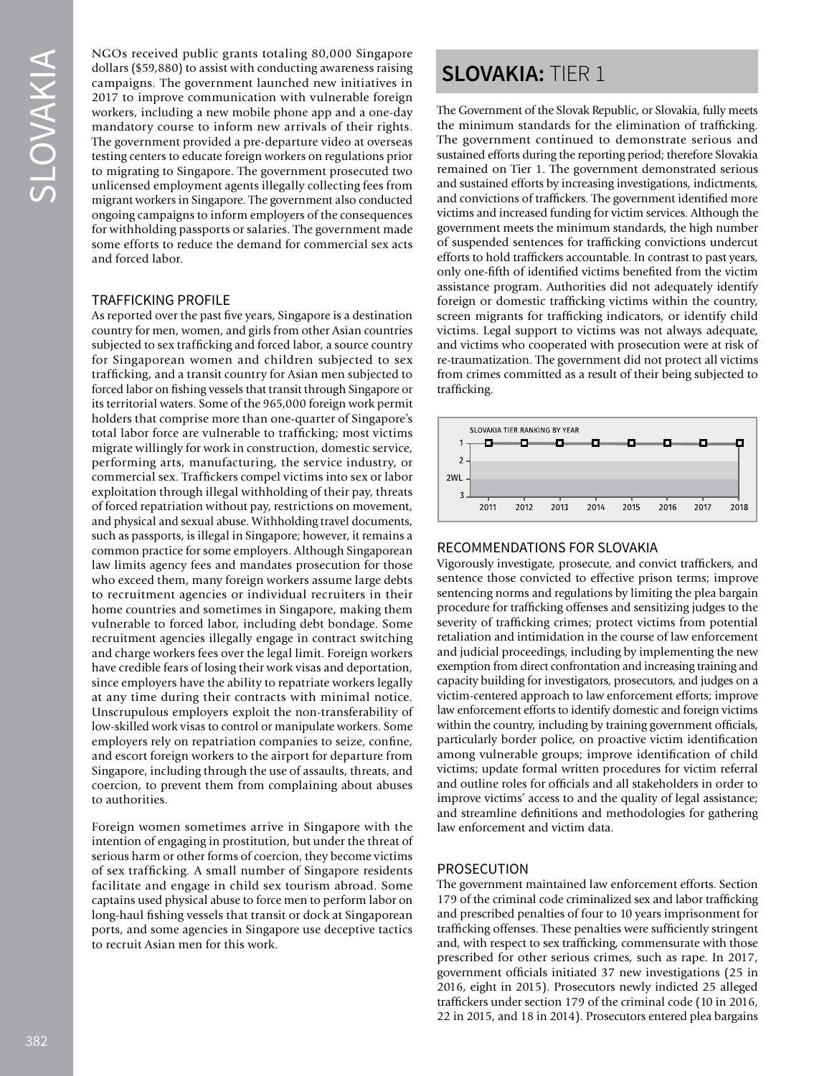dollars (\$59,880) to assist with conducting awareness raising campaigns. The government launched new initiatives in 2017 to improve communication with vulnerable foreign workers, including a new mobile phone app and a one-day mandatory course to inform new arrivals of their rights. The government provided a pre-departure video at overseas testing centers to educate foreign workers on regulations prior to migrating to Singapore. The government prosecuted two unlicensed employment agents illegally collecting fees from migrant workers in Singapore. The government also conducted ongoing campaigns to inform employers of the consequences for withholding passports or salaries. The government made some efforts to reduce the demand for commercial sex acts and forced labor.

### TRAFFICKING PROFILE

NGCs received public grants totaling 80,000 Singapore<br>SCS received public grants totaling 80,000 Singapore The given method row in infinites in the grants of the symmetric land total method reseived public first grants to As reported over the past five years, Singapore is a destination country for men, women, and girls from other Asian countries subjected to sex trafficking and forced labor, a source country for Singaporean women and children subjected to sex trafficking, and a transit country for Asian men subjected to forced labor on fishing vessels that transit through Singapore or its territorial waters. Some of the 965,000 foreign work permit holders that comprise more than one-quarter of Singapore's total labor force are vulnerable to trafficking; most victims migrate willingly for work in construction, domestic service, performing arts, manufacturing, the service industry, or commercial sex. Traffickers compel victims into sex or labor exploitation through illegal withholding of their pay, threats of forced repatriation without pay, restrictions on movement, and physical and sexual abuse. Withholding travel documents, such as passports, is illegal in Singapore; however, it remains a common practice for some employers. Although Singaporean law limits agency fees and mandates prosecution for those who exceed them, many foreign workers assume large debts to recruitment agencies or individual recruiters in their home countries and sometimes in Singapore, making them vulnerable to forced labor, including debt bondage. Some recruitment agencies illegally engage in contract switching and charge workers fees over the legal limit. Foreign workers have credible fears of losing their work visas and deportation, since employers have the ability to repatriate workers legally at any time during their contracts with minimal notice. Unscrupulous employers exploit the non-transferability of low-skilled work visas to control or manipulate workers. Some employers rely on repatriation companies to seize, confine, and escort foreign workers to the airport for departure from Singapore, including through the use of assaults, threats, and coercion, to prevent them from complaining about abuses to authorities.

Foreign women sometimes arrive in Singapore with the intention of engaging in prostitution, but under the threat of serious harm or other forms of coercion, they become victims of sex trafficking. A small number of Singapore residents facilitate and engage in child sex tourism abroad. Some captains used physical abuse to force men to perform labor on long-haul fishing vessels that transit or dock at Singaporean ports, and some agencies in Singapore use deceptive tactics to recruit Asian men for this work.

# **SLOVAKIA:** TIER 1

The Government of the Slovak Republic, or Slovakia, fully meets the minimum standards for the elimination of trafficking. The government continued to demonstrate serious and sustained efforts during the reporting period; therefore Slovakia remained on Tier 1. The government demonstrated serious and sustained efforts by increasing investigations, indictments, and convictions of traffickers. The government identified more victims and increased funding for victim services. Although the government meets the minimum standards, the high number of suspended sentences for trafficking convictions undercut efforts to hold traffickers accountable. In contrast to past years, only one-fifth of identified victims benefited from the victim assistance program. Authorities did not adequately identify foreign or domestic trafficking victims within the country, screen migrants for trafficking indicators, or identify child victims. Legal support to victims was not always adequate, and victims who cooperated with prosecution were at risk of re-traumatization. The government did not protect all victims from crimes committed as a result of their being subjected to trafficking.



### RECOMMENDATIONS FOR SLOVAKIA

Vigorously investigate, prosecute, and convict traffickers, and sentence those convicted to effective prison terms; improve sentencing norms and regulations by limiting the plea bargain procedure for trafficking offenses and sensitizing judges to the severity of trafficking crimes; protect victims from potential retaliation and intimidation in the course of law enforcement and judicial proceedings, including by implementing the new exemption from direct confrontation and increasing training and capacity building for investigators, prosecutors, and judges on a victim-centered approach to law enforcement efforts; improve law enforcement efforts to identify domestic and foreign victims within the country, including by training government officials, particularly border police, on proactive victim identification among vulnerable groups; improve identification of child victims; update formal written procedures for victim referral and outline roles for officials and all stakeholders in order to improve victims' access to and the quality of legal assistance; and streamline definitions and methodologies for gathering law enforcement and victim data.

### PROSECUTION

The government maintained law enforcement efforts. Section 179 of the criminal code criminalized sex and labor trafficking and prescribed penalties of four to 10 years imprisonment for trafficking offenses. These penalties were sufficiently stringent and, with respect to sex trafficking, commensurate with those prescribed for other serious crimes, such as rape. In 2017, government officials initiated 37 new investigations (25 in 2016, eight in 2015). Prosecutors newly indicted 25 alleged traffickers under section 179 of the criminal code (10 in 2016, 22 in 2015, and 18 in 2014). Prosecutors entered plea bargains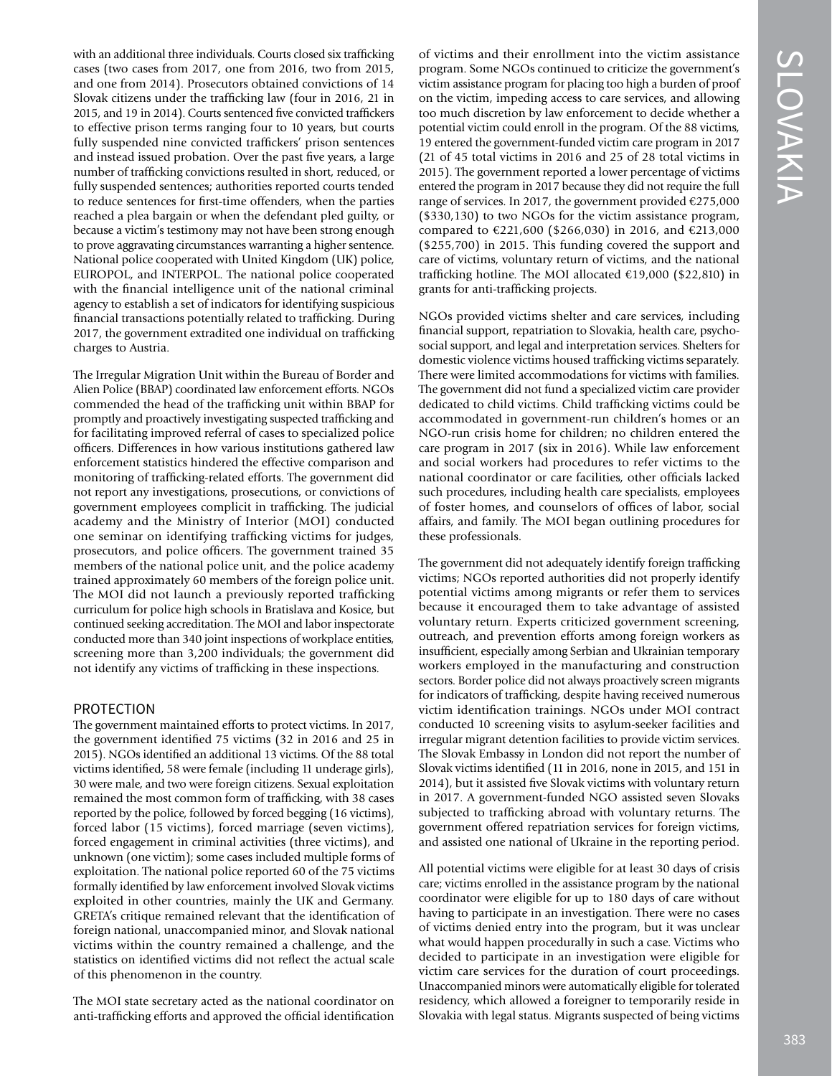with an additional three individuals. Courts closed six trafficking cases (two cases from 2017, one from 2016, two from 2015, and one from 2014). Prosecutors obtained convictions of 14 Slovak citizens under the trafficking law (four in 2016, 21 in 2015, and 19 in 2014). Courts sentenced five convicted traffickers to effective prison terms ranging four to 10 years, but courts fully suspended nine convicted traffickers' prison sentences and instead issued probation. Over the past five years, a large number of trafficking convictions resulted in short, reduced, or fully suspended sentences; authorities reported courts tended to reduce sentences for first-time offenders, when the parties reached a plea bargain or when the defendant pled guilty, or because a victim's testimony may not have been strong enough to prove aggravating circumstances warranting a higher sentence. National police cooperated with United Kingdom (UK) police, EUROPOL, and INTERPOL. The national police cooperated with the financial intelligence unit of the national criminal agency to establish a set of indicators for identifying suspicious financial transactions potentially related to trafficking. During 2017, the government extradited one individual on trafficking charges to Austria.

The Irregular Migration Unit within the Bureau of Border and Alien Police (BBAP) coordinated law enforcement efforts. NGOs commended the head of the trafficking unit within BBAP for promptly and proactively investigating suspected trafficking and for facilitating improved referral of cases to specialized police officers. Differences in how various institutions gathered law enforcement statistics hindered the effective comparison and monitoring of trafficking-related efforts. The government did not report any investigations, prosecutions, or convictions of government employees complicit in trafficking. The judicial academy and the Ministry of Interior (MOI) conducted one seminar on identifying trafficking victims for judges, prosecutors, and police officers. The government trained 35 members of the national police unit, and the police academy trained approximately 60 members of the foreign police unit. The MOI did not launch a previously reported trafficking curriculum for police high schools in Bratislava and Kosice, but continued seeking accreditation. The MOI and labor inspectorate conducted more than 340 joint inspections of workplace entities, screening more than 3,200 individuals; the government did not identify any victims of trafficking in these inspections.

### PROTECTION

The government maintained efforts to protect victims. In 2017, the government identified 75 victims (32 in 2016 and 25 in 2015). NGOs identified an additional 13 victims. Of the 88 total victims identified, 58 were female (including 11 underage girls), 30 were male, and two were foreign citizens. Sexual exploitation remained the most common form of trafficking, with 38 cases reported by the police, followed by forced begging (16 victims), forced labor (15 victims), forced marriage (seven victims), forced engagement in criminal activities (three victims), and unknown (one victim); some cases included multiple forms of exploitation. The national police reported 60 of the 75 victims formally identified by law enforcement involved Slovak victims exploited in other countries, mainly the UK and Germany. GRETA's critique remained relevant that the identification of foreign national, unaccompanied minor, and Slovak national victims within the country remained a challenge, and the statistics on identified victims did not reflect the actual scale of this phenomenon in the country.

The MOI state secretary acted as the national coordinator on anti-trafficking efforts and approved the official identification of victims and their enrollment into the victim assistance program. Some NGOs continued to criticize the government's victim assistance program for placing too high a burden of proof on the victim, impeding access to care services, and allowing too much discretion by law enforcement to decide whether a potential victim could enroll in the program. Of the 88 victims, 19 entered the government-funded victim care program in 2017 (21 of 45 total victims in 2016 and 25 of 28 total victims in 2015). The government reported a lower percentage of victims entered the program in 2017 because they did not require the full range of services. In 2017, the government provided €275,000 (\$330,130) to two NGOs for the victim assistance program, compared to €221,600 (\$266,030) in 2016, and €213,000 (\$255,700) in 2015. This funding covered the support and care of victims, voluntary return of victims, and the national trafficking hotline. The MOI allocated €19,000 (\$22,810) in grants for anti-trafficking projects.

NGOs provided victims shelter and care services, including financial support, repatriation to Slovakia, health care, psychosocial support, and legal and interpretation services. Shelters for domestic violence victims housed trafficking victims separately. There were limited accommodations for victims with families. The government did not fund a specialized victim care provider dedicated to child victims. Child trafficking victims could be accommodated in government-run children's homes or an NGO-run crisis home for children; no children entered the care program in 2017 (six in 2016). While law enforcement and social workers had procedures to refer victims to the national coordinator or care facilities, other officials lacked such procedures, including health care specialists, employees of foster homes, and counselors of offices of labor, social affairs, and family. The MOI began outlining procedures for these professionals.

The government did not adequately identify foreign trafficking victims; NGOs reported authorities did not properly identify potential victims among migrants or refer them to services because it encouraged them to take advantage of assisted voluntary return. Experts criticized government screening, outreach, and prevention efforts among foreign workers as insufficient, especially among Serbian and Ukrainian temporary workers employed in the manufacturing and construction sectors. Border police did not always proactively screen migrants for indicators of trafficking, despite having received numerous victim identification trainings. NGOs under MOI contract conducted 10 screening visits to asylum-seeker facilities and irregular migrant detention facilities to provide victim services. The Slovak Embassy in London did not report the number of Slovak victims identified (11 in 2016, none in 2015, and 151 in 2014), but it assisted five Slovak victims with voluntary return in 2017. A government-funded NGO assisted seven Slovaks subjected to trafficking abroad with voluntary returns. The government offered repatriation services for foreign victims, and assisted one national of Ukraine in the reporting period.

All potential victims were eligible for at least 30 days of crisis care; victims enrolled in the assistance program by the national coordinator were eligible for up to 180 days of care without having to participate in an investigation. There were no cases of victims denied entry into the program, but it was unclear what would happen procedurally in such a case. Victims who decided to participate in an investigation were eligible for victim care services for the duration of court proceedings. Unaccompanied minors were automatically eligible for tolerated residency, which allowed a foreigner to temporarily reside in Slovakia with legal status. Migrants suspected of being victims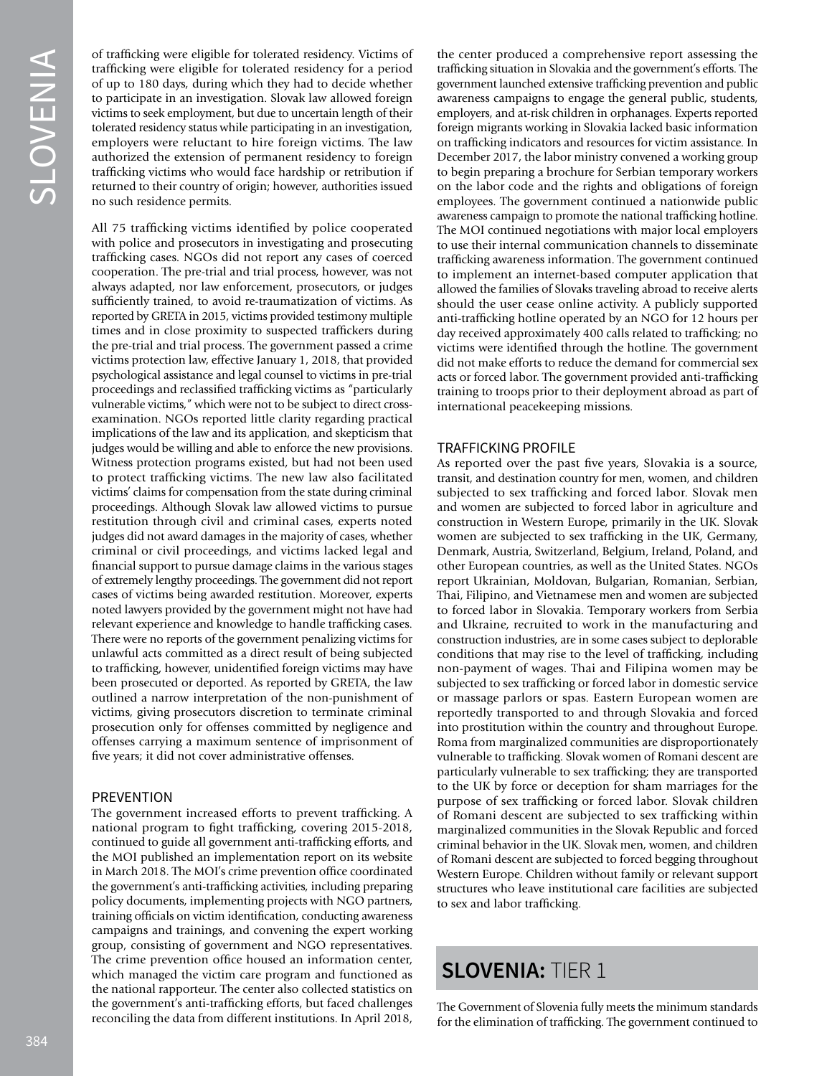trafficking were eligible for tolerated residency for a period of up to 180 days, during which they had to decide whether to participate in an investigation. Slovak law allowed foreign victims to seek employment, but due to uncertain length of their tolerated residency status while participating in an investigation, employers were reluctant to hire foreign victims. The law authorized the extension of permanent residency to foreign trafficking victims who would face hardship or retribution if returned to their country of origin; however, authorities issued no such residence permits.

The method is victims of the considered residency. Victims of the particle in the particle in the particle in the particle in the particle in the particle in the particle in the method is the considered residency. The base All 75 trafficking victims identified by police cooperated with police and prosecutors in investigating and prosecuting trafficking cases. NGOs did not report any cases of coerced cooperation. The pre-trial and trial process, however, was not always adapted, nor law enforcement, prosecutors, or judges sufficiently trained, to avoid re-traumatization of victims. As reported by GRETA in 2015, victims provided testimony multiple times and in close proximity to suspected traffickers during the pre-trial and trial process. The government passed a crime victims protection law, effective January 1, 2018, that provided psychological assistance and legal counsel to victims in pre-trial proceedings and reclassified trafficking victims as "particularly vulnerable victims," which were not to be subject to direct crossexamination. NGOs reported little clarity regarding practical implications of the law and its application, and skepticism that judges would be willing and able to enforce the new provisions. Witness protection programs existed, but had not been used to protect trafficking victims. The new law also facilitated victims' claims for compensation from the state during criminal proceedings. Although Slovak law allowed victims to pursue restitution through civil and criminal cases, experts noted judges did not award damages in the majority of cases, whether criminal or civil proceedings, and victims lacked legal and financial support to pursue damage claims in the various stages of extremely lengthy proceedings. The government did not report cases of victims being awarded restitution. Moreover, experts noted lawyers provided by the government might not have had relevant experience and knowledge to handle trafficking cases. There were no reports of the government penalizing victims for unlawful acts committed as a direct result of being subjected to trafficking, however, unidentified foreign victims may have been prosecuted or deported. As reported by GRETA, the law outlined a narrow interpretation of the non-punishment of victims, giving prosecutors discretion to terminate criminal prosecution only for offenses committed by negligence and offenses carrying a maximum sentence of imprisonment of five years; it did not cover administrative offenses.

### PREVENTION

The government increased efforts to prevent trafficking. A national program to fight trafficking, covering 2015-2018, continued to guide all government anti-trafficking efforts, and the MOI published an implementation report on its website in March 2018. The MOI's crime prevention office coordinated the government's anti-trafficking activities, including preparing policy documents, implementing projects with NGO partners, training officials on victim identification, conducting awareness campaigns and trainings, and convening the expert working group, consisting of government and NGO representatives. The crime prevention office housed an information center, which managed the victim care program and functioned as the national rapporteur. The center also collected statistics on the government's anti-trafficking efforts, but faced challenges reconciling the data from different institutions. In April 2018,

the center produced a comprehensive report assessing the trafficking situation in Slovakia and the government's efforts. The government launched extensive trafficking prevention and public awareness campaigns to engage the general public, students, employers, and at-risk children in orphanages. Experts reported foreign migrants working in Slovakia lacked basic information on trafficking indicators and resources for victim assistance. In December 2017, the labor ministry convened a working group to begin preparing a brochure for Serbian temporary workers on the labor code and the rights and obligations of foreign employees. The government continued a nationwide public awareness campaign to promote the national trafficking hotline. The MOI continued negotiations with major local employers to use their internal communication channels to disseminate trafficking awareness information. The government continued to implement an internet-based computer application that allowed the families of Slovaks traveling abroad to receive alerts should the user cease online activity. A publicly supported anti-trafficking hotline operated by an NGO for 12 hours per day received approximately 400 calls related to trafficking; no victims were identified through the hotline. The government did not make efforts to reduce the demand for commercial sex acts or forced labor. The government provided anti-trafficking training to troops prior to their deployment abroad as part of international peacekeeping missions.

### TRAFFICKING PROFILE

As reported over the past five years, Slovakia is a source, transit, and destination country for men, women, and children subjected to sex trafficking and forced labor. Slovak men and women are subjected to forced labor in agriculture and construction in Western Europe, primarily in the UK. Slovak women are subjected to sex trafficking in the UK, Germany, Denmark, Austria, Switzerland, Belgium, Ireland, Poland, and other European countries, as well as the United States. NGOs report Ukrainian, Moldovan, Bulgarian, Romanian, Serbian, Thai, Filipino, and Vietnamese men and women are subjected to forced labor in Slovakia. Temporary workers from Serbia and Ukraine, recruited to work in the manufacturing and construction industries, are in some cases subject to deplorable conditions that may rise to the level of trafficking, including non-payment of wages. Thai and Filipina women may be subjected to sex trafficking or forced labor in domestic service or massage parlors or spas. Eastern European women are reportedly transported to and through Slovakia and forced into prostitution within the country and throughout Europe. Roma from marginalized communities are disproportionately vulnerable to trafficking. Slovak women of Romani descent are particularly vulnerable to sex trafficking; they are transported to the UK by force or deception for sham marriages for the purpose of sex trafficking or forced labor. Slovak children of Romani descent are subjected to sex trafficking within marginalized communities in the Slovak Republic and forced criminal behavior in the UK. Slovak men, women, and children of Romani descent are subjected to forced begging throughout Western Europe. Children without family or relevant support structures who leave institutional care facilities are subjected to sex and labor trafficking.

# **SLOVENIA:** TIER 1

The Government of Slovenia fully meets the minimum standards for the elimination of trafficking. The government continued to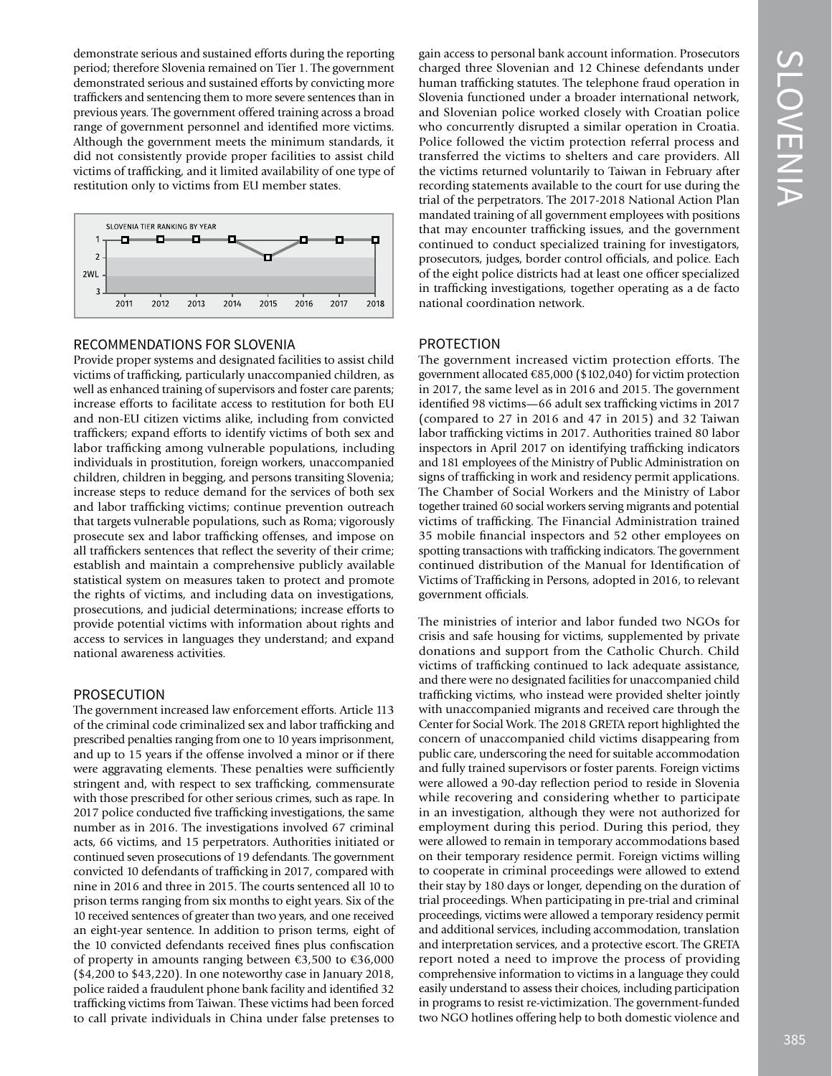demonstrate serious and sustained efforts during the reporting period; therefore Slovenia remained on Tier 1. The government demonstrated serious and sustained efforts by convicting more traffickers and sentencing them to more severe sentences than in previous years. The government offered training across a broad range of government personnel and identified more victims. Although the government meets the minimum standards, it did not consistently provide proper facilities to assist child victims of trafficking, and it limited availability of one type of restitution only to victims from EU member states. gain access to personal bank account information. Prosecutors



### RECOMMENDATIONS FOR SLOVENIA

Provide proper systems and designated facilities to assist child victims of trafficking, particularly unaccompanied children, as well as enhanced training of supervisors and foster care parents; increase efforts to facilitate access to restitution for both EU and non-EU citizen victims alike, including from convicted traffickers; expand efforts to identify victims of both sex and labor trafficking among vulnerable populations, including individuals in prostitution, foreign workers, unaccompanied children, children in begging, and persons transiting Slovenia; increase steps to reduce demand for the services of both sex and labor trafficking victims; continue prevention outreach that targets vulnerable populations, such as Roma; vigorously prosecute sex and labor trafficking offenses, and impose on all traffickers sentences that reflect the severity of their crime; establish and maintain a comprehensive publicly available statistical system on measures taken to protect and promote the rights of victims, and including data on investigations, prosecutions, and judicial determinations; increase efforts to provide potential victims with information about rights and access to services in languages they understand; and expand national awareness activities.

### PROSECUTION

The government increased law enforcement efforts. Article 113 of the criminal code criminalized sex and labor trafficking and prescribed penalties ranging from one to 10 years imprisonment, and up to 15 years if the offense involved a minor or if there were aggravating elements. These penalties were sufficiently stringent and, with respect to sex trafficking, commensurate with those prescribed for other serious crimes, such as rape. In 2017 police conducted five trafficking investigations, the same number as in 2016. The investigations involved 67 criminal acts, 66 victims, and 15 perpetrators. Authorities initiated or continued seven prosecutions of 19 defendants. The government convicted 10 defendants of trafficking in 2017, compared with nine in 2016 and three in 2015. The courts sentenced all 10 to prison terms ranging from six months to eight years. Six of the 10 received sentences of greater than two years, and one received an eight-year sentence. In addition to prison terms, eight of the 10 convicted defendants received fines plus confiscation of property in amounts ranging between €3,500 to €36,000 (\$4,200 to \$43,220). In one noteworthy case in January 2018, police raided a fraudulent phone bank facility and identified 32 trafficking victims from Taiwan. These victims had been forced to call private individuals in China under false pretenses to charged three Slovenian and 12 Chinese defendants under human trafficking statutes. The telephone fraud operation in Slovenia functioned under a broader international network, and Slovenian police worked closely with Croatian police who concurrently disrupted a similar operation in Croatia. Police followed the victim protection referral process and transferred the victims to shelters and care providers. All the victims returned voluntarily to Taiwan in February after recording statements available to the court for use during the trial of the perpetrators. The 2017-2018 National Action Plan mandated training of all government employees with positions that may encounter trafficking issues, and the government continued to conduct specialized training for investigators, prosecutors, judges, border control officials, and police. Each of the eight police districts had at least one officer specialized in trafficking investigations, together operating as a de facto national coordination network.

### PROTECTION

The government increased victim protection efforts. The government allocated €85,000 (\$102,040) for victim protection in 2017, the same level as in 2016 and 2015. The government identified 98 victims—66 adult sex trafficking victims in 2017 (compared to 27 in 2016 and 47 in 2015) and 32 Taiwan labor trafficking victims in 2017. Authorities trained 80 labor inspectors in April 2017 on identifying trafficking indicators and 181 employees of the Ministry of Public Administration on signs of trafficking in work and residency permit applications. The Chamber of Social Workers and the Ministry of Labor together trained 60 social workers serving migrants and potential victims of trafficking. The Financial Administration trained 35 mobile financial inspectors and 52 other employees on spotting transactions with trafficking indicators. The government continued distribution of the Manual for Identification of Victims of Trafficking in Persons, adopted in 2016, to relevant government officials.

The ministries of interior and labor funded two NGOs for crisis and safe housing for victims, supplemented by private donations and support from the Catholic Church. Child victims of trafficking continued to lack adequate assistance, and there were no designated facilities for unaccompanied child trafficking victims, who instead were provided shelter jointly with unaccompanied migrants and received care through the Center for Social Work. The 2018 GRETA report highlighted the concern of unaccompanied child victims disappearing from public care, underscoring the need for suitable accommodation and fully trained supervisors or foster parents. Foreign victims were allowed a 90-day reflection period to reside in Slovenia while recovering and considering whether to participate in an investigation, although they were not authorized for employment during this period. During this period, they were allowed to remain in temporary accommodations based on their temporary residence permit. Foreign victims willing to cooperate in criminal proceedings were allowed to extend their stay by 180 days or longer, depending on the duration of trial proceedings. When participating in pre-trial and criminal proceedings, victims were allowed a temporary residency permit and additional services, including accommodation, translation and interpretation services, and a protective escort. The GRETA report noted a need to improve the process of providing comprehensive information to victims in a language they could easily understand to assess their choices, including participation in programs to resist re-victimization. The government-funded two NGO hotlines offering help to both domestic violence and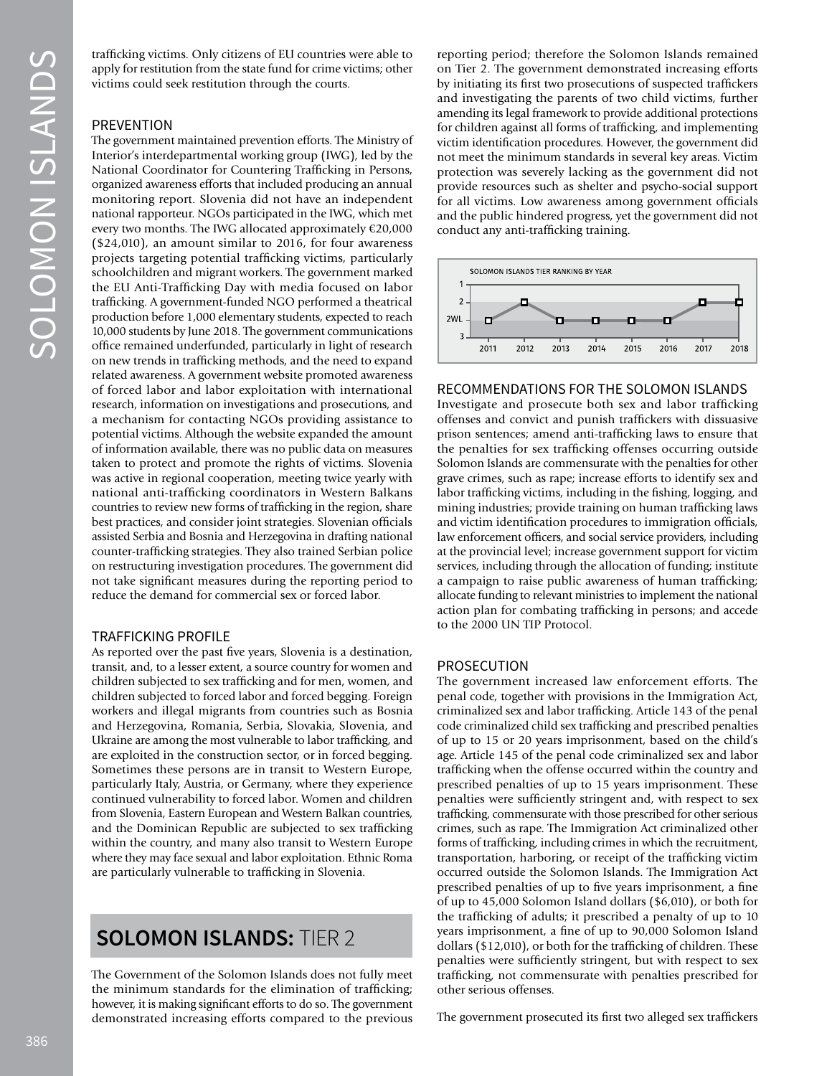apply for restitution from the state fund for crime victims; other victims could seek restitution through the courts.

### PREVENTION

**EVALUAT VALUAT THE CONSTRANDS CONSTRANDS CONSTRANDS TO THE CONSTRANDST CHAND IN the CONSTRAND IN the CONSTRAND IN the CONSTRAND IN the CONSTRAND CONSTRANDS (THE SPECIFY CONSTRANDS) TO THE CONSTRANDS CONFIDENT CONSTRANDS** The government maintained prevention efforts. The Ministry of Interior's interdepartmental working group (IWG), led by the National Coordinator for Countering Trafficking in Persons, organized awareness efforts that included producing an annual monitoring report. Slovenia did not have an independent national rapporteur. NGOs participated in the IWG, which met every two months. The IWG allocated approximately €20,000 (\$24,010), an amount similar to 2016, for four awareness projects targeting potential trafficking victims, particularly schoolchildren and migrant workers. The government marked the EU Anti-Trafficking Day with media focused on labor trafficking. A government-funded NGO performed a theatrical production before 1,000 elementary students, expected to reach 10,000 students by June 2018. The government communications office remained underfunded, particularly in light of research on new trends in trafficking methods, and the need to expand related awareness. A government website promoted awareness of forced labor and labor exploitation with international research, information on investigations and prosecutions, and a mechanism for contacting NGOs providing assistance to potential victims. Although the website expanded the amount of information available, there was no public data on measures taken to protect and promote the rights of victims. Slovenia was active in regional cooperation, meeting twice yearly with national anti-trafficking coordinators in Western Balkans countries to review new forms of trafficking in the region, share best practices, and consider joint strategies. Slovenian officials assisted Serbia and Bosnia and Herzegovina in drafting national counter-trafficking strategies. They also trained Serbian police on restructuring investigation procedures. The government did not take significant measures during the reporting period to reduce the demand for commercial sex or forced labor.

### TRAFFICKING PROFILE

As reported over the past five years, Slovenia is a destination, transit, and, to a lesser extent, a source country for women and children subjected to sex trafficking and for men, women, and children subjected to forced labor and forced begging. Foreign workers and illegal migrants from countries such as Bosnia and Herzegovina, Romania, Serbia, Slovakia, Slovenia, and Ukraine are among the most vulnerable to labor trafficking, and are exploited in the construction sector, or in forced begging. Sometimes these persons are in transit to Western Europe, particularly Italy, Austria, or Germany, where they experience continued vulnerability to forced labor. Women and children from Slovenia, Eastern European and Western Balkan countries, and the Dominican Republic are subjected to sex trafficking within the country, and many also transit to Western Europe where they may face sexual and labor exploitation. Ethnic Roma are particularly vulnerable to trafficking in Slovenia.

# **SOLOMON ISLANDS:** TIER 2

The Government of the Solomon Islands does not fully meet the minimum standards for the elimination of trafficking; however, it is making significant efforts to do so. The government demonstrated increasing efforts compared to the previous reporting period; therefore the Solomon Islands remained on Tier 2. The government demonstrated increasing efforts by initiating its first two prosecutions of suspected traffickers and investigating the parents of two child victims, further amending its legal framework to provide additional protections for children against all forms of trafficking, and implementing victim identification procedures. However, the government did not meet the minimum standards in several key areas. Victim protection was severely lacking as the government did not provide resources such as shelter and psycho-social support for all victims. Low awareness among government officials and the public hindered progress, yet the government did not conduct any anti-trafficking training.



### RECOMMENDATIONS FOR THE SOLOMON ISLANDS

Investigate and prosecute both sex and labor trafficking offenses and convict and punish traffickers with dissuasive prison sentences; amend anti-trafficking laws to ensure that the penalties for sex trafficking offenses occurring outside Solomon Islands are commensurate with the penalties for other grave crimes, such as rape; increase efforts to identify sex and labor trafficking victims, including in the fishing, logging, and mining industries; provide training on human trafficking laws and victim identification procedures to immigration officials, law enforcement officers, and social service providers, including at the provincial level; increase government support for victim services, including through the allocation of funding; institute a campaign to raise public awareness of human trafficking; allocate funding to relevant ministries to implement the national action plan for combating trafficking in persons; and accede to the 2000 UN TIP Protocol.

### PROSECUTION

The government increased law enforcement efforts. The penal code, together with provisions in the Immigration Act, criminalized sex and labor trafficking. Article 143 of the penal code criminalized child sex trafficking and prescribed penalties of up to 15 or 20 years imprisonment, based on the child's age. Article 145 of the penal code criminalized sex and labor trafficking when the offense occurred within the country and prescribed penalties of up to 15 years imprisonment. These penalties were sufficiently stringent and, with respect to sex trafficking, commensurate with those prescribed for other serious crimes, such as rape. The Immigration Act criminalized other forms of trafficking, including crimes in which the recruitment, transportation, harboring, or receipt of the trafficking victim occurred outside the Solomon Islands. The Immigration Act prescribed penalties of up to five years imprisonment, a fine of up to 45,000 Solomon Island dollars (\$6,010), or both for the trafficking of adults; it prescribed a penalty of up to 10 years imprisonment, a fine of up to 90,000 Solomon Island dollars (\$12,010), or both for the trafficking of children. These penalties were sufficiently stringent, but with respect to sex trafficking, not commensurate with penalties prescribed for other serious offenses.

The government prosecuted its first two alleged sex traffickers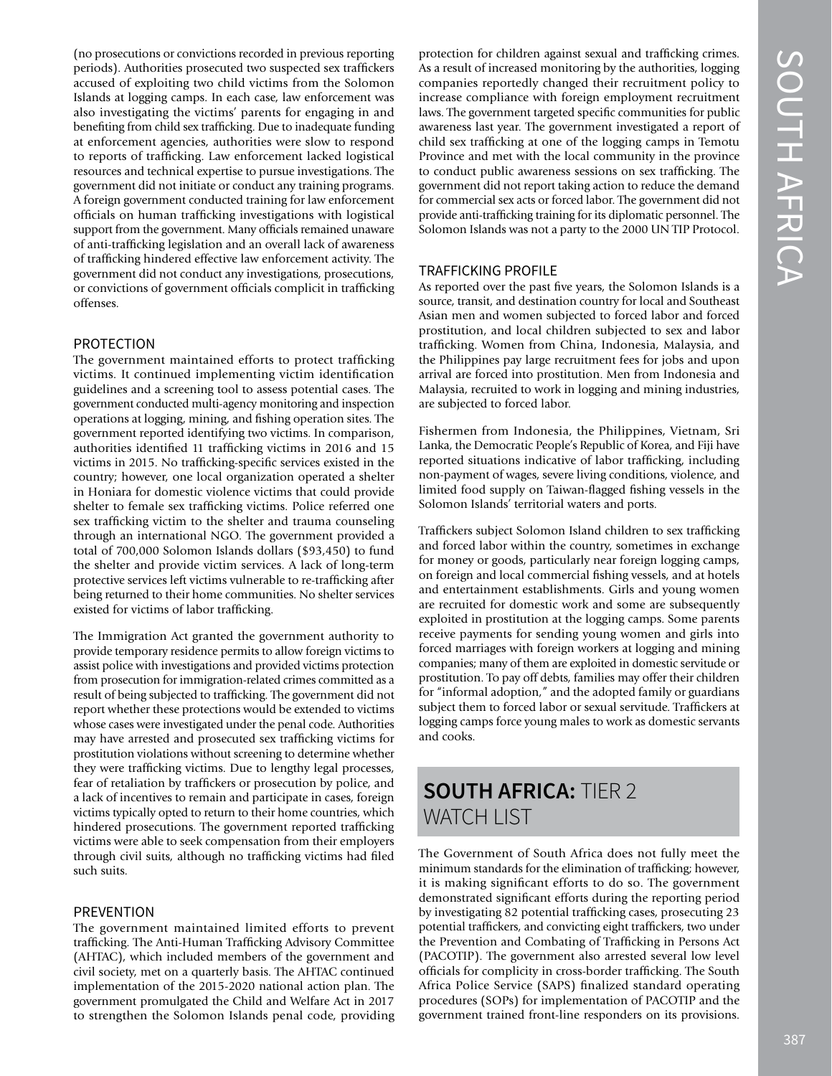(no prosecutions or convictions recorded in previous reporting periods). Authorities prosecuted two suspected sex traffickers accused of exploiting two child victims from the Solomon Islands at logging camps. In each case, law enforcement was also investigating the victims' parents for engaging in and benefiting from child sex trafficking. Due to inadequate funding at enforcement agencies, authorities were slow to respond to reports of trafficking. Law enforcement lacked logistical resources and technical expertise to pursue investigations. The government did not initiate or conduct any training programs. A foreign government conducted training for law enforcement officials on human trafficking investigations with logistical support from the government. Many officials remained unaware of anti-trafficking legislation and an overall lack of awareness of trafficking hindered effective law enforcement activity. The government did not conduct any investigations, prosecutions, or convictions of government officials complicit in trafficking offenses.

## PROTECTION

The government maintained efforts to protect trafficking victims. It continued implementing victim identification guidelines and a screening tool to assess potential cases. The government conducted multi-agency monitoring and inspection operations at logging, mining, and fishing operation sites. The government reported identifying two victims. In comparison, authorities identified 11 trafficking victims in 2016 and 15 victims in 2015. No trafficking-specific services existed in the country; however, one local organization operated a shelter in Honiara for domestic violence victims that could provide shelter to female sex trafficking victims. Police referred one sex trafficking victim to the shelter and trauma counseling through an international NGO. The government provided a total of 700,000 Solomon Islands dollars (\$93,450) to fund the shelter and provide victim services. A lack of long-term protective services left victims vulnerable to re-trafficking after being returned to their home communities. No shelter services existed for victims of labor trafficking.

The Immigration Act granted the government authority to provide temporary residence permits to allow foreign victims to assist police with investigations and provided victims protection from prosecution for immigration-related crimes committed as a result of being subjected to trafficking. The government did not report whether these protections would be extended to victims whose cases were investigated under the penal code. Authorities may have arrested and prosecuted sex trafficking victims for prostitution violations without screening to determine whether they were trafficking victims. Due to lengthy legal processes, fear of retaliation by traffickers or prosecution by police, and a lack of incentives to remain and participate in cases, foreign victims typically opted to return to their home countries, which hindered prosecutions. The government reported trafficking victims were able to seek compensation from their employers through civil suits, although no trafficking victims had filed such suits.

## PREVENTION

The government maintained limited efforts to prevent trafficking. The Anti-Human Trafficking Advisory Committee (AHTAC), which included members of the government and civil society, met on a quarterly basis. The AHTAC continued implementation of the 2015-2020 national action plan. The government promulgated the Child and Welfare Act in 2017 to strengthen the Solomon Islands penal code, providing protection for children against sexual and trafficking crimes. As a result of increased monitoring by the authorities, logging companies reportedly changed their recruitment policy to increase compliance with foreign employment recruitment laws. The government targeted specific communities for public awareness last year. The government investigated a report of child sex trafficking at one of the logging camps in Temotu Province and met with the local community in the province to conduct public awareness sessions on sex trafficking. The government did not report taking action to reduce the demand for commercial sex acts or forced labor. The government did not provide anti-trafficking training for its diplomatic personnel. The Solomon Islands was not a party to the 2000 UN TIP Protocol.

## TRAFFICKING PROFILE

As reported over the past five years, the Solomon Islands is a source, transit, and destination country for local and Southeast Asian men and women subjected to forced labor and forced prostitution, and local children subjected to sex and labor trafficking. Women from China, Indonesia, Malaysia, and the Philippines pay large recruitment fees for jobs and upon arrival are forced into prostitution. Men from Indonesia and Malaysia, recruited to work in logging and mining industries, are subjected to forced labor.

Fishermen from Indonesia, the Philippines, Vietnam, Sri Lanka, the Democratic People's Republic of Korea, and Fiji have reported situations indicative of labor trafficking, including non-payment of wages, severe living conditions, violence, and limited food supply on Taiwan-flagged fishing vessels in the Solomon Islands' territorial waters and ports.

Traffickers subject Solomon Island children to sex trafficking and forced labor within the country, sometimes in exchange for money or goods, particularly near foreign logging camps, on foreign and local commercial fishing vessels, and at hotels and entertainment establishments. Girls and young women are recruited for domestic work and some are subsequently exploited in prostitution at the logging camps. Some parents receive payments for sending young women and girls into forced marriages with foreign workers at logging and mining companies; many of them are exploited in domestic servitude or prostitution. To pay off debts, families may offer their children for "informal adoption," and the adopted family or guardians subject them to forced labor or sexual servitude. Traffickers at logging camps force young males to work as domestic servants and cooks.

# **SOUTH AFRICA:** TIER 2 WATCH LIST

The Government of South Africa does not fully meet the minimum standards for the elimination of trafficking; however, it is making significant efforts to do so. The government demonstrated significant efforts during the reporting period by investigating 82 potential trafficking cases, prosecuting 23 potential traffickers, and convicting eight traffickers, two under the Prevention and Combating of Trafficking in Persons Act (PACOTIP). The government also arrested several low level officials for complicity in cross-border trafficking. The South Africa Police Service (SAPS) finalized standard operating procedures (SOPs) for implementation of PACOTIP and the government trained front-line responders on its provisions.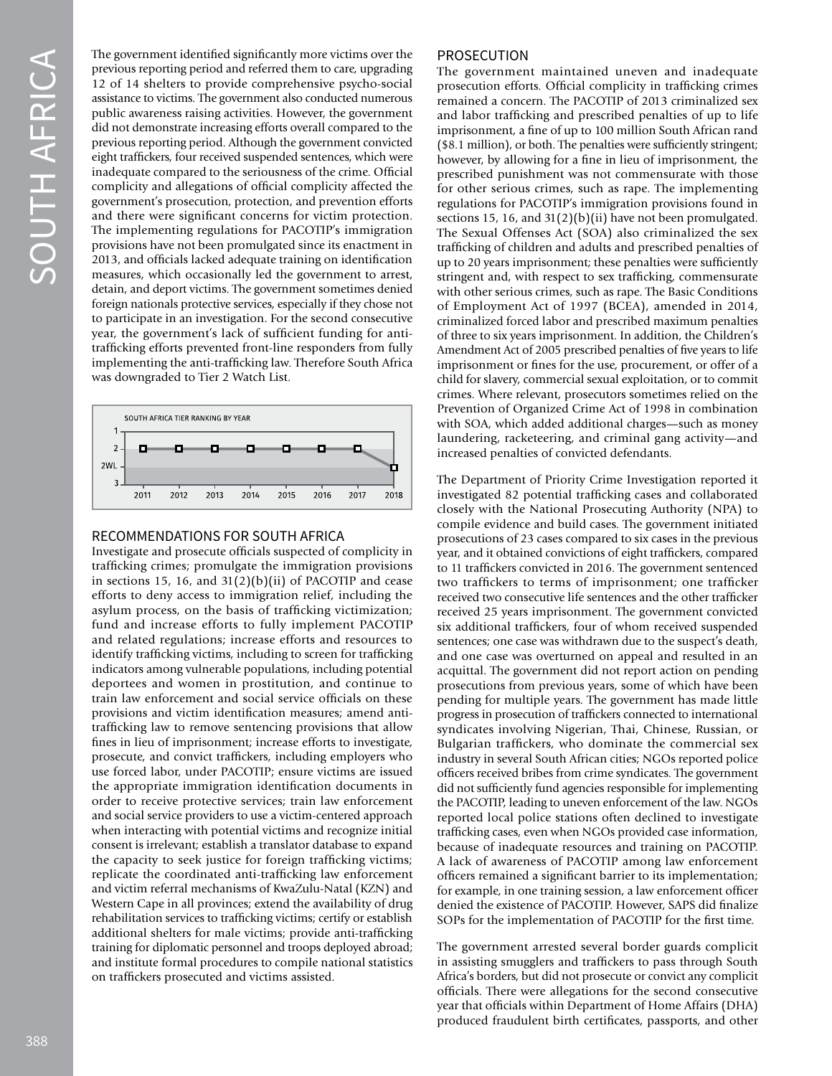previous reporting period and referred them to care, upgrading 12 of 14 shelters to provide comprehensive psycho-social assistance to victims. The government also conducted numerous public awareness raising activities. However, the government did not demonstrate increasing efforts overall compared to the previous reporting period. Although the government convicted eight traffickers, four received suspended sentences, which were inadequate compared to the seriousness of the crime. Official complicity and allegations of official complicity affected the government's prosecution, protection, and prevention efforts and there were significant concerns for victim protection. The implementing regulations for PACOTIP's immigration provisions have not been promulgated since its enactment in 2013, and officials lacked adequate training on identification measures, which occasionally led the government to arrest, detain, and deport victims. The government sometimes denied foreign nationals protective services, especially if they chose not to participate in an investigation. For the second consecutive year, the government's lack of sufficient funding for antitrafficking efforts prevented front-line responders from fully implementing the anti-trafficking law. Therefore South Africa was downgraded to Tier 2 Watch List.



#### RECOMMENDATIONS FOR SOUTH AFRICA

The government is consistent with the significant interest in the significant of the significant of provide comprehensive populations of the entropy of the significant of the government is consistent to the government int Investigate and prosecute officials suspected of complicity in trafficking crimes; promulgate the immigration provisions in sections 15, 16, and  $31(2)(b)(ii)$  of PACOTIP and cease efforts to deny access to immigration relief, including the asylum process, on the basis of trafficking victimization; fund and increase efforts to fully implement PACOTIP and related regulations; increase efforts and resources to identify trafficking victims, including to screen for trafficking indicators among vulnerable populations, including potential deportees and women in prostitution, and continue to train law enforcement and social service officials on these provisions and victim identification measures; amend antitrafficking law to remove sentencing provisions that allow fines in lieu of imprisonment; increase efforts to investigate, prosecute, and convict traffickers, including employers who use forced labor, under PACOTIP; ensure victims are issued the appropriate immigration identification documents in order to receive protective services; train law enforcement and social service providers to use a victim-centered approach when interacting with potential victims and recognize initial consent is irrelevant; establish a translator database to expand the capacity to seek justice for foreign trafficking victims; replicate the coordinated anti-trafficking law enforcement and victim referral mechanisms of KwaZulu-Natal (KZN) and Western Cape in all provinces; extend the availability of drug rehabilitation services to trafficking victims; certify or establish additional shelters for male victims; provide anti-trafficking training for diplomatic personnel and troops deployed abroad; and institute formal procedures to compile national statistics on traffickers prosecuted and victims assisted.

#### PROSECUTION

The government maintained uneven and inadequate prosecution efforts. Official complicity in trafficking crimes remained a concern. The PACOTIP of 2013 criminalized sex and labor trafficking and prescribed penalties of up to life imprisonment, a fine of up to 100 million South African rand (\$8.1 million), or both. The penalties were sufficiently stringent; however, by allowing for a fine in lieu of imprisonment, the prescribed punishment was not commensurate with those for other serious crimes, such as rape. The implementing regulations for PACOTIP's immigration provisions found in sections 15, 16, and 31(2)(b)(ii) have not been promulgated. The Sexual Offenses Act (SOA) also criminalized the sex trafficking of children and adults and prescribed penalties of up to 20 years imprisonment; these penalties were sufficiently stringent and, with respect to sex trafficking, commensurate with other serious crimes, such as rape. The Basic Conditions of Employment Act of 1997 (BCEA), amended in 2014, criminalized forced labor and prescribed maximum penalties of three to six years imprisonment. In addition, the Children's Amendment Act of 2005 prescribed penalties of five years to life imprisonment or fines for the use, procurement, or offer of a child for slavery, commercial sexual exploitation, or to commit crimes. Where relevant, prosecutors sometimes relied on the Prevention of Organized Crime Act of 1998 in combination with SOA, which added additional charges—such as money laundering, racketeering, and criminal gang activity—and increased penalties of convicted defendants.

The Department of Priority Crime Investigation reported it investigated 82 potential trafficking cases and collaborated closely with the National Prosecuting Authority (NPA) to compile evidence and build cases. The government initiated prosecutions of 23 cases compared to six cases in the previous year, and it obtained convictions of eight traffickers, compared to 11 traffickers convicted in 2016. The government sentenced two traffickers to terms of imprisonment; one trafficker received two consecutive life sentences and the other trafficker received 25 years imprisonment. The government convicted six additional traffickers, four of whom received suspended sentences; one case was withdrawn due to the suspect's death, and one case was overturned on appeal and resulted in an acquittal. The government did not report action on pending prosecutions from previous years, some of which have been pending for multiple years. The government has made little progress in prosecution of traffickers connected to international syndicates involving Nigerian, Thai, Chinese, Russian, or Bulgarian traffickers, who dominate the commercial sex industry in several South African cities; NGOs reported police officers received bribes from crime syndicates. The government did not sufficiently fund agencies responsible for implementing the PACOTIP, leading to uneven enforcement of the law. NGOs reported local police stations often declined to investigate trafficking cases, even when NGOs provided case information, because of inadequate resources and training on PACOTIP. A lack of awareness of PACOTIP among law enforcement officers remained a significant barrier to its implementation; for example, in one training session, a law enforcement officer denied the existence of PACOTIP. However, SAPS did finalize SOPs for the implementation of PACOTIP for the first time.

The government arrested several border guards complicit in assisting smugglers and traffickers to pass through South Africa's borders, but did not prosecute or convict any complicit officials. There were allegations for the second consecutive year that officials within Department of Home Affairs (DHA) produced fraudulent birth certificates, passports, and other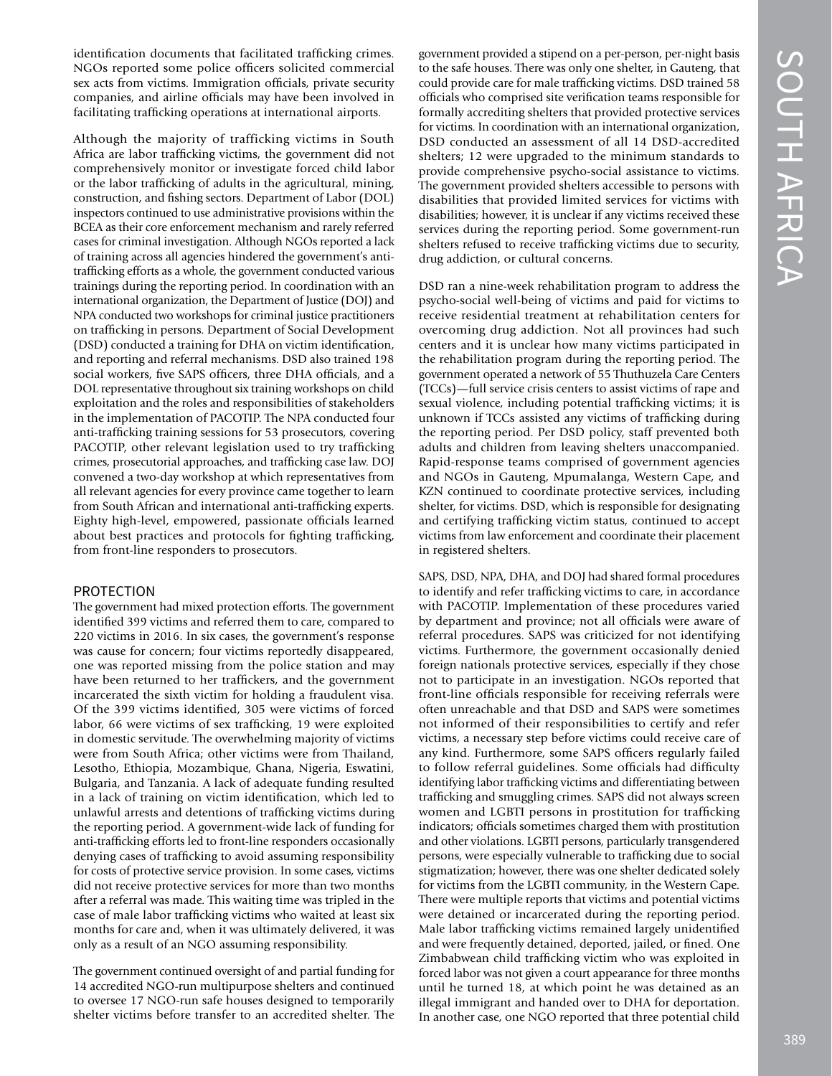identification documents that facilitated trafficking crimes. NGOs reported some police officers solicited commercial sex acts from victims. Immigration officials, private security companies, and airline officials may have been involved in facilitating trafficking operations at international airports.

Although the majority of trafficking victims in South Africa are labor trafficking victims, the government did not comprehensively monitor or investigate forced child labor or the labor trafficking of adults in the agricultural, mining, construction, and fishing sectors. Department of Labor (DOL) inspectors continued to use administrative provisions within the BCEA as their core enforcement mechanism and rarely referred cases for criminal investigation. Although NGOs reported a lack of training across all agencies hindered the government's antitrafficking efforts as a whole, the government conducted various trainings during the reporting period. In coordination with an international organization, the Department of Justice (DOJ) and NPA conducted two workshops for criminal justice practitioners on trafficking in persons. Department of Social Development (DSD) conducted a training for DHA on victim identification, and reporting and referral mechanisms. DSD also trained 198 social workers, five SAPS officers, three DHA officials, and a DOL representative throughout six training workshops on child exploitation and the roles and responsibilities of stakeholders in the implementation of PACOTIP. The NPA conducted four anti-trafficking training sessions for 53 prosecutors, covering PACOTIP, other relevant legislation used to try trafficking crimes, prosecutorial approaches, and trafficking case law. DOJ convened a two-day workshop at which representatives from all relevant agencies for every province came together to learn from South African and international anti-trafficking experts. Eighty high-level, empowered, passionate officials learned about best practices and protocols for fighting trafficking, from front-line responders to prosecutors.

#### PROTECTION

The government had mixed protection efforts. The government identified 399 victims and referred them to care, compared to 220 victims in 2016. In six cases, the government's response was cause for concern; four victims reportedly disappeared, one was reported missing from the police station and may have been returned to her traffickers, and the government incarcerated the sixth victim for holding a fraudulent visa. Of the 399 victims identified, 305 were victims of forced labor, 66 were victims of sex trafficking, 19 were exploited in domestic servitude. The overwhelming majority of victims were from South Africa; other victims were from Thailand, Lesotho, Ethiopia, Mozambique, Ghana, Nigeria, Eswatini, Bulgaria, and Tanzania. A lack of adequate funding resulted in a lack of training on victim identification, which led to unlawful arrests and detentions of trafficking victims during the reporting period. A government-wide lack of funding for anti-trafficking efforts led to front-line responders occasionally denying cases of trafficking to avoid assuming responsibility for costs of protective service provision. In some cases, victims did not receive protective services for more than two months after a referral was made. This waiting time was tripled in the case of male labor trafficking victims who waited at least six months for care and, when it was ultimately delivered, it was only as a result of an NGO assuming responsibility.

The government continued oversight of and partial funding for 14 accredited NGO-run multipurpose shelters and continued to oversee 17 NGO-run safe houses designed to temporarily shelter victims before transfer to an accredited shelter. The government provided a stipend on a per-person, per-night basis to the safe houses. There was only one shelter, in Gauteng, that could provide care for male trafficking victims. DSD trained 58 officials who comprised site verification teams responsible for formally accrediting shelters that provided protective services for victims. In coordination with an international organization, DSD conducted an assessment of all 14 DSD-accredited shelters; 12 were upgraded to the minimum standards to provide comprehensive psycho-social assistance to victims. The government provided shelters accessible to persons with disabilities that provided limited services for victims with disabilities; however, it is unclear if any victims received these services during the reporting period. Some government-run shelters refused to receive trafficking victims due to security, drug addiction, or cultural concerns.

DSD ran a nine-week rehabilitation program to address the psycho-social well-being of victims and paid for victims to receive residential treatment at rehabilitation centers for overcoming drug addiction. Not all provinces had such centers and it is unclear how many victims participated in the rehabilitation program during the reporting period. The government operated a network of 55 Thuthuzela Care Centers (TCCs)—full service crisis centers to assist victims of rape and sexual violence, including potential trafficking victims; it is unknown if TCCs assisted any victims of trafficking during the reporting period. Per DSD policy, staff prevented both adults and children from leaving shelters unaccompanied. Rapid-response teams comprised of government agencies and NGOs in Gauteng, Mpumalanga, Western Cape, and KZN continued to coordinate protective services, including shelter, for victims. DSD, which is responsible for designating and certifying trafficking victim status, continued to accept victims from law enforcement and coordinate their placement in registered shelters.

SAPS, DSD, NPA, DHA, and DOJ had shared formal procedures to identify and refer trafficking victims to care, in accordance with PACOTIP. Implementation of these procedures varied by department and province; not all officials were aware of referral procedures. SAPS was criticized for not identifying victims. Furthermore, the government occasionally denied foreign nationals protective services, especially if they chose not to participate in an investigation. NGOs reported that front-line officials responsible for receiving referrals were often unreachable and that DSD and SAPS were sometimes not informed of their responsibilities to certify and refer victims, a necessary step before victims could receive care of any kind. Furthermore, some SAPS officers regularly failed to follow referral guidelines. Some officials had difficulty identifying labor trafficking victims and differentiating between trafficking and smuggling crimes. SAPS did not always screen women and LGBTI persons in prostitution for trafficking indicators; officials sometimes charged them with prostitution and other violations. LGBTI persons, particularly transgendered persons, were especially vulnerable to trafficking due to social stigmatization; however, there was one shelter dedicated solely for victims from the LGBTI community, in the Western Cape. There were multiple reports that victims and potential victims were detained or incarcerated during the reporting period. Male labor trafficking victims remained largely unidentified and were frequently detained, deported, jailed, or fined. One Zimbabwean child trafficking victim who was exploited in forced labor was not given a court appearance for three months until he turned 18, at which point he was detained as an illegal immigrant and handed over to DHA for deportation. In another case, one NGO reported that three potential child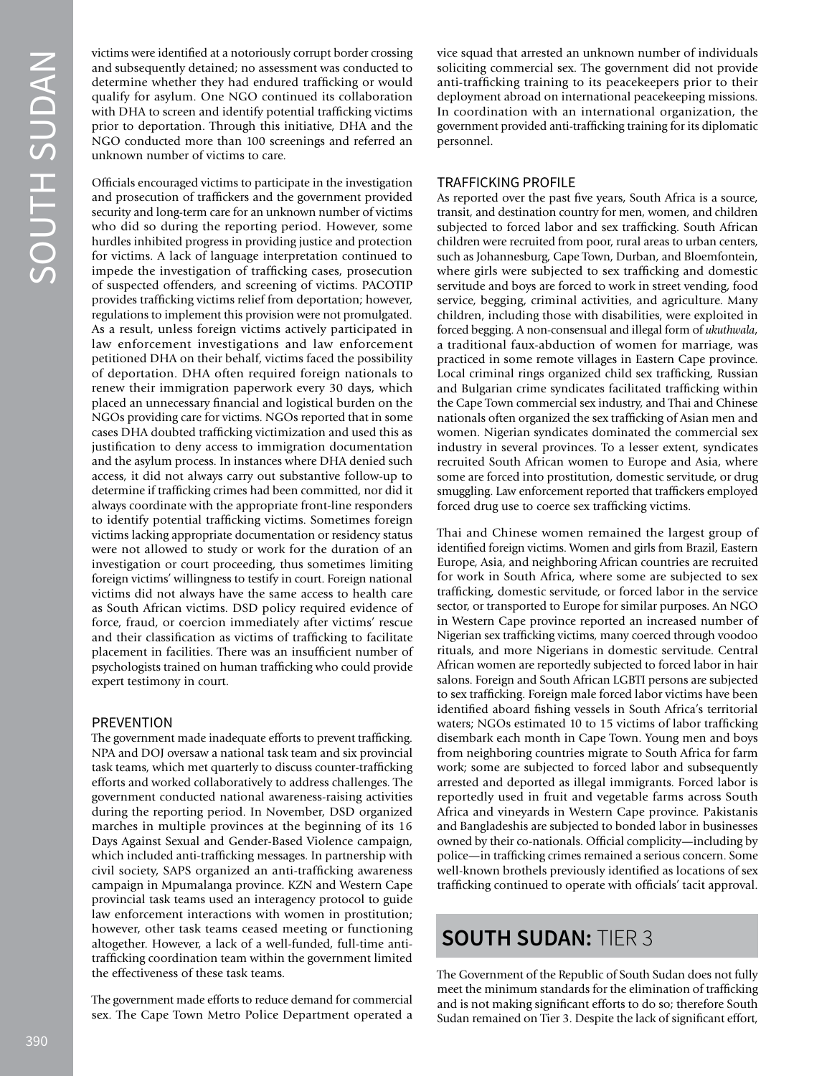and subsequently detained; no assessment was conducted to determine whether they had endured trafficking or would qualify for asylum. One NGO continued its collaboration with DHA to screen and identify potential trafficking victims prior to deportation. Through this initiative, DHA and the NGO conducted more than 100 screenings and referred an unknown number of victims to care.

390 SUP THE SUP TO the mean interaction and the mean interaction of the mean interaction of the mean interaction of the mean interaction of the mean interaction of the mean interaction of the mean interaction of the mean Officials encouraged victims to participate in the investigation and prosecution of traffickers and the government provided security and long-term care for an unknown number of victims who did so during the reporting period. However, some hurdles inhibited progress in providing justice and protection for victims. A lack of language interpretation continued to impede the investigation of trafficking cases, prosecution of suspected offenders, and screening of victims. PACOTIP provides trafficking victims relief from deportation; however, regulations to implement this provision were not promulgated. As a result, unless foreign victims actively participated in law enforcement investigations and law enforcement petitioned DHA on their behalf, victims faced the possibility of deportation. DHA often required foreign nationals to renew their immigration paperwork every 30 days, which placed an unnecessary financial and logistical burden on the NGOs providing care for victims. NGOs reported that in some cases DHA doubted trafficking victimization and used this as justification to deny access to immigration documentation and the asylum process. In instances where DHA denied such access, it did not always carry out substantive follow-up to determine if trafficking crimes had been committed, nor did it always coordinate with the appropriate front-line responders to identify potential trafficking victims. Sometimes foreign victims lacking appropriate documentation or residency status were not allowed to study or work for the duration of an investigation or court proceeding, thus sometimes limiting foreign victims' willingness to testify in court. Foreign national victims did not always have the same access to health care as South African victims. DSD policy required evidence of force, fraud, or coercion immediately after victims' rescue and their classification as victims of trafficking to facilitate placement in facilities. There was an insufficient number of psychologists trained on human trafficking who could provide expert testimony in court.

### PREVENTION

The government made inadequate efforts to prevent trafficking. NPA and DOJ oversaw a national task team and six provincial task teams, which met quarterly to discuss counter-trafficking efforts and worked collaboratively to address challenges. The government conducted national awareness-raising activities during the reporting period. In November, DSD organized marches in multiple provinces at the beginning of its 16 Days Against Sexual and Gender-Based Violence campaign, which included anti-trafficking messages. In partnership with civil society, SAPS organized an anti-trafficking awareness campaign in Mpumalanga province. KZN and Western Cape provincial task teams used an interagency protocol to guide law enforcement interactions with women in prostitution; however, other task teams ceased meeting or functioning altogether. However, a lack of a well-funded, full-time antitrafficking coordination team within the government limited the effectiveness of these task teams.

The government made efforts to reduce demand for commercial sex. The Cape Town Metro Police Department operated a vice squad that arrested an unknown number of individuals soliciting commercial sex. The government did not provide anti-trafficking training to its peacekeepers prior to their deployment abroad on international peacekeeping missions. In coordination with an international organization, the government provided anti-trafficking training for its diplomatic personnel.

### TRAFFICKING PROFILE

As reported over the past five years, South Africa is a source, transit, and destination country for men, women, and children subjected to forced labor and sex trafficking. South African children were recruited from poor, rural areas to urban centers, such as Johannesburg, Cape Town, Durban, and Bloemfontein, where girls were subjected to sex trafficking and domestic servitude and boys are forced to work in street vending, food service, begging, criminal activities, and agriculture. Many children, including those with disabilities, were exploited in forced begging. A non-consensual and illegal form of *ukuthwala*, a traditional faux-abduction of women for marriage, was practiced in some remote villages in Eastern Cape province. Local criminal rings organized child sex trafficking, Russian and Bulgarian crime syndicates facilitated trafficking within the Cape Town commercial sex industry, and Thai and Chinese nationals often organized the sex trafficking of Asian men and women. Nigerian syndicates dominated the commercial sex industry in several provinces. To a lesser extent, syndicates recruited South African women to Europe and Asia, where some are forced into prostitution, domestic servitude, or drug smuggling. Law enforcement reported that traffickers employed forced drug use to coerce sex trafficking victims.

Thai and Chinese women remained the largest group of identified foreign victims. Women and girls from Brazil, Eastern Europe, Asia, and neighboring African countries are recruited for work in South Africa, where some are subjected to sex trafficking, domestic servitude, or forced labor in the service sector, or transported to Europe for similar purposes. An NGO in Western Cape province reported an increased number of Nigerian sex trafficking victims, many coerced through voodoo rituals, and more Nigerians in domestic servitude. Central African women are reportedly subjected to forced labor in hair salons. Foreign and South African LGBTI persons are subjected to sex trafficking. Foreign male forced labor victims have been identified aboard fishing vessels in South Africa's territorial waters; NGOs estimated 10 to 15 victims of labor trafficking disembark each month in Cape Town. Young men and boys from neighboring countries migrate to South Africa for farm work; some are subjected to forced labor and subsequently arrested and deported as illegal immigrants. Forced labor is reportedly used in fruit and vegetable farms across South Africa and vineyards in Western Cape province. Pakistanis and Bangladeshis are subjected to bonded labor in businesses owned by their co-nationals. Official complicity—including by police—in trafficking crimes remained a serious concern. Some well-known brothels previously identified as locations of sex trafficking continued to operate with officials' tacit approval.

## **SOUTH SUDAN:** TIER 3

The Government of the Republic of South Sudan does not fully meet the minimum standards for the elimination of trafficking and is not making significant efforts to do so; therefore South Sudan remained on Tier 3. Despite the lack of significant effort,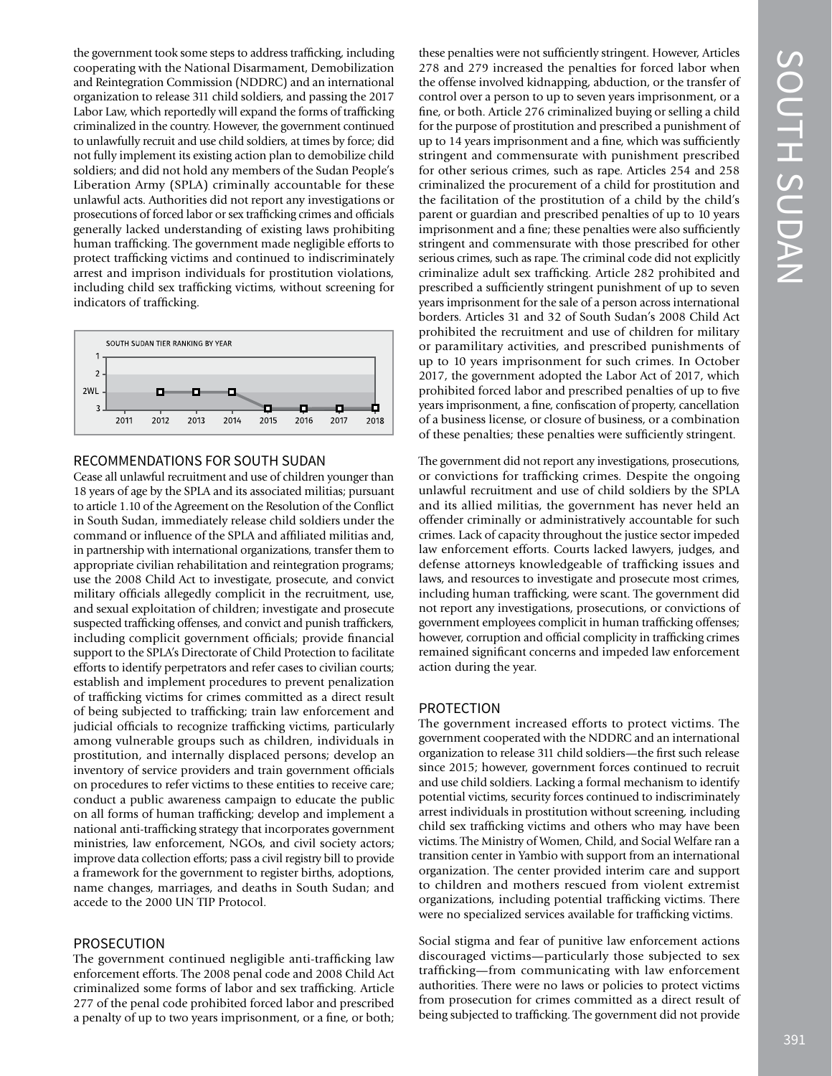the government took some steps to address trafficking, including cooperating with the National Disarmament, Demobilization and Reintegration Commission (NDDRC) and an international organization to release 311 child soldiers, and passing the 2017 Labor Law, which reportedly will expand the forms of trafficking criminalized in the country. However, the government continued to unlawfully recruit and use child soldiers, at times by force; did not fully implement its existing action plan to demobilize child soldiers; and did not hold any members of the Sudan People's Liberation Army (SPLA) criminally accountable for these unlawful acts. Authorities did not report any investigations or prosecutions of forced labor or sex trafficking crimes and officials generally lacked understanding of existing laws prohibiting human trafficking. The government made negligible efforts to protect trafficking victims and continued to indiscriminately arrest and imprison individuals for prostitution violations, including child sex trafficking victims, without screening for indicators of trafficking.



#### RECOMMENDATIONS FOR SOUTH SUDAN

Cease all unlawful recruitment and use of children younger than 18 years of age by the SPLA and its associated militias; pursuant to article 1.10 of the Agreement on the Resolution of the Conflict in South Sudan, immediately release child soldiers under the command or influence of the SPLA and affiliated militias and, in partnership with international organizations, transfer them to appropriate civilian rehabilitation and reintegration programs; use the 2008 Child Act to investigate, prosecute, and convict military officials allegedly complicit in the recruitment, use, and sexual exploitation of children; investigate and prosecute suspected trafficking offenses, and convict and punish traffickers, including complicit government officials; provide financial support to the SPLA's Directorate of Child Protection to facilitate efforts to identify perpetrators and refer cases to civilian courts; establish and implement procedures to prevent penalization of trafficking victims for crimes committed as a direct result of being subjected to trafficking; train law enforcement and judicial officials to recognize trafficking victims, particularly among vulnerable groups such as children, individuals in prostitution, and internally displaced persons; develop an inventory of service providers and train government officials on procedures to refer victims to these entities to receive care; conduct a public awareness campaign to educate the public on all forms of human trafficking; develop and implement a national anti-trafficking strategy that incorporates government ministries, law enforcement, NGOs, and civil society actors; improve data collection efforts; pass a civil registry bill to provide a framework for the government to register births, adoptions, name changes, marriages, and deaths in South Sudan; and accede to the 2000 UN TIP Protocol.

#### PROSECUTION

The government continued negligible anti-trafficking law enforcement efforts. The 2008 penal code and 2008 Child Act criminalized some forms of labor and sex trafficking. Article 277 of the penal code prohibited forced labor and prescribed a penalty of up to two years imprisonment, or a fine, or both; these penalties were not sufficiently stringent. However, Articles 278 and 279 increased the penalties for forced labor when the offense involved kidnapping, abduction, or the transfer of control over a person to up to seven years imprisonment, or a fine, or both. Article 276 criminalized buying or selling a child for the purpose of prostitution and prescribed a punishment of up to 14 years imprisonment and a fine, which was sufficiently stringent and commensurate with punishment prescribed for other serious crimes, such as rape. Articles 254 and 258 criminalized the procurement of a child for prostitution and the facilitation of the prostitution of a child by the child's parent or guardian and prescribed penalties of up to 10 years imprisonment and a fine; these penalties were also sufficiently stringent and commensurate with those prescribed for other serious crimes, such as rape. The criminal code did not explicitly criminalize adult sex trafficking. Article 282 prohibited and prescribed a sufficiently stringent punishment of up to seven years imprisonment for the sale of a person across international borders. Articles 31 and 32 of South Sudan's 2008 Child Act prohibited the recruitment and use of children for military or paramilitary activities, and prescribed punishments of up to 10 years imprisonment for such crimes. In October 2017, the government adopted the Labor Act of 2017, which prohibited forced labor and prescribed penalties of up to five years imprisonment, a fine, confiscation of property, cancellation of a business license, or closure of business, or a combination of these penalties; these penalties were sufficiently stringent.

The government did not report any investigations, prosecutions, or convictions for trafficking crimes. Despite the ongoing unlawful recruitment and use of child soldiers by the SPLA and its allied militias, the government has never held an offender criminally or administratively accountable for such crimes. Lack of capacity throughout the justice sector impeded law enforcement efforts. Courts lacked lawyers, judges, and defense attorneys knowledgeable of trafficking issues and laws, and resources to investigate and prosecute most crimes, including human trafficking, were scant. The government did not report any investigations, prosecutions, or convictions of government employees complicit in human trafficking offenses; however, corruption and official complicity in trafficking crimes remained significant concerns and impeded law enforcement action during the year.

#### PROTECTION

The government increased efforts to protect victims. The government cooperated with the NDDRC and an international organization to release 311 child soldiers—the first such release since 2015; however, government forces continued to recruit and use child soldiers. Lacking a formal mechanism to identify potential victims, security forces continued to indiscriminately arrest individuals in prostitution without screening, including child sex trafficking victims and others who may have been victims. The Ministry of Women, Child, and Social Welfare ran a transition center in Yambio with support from an international organization. The center provided interim care and support to children and mothers rescued from violent extremist organizations, including potential trafficking victims. There were no specialized services available for trafficking victims.

Social stigma and fear of punitive law enforcement actions discouraged victims—particularly those subjected to sex trafficking—from communicating with law enforcement authorities. There were no laws or policies to protect victims from prosecution for crimes committed as a direct result of being subjected to trafficking. The government did not provide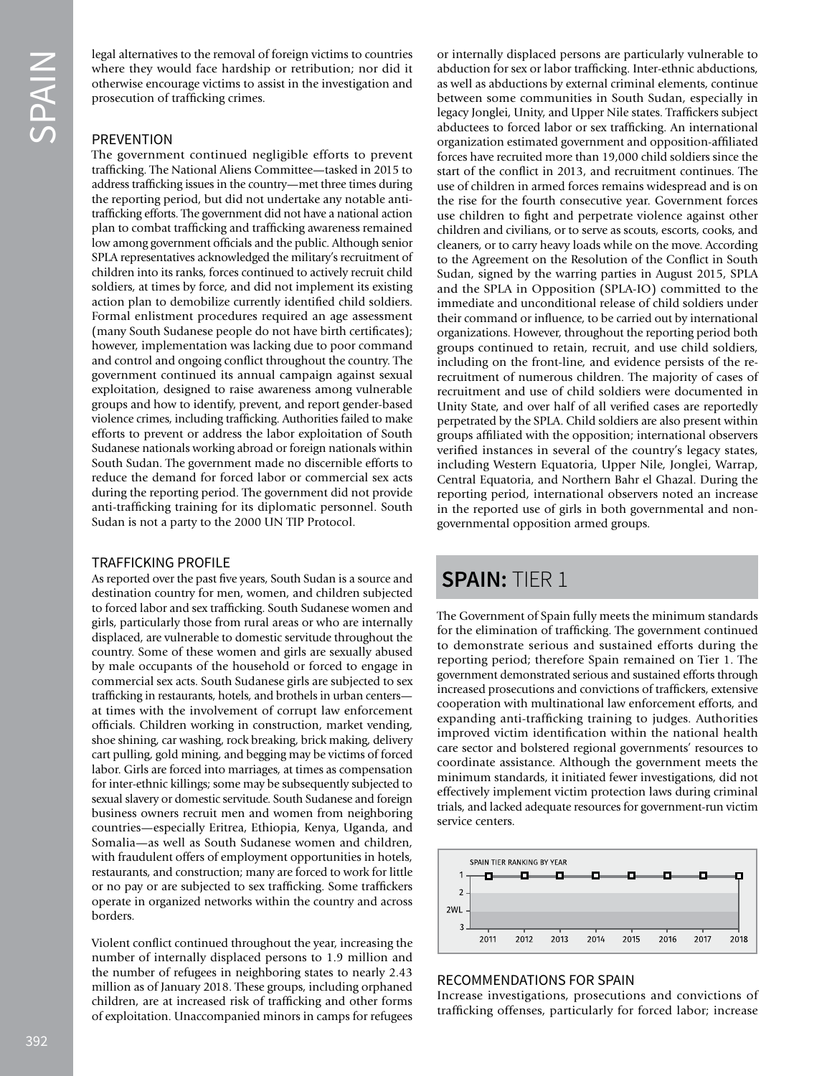where they would face hardship or retribution; nor did it otherwise encourage victims to assist in the investigation and prosecution of trafficking crimes.

## PREVENTION

SPAI alternatives to the entropy desired in the investor of the removal of the removal of the removal of the measurable contribution to the removal properties are the investor of the removal of the removal of the removal The government continued negligible efforts to prevent trafficking. The National Aliens Committee—tasked in 2015 to address trafficking issues in the country—met three times during the reporting period, but did not undertake any notable antitrafficking efforts. The government did not have a national action plan to combat trafficking and trafficking awareness remained low among government officials and the public. Although senior SPLA representatives acknowledged the military's recruitment of children into its ranks, forces continued to actively recruit child soldiers, at times by force, and did not implement its existing action plan to demobilize currently identified child soldiers. Formal enlistment procedures required an age assessment (many South Sudanese people do not have birth certificates); however, implementation was lacking due to poor command and control and ongoing conflict throughout the country. The government continued its annual campaign against sexual exploitation, designed to raise awareness among vulnerable groups and how to identify, prevent, and report gender-based violence crimes, including trafficking. Authorities failed to make efforts to prevent or address the labor exploitation of South Sudanese nationals working abroad or foreign nationals within South Sudan. The government made no discernible efforts to reduce the demand for forced labor or commercial sex acts during the reporting period. The government did not provide anti-trafficking training for its diplomatic personnel. South Sudan is not a party to the 2000 UN TIP Protocol.

### TRAFFICKING PROFILE

As reported over the past five years, South Sudan is a source and destination country for men, women, and children subjected to forced labor and sex trafficking. South Sudanese women and girls, particularly those from rural areas or who are internally displaced, are vulnerable to domestic servitude throughout the country. Some of these women and girls are sexually abused by male occupants of the household or forced to engage in commercial sex acts. South Sudanese girls are subjected to sex trafficking in restaurants, hotels, and brothels in urban centers at times with the involvement of corrupt law enforcement officials. Children working in construction, market vending, shoe shining, car washing, rock breaking, brick making, delivery cart pulling, gold mining, and begging may be victims of forced labor. Girls are forced into marriages, at times as compensation for inter-ethnic killings; some may be subsequently subjected to sexual slavery or domestic servitude. South Sudanese and foreign business owners recruit men and women from neighboring countries—especially Eritrea, Ethiopia, Kenya, Uganda, and Somalia—as well as South Sudanese women and children, with fraudulent offers of employment opportunities in hotels, restaurants, and construction; many are forced to work for little or no pay or are subjected to sex trafficking. Some traffickers operate in organized networks within the country and across borders.

Violent conflict continued throughout the year, increasing the number of internally displaced persons to 1.9 million and the number of refugees in neighboring states to nearly 2.43 million as of January 2018. These groups, including orphaned children, are at increased risk of trafficking and other forms of exploitation. Unaccompanied minors in camps for refugees or internally displaced persons are particularly vulnerable to abduction for sex or labor trafficking. Inter-ethnic abductions, as well as abductions by external criminal elements, continue between some communities in South Sudan, especially in legacy Jonglei, Unity, and Upper Nile states. Traffickers subject abductees to forced labor or sex trafficking. An international organization estimated government and opposition-affiliated forces have recruited more than 19,000 child soldiers since the start of the conflict in 2013, and recruitment continues. The use of children in armed forces remains widespread and is on the rise for the fourth consecutive year. Government forces use children to fight and perpetrate violence against other children and civilians, or to serve as scouts, escorts, cooks, and cleaners, or to carry heavy loads while on the move. According to the Agreement on the Resolution of the Conflict in South Sudan, signed by the warring parties in August 2015, SPLA and the SPLA in Opposition (SPLA-IO) committed to the immediate and unconditional release of child soldiers under their command or influence, to be carried out by international organizations. However, throughout the reporting period both groups continued to retain, recruit, and use child soldiers, including on the front-line, and evidence persists of the rerecruitment of numerous children. The majority of cases of recruitment and use of child soldiers were documented in Unity State, and over half of all verified cases are reportedly perpetrated by the SPLA. Child soldiers are also present within groups affiliated with the opposition; international observers verified instances in several of the country's legacy states, including Western Equatoria, Upper Nile, Jonglei, Warrap, Central Equatoria, and Northern Bahr el Ghazal. During the reporting period, international observers noted an increase in the reported use of girls in both governmental and nongovernmental opposition armed groups.

## **SPAIN:** TIER 1

The Government of Spain fully meets the minimum standards for the elimination of trafficking. The government continued to demonstrate serious and sustained efforts during the reporting period; therefore Spain remained on Tier 1. The government demonstrated serious and sustained efforts through increased prosecutions and convictions of traffickers, extensive cooperation with multinational law enforcement efforts, and expanding anti-trafficking training to judges. Authorities improved victim identification within the national health care sector and bolstered regional governments' resources to coordinate assistance. Although the government meets the minimum standards, it initiated fewer investigations, did not effectively implement victim protection laws during criminal trials, and lacked adequate resources for government-run victim service centers.



### RECOMMENDATIONS FOR SPAIN

Increase investigations, prosecutions and convictions of trafficking offenses, particularly for forced labor; increase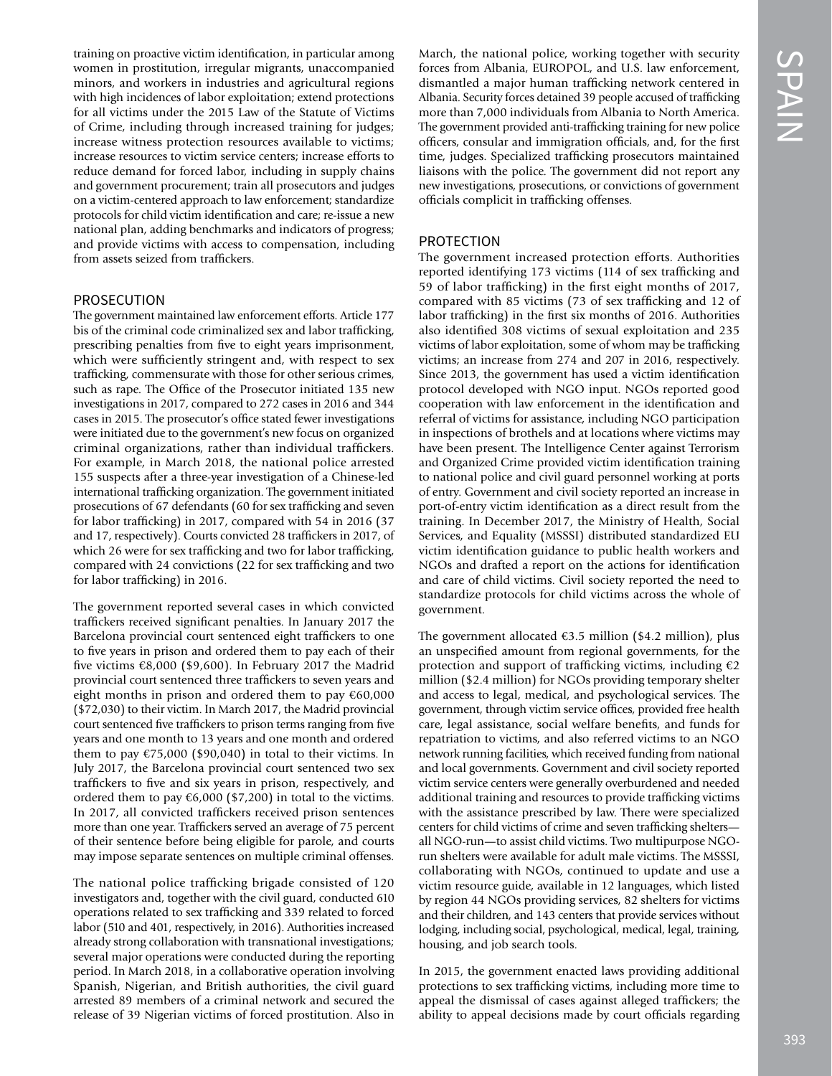training on proactive victim identification, in particular among women in prostitution, irregular migrants, unaccompanied minors, and workers in industries and agricultural regions with high incidences of labor exploitation; extend protections for all victims under the 2015 Law of the Statute of Victims of Crime, including through increased training for judges; increase witness protection resources available to victims; increase resources to victim service centers; increase efforts to reduce demand for forced labor, including in supply chains and government procurement; train all prosecutors and judges on a victim-centered approach to law enforcement; standardize protocols for child victim identification and care; re-issue a new national plan, adding benchmarks and indicators of progress; and provide victims with access to compensation, including from assets seized from traffickers.

#### PROSECUTION

The government maintained law enforcement efforts. Article 177 bis of the criminal code criminalized sex and labor trafficking, prescribing penalties from five to eight years imprisonment, which were sufficiently stringent and, with respect to sex trafficking, commensurate with those for other serious crimes, such as rape. The Office of the Prosecutor initiated 135 new investigations in 2017, compared to 272 cases in 2016 and 344 cases in 2015. The prosecutor's office stated fewer investigations were initiated due to the government's new focus on organized criminal organizations, rather than individual traffickers. For example, in March 2018, the national police arrested 155 suspects after a three-year investigation of a Chinese-led international trafficking organization. The government initiated prosecutions of 67 defendants (60 for sex trafficking and seven for labor trafficking) in 2017, compared with 54 in 2016 (37 and 17, respectively). Courts convicted 28 traffickers in 2017, of which 26 were for sex trafficking and two for labor trafficking, compared with 24 convictions (22 for sex trafficking and two for labor trafficking) in 2016.

The government reported several cases in which convicted traffickers received significant penalties. In January 2017 the Barcelona provincial court sentenced eight traffickers to one to five years in prison and ordered them to pay each of their five victims  $\epsilon$ 8,000 (\$9,600). In February 2017 the Madrid provincial court sentenced three traffickers to seven years and eight months in prison and ordered them to pay €60,000 (\$72,030) to their victim. In March 2017, the Madrid provincial court sentenced five traffickers to prison terms ranging from five years and one month to 13 years and one month and ordered them to pay  $£75,000$  (\$90,040) in total to their victims. In July 2017, the Barcelona provincial court sentenced two sex traffickers to five and six years in prison, respectively, and ordered them to pay  $\epsilon$ 6,000 (\$7,200) in total to the victims. In 2017, all convicted traffickers received prison sentences more than one year. Traffickers served an average of 75 percent of their sentence before being eligible for parole, and courts may impose separate sentences on multiple criminal offenses.

The national police trafficking brigade consisted of 120 investigators and, together with the civil guard, conducted 610 operations related to sex trafficking and 339 related to forced labor (510 and 401, respectively, in 2016). Authorities increased already strong collaboration with transnational investigations; several major operations were conducted during the reporting period. In March 2018, in a collaborative operation involving Spanish, Nigerian, and British authorities, the civil guard arrested 89 members of a criminal network and secured the release of 39 Nigerian victims of forced prostitution. Also in March, the national police, working together with security forces from Albania, EUROPOL, and U.S. law enforcement, dismantled a major human trafficking network centered in Albania. Security forces detained 39 people accused of trafficking more than 7,000 individuals from Albania to North America. The government provided anti-trafficking training for new police officers, consular and immigration officials, and, for the first time, judges. Specialized trafficking prosecutors maintained liaisons with the police. The government did not report any new investigations, prosecutions, or convictions of government officials complicit in trafficking offenses.

#### PROTECTION

The government increased protection efforts. Authorities reported identifying 173 victims (114 of sex trafficking and 59 of labor trafficking) in the first eight months of 2017, compared with 85 victims (73 of sex trafficking and 12 of labor trafficking) in the first six months of 2016. Authorities also identified 308 victims of sexual exploitation and 235 victims of labor exploitation, some of whom may be trafficking victims; an increase from 274 and 207 in 2016, respectively. Since 2013, the government has used a victim identification protocol developed with NGO input. NGOs reported good cooperation with law enforcement in the identification and referral of victims for assistance, including NGO participation in inspections of brothels and at locations where victims may have been present. The Intelligence Center against Terrorism and Organized Crime provided victim identification training to national police and civil guard personnel working at ports of entry. Government and civil society reported an increase in port-of-entry victim identification as a direct result from the training. In December 2017, the Ministry of Health, Social Services, and Equality (MSSSI) distributed standardized EU victim identification guidance to public health workers and NGOs and drafted a report on the actions for identification and care of child victims. Civil society reported the need to standardize protocols for child victims across the whole of government.

The government allocated  $\epsilon$ 3.5 million (\$4.2 million), plus an unspecified amount from regional governments, for the protection and support of trafficking victims, including  $\epsilon$ 2 million (\$2.4 million) for NGOs providing temporary shelter and access to legal, medical, and psychological services. The government, through victim service offices, provided free health care, legal assistance, social welfare benefits, and funds for repatriation to victims, and also referred victims to an NGO network running facilities, which received funding from national and local governments. Government and civil society reported victim service centers were generally overburdened and needed additional training and resources to provide trafficking victims with the assistance prescribed by law. There were specialized centers for child victims of crime and seven trafficking shelters all NGO-run—to assist child victims. Two multipurpose NGOrun shelters were available for adult male victims. The MSSSI, collaborating with NGOs, continued to update and use a victim resource guide, available in 12 languages, which listed by region 44 NGOs providing services, 82 shelters for victims and their children, and 143 centers that provide services without lodging, including social, psychological, medical, legal, training, housing, and job search tools.

In 2015, the government enacted laws providing additional protections to sex trafficking victims, including more time to appeal the dismissal of cases against alleged traffickers; the ability to appeal decisions made by court officials regarding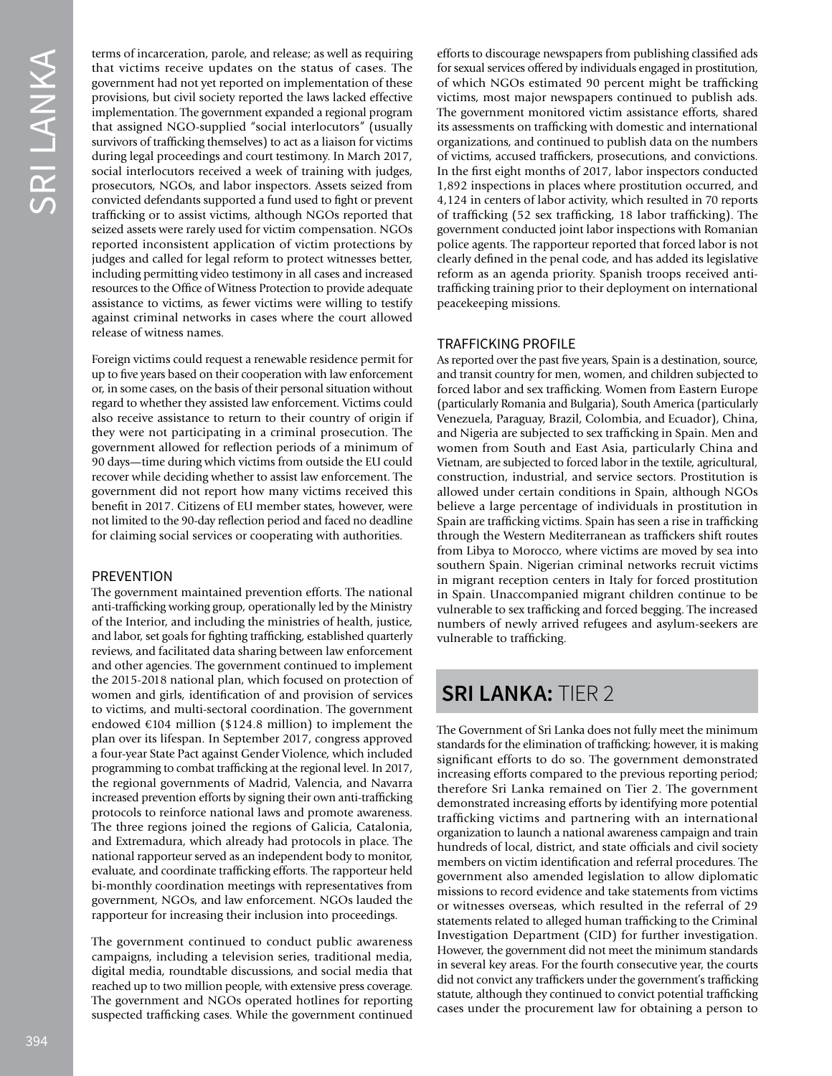that victims receive updates on the status of cases. The government had not yet reported on implementation of these provisions, but civil society reported the laws lacked effective implementation. The government expanded a regional program that assigned NGO-supplied "social interlocutors" (usually survivors of trafficking themselves) to act as a liaison for victims during legal proceedings and court testimony. In March 2017, social interlocutors received a week of training with judges, prosecutors, NGOs, and labor inspectors. Assets seized from convicted defendants supported a fund used to fight or prevent trafficking or to assist victims, although NGOs reported that seized assets were rarely used for victim compensation. NGOs reported inconsistent application of victim protections by judges and called for legal reform to protect witnesses better, including permitting video testimony in all cases and increased resources to the Office of Witness Protection to provide adequate assistance to victims, as fewer victims were willing to testify against criminal networks in cases where the court allowed release of witness names.

Foreign victims could request a renewable residence permit for up to five years based on their cooperation with law enforcement or, in some cases, on the basis of their personal situation without regard to whether they assisted law enforcement. Victims could also receive assistance to return to their country of origin if they were not participating in a criminal prosecution. The government allowed for reflection periods of a minimum of 90 days—time during which victims from outside the EU could recover while deciding whether to assist law enforcement. The government did not report how many victims received this benefit in 2017. Citizens of EU member states, however, were not limited to the 90-day reflection period and faced no deadline for claiming social services or cooperating with authorities.

### PREVENTION

Frame of increases for a several as requiring the controlled and yer releases a two states are severally assumed on implementation of these properties are a state as represented on including the controlled for collamolati The government maintained prevention efforts. The national anti-trafficking working group, operationally led by the Ministry of the Interior, and including the ministries of health, justice, and labor, set goals for fighting trafficking, established quarterly reviews, and facilitated data sharing between law enforcement and other agencies. The government continued to implement the 2015-2018 national plan, which focused on protection of women and girls, identification of and provision of services to victims, and multi-sectoral coordination. The government endowed €104 million (\$124.8 million) to implement the plan over its lifespan. In September 2017, congress approved a four-year State Pact against Gender Violence, which included programming to combat trafficking at the regional level. In 2017, the regional governments of Madrid, Valencia, and Navarra increased prevention efforts by signing their own anti-trafficking protocols to reinforce national laws and promote awareness. The three regions joined the regions of Galicia, Catalonia, and Extremadura, which already had protocols in place. The national rapporteur served as an independent body to monitor, evaluate, and coordinate trafficking efforts. The rapporteur held bi-monthly coordination meetings with representatives from government, NGOs, and law enforcement. NGOs lauded the rapporteur for increasing their inclusion into proceedings.

The government continued to conduct public awareness campaigns, including a television series, traditional media, digital media, roundtable discussions, and social media that reached up to two million people, with extensive press coverage. The government and NGOs operated hotlines for reporting suspected trafficking cases. While the government continued

efforts to discourage newspapers from publishing classified ads for sexual services offered by individuals engaged in prostitution, of which NGOs estimated 90 percent might be trafficking victims, most major newspapers continued to publish ads. The government monitored victim assistance efforts, shared its assessments on trafficking with domestic and international organizations, and continued to publish data on the numbers of victims, accused traffickers, prosecutions, and convictions. In the first eight months of 2017, labor inspectors conducted 1,892 inspections in places where prostitution occurred, and 4,124 in centers of labor activity, which resulted in 70 reports of trafficking (52 sex trafficking, 18 labor trafficking). The government conducted joint labor inspections with Romanian police agents. The rapporteur reported that forced labor is not clearly defined in the penal code, and has added its legislative reform as an agenda priority. Spanish troops received antitrafficking training prior to their deployment on international peacekeeping missions.

## TRAFFICKING PROFILE

As reported over the past five years, Spain is a destination, source, and transit country for men, women, and children subjected to forced labor and sex trafficking. Women from Eastern Europe (particularly Romania and Bulgaria), South America (particularly Venezuela, Paraguay, Brazil, Colombia, and Ecuador), China, and Nigeria are subjected to sex trafficking in Spain. Men and women from South and East Asia, particularly China and Vietnam, are subjected to forced labor in the textile, agricultural, construction, industrial, and service sectors. Prostitution is allowed under certain conditions in Spain, although NGOs believe a large percentage of individuals in prostitution in Spain are trafficking victims. Spain has seen a rise in trafficking through the Western Mediterranean as traffickers shift routes from Libya to Morocco, where victims are moved by sea into southern Spain. Nigerian criminal networks recruit victims in migrant reception centers in Italy for forced prostitution in Spain. Unaccompanied migrant children continue to be vulnerable to sex trafficking and forced begging. The increased numbers of newly arrived refugees and asylum-seekers are vulnerable to trafficking.

# **SRI LANKA:** TIER 2

The Government of Sri Lanka does not fully meet the minimum standards for the elimination of trafficking; however, it is making significant efforts to do so. The government demonstrated increasing efforts compared to the previous reporting period; therefore Sri Lanka remained on Tier 2. The government demonstrated increasing efforts by identifying more potential trafficking victims and partnering with an international organization to launch a national awareness campaign and train hundreds of local, district, and state officials and civil society members on victim identification and referral procedures. The government also amended legislation to allow diplomatic missions to record evidence and take statements from victims or witnesses overseas, which resulted in the referral of 29 statements related to alleged human trafficking to the Criminal Investigation Department (CID) for further investigation. However, the government did not meet the minimum standards in several key areas. For the fourth consecutive year, the courts did not convict any traffickers under the government's trafficking statute, although they continued to convict potential trafficking cases under the procurement law for obtaining a person to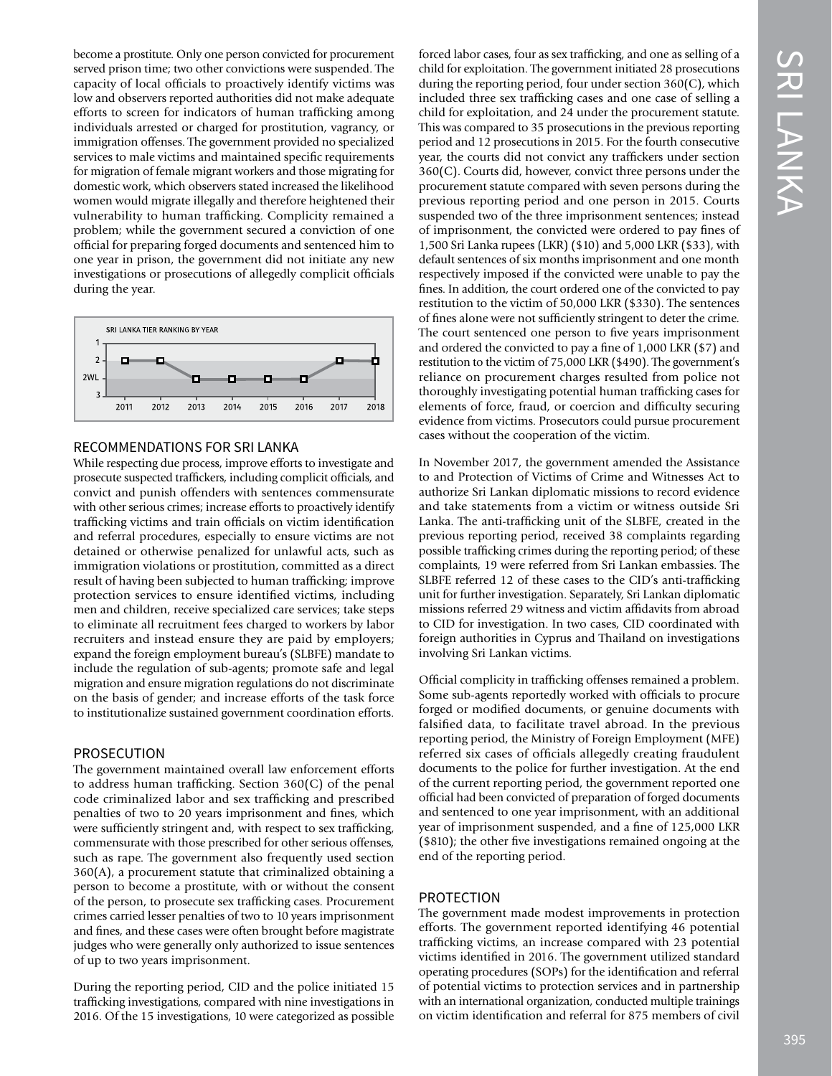become a prostitute. Only one person convicted for procurement served prison time; two other convictions were suspended. The capacity of local officials to proactively identify victims was low and observers reported authorities did not make adequate efforts to screen for indicators of human trafficking among individuals arrested or charged for prostitution, vagrancy, or immigration offenses. The government provided no specialized services to male victims and maintained specific requirements for migration of female migrant workers and those migrating for domestic work, which observers stated increased the likelihood women would migrate illegally and therefore heightened their vulnerability to human trafficking. Complicity remained a problem; while the government secured a conviction of one official for preparing forged documents and sentenced him to one year in prison, the government did not initiate any new investigations or prosecutions of allegedly complicit officials during the year.



#### RECOMMENDATIONS FOR SRI LANKA

While respecting due process, improve efforts to investigate and prosecute suspected traffickers, including complicit officials, and convict and punish offenders with sentences commensurate with other serious crimes; increase efforts to proactively identify trafficking victims and train officials on victim identification and referral procedures, especially to ensure victims are not detained or otherwise penalized for unlawful acts, such as immigration violations or prostitution, committed as a direct result of having been subjected to human trafficking; improve protection services to ensure identified victims, including men and children, receive specialized care services; take steps to eliminate all recruitment fees charged to workers by labor recruiters and instead ensure they are paid by employers; expand the foreign employment bureau's (SLBFE) mandate to include the regulation of sub-agents; promote safe and legal migration and ensure migration regulations do not discriminate on the basis of gender; and increase efforts of the task force to institutionalize sustained government coordination efforts.

#### PROSECUTION

The government maintained overall law enforcement efforts to address human trafficking. Section 360(C) of the penal code criminalized labor and sex trafficking and prescribed penalties of two to 20 years imprisonment and fines, which were sufficiently stringent and, with respect to sex trafficking, commensurate with those prescribed for other serious offenses, such as rape. The government also frequently used section 360(A), a procurement statute that criminalized obtaining a person to become a prostitute, with or without the consent of the person, to prosecute sex trafficking cases. Procurement crimes carried lesser penalties of two to 10 years imprisonment and fines, and these cases were often brought before magistrate judges who were generally only authorized to issue sentences of up to two years imprisonment.

During the reporting period, CID and the police initiated 15 trafficking investigations, compared with nine investigations in 2016. Of the 15 investigations, 10 were categorized as possible forced labor cases, four as sex trafficking, and one as selling of a child for exploitation. The government initiated 28 prosecutions during the reporting period, four under section 360(C), which included three sex trafficking cases and one case of selling a child for exploitation, and 24 under the procurement statute. This was compared to 35 prosecutions in the previous reporting period and 12 prosecutions in 2015. For the fourth consecutive year, the courts did not convict any traffickers under section 360(C). Courts did, however, convict three persons under the procurement statute compared with seven persons during the previous reporting period and one person in 2015. Courts suspended two of the three imprisonment sentences; instead of imprisonment, the convicted were ordered to pay fines of 1,500 Sri Lanka rupees (LKR) (\$10) and 5,000 LKR (\$33), with default sentences of six months imprisonment and one month respectively imposed if the convicted were unable to pay the fines. In addition, the court ordered one of the convicted to pay restitution to the victim of 50,000 LKR (\$330). The sentences of fines alone were not sufficiently stringent to deter the crime. The court sentenced one person to five years imprisonment and ordered the convicted to pay a fine of 1,000 LKR (\$7) and restitution to the victim of 75,000 LKR (\$490). The government's reliance on procurement charges resulted from police not thoroughly investigating potential human trafficking cases for elements of force, fraud, or coercion and difficulty securing evidence from victims. Prosecutors could pursue procurement cases without the cooperation of the victim.

In November 2017, the government amended the Assistance to and Protection of Victims of Crime and Witnesses Act to authorize Sri Lankan diplomatic missions to record evidence and take statements from a victim or witness outside Sri Lanka. The anti-trafficking unit of the SLBFE, created in the previous reporting period, received 38 complaints regarding possible trafficking crimes during the reporting period; of these complaints, 19 were referred from Sri Lankan embassies. The SLBFE referred 12 of these cases to the CID's anti-trafficking unit for further investigation. Separately, Sri Lankan diplomatic missions referred 29 witness and victim affidavits from abroad to CID for investigation. In two cases, CID coordinated with foreign authorities in Cyprus and Thailand on investigations involving Sri Lankan victims.

Official complicity in trafficking offenses remained a problem. Some sub-agents reportedly worked with officials to procure forged or modified documents, or genuine documents with falsified data, to facilitate travel abroad. In the previous reporting period, the Ministry of Foreign Employment (MFE) referred six cases of officials allegedly creating fraudulent documents to the police for further investigation. At the end of the current reporting period, the government reported one official had been convicted of preparation of forged documents and sentenced to one year imprisonment, with an additional year of imprisonment suspended, and a fine of 125,000 LKR (\$810); the other five investigations remained ongoing at the end of the reporting period.

#### PROTECTION

The government made modest improvements in protection efforts. The government reported identifying 46 potential trafficking victims, an increase compared with 23 potential victims identified in 2016. The government utilized standard operating procedures (SOPs) for the identification and referral of potential victims to protection services and in partnership with an international organization, conducted multiple trainings on victim identification and referral for 875 members of civil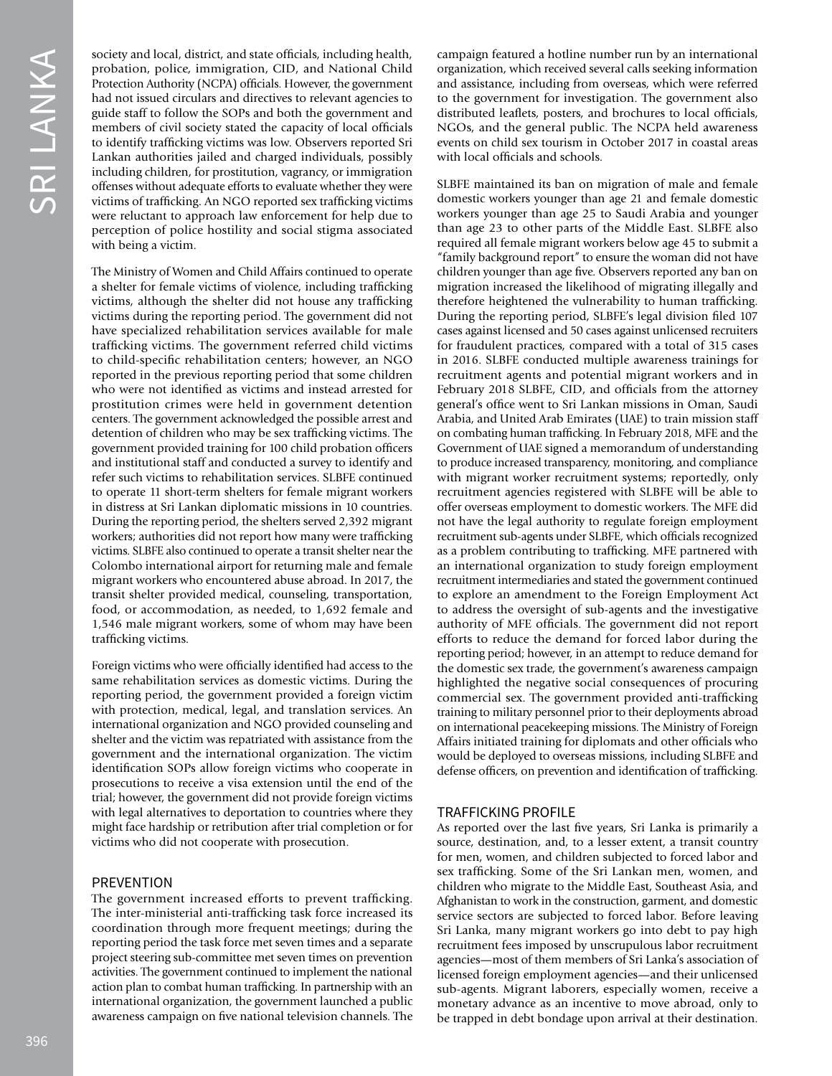probation, police, immigration, CID, and National Child Protection Authority (NCPA) officials. However, the government had not issued circulars and directives to relevant agencies to guide staff to follow the SOPs and both the government and members of civil society stated the capacity of local officials to identify trafficking victims was low. Observers reported Sri Lankan authorities jailed and charged individuals, possibly including children, for prostitution, vagrancy, or immigration offenses without adequate efforts to evaluate whether they were victims of trafficking. An NGO reported sex trafficking victims were reluctant to approach law enforcement for help due to perception of police hostility and social stigma associated with being a victim.

solen and focal district, and state officials, including bealth, including bealth, including (KRN), officials, incores the government and state incores are considered (KRN) officials, incores the capacity of the constraine The Ministry of Women and Child Affairs continued to operate a shelter for female victims of violence, including trafficking victims, although the shelter did not house any trafficking victims during the reporting period. The government did not have specialized rehabilitation services available for male trafficking victims. The government referred child victims to child-specific rehabilitation centers; however, an NGO reported in the previous reporting period that some children who were not identified as victims and instead arrested for prostitution crimes were held in government detention centers. The government acknowledged the possible arrest and detention of children who may be sex trafficking victims. The government provided training for 100 child probation officers and institutional staff and conducted a survey to identify and refer such victims to rehabilitation services. SLBFE continued to operate 11 short-term shelters for female migrant workers in distress at Sri Lankan diplomatic missions in 10 countries. During the reporting period, the shelters served 2,392 migrant workers; authorities did not report how many were trafficking victims. SLBFE also continued to operate a transit shelter near the Colombo international airport for returning male and female migrant workers who encountered abuse abroad. In 2017, the transit shelter provided medical, counseling, transportation, food, or accommodation, as needed, to 1,692 female and 1,546 male migrant workers, some of whom may have been trafficking victims.

Foreign victims who were officially identified had access to the same rehabilitation services as domestic victims. During the reporting period, the government provided a foreign victim with protection, medical, legal, and translation services. An international organization and NGO provided counseling and shelter and the victim was repatriated with assistance from the government and the international organization. The victim identification SOPs allow foreign victims who cooperate in prosecutions to receive a visa extension until the end of the trial; however, the government did not provide foreign victims with legal alternatives to deportation to countries where they might face hardship or retribution after trial completion or for victims who did not cooperate with prosecution.

#### PREVENTION

The government increased efforts to prevent trafficking. The inter-ministerial anti-trafficking task force increased its coordination through more frequent meetings; during the reporting period the task force met seven times and a separate project steering sub-committee met seven times on prevention activities. The government continued to implement the national action plan to combat human trafficking. In partnership with an international organization, the government launched a public awareness campaign on five national television channels. The campaign featured a hotline number run by an international organization, which received several calls seeking information and assistance, including from overseas, which were referred to the government for investigation. The government also distributed leaflets, posters, and brochures to local officials, NGOs, and the general public. The NCPA held awareness events on child sex tourism in October 2017 in coastal areas with local officials and schools.

SLBFE maintained its ban on migration of male and female domestic workers younger than age 21 and female domestic workers younger than age 25 to Saudi Arabia and younger than age 23 to other parts of the Middle East. SLBFE also required all female migrant workers below age 45 to submit a "family background report" to ensure the woman did not have children younger than age five. Observers reported any ban on migration increased the likelihood of migrating illegally and therefore heightened the vulnerability to human trafficking. During the reporting period, SLBFE's legal division filed 107 cases against licensed and 50 cases against unlicensed recruiters for fraudulent practices, compared with a total of 315 cases in 2016. SLBFE conducted multiple awareness trainings for recruitment agents and potential migrant workers and in February 2018 SLBFE, CID, and officials from the attorney general's office went to Sri Lankan missions in Oman, Saudi Arabia, and United Arab Emirates (UAE) to train mission staff on combating human trafficking. In February 2018, MFE and the Government of UAE signed a memorandum of understanding to produce increased transparency, monitoring, and compliance with migrant worker recruitment systems; reportedly, only recruitment agencies registered with SLBFE will be able to offer overseas employment to domestic workers. The MFE did not have the legal authority to regulate foreign employment recruitment sub-agents under SLBFE, which officials recognized as a problem contributing to trafficking. MFE partnered with an international organization to study foreign employment recruitment intermediaries and stated the government continued to explore an amendment to the Foreign Employment Act to address the oversight of sub-agents and the investigative authority of MFE officials. The government did not report efforts to reduce the demand for forced labor during the reporting period; however, in an attempt to reduce demand for the domestic sex trade, the government's awareness campaign highlighted the negative social consequences of procuring commercial sex. The government provided anti-trafficking training to military personnel prior to their deployments abroad on international peacekeeping missions. The Ministry of Foreign Affairs initiated training for diplomats and other officials who would be deployed to overseas missions, including SLBFE and defense officers, on prevention and identification of trafficking.

## TRAFFICKING PROFILE

As reported over the last five years, Sri Lanka is primarily a source, destination, and, to a lesser extent, a transit country for men, women, and children subjected to forced labor and sex trafficking. Some of the Sri Lankan men, women, and children who migrate to the Middle East, Southeast Asia, and Afghanistan to work in the construction, garment, and domestic service sectors are subjected to forced labor. Before leaving Sri Lanka, many migrant workers go into debt to pay high recruitment fees imposed by unscrupulous labor recruitment agencies—most of them members of Sri Lanka's association of licensed foreign employment agencies—and their unlicensed sub-agents. Migrant laborers, especially women, receive a monetary advance as an incentive to move abroad, only to be trapped in debt bondage upon arrival at their destination.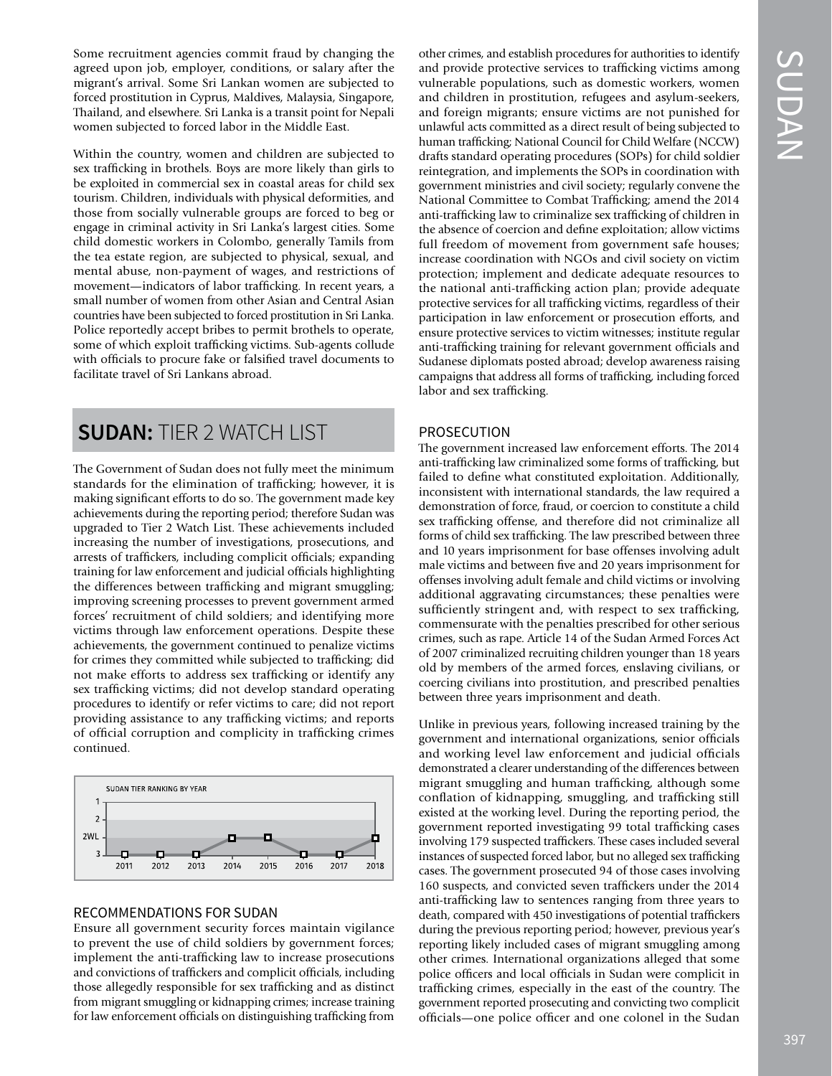Some recruitment agencies commit fraud by changing the agreed upon job, employer, conditions, or salary after the migrant's arrival. Some Sri Lankan women are subjected to forced prostitution in Cyprus, Maldives, Malaysia, Singapore, Thailand, and elsewhere. Sri Lanka is a transit point for Nepali women subjected to forced labor in the Middle East.

Within the country, women and children are subjected to sex trafficking in brothels. Boys are more likely than girls to be exploited in commercial sex in coastal areas for child sex tourism. Children, individuals with physical deformities, and those from socially vulnerable groups are forced to beg or engage in criminal activity in Sri Lanka's largest cities. Some child domestic workers in Colombo, generally Tamils from the tea estate region, are subjected to physical, sexual, and mental abuse, non-payment of wages, and restrictions of movement—indicators of labor trafficking. In recent years, a small number of women from other Asian and Central Asian countries have been subjected to forced prostitution in Sri Lanka. Police reportedly accept bribes to permit brothels to operate, some of which exploit trafficking victims. Sub-agents collude with officials to procure fake or falsified travel documents to facilitate travel of Sri Lankans abroad.

# **SUDAN:** TIER 2 WATCH LIST

The Government of Sudan does not fully meet the minimum standards for the elimination of trafficking; however, it is making significant efforts to do so. The government made key achievements during the reporting period; therefore Sudan was upgraded to Tier 2 Watch List. These achievements included increasing the number of investigations, prosecutions, and arrests of traffickers, including complicit officials; expanding training for law enforcement and judicial officials highlighting the differences between trafficking and migrant smuggling; improving screening processes to prevent government armed forces' recruitment of child soldiers; and identifying more victims through law enforcement operations. Despite these achievements, the government continued to penalize victims for crimes they committed while subjected to trafficking; did not make efforts to address sex trafficking or identify any sex trafficking victims; did not develop standard operating procedures to identify or refer victims to care; did not report providing assistance to any trafficking victims; and reports of official corruption and complicity in trafficking crimes continued.



### RECOMMENDATIONS FOR SUDAN

Ensure all government security forces maintain vigilance to prevent the use of child soldiers by government forces; implement the anti-trafficking law to increase prosecutions and convictions of traffickers and complicit officials, including those allegedly responsible for sex trafficking and as distinct from migrant smuggling or kidnapping crimes; increase training for law enforcement officials on distinguishing trafficking from other crimes, and establish procedures for authorities to identify and provide protective services to trafficking victims among vulnerable populations, such as domestic workers, women and children in prostitution, refugees and asylum-seekers, and foreign migrants; ensure victims are not punished for unlawful acts committed as a direct result of being subjected to human trafficking; National Council for Child Welfare (NCCW) drafts standard operating procedures (SOPs) for child soldier reintegration, and implements the SOPs in coordination with government ministries and civil society; regularly convene the National Committee to Combat Trafficking; amend the 2014 anti-trafficking law to criminalize sex trafficking of children in the absence of coercion and define exploitation; allow victims full freedom of movement from government safe houses; increase coordination with NGOs and civil society on victim protection; implement and dedicate adequate resources to the national anti-trafficking action plan; provide adequate protective services for all trafficking victims, regardless of their participation in law enforcement or prosecution efforts, and ensure protective services to victim witnesses; institute regular anti-trafficking training for relevant government officials and Sudanese diplomats posted abroad; develop awareness raising campaigns that address all forms of trafficking, including forced labor and sex trafficking.

### PROSECUTION

The government increased law enforcement efforts. The 2014 anti-trafficking law criminalized some forms of trafficking, but failed to define what constituted exploitation. Additionally, inconsistent with international standards, the law required a demonstration of force, fraud, or coercion to constitute a child sex trafficking offense, and therefore did not criminalize all forms of child sex trafficking. The law prescribed between three and 10 years imprisonment for base offenses involving adult male victims and between five and 20 years imprisonment for offenses involving adult female and child victims or involving additional aggravating circumstances; these penalties were sufficiently stringent and, with respect to sex trafficking, commensurate with the penalties prescribed for other serious crimes, such as rape. Article 14 of the Sudan Armed Forces Act of 2007 criminalized recruiting children younger than 18 years old by members of the armed forces, enslaving civilians, or coercing civilians into prostitution, and prescribed penalties between three years imprisonment and death.

Unlike in previous years, following increased training by the government and international organizations, senior officials and working level law enforcement and judicial officials demonstrated a clearer understanding of the differences between migrant smuggling and human trafficking, although some conflation of kidnapping, smuggling, and trafficking still existed at the working level. During the reporting period, the government reported investigating 99 total trafficking cases involving 179 suspected traffickers. These cases included several instances of suspected forced labor, but no alleged sex trafficking cases. The government prosecuted 94 of those cases involving 160 suspects, and convicted seven traffickers under the 2014 anti-trafficking law to sentences ranging from three years to death, compared with 450 investigations of potential traffickers during the previous reporting period; however, previous year's reporting likely included cases of migrant smuggling among other crimes. International organizations alleged that some police officers and local officials in Sudan were complicit in trafficking crimes, especially in the east of the country. The government reported prosecuting and convicting two complicit officials—one police officer and one colonel in the Sudan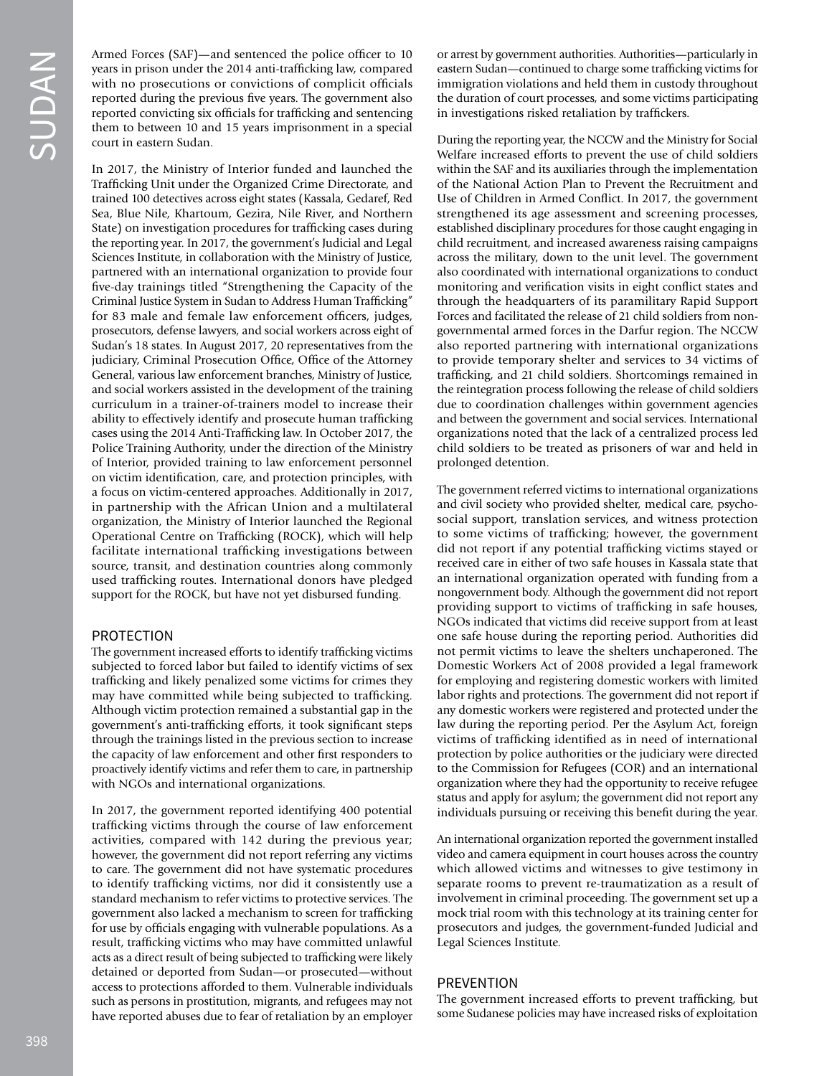years in prison under the 2014 anti-trafficking law, compared with no prosecutions or convictions of complicit officials reported during the previous five years. The government also reported convicting six officials for trafficking and sentencing them to between 10 and 15 years imprisonment in a special court in eastern Sudan.

Arma forces (SAF)—and sentence to the police officer to 10<br>
was in prison under the 2014 anti-methodis development of consideration<br>of the process (SaF)—and sentence of the consideration of consider the sentence of the se In 2017, the Ministry of Interior funded and launched the Trafficking Unit under the Organized Crime Directorate, and trained 100 detectives across eight states (Kassala, Gedaref, Red Sea, Blue Nile, Khartoum, Gezira, Nile River, and Northern State) on investigation procedures for trafficking cases during the reporting year. In 2017, the government's Judicial and Legal Sciences Institute, in collaboration with the Ministry of Justice, partnered with an international organization to provide four five-day trainings titled "Strengthening the Capacity of the Criminal Justice System in Sudan to Address Human Trafficking" for 83 male and female law enforcement officers, judges, prosecutors, defense lawyers, and social workers across eight of Sudan's 18 states. In August 2017, 20 representatives from the judiciary, Criminal Prosecution Office, Office of the Attorney General, various law enforcement branches, Ministry of Justice, and social workers assisted in the development of the training curriculum in a trainer-of-trainers model to increase their ability to effectively identify and prosecute human trafficking cases using the 2014 Anti-Trafficking law. In October 2017, the Police Training Authority, under the direction of the Ministry of Interior, provided training to law enforcement personnel on victim identification, care, and protection principles, with a focus on victim-centered approaches. Additionally in 2017, in partnership with the African Union and a multilateral organization, the Ministry of Interior launched the Regional Operational Centre on Trafficking (ROCK), which will help facilitate international trafficking investigations between source, transit, and destination countries along commonly used trafficking routes. International donors have pledged support for the ROCK, but have not yet disbursed funding.

### PROTECTION

The government increased efforts to identify trafficking victims subjected to forced labor but failed to identify victims of sex trafficking and likely penalized some victims for crimes they may have committed while being subjected to trafficking. Although victim protection remained a substantial gap in the government's anti-trafficking efforts, it took significant steps through the trainings listed in the previous section to increase the capacity of law enforcement and other first responders to proactively identify victims and refer them to care, in partnership with NGOs and international organizations.

In 2017, the government reported identifying 400 potential trafficking victims through the course of law enforcement activities, compared with 142 during the previous year; however, the government did not report referring any victims to care. The government did not have systematic procedures to identify trafficking victims, nor did it consistently use a standard mechanism to refer victims to protective services. The government also lacked a mechanism to screen for trafficking for use by officials engaging with vulnerable populations. As a result, trafficking victims who may have committed unlawful acts as a direct result of being subjected to trafficking were likely detained or deported from Sudan—or prosecuted—without access to protections afforded to them. Vulnerable individuals such as persons in prostitution, migrants, and refugees may not have reported abuses due to fear of retaliation by an employer

or arrest by government authorities. Authorities—particularly in eastern Sudan—continued to charge some trafficking victims for immigration violations and held them in custody throughout the duration of court processes, and some victims participating in investigations risked retaliation by traffickers.

During the reporting year, the NCCW and the Ministry for Social Welfare increased efforts to prevent the use of child soldiers within the SAF and its auxiliaries through the implementation of the National Action Plan to Prevent the Recruitment and Use of Children in Armed Conflict. In 2017, the government strengthened its age assessment and screening processes, established disciplinary procedures for those caught engaging in child recruitment, and increased awareness raising campaigns across the military, down to the unit level. The government also coordinated with international organizations to conduct monitoring and verification visits in eight conflict states and through the headquarters of its paramilitary Rapid Support Forces and facilitated the release of 21 child soldiers from nongovernmental armed forces in the Darfur region. The NCCW also reported partnering with international organizations to provide temporary shelter and services to 34 victims of trafficking, and 21 child soldiers. Shortcomings remained in the reintegration process following the release of child soldiers due to coordination challenges within government agencies and between the government and social services. International organizations noted that the lack of a centralized process led child soldiers to be treated as prisoners of war and held in prolonged detention.

The government referred victims to international organizations and civil society who provided shelter, medical care, psychosocial support, translation services, and witness protection to some victims of trafficking; however, the government did not report if any potential trafficking victims stayed or received care in either of two safe houses in Kassala state that an international organization operated with funding from a nongovernment body. Although the government did not report providing support to victims of trafficking in safe houses, NGOs indicated that victims did receive support from at least one safe house during the reporting period. Authorities did not permit victims to leave the shelters unchaperoned. The Domestic Workers Act of 2008 provided a legal framework for employing and registering domestic workers with limited labor rights and protections. The government did not report if any domestic workers were registered and protected under the law during the reporting period. Per the Asylum Act, foreign victims of trafficking identified as in need of international protection by police authorities or the judiciary were directed to the Commission for Refugees (COR) and an international organization where they had the opportunity to receive refugee status and apply for asylum; the government did not report any individuals pursuing or receiving this benefit during the year.

An international organization reported the government installed video and camera equipment in court houses across the country which allowed victims and witnesses to give testimony in separate rooms to prevent re-traumatization as a result of involvement in criminal proceeding. The government set up a mock trial room with this technology at its training center for prosecutors and judges, the government-funded Judicial and Legal Sciences Institute.

### PREVENTION

The government increased efforts to prevent trafficking, but some Sudanese policies may have increased risks of exploitation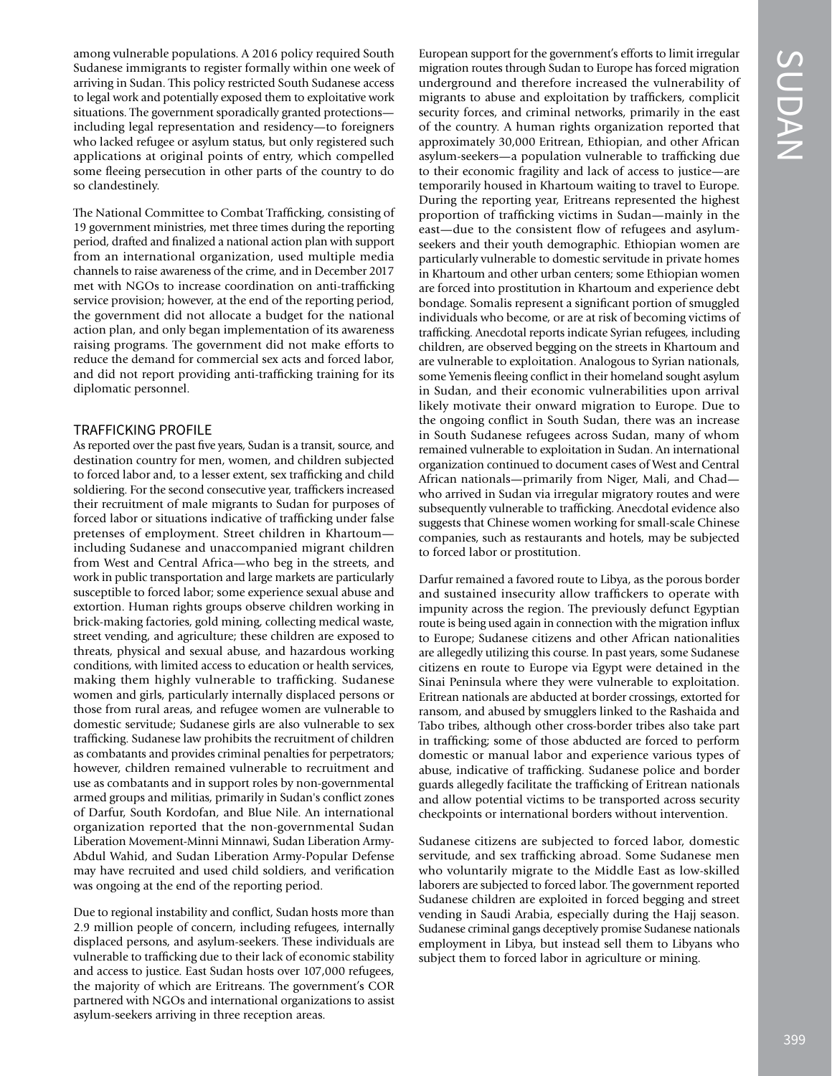among vulnerable populations. A 2016 policy required South Sudanese immigrants to register formally within one week of arriving in Sudan. This policy restricted South Sudanese access to legal work and potentially exposed them to exploitative work situations. The government sporadically granted protections including legal representation and residency—to foreigners who lacked refugee or asylum status, but only registered such applications at original points of entry, which compelled some fleeing persecution in other parts of the country to do so clandestinely.

The National Committee to Combat Trafficking, consisting of 19 government ministries, met three times during the reporting period, drafted and finalized a national action plan with support from an international organization, used multiple media channels to raise awareness of the crime, and in December 2017 met with NGOs to increase coordination on anti-trafficking service provision; however, at the end of the reporting period, the government did not allocate a budget for the national action plan, and only began implementation of its awareness raising programs. The government did not make efforts to reduce the demand for commercial sex acts and forced labor, and did not report providing anti-trafficking training for its diplomatic personnel.

### TRAFFICKING PROFILE

As reported over the past five years, Sudan is a transit, source, and destination country for men, women, and children subjected to forced labor and, to a lesser extent, sex trafficking and child soldiering. For the second consecutive year, traffickers increased their recruitment of male migrants to Sudan for purposes of forced labor or situations indicative of trafficking under false pretenses of employment. Street children in Khartoum including Sudanese and unaccompanied migrant children from West and Central Africa—who beg in the streets, and work in public transportation and large markets are particularly susceptible to forced labor; some experience sexual abuse and extortion. Human rights groups observe children working in brick-making factories, gold mining, collecting medical waste, street vending, and agriculture; these children are exposed to threats, physical and sexual abuse, and hazardous working conditions, with limited access to education or health services, making them highly vulnerable to trafficking. Sudanese women and girls, particularly internally displaced persons or those from rural areas, and refugee women are vulnerable to domestic servitude; Sudanese girls are also vulnerable to sex trafficking. Sudanese law prohibits the recruitment of children as combatants and provides criminal penalties for perpetrators; however, children remained vulnerable to recruitment and use as combatants and in support roles by non-governmental armed groups and militias, primarily in Sudan's conflict zones of Darfur, South Kordofan, and Blue Nile. An international organization reported that the non-governmental Sudan Liberation Movement-Minni Minnawi, Sudan Liberation Army-Abdul Wahid, and Sudan Liberation Army-Popular Defense may have recruited and used child soldiers, and verification was ongoing at the end of the reporting period.

Due to regional instability and conflict, Sudan hosts more than 2.9 million people of concern, including refugees, internally displaced persons, and asylum-seekers. These individuals are vulnerable to trafficking due to their lack of economic stability and access to justice. East Sudan hosts over 107,000 refugees, the majority of which are Eritreans. The government's COR partnered with NGOs and international organizations to assist asylum-seekers arriving in three reception areas.

European support for the government's efforts to limit irregular migration routes through Sudan to Europe has forced migration underground and therefore increased the vulnerability of migrants to abuse and exploitation by traffickers, complicit security forces, and criminal networks, primarily in the east of the country. A human rights organization reported that approximately 30,000 Eritrean, Ethiopian, and other African asylum-seekers—a population vulnerable to trafficking due to their economic fragility and lack of access to justice—are temporarily housed in Khartoum waiting to travel to Europe. During the reporting year, Eritreans represented the highest proportion of trafficking victims in Sudan—mainly in the east—due to the consistent flow of refugees and asylumseekers and their youth demographic. Ethiopian women are particularly vulnerable to domestic servitude in private homes in Khartoum and other urban centers; some Ethiopian women are forced into prostitution in Khartoum and experience debt bondage. Somalis represent a significant portion of smuggled individuals who become, or are at risk of becoming victims of trafficking. Anecdotal reports indicate Syrian refugees, including children, are observed begging on the streets in Khartoum and are vulnerable to exploitation. Analogous to Syrian nationals, some Yemenis fleeing conflict in their homeland sought asylum in Sudan, and their economic vulnerabilities upon arrival likely motivate their onward migration to Europe. Due to the ongoing conflict in South Sudan, there was an increase in South Sudanese refugees across Sudan, many of whom remained vulnerable to exploitation in Sudan. An international organization continued to document cases of West and Central African nationals—primarily from Niger, Mali, and Chad who arrived in Sudan via irregular migratory routes and were subsequently vulnerable to trafficking. Anecdotal evidence also suggests that Chinese women working for small-scale Chinese companies, such as restaurants and hotels, may be subjected to forced labor or prostitution.

Darfur remained a favored route to Libya, as the porous border and sustained insecurity allow traffickers to operate with impunity across the region. The previously defunct Egyptian route is being used again in connection with the migration influx to Europe; Sudanese citizens and other African nationalities are allegedly utilizing this course. In past years, some Sudanese citizens en route to Europe via Egypt were detained in the Sinai Peninsula where they were vulnerable to exploitation. Eritrean nationals are abducted at border crossings, extorted for ransom, and abused by smugglers linked to the Rashaida and Tabo tribes, although other cross-border tribes also take part in trafficking; some of those abducted are forced to perform domestic or manual labor and experience various types of abuse, indicative of trafficking. Sudanese police and border guards allegedly facilitate the trafficking of Eritrean nationals and allow potential victims to be transported across security checkpoints or international borders without intervention.

Sudanese citizens are subjected to forced labor, domestic servitude, and sex trafficking abroad. Some Sudanese men who voluntarily migrate to the Middle East as low-skilled laborers are subjected to forced labor. The government reported Sudanese children are exploited in forced begging and street vending in Saudi Arabia, especially during the Hajj season. Sudanese criminal gangs deceptively promise Sudanese nationals employment in Libya, but instead sell them to Libyans who subject them to forced labor in agriculture or mining.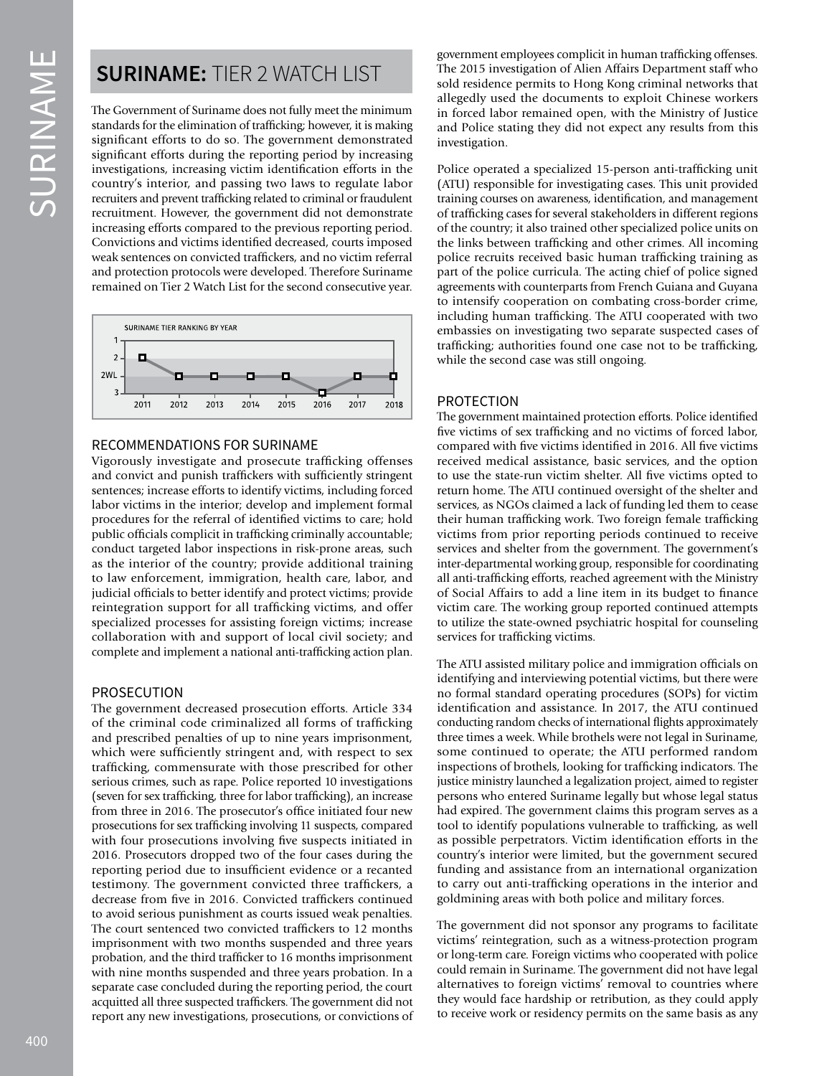# **SURINAME:** TIER 2 WATCH LIST

The Government of Suriname does not fully meet the minimum standards for the elimination of trafficking; however, it is making significant efforts to do so. The government demonstrated significant efforts during the reporting period by increasing investigations, increasing victim identification efforts in the country's interior, and passing two laws to regulate labor recruiters and prevent trafficking related to criminal or fraudulent recruitment. However, the government did not demonstrate increasing efforts compared to the previous reporting period. Convictions and victims identified decreased, courts imposed weak sentences on convicted traffickers, and no victim referral and protection protocols were developed. Therefore Suriname remained on Tier 2 Watch List for the second consecutive year.



### RECOMMENDATIONS FOR SURINAME

Vigorously investigate and prosecute trafficking offenses and convict and punish traffickers with sufficiently stringent sentences; increase efforts to identify victims, including forced labor victims in the interior; develop and implement formal procedures for the referral of identified victims to care; hold public officials complicit in trafficking criminally accountable; conduct targeted labor inspections in risk-prone areas, such as the interior of the country; provide additional training to law enforcement, immigration, health care, labor, and judicial officials to better identify and protect victims; provide reintegration support for all trafficking victims, and offer specialized processes for assisting foreign victims; increase collaboration with and support of local civil society; and complete and implement a national anti-trafficking action plan.

### PROSECUTION

The government decreased prosecution efforts. Article 334 of the criminal code criminalized all forms of trafficking and prescribed penalties of up to nine years imprisonment, which were sufficiently stringent and, with respect to sex trafficking, commensurate with those prescribed for other serious crimes, such as rape. Police reported 10 investigations (seven for sex trafficking, three for labor trafficking), an increase from three in 2016. The prosecutor's office initiated four new prosecutions for sex trafficking involving 11 suspects, compared with four prosecutions involving five suspects initiated in 2016. Prosecutors dropped two of the four cases during the reporting period due to insufficient evidence or a recanted testimony. The government convicted three traffickers, a decrease from five in 2016. Convicted traffickers continued to avoid serious punishment as courts issued weak penalties. The court sentenced two convicted traffickers to 12 months imprisonment with two months suspended and three years probation, and the third trafficker to 16 months imprisonment with nine months suspended and three years probation. In a separate case concluded during the reporting period, the court acquitted all three suspected traffickers. The government did not report any new investigations, prosecutions, or convictions of government employees complicit in human trafficking offenses. The 2015 investigation of Alien Affairs Department staff who sold residence permits to Hong Kong criminal networks that allegedly used the documents to exploit Chinese workers in forced labor remained open, with the Ministry of Justice and Police stating they did not expect any results from this investigation.

Police operated a specialized 15-person anti-trafficking unit (ATU) responsible for investigating cases. This unit provided training courses on awareness, identification, and management of trafficking cases for several stakeholders in different regions of the country; it also trained other specialized police units on the links between trafficking and other crimes. All incoming police recruits received basic human trafficking training as part of the police curricula. The acting chief of police signed agreements with counterparts from French Guiana and Guyana to intensify cooperation on combating cross-border crime, including human trafficking. The ATU cooperated with two embassies on investigating two separate suspected cases of trafficking; authorities found one case not to be trafficking, while the second case was still ongoing.

### PROTECTION

The government maintained protection efforts. Police identified five victims of sex trafficking and no victims of forced labor, compared with five victims identified in 2016. All five victims received medical assistance, basic services, and the option to use the state-run victim shelter. All five victims opted to return home. The ATU continued oversight of the shelter and services, as NGOs claimed a lack of funding led them to cease their human trafficking work. Two foreign female trafficking victims from prior reporting periods continued to receive services and shelter from the government. The government's inter-departmental working group, responsible for coordinating all anti-trafficking efforts, reached agreement with the Ministry of Social Affairs to add a line item in its budget to finance victim care. The working group reported continued attempts to utilize the state-owned psychiatric hospital for counseling services for trafficking victims.

The ATU assisted military police and immigration officials on identifying and interviewing potential victims, but there were no formal standard operating procedures (SOPs) for victim identification and assistance. In 2017, the ATU continued conducting random checks of international flights approximately three times a week. While brothels were not legal in Suriname, some continued to operate; the ATU performed random inspections of brothels, looking for trafficking indicators. The justice ministry launched a legalization project, aimed to register persons who entered Suriname legally but whose legal status had expired. The government claims this program serves as a tool to identify populations vulnerable to trafficking, as well as possible perpetrators. Victim identification efforts in the country's interior were limited, but the government secured funding and assistance from an international organization to carry out anti-trafficking operations in the interior and goldmining areas with both police and military forces.

The government did not sponsor any programs to facilitate victims' reintegration, such as a witness-protection program or long-term care. Foreign victims who cooperated with police could remain in Suriname. The government did not have legal alternatives to foreign victims' removal to countries where they would face hardship or retribution, as they could apply to receive work or residency permits on the same basis as any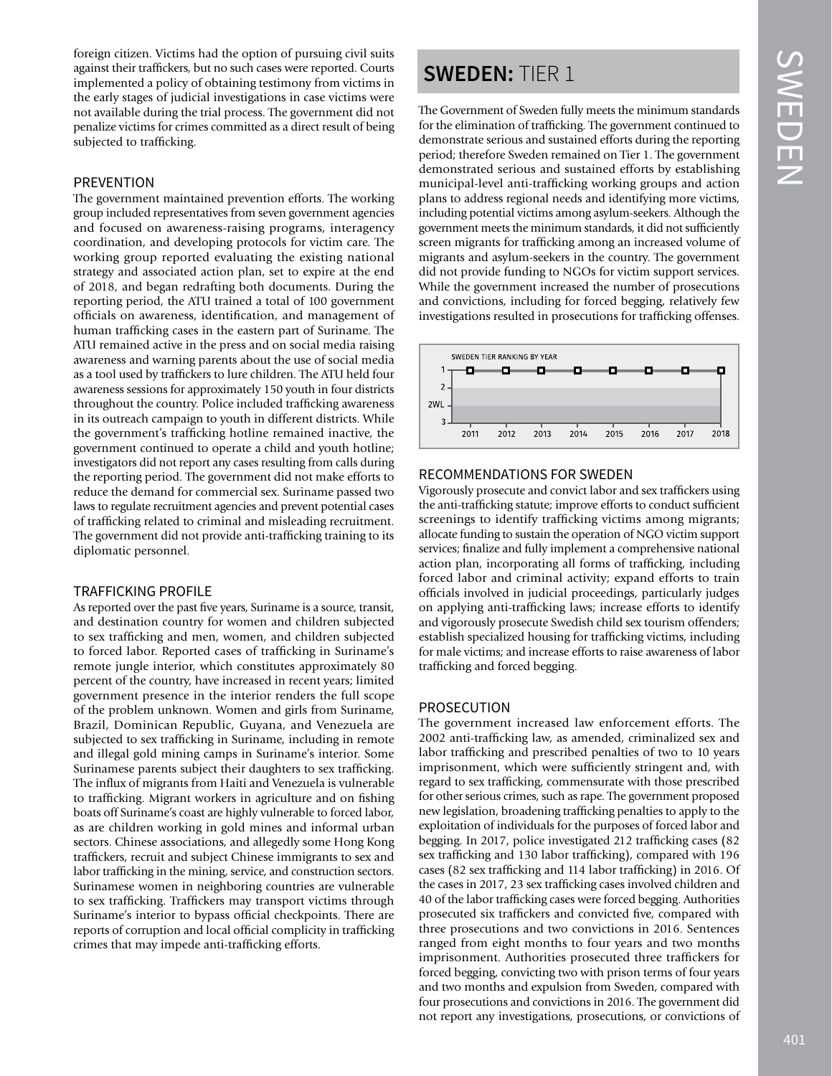foreign citizen. Victims had the option of pursuing civil suits against their traffickers, but no such cases were reported. Courts implemented a policy of obtaining testimony from victims in the early stages of judicial investigations in case victims were not available during the trial process. The government did not penalize victims for crimes committed as a direct result of being subjected to trafficking.

## PREVENTION

The government maintained prevention efforts. The working group included representatives from seven government agencies and focused on awareness-raising programs, interagency coordination, and developing protocols for victim care. The working group reported evaluating the existing national strategy and associated action plan, set to expire at the end of 2018, and began redrafting both documents. During the reporting period, the ATU trained a total of 100 government officials on awareness, identification, and management of human trafficking cases in the eastern part of Suriname. The ATU remained active in the press and on social media raising awareness and warning parents about the use of social media as a tool used by traffickers to lure children. The ATU held four awareness sessions for approximately 150 youth in four districts throughout the country. Police included trafficking awareness in its outreach campaign to youth in different districts. While the government's trafficking hotline remained inactive, the government continued to operate a child and youth hotline; investigators did not report any cases resulting from calls during the reporting period. The government did not make efforts to reduce the demand for commercial sex. Suriname passed two laws to regulate recruitment agencies and prevent potential cases of trafficking related to criminal and misleading recruitment. The government did not provide anti-trafficking training to its diplomatic personnel.

## TRAFFICKING PROFILE

As reported over the past five years, Suriname is a source, transit, and destination country for women and children subjected to sex trafficking and men, women, and children subjected to forced labor. Reported cases of trafficking in Suriname's remote jungle interior, which constitutes approximately 80 percent of the country, have increased in recent years; limited government presence in the interior renders the full scope of the problem unknown. Women and girls from Suriname, Brazil, Dominican Republic, Guyana, and Venezuela are subjected to sex trafficking in Suriname, including in remote and illegal gold mining camps in Suriname's interior. Some Surinamese parents subject their daughters to sex trafficking. The influx of migrants from Haiti and Venezuela is vulnerable to trafficking. Migrant workers in agriculture and on fishing boats off Suriname's coast are highly vulnerable to forced labor, as are children working in gold mines and informal urban sectors. Chinese associations, and allegedly some Hong Kong traffickers, recruit and subject Chinese immigrants to sex and labor trafficking in the mining, service, and construction sectors. Surinamese women in neighboring countries are vulnerable to sex trafficking. Traffickers may transport victims through Suriname's interior to bypass official checkpoints. There are reports of corruption and local official complicity in trafficking crimes that may impede anti-trafficking efforts.

# **SWEDEN:** TIER 1

The Government of Sweden fully meets the minimum standards for the elimination of trafficking. The government continued to demonstrate serious and sustained efforts during the reporting period; therefore Sweden remained on Tier 1. The government demonstrated serious and sustained efforts by establishing municipal-level anti-trafficking working groups and action plans to address regional needs and identifying more victims, including potential victims among asylum-seekers. Although the government meets the minimum standards, it did not sufficiently screen migrants for trafficking among an increased volume of migrants and asylum-seekers in the country. The government did not provide funding to NGOs for victim support services. While the government increased the number of prosecutions and convictions, including for forced begging, relatively few investigations resulted in prosecutions for trafficking offenses.



## RECOMMENDATIONS FOR SWEDEN

Vigorously prosecute and convict labor and sex traffickers using the anti-trafficking statute; improve efforts to conduct sufficient screenings to identify trafficking victims among migrants; allocate funding to sustain the operation of NGO victim support services; finalize and fully implement a comprehensive national action plan, incorporating all forms of trafficking, including forced labor and criminal activity; expand efforts to train officials involved in judicial proceedings, particularly judges on applying anti-trafficking laws; increase efforts to identify and vigorously prosecute Swedish child sex tourism offenders; establish specialized housing for trafficking victims, including for male victims; and increase efforts to raise awareness of labor trafficking and forced begging.

## PROSECUTION

The government increased law enforcement efforts. The 2002 anti-trafficking law, as amended, criminalized sex and labor trafficking and prescribed penalties of two to 10 years imprisonment, which were sufficiently stringent and, with regard to sex trafficking, commensurate with those prescribed for other serious crimes, such as rape. The government proposed new legislation, broadening trafficking penalties to apply to the exploitation of individuals for the purposes of forced labor and begging. In 2017, police investigated 212 trafficking cases (82 sex trafficking and 130 labor trafficking), compared with 196 cases (82 sex trafficking and 114 labor trafficking) in 2016. Of the cases in 2017, 23 sex trafficking cases involved children and 40 of the labor trafficking cases were forced begging. Authorities prosecuted six traffickers and convicted five, compared with three prosecutions and two convictions in 2016. Sentences ranged from eight months to four years and two months imprisonment. Authorities prosecuted three traffickers for forced begging, convicting two with prison terms of four years and two months and expulsion from Sweden, compared with four prosecutions and convictions in 2016. The government did not report any investigations, prosecutions, or convictions of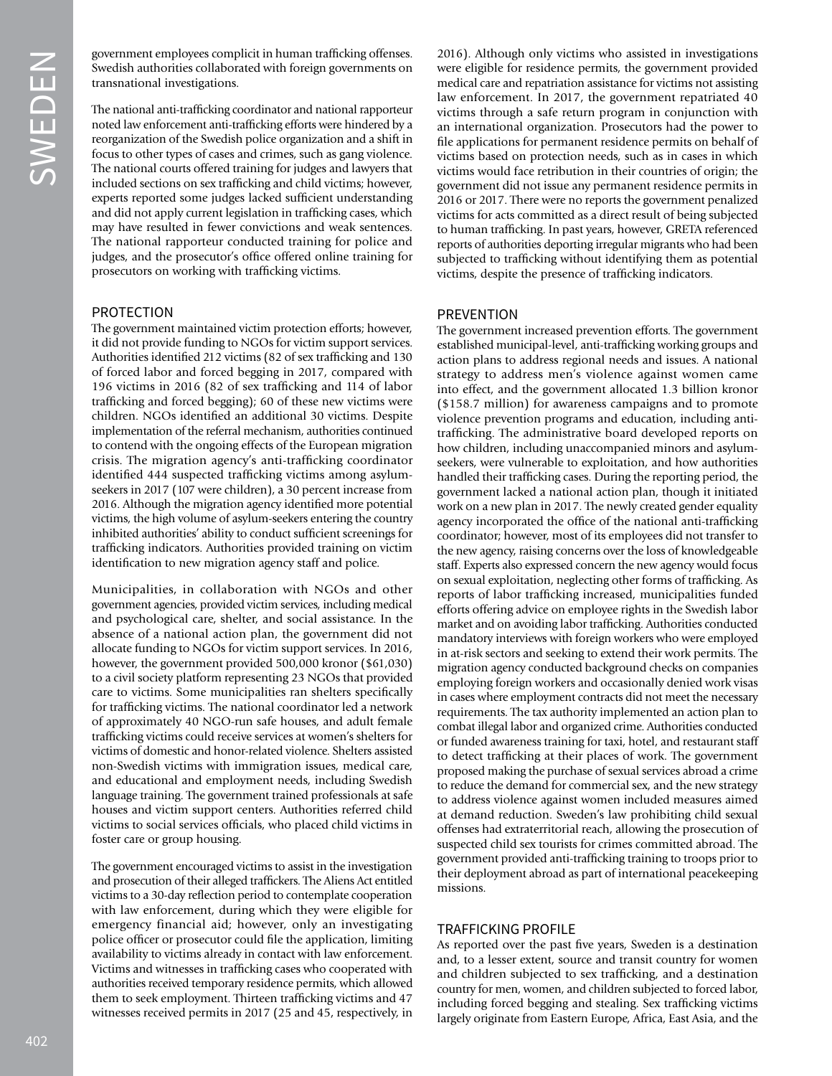Swedish authorities collaborated with foreign governments on transnational investigations.

The national anti-trafficking coordinator and national rapporteur noted law enforcement anti-trafficking efforts were hindered by a reorganization of the Swedish police organization and a shift in focus to other types of cases and crimes, such as gang violence. The national courts offered training for judges and lawyers that included sections on sex trafficking and child victims; however, experts reported some judges lacked sufficient understanding and did not apply current legislation in trafficking cases, which may have resulted in fewer convictions and weak sentences. The national rapporteur conducted training for police and judges, and the prosecutor's office offered online training for prosecutors on working with trafficking victims.

### PROTECTION

The government maintained victim protection efforts; however, it did not provide funding to NGOs for victim support services. Authorities identified 212 victims (82 of sex trafficking and 130 of forced labor and forced begging in 2017, compared with 196 victims in 2016 (82 of sex trafficking and 114 of labor trafficking and forced begging); 60 of these new victims were children. NGOs identified an additional 30 victims. Despite implementation of the referral mechanism, authorities continued to contend with the ongoing effects of the European migration crisis. The migration agency's anti-trafficking coordinator identified 444 suspected trafficking victims among asylumseekers in 2017 (107 were children), a 30 percent increase from 2016. Although the migration agency identified more potential victims, the high volume of asylum-seekers entering the country inhibited authorities' ability to conduct sufficient screenings for trafficking indicators. Authorities provided training on victim identification to new migration agency staff and police.

Examelent employees complicit in human trafficking effenses.<br>
The national anti-inficity conditions and variously approximates on<br>
The national anti-inficity conditions and variously approximates<br>
The national anti-inffic Municipalities, in collaboration with NGOs and other government agencies, provided victim services, including medical and psychological care, shelter, and social assistance. In the absence of a national action plan, the government did not allocate funding to NGOs for victim support services. In 2016, however, the government provided 500,000 kronor (\$61,030) to a civil society platform representing 23 NGOs that provided care to victims. Some municipalities ran shelters specifically for trafficking victims. The national coordinator led a network of approximately 40 NGO-run safe houses, and adult female trafficking victims could receive services at women's shelters for victims of domestic and honor-related violence. Shelters assisted non-Swedish victims with immigration issues, medical care, and educational and employment needs, including Swedish language training. The government trained professionals at safe houses and victim support centers. Authorities referred child victims to social services officials, who placed child victims in foster care or group housing.

The government encouraged victims to assist in the investigation and prosecution of their alleged traffickers. The Aliens Act entitled victims to a 30-day reflection period to contemplate cooperation with law enforcement, during which they were eligible for emergency financial aid; however, only an investigating police officer or prosecutor could file the application, limiting availability to victims already in contact with law enforcement. Victims and witnesses in trafficking cases who cooperated with authorities received temporary residence permits, which allowed them to seek employment. Thirteen trafficking victims and 47 witnesses received permits in 2017 (25 and 45, respectively, in

2016). Although only victims who assisted in investigations were eligible for residence permits, the government provided medical care and repatriation assistance for victims not assisting law enforcement. In 2017, the government repatriated 40 victims through a safe return program in conjunction with an international organization. Prosecutors had the power to file applications for permanent residence permits on behalf of victims based on protection needs, such as in cases in which victims would face retribution in their countries of origin; the government did not issue any permanent residence permits in 2016 or 2017. There were no reports the government penalized victims for acts committed as a direct result of being subjected to human trafficking. In past years, however, GRETA referenced reports of authorities deporting irregular migrants who had been subjected to trafficking without identifying them as potential victims, despite the presence of trafficking indicators.

### PREVENTION

The government increased prevention efforts. The government established municipal-level, anti-trafficking working groups and action plans to address regional needs and issues. A national strategy to address men's violence against women came into effect, and the government allocated 1.3 billion kronor (\$158.7 million) for awareness campaigns and to promote violence prevention programs and education, including antitrafficking. The administrative board developed reports on how children, including unaccompanied minors and asylumseekers, were vulnerable to exploitation, and how authorities handled their trafficking cases. During the reporting period, the government lacked a national action plan, though it initiated work on a new plan in 2017. The newly created gender equality agency incorporated the office of the national anti-trafficking coordinator; however, most of its employees did not transfer to the new agency, raising concerns over the loss of knowledgeable staff. Experts also expressed concern the new agency would focus on sexual exploitation, neglecting other forms of trafficking. As reports of labor trafficking increased, municipalities funded efforts offering advice on employee rights in the Swedish labor market and on avoiding labor trafficking. Authorities conducted mandatory interviews with foreign workers who were employed in at-risk sectors and seeking to extend their work permits. The migration agency conducted background checks on companies employing foreign workers and occasionally denied work visas in cases where employment contracts did not meet the necessary requirements. The tax authority implemented an action plan to combat illegal labor and organized crime. Authorities conducted or funded awareness training for taxi, hotel, and restaurant staff to detect trafficking at their places of work. The government proposed making the purchase of sexual services abroad a crime to reduce the demand for commercial sex, and the new strategy to address violence against women included measures aimed at demand reduction. Sweden's law prohibiting child sexual offenses had extraterritorial reach, allowing the prosecution of suspected child sex tourists for crimes committed abroad. The government provided anti-trafficking training to troops prior to their deployment abroad as part of international peacekeeping missions.

## TRAFFICKING PROFILE

As reported over the past five years, Sweden is a destination and, to a lesser extent, source and transit country for women and children subjected to sex trafficking, and a destination country for men, women, and children subjected to forced labor, including forced begging and stealing. Sex trafficking victims largely originate from Eastern Europe, Africa, East Asia, and the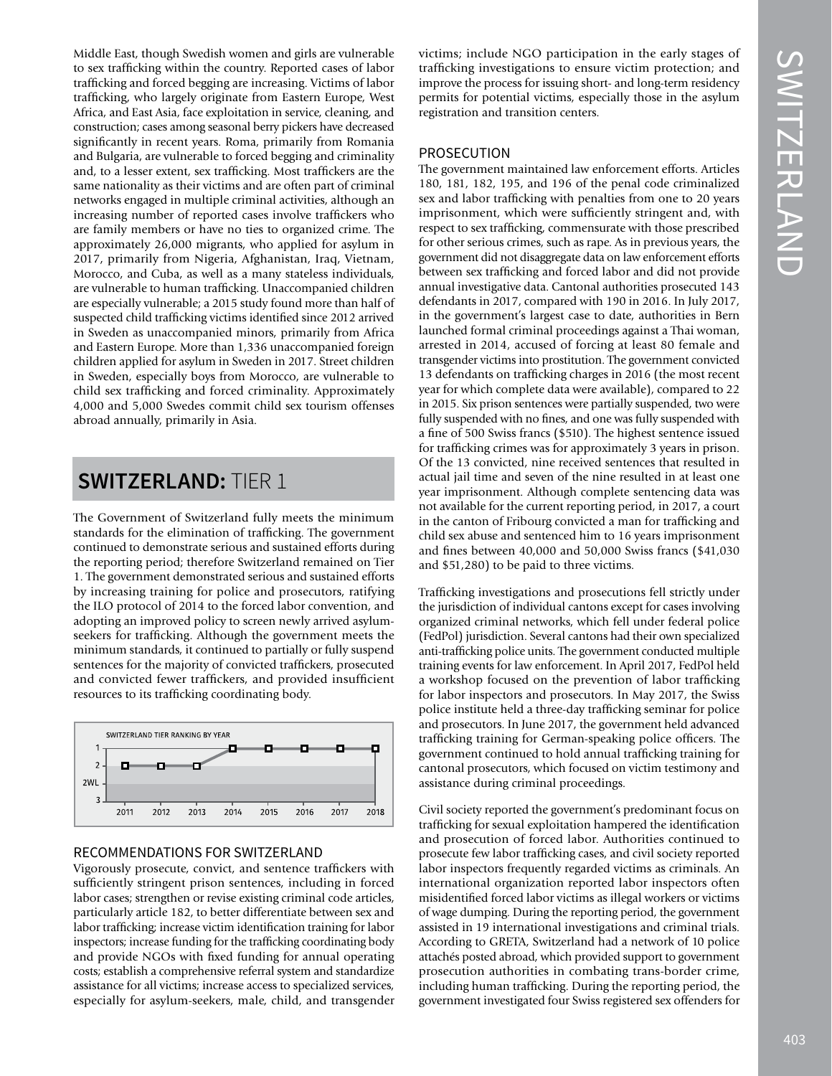Middle East, though Swedish women and girls are vulnerable to sex trafficking within the country. Reported cases of labor trafficking and forced begging are increasing. Victims of labor trafficking, who largely originate from Eastern Europe, West Africa, and East Asia, face exploitation in service, cleaning, and construction; cases among seasonal berry pickers have decreased significantly in recent years. Roma, primarily from Romania and Bulgaria, are vulnerable to forced begging and criminality and, to a lesser extent, sex trafficking. Most traffickers are the same nationality as their victims and are often part of criminal networks engaged in multiple criminal activities, although an increasing number of reported cases involve traffickers who are family members or have no ties to organized crime. The approximately 26,000 migrants, who applied for asylum in 2017, primarily from Nigeria, Afghanistan, Iraq, Vietnam, Morocco, and Cuba, as well as a many stateless individuals, are vulnerable to human trafficking. Unaccompanied children are especially vulnerable; a 2015 study found more than half of suspected child trafficking victims identified since 2012 arrived in Sweden as unaccompanied minors, primarily from Africa and Eastern Europe. More than 1,336 unaccompanied foreign children applied for asylum in Sweden in 2017. Street children in Sweden, especially boys from Morocco, are vulnerable to child sex trafficking and forced criminality. Approximately 4,000 and 5,000 Swedes commit child sex tourism offenses abroad annually, primarily in Asia.

## **SWITZERLAND:** TIER 1

The Government of Switzerland fully meets the minimum standards for the elimination of trafficking. The government continued to demonstrate serious and sustained efforts during the reporting period; therefore Switzerland remained on Tier 1. The government demonstrated serious and sustained efforts by increasing training for police and prosecutors, ratifying the ILO protocol of 2014 to the forced labor convention, and adopting an improved policy to screen newly arrived asylumseekers for trafficking. Although the government meets the minimum standards, it continued to partially or fully suspend sentences for the majority of convicted traffickers, prosecuted and convicted fewer traffickers, and provided insufficient resources to its trafficking coordinating body.



### RECOMMENDATIONS FOR SWITZERLAND

Vigorously prosecute, convict, and sentence traffickers with sufficiently stringent prison sentences, including in forced labor cases; strengthen or revise existing criminal code articles, particularly article 182, to better differentiate between sex and labor trafficking; increase victim identification training for labor inspectors; increase funding for the trafficking coordinating body and provide NGOs with fixed funding for annual operating costs; establish a comprehensive referral system and standardize assistance for all victims; increase access to specialized services, especially for asylum-seekers, male, child, and transgender victims; include NGO participation in the early stages of trafficking investigations to ensure victim protection; and improve the process for issuing short- and long-term residency permits for potential victims, especially those in the asylum registration and transition centers.

### PROSECUTION

The government maintained law enforcement efforts. Articles 180, 181, 182, 195, and 196 of the penal code criminalized sex and labor trafficking with penalties from one to 20 years imprisonment, which were sufficiently stringent and, with respect to sex trafficking, commensurate with those prescribed for other serious crimes, such as rape. As in previous years, the government did not disaggregate data on law enforcement efforts between sex trafficking and forced labor and did not provide annual investigative data. Cantonal authorities prosecuted 143 defendants in 2017, compared with 190 in 2016. In July 2017, in the government's largest case to date, authorities in Bern launched formal criminal proceedings against a Thai woman, arrested in 2014, accused of forcing at least 80 female and transgender victims into prostitution. The government convicted 13 defendants on trafficking charges in 2016 (the most recent year for which complete data were available), compared to 22 in 2015. Six prison sentences were partially suspended, two were fully suspended with no fines, and one was fully suspended with a fine of 500 Swiss francs (\$510). The highest sentence issued for trafficking crimes was for approximately 3 years in prison. Of the 13 convicted, nine received sentences that resulted in actual jail time and seven of the nine resulted in at least one year imprisonment. Although complete sentencing data was not available for the current reporting period, in 2017, a court in the canton of Fribourg convicted a man for trafficking and child sex abuse and sentenced him to 16 years imprisonment and fines between 40,000 and 50,000 Swiss francs (\$41,030 and \$51,280) to be paid to three victims.

Trafficking investigations and prosecutions fell strictly under the jurisdiction of individual cantons except for cases involving organized criminal networks, which fell under federal police (FedPol) jurisdiction. Several cantons had their own specialized anti-trafficking police units. The government conducted multiple training events for law enforcement. In April 2017, FedPol held a workshop focused on the prevention of labor trafficking for labor inspectors and prosecutors. In May 2017, the Swiss police institute held a three-day trafficking seminar for police and prosecutors. In June 2017, the government held advanced trafficking training for German-speaking police officers. The government continued to hold annual trafficking training for cantonal prosecutors, which focused on victim testimony and assistance during criminal proceedings.

Civil society reported the government's predominant focus on trafficking for sexual exploitation hampered the identification and prosecution of forced labor. Authorities continued to prosecute few labor trafficking cases, and civil society reported labor inspectors frequently regarded victims as criminals. An international organization reported labor inspectors often misidentified forced labor victims as illegal workers or victims of wage dumping. During the reporting period, the government assisted in 19 international investigations and criminal trials. According to GRETA, Switzerland had a network of 10 police attachés posted abroad, which provided support to government prosecution authorities in combating trans-border crime, including human trafficking. During the reporting period, the government investigated four Swiss registered sex offenders for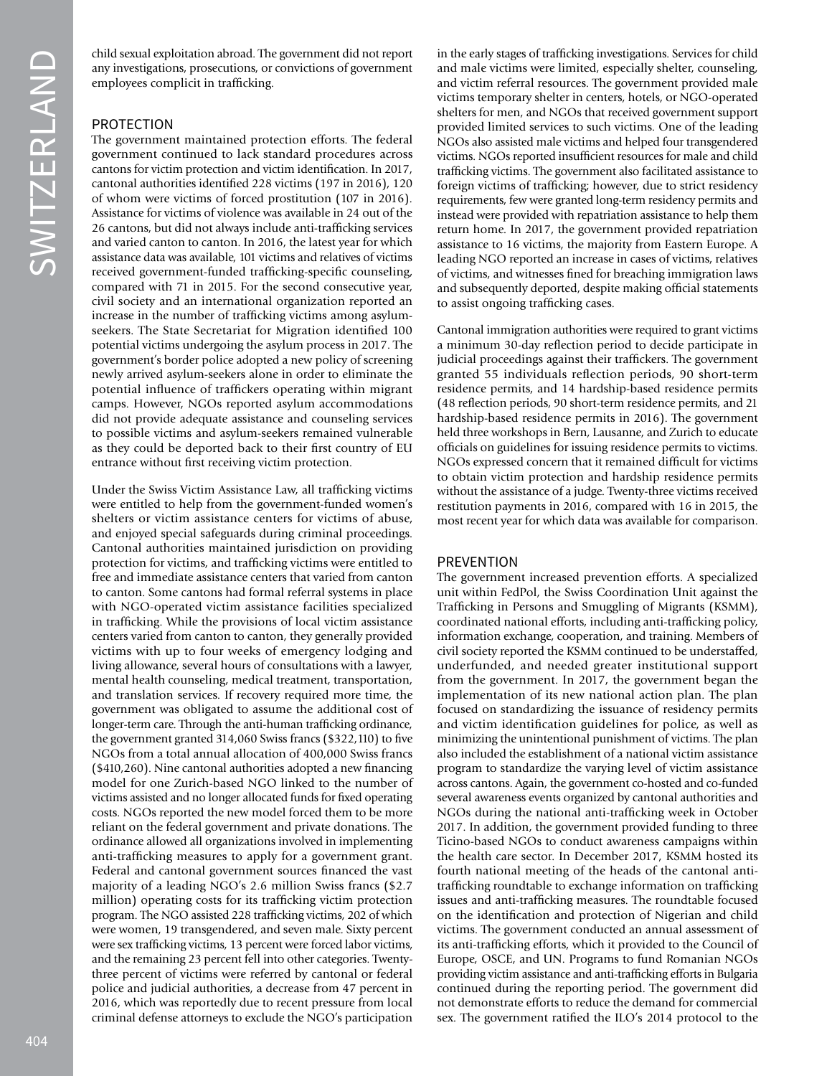any investigations, prosecutions, or convictions of government employees complicit in trafficking.

## PROTECTION

The government maintained protection efforts. The federal government continued to lack standard procedures across cantons for victim protection and victim identification. In 2017, cantonal authorities identified 228 victims (197 in 2016), 120 of whom were victims of forced prostitution (107 in 2016). Assistance for victims of violence was available in 24 out of the 26 cantons, but did not always include anti-trafficking services and varied canton to canton. In 2016, the latest year for which assistance data was available, 101 victims and relatives of victims received government-funded trafficking-specific counseling, compared with 71 in 2015. For the second consecutive year, civil society and an international organization reported an increase in the number of trafficking victims among asylumseekers. The State Secretariat for Migration identified 100 potential victims undergoing the asylum process in 2017. The government's border police adopted a new policy of screening newly arrived asylum-seekers alone in order to eliminate the potential influence of traffickers operating within migrant camps. However, NGOs reported asylum accommodations did not provide adequate assistance and counseling services to possible victims and asylum-seekers remained vulnerable as they could be deported back to their first country of EU entrance without first receiving victim protection.

40<br>
and sexual exploitation abroad the government did not report<br>the growth as the security of presentation abroad in the security of<br>
The government contributed to last standard procedures across the<br>
The government cont Under the Swiss Victim Assistance Law, all trafficking victims were entitled to help from the government-funded women's shelters or victim assistance centers for victims of abuse, and enjoyed special safeguards during criminal proceedings. Cantonal authorities maintained jurisdiction on providing protection for victims, and trafficking victims were entitled to free and immediate assistance centers that varied from canton to canton. Some cantons had formal referral systems in place with NGO-operated victim assistance facilities specialized in trafficking. While the provisions of local victim assistance centers varied from canton to canton, they generally provided victims with up to four weeks of emergency lodging and living allowance, several hours of consultations with a lawyer, mental health counseling, medical treatment, transportation, and translation services. If recovery required more time, the government was obligated to assume the additional cost of longer-term care. Through the anti-human trafficking ordinance, the government granted 314,060 Swiss francs (\$322,110) to five NGOs from a total annual allocation of 400,000 Swiss francs (\$410,260). Nine cantonal authorities adopted a new financing model for one Zurich-based NGO linked to the number of victims assisted and no longer allocated funds for fixed operating costs. NGOs reported the new model forced them to be more reliant on the federal government and private donations. The ordinance allowed all organizations involved in implementing anti-trafficking measures to apply for a government grant. Federal and cantonal government sources financed the vast majority of a leading NGO's 2.6 million Swiss francs (\$2.7 million) operating costs for its trafficking victim protection program. The NGO assisted 228 trafficking victims, 202 of which were women, 19 transgendered, and seven male. Sixty percent were sex trafficking victims, 13 percent were forced labor victims, and the remaining 23 percent fell into other categories. Twentythree percent of victims were referred by cantonal or federal police and judicial authorities, a decrease from 47 percent in 2016, which was reportedly due to recent pressure from local criminal defense attorneys to exclude the NGO's participation

in the early stages of trafficking investigations. Services for child and male victims were limited, especially shelter, counseling, and victim referral resources. The government provided male victims temporary shelter in centers, hotels, or NGO-operated shelters for men, and NGOs that received government support provided limited services to such victims. One of the leading NGOs also assisted male victims and helped four transgendered victims. NGOs reported insufficient resources for male and child trafficking victims. The government also facilitated assistance to foreign victims of trafficking; however, due to strict residency requirements, few were granted long-term residency permits and instead were provided with repatriation assistance to help them return home. In 2017, the government provided repatriation assistance to 16 victims, the majority from Eastern Europe. A leading NGO reported an increase in cases of victims, relatives of victims, and witnesses fined for breaching immigration laws and subsequently deported, despite making official statements to assist ongoing trafficking cases.

Cantonal immigration authorities were required to grant victims a minimum 30-day reflection period to decide participate in judicial proceedings against their traffickers. The government granted 55 individuals reflection periods, 90 short-term residence permits, and 14 hardship-based residence permits (48 reflection periods, 90 short-term residence permits, and 21 hardship-based residence permits in 2016). The government held three workshops in Bern, Lausanne, and Zurich to educate officials on guidelines for issuing residence permits to victims. NGOs expressed concern that it remained difficult for victims to obtain victim protection and hardship residence permits without the assistance of a judge. Twenty-three victims received restitution payments in 2016, compared with 16 in 2015, the most recent year for which data was available for comparison.

### PREVENTION

The government increased prevention efforts. A specialized unit within FedPol, the Swiss Coordination Unit against the Trafficking in Persons and Smuggling of Migrants (KSMM), coordinated national efforts, including anti-trafficking policy, information exchange, cooperation, and training. Members of civil society reported the KSMM continued to be understaffed, underfunded, and needed greater institutional support from the government. In 2017, the government began the implementation of its new national action plan. The plan focused on standardizing the issuance of residency permits and victim identification guidelines for police, as well as minimizing the unintentional punishment of victims. The plan also included the establishment of a national victim assistance program to standardize the varying level of victim assistance across cantons. Again, the government co-hosted and co-funded several awareness events organized by cantonal authorities and NGOs during the national anti-trafficking week in October 2017. In addition, the government provided funding to three Ticino-based NGOs to conduct awareness campaigns within the health care sector. In December 2017, KSMM hosted its fourth national meeting of the heads of the cantonal antitrafficking roundtable to exchange information on trafficking issues and anti-trafficking measures. The roundtable focused on the identification and protection of Nigerian and child victims. The government conducted an annual assessment of its anti-trafficking efforts, which it provided to the Council of Europe, OSCE, and UN. Programs to fund Romanian NGOs providing victim assistance and anti-trafficking efforts in Bulgaria continued during the reporting period. The government did not demonstrate efforts to reduce the demand for commercial sex. The government ratified the ILO's 2014 protocol to the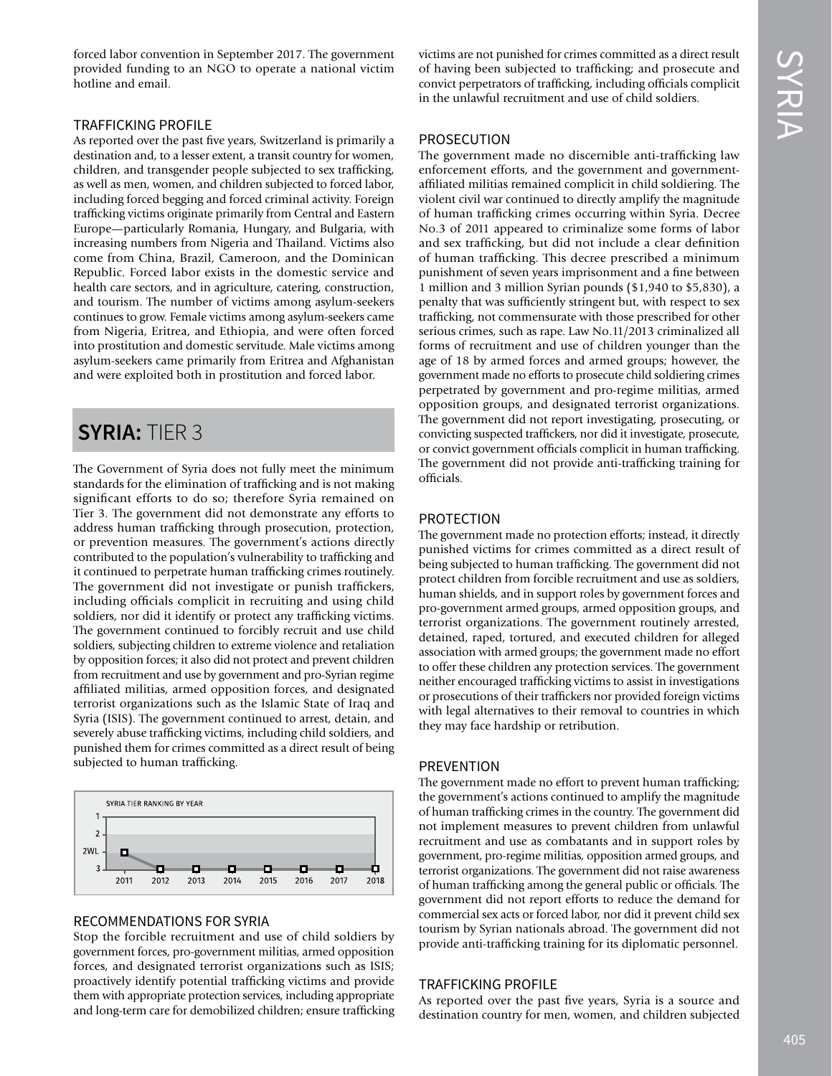forced labor convention in September 2017. The government provided funding to an NGO to operate a national victim hotline and email.

#### TRAFFICKING PROFILE

As reported over the past five years, Switzerland is primarily a destination and, to a lesser extent, a transit country for women, children, and transgender people subjected to sex trafficking, as well as men, women, and children subjected to forced labor, including forced begging and forced criminal activity. Foreign trafficking victims originate primarily from Central and Eastern Europe—particularly Romania, Hungary, and Bulgaria, with increasing numbers from Nigeria and Thailand. Victims also come from China, Brazil, Cameroon, and the Dominican Republic. Forced labor exists in the domestic service and health care sectors, and in agriculture, catering, construction, and tourism. The number of victims among asylum-seekers continues to grow. Female victims among asylum-seekers came from Nigeria, Eritrea, and Ethiopia, and were often forced into prostitution and domestic servitude. Male victims among asylum-seekers came primarily from Eritrea and Afghanistan and were exploited both in prostitution and forced labor.

# **SYRIA:** TIER 3

The Government of Syria does not fully meet the minimum standards for the elimination of trafficking and is not making significant efforts to do so; therefore Syria remained on Tier 3. The government did not demonstrate any efforts to address human trafficking through prosecution, protection, or prevention measures. The government's actions directly contributed to the population's vulnerability to trafficking and it continued to perpetrate human trafficking crimes routinely. The government did not investigate or punish traffickers, including officials complicit in recruiting and using child soldiers, nor did it identify or protect any trafficking victims. The government continued to forcibly recruit and use child soldiers, subjecting children to extreme violence and retaliation by opposition forces; it also did not protect and prevent children from recruitment and use by government and pro-Syrian regime affiliated militias, armed opposition forces, and designated terrorist organizations such as the Islamic State of Iraq and Syria (ISIS). The government continued to arrest, detain, and severely abuse trafficking victims, including child soldiers, and punished them for crimes committed as a direct result of being subjected to human trafficking.



### RECOMMENDATIONS FOR SYRIA

Stop the forcible recruitment and use of child soldiers by government forces, pro-government militias, armed opposition forces, and designated terrorist organizations such as ISIS; proactively identify potential trafficking victims and provide them with appropriate protection services, including appropriate and long-term care for demobilized children; ensure trafficking victims are not punished for crimes committed as a direct result of having been subjected to trafficking; and prosecute and convict perpetrators of trafficking, including officials complicit in the unlawful recruitment and use of child soldiers.

#### PROSECUTION

The government made no discernible anti-trafficking law enforcement efforts, and the government and governmentaffiliated militias remained complicit in child soldiering. The violent civil war continued to directly amplify the magnitude of human trafficking crimes occurring within Syria. Decree No.3 of 2011 appeared to criminalize some forms of labor and sex trafficking, but did not include a clear definition of human trafficking. This decree prescribed a minimum punishment of seven years imprisonment and a fine between 1 million and 3 million Syrian pounds (\$1,940 to \$5,830), a penalty that was sufficiently stringent but, with respect to sex trafficking, not commensurate with those prescribed for other serious crimes, such as rape. Law No.11/2013 criminalized all forms of recruitment and use of children younger than the age of 18 by armed forces and armed groups; however, the government made no efforts to prosecute child soldiering crimes perpetrated by government and pro-regime militias, armed opposition groups, and designated terrorist organizations. The government did not report investigating, prosecuting, or convicting suspected traffickers, nor did it investigate, prosecute, or convict government officials complicit in human trafficking. The government did not provide anti-trafficking training for officials.

#### PROTECTION

The government made no protection efforts; instead, it directly punished victims for crimes committed as a direct result of being subjected to human trafficking. The government did not protect children from forcible recruitment and use as soldiers, human shields, and in support roles by government forces and pro-government armed groups, armed opposition groups, and terrorist organizations. The government routinely arrested, detained, raped, tortured, and executed children for alleged association with armed groups; the government made no effort to offer these children any protection services. The government neither encouraged trafficking victims to assist in investigations or prosecutions of their traffickers nor provided foreign victims with legal alternatives to their removal to countries in which they may face hardship or retribution.

### PREVENTION

The government made no effort to prevent human trafficking; the government's actions continued to amplify the magnitude of human trafficking crimes in the country. The government did not implement measures to prevent children from unlawful recruitment and use as combatants and in support roles by government, pro-regime militias, opposition armed groups, and terrorist organizations. The government did not raise awareness of human trafficking among the general public or officials. The government did not report efforts to reduce the demand for commercial sex acts or forced labor, nor did it prevent child sex tourism by Syrian nationals abroad. The government did not provide anti-trafficking training for its diplomatic personnel.

#### TRAFFICKING PROFILE

As reported over the past five years, Syria is a source and destination country for men, women, and children subjected